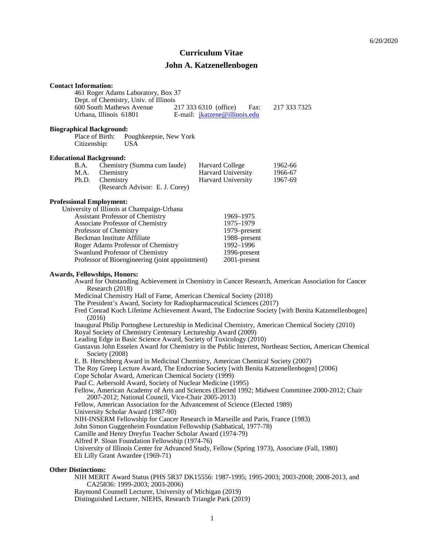# **Curriculum Vitae**

# **John A. Katzenellenbogen**

|                                                                                                                                                                                                                                                                                                                                                                                                                                                                                                                                                                                                                                                                                                                                                                                                                                                                                                                                                                                                                                                                                                                                                                                                                                                                                                                                                                                                                                                                                                                                                                                                                                                                                                                                                                                                     | <b>Contact Information:</b><br>600 South Mathews Avenue<br>Urbana, Illinois 61801                                                                                                                                                                        | 461 Roger Adams Laboratory, Box 37<br>Dept. of Chemistry, Univ. of Illinois                |  | 217 333 6310 (office)<br>Fax:<br>E-mail: jkatzene@illinois.edu                                      | 217 333 7325                                                                              |  |
|-----------------------------------------------------------------------------------------------------------------------------------------------------------------------------------------------------------------------------------------------------------------------------------------------------------------------------------------------------------------------------------------------------------------------------------------------------------------------------------------------------------------------------------------------------------------------------------------------------------------------------------------------------------------------------------------------------------------------------------------------------------------------------------------------------------------------------------------------------------------------------------------------------------------------------------------------------------------------------------------------------------------------------------------------------------------------------------------------------------------------------------------------------------------------------------------------------------------------------------------------------------------------------------------------------------------------------------------------------------------------------------------------------------------------------------------------------------------------------------------------------------------------------------------------------------------------------------------------------------------------------------------------------------------------------------------------------------------------------------------------------------------------------------------------------|----------------------------------------------------------------------------------------------------------------------------------------------------------------------------------------------------------------------------------------------------------|--------------------------------------------------------------------------------------------|--|-----------------------------------------------------------------------------------------------------|-------------------------------------------------------------------------------------------|--|
|                                                                                                                                                                                                                                                                                                                                                                                                                                                                                                                                                                                                                                                                                                                                                                                                                                                                                                                                                                                                                                                                                                                                                                                                                                                                                                                                                                                                                                                                                                                                                                                                                                                                                                                                                                                                     | <b>Biographical Background:</b><br>Place of Birth:<br>Citizenship:                                                                                                                                                                                       | Poughkeepsie, New York<br><b>USA</b>                                                       |  |                                                                                                     |                                                                                           |  |
|                                                                                                                                                                                                                                                                                                                                                                                                                                                                                                                                                                                                                                                                                                                                                                                                                                                                                                                                                                                                                                                                                                                                                                                                                                                                                                                                                                                                                                                                                                                                                                                                                                                                                                                                                                                                     | <b>Educational Background:</b><br>B.A.<br>M.A.<br>Chemistry<br>Ph.D.<br>Chemistry                                                                                                                                                                        | Chemistry (Summa cum laude)<br>(Research Advisor: E. J. Corey)                             |  | <b>Harvard College</b><br>Harvard University<br>Harvard University                                  | 1962-66<br>1966-67<br>1967-69                                                             |  |
|                                                                                                                                                                                                                                                                                                                                                                                                                                                                                                                                                                                                                                                                                                                                                                                                                                                                                                                                                                                                                                                                                                                                                                                                                                                                                                                                                                                                                                                                                                                                                                                                                                                                                                                                                                                                     | <b>Professional Employment:</b><br>University of Illinois at Champaign-Urbana<br><b>Assistant Professor of Chemistry</b><br>Associate Professor of Chemistry<br>Professor of Chemistry<br>Beckman Institute Affiliate<br>Swanlund Professor of Chemistry | Roger Adams Professor of Chemistry<br>Professor of Bioengineering (joint appointment)      |  | 1969-1975<br>1975-1979<br>1979–present<br>1988-present<br>1992-1996<br>1996-present<br>2001-present |                                                                                           |  |
| <b>Awards, Fellowships, Honors:</b><br>Award for Outstanding Achievement in Chemistry in Cancer Research, American Association for Cancer<br>Research (2018)<br>Medicinal Chemistry Hall of Fame, American Chemical Society (2018)<br>The President's Award, Society for Radiopharmaceutical Sciences (2017)<br>Fred Conrad Koch Lifetime Achievement Award, The Endocrine Society [with Benita Katzenellenbogen]<br>(2016)<br>Inaugural Philip Portoghese Lectureship in Medicinal Chemistry, American Chemical Society (2010)<br>Royal Society of Chemistry Centenary Lectureship Award (2009)<br>Leading Edge in Basic Science Award, Society of Toxicology (2010)<br>Gustavus John Esselen Award for Chemistry in the Public Interest, Northeast Section, American Chemical<br>Society (2008)<br>E. B. Herschberg Award in Medicinal Chemistry, American Chemical Society (2007)<br>The Roy Greep Lecture Award, The Endocrine Society [with Benita Katzenellenbogen] (2006)<br>Cope Scholar Award, American Chemical Society (1999)<br>Paul C. Aebersold Award, Society of Nuclear Medicine (1995)<br>Fellow, American Academy of Arts and Sciences (Elected 1992; Midwest Committee 2000-2012; Chair<br>2007-2012; National Council, Vice-Chair 2005-2013)<br>Fellow, American Association for the Advancement of Science (Elected 1989)<br>University Scholar Award (1987-90)<br>NIH-INSERM Fellowship for Cancer Research in Marseille and Paris, France (1983)<br>John Simon Guggenheim Foundation Fellowship (Sabbatical, 1977-78)<br>Camille and Henry Dreyfus Teacher Scholar Award (1974-79)<br>Alfred P. Sloan Foundation Fellowship (1974-76)<br>University of Illinois Center for Advanced Study, Fellow (Spring 1973), Associate (Fall, 1980)<br>Eli Lilly Grant Awardee (1969-71) |                                                                                                                                                                                                                                                          |                                                                                            |  |                                                                                                     |                                                                                           |  |
|                                                                                                                                                                                                                                                                                                                                                                                                                                                                                                                                                                                                                                                                                                                                                                                                                                                                                                                                                                                                                                                                                                                                                                                                                                                                                                                                                                                                                                                                                                                                                                                                                                                                                                                                                                                                     | <b>Other Distinctions:</b>                                                                                                                                                                                                                               | CA25836: 1999-2003; 2003-2006)<br>Raymond Counsell Lecturer, University of Michigan (2019) |  | Distinguished Lecturer, NIEHS, Research Triangle Park (2019)                                        | NIH MERIT Award Status (PHS 5R37 DK15556: 1987-1995; 1995-2003; 2003-2008; 2008-2013, and |  |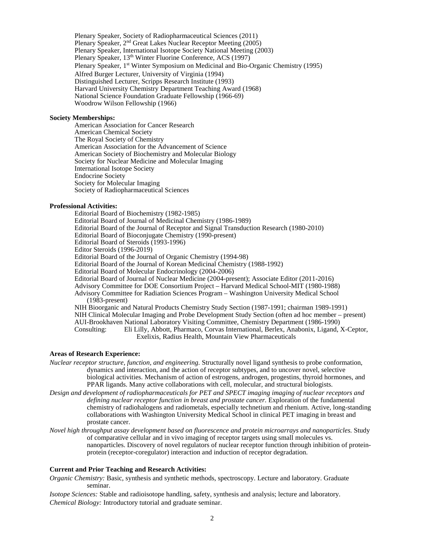Plenary Speaker, Society of Radiopharmaceutical Sciences (2011) Plenary Speaker, 2nd Great Lakes Nuclear Receptor Meeting (2005) Plenary Speaker, International Isotope Society National Meeting (2003) Plenary Speaker, 13<sup>th</sup> Winter Fluorine Conference, ACS (1997) Plenary Speaker, 1st Winter Symposium on Medicinal and Bio-Organic Chemistry (1995) Alfred Burger Lecturer, University of Virginia (1994) Distinguished Lecturer, Scripps Research Institute (1993) Harvard University Chemistry Department Teaching Award (1968) National Science Foundation Graduate Fellowship (1966-69) Woodrow Wilson Fellowship (1966)

#### **Society Memberships:**

American Association for Cancer Research American Chemical Society The Royal Society of Chemistry American Association for the Advancement of Science American Society of Biochemistry and Molecular Biology Society for Nuclear Medicine and Molecular Imaging International Isotope Society Endocrine Society Society for Molecular Imaging Society of Radiopharmaceutical Sciences

### **Professional Activities:**

Editorial Board of Biochemistry (1982-1985) Editorial Board of Journal of Medicinal Chemistry (1986-1989) Editorial Board of the Journal of Receptor and Signal Transduction Research (1980-2010) Editorial Board of Bioconjugate Chemistry (1990-present) Editorial Board of Steroids (1993-1996) Editor Steroids (1996-2019) Editorial Board of the Journal of Organic Chemistry (1994-98) Editorial Board of the Journal of Korean Medicinal Chemistry (1988-1992) Editorial Board of Molecular Endocrinology (2004-2006) Editorial Board of Journal of Nuclear Medicine (2004-present); Associate Editor (2011-2016) Advisory Committee for DOE Consortium Project – Harvard Medical School-MIT (1980-1988) Advisory Committee for Radiation Sciences Program – Washington University Medical School (1983-present) NIH Bioorganic and Natural Products Chemistry Study Section (1987-1991; chairman 1989-1991) NIH Clinical Molecular Imaging and Probe Development Study Section (often ad hoc member – present) AUI-Brookhaven National Laboratory Visiting Committee, Chemistry Department (1986-1990) Eli Lilly, Abbott, Pharmaco, Corvas International, Berlex, Anabonix, Ligand, X-Ceptor, Exelixis, Radius Health, Mountain View Pharmaceuticals

### **Areas of Research Experience:**

- *Nuclear receptor structure, function, and engineering.* Structurally novel ligand synthesis to probe conformation, dynamics and interaction, and the action of receptor subtypes, and to uncover novel, selective biological activities. Mechanism of action of estrogens, androgen, progestins, thyroid hormones, and PPAR ligands. Many active collaborations with cell, molecular, and structural biologists.
- *Design and development of radiopharmaceuticals for PET and SPECT imaging imaging of nuclear receptors and defining nuclear receptor function in breast and prostate cancer.* Exploration of the fundamental chemistry of radiohalogens and radiometals, especially technetium and rhenium. Active, long-standing collaborations with Washington University Medical School in clinical PET imaging in breast and prostate cancer.
- *Novel high throughput assay development based on fluorescence and protein microarrays and nanoparticles.* Study of comparative cellular and in vivo imaging of receptor targets using small molecules vs. nanoparticles. Discovery of novel regulators of nuclear receptor function through inhibition of proteinprotein (receptor-coregulator) interaction and induction of receptor degradation.

#### **Current and Prior Teaching and Research Activities:**

*Organic Chemistry:* Basic, synthesis and synthetic methods, spectroscopy. Lecture and laboratory. Graduate seminar.

*Isotope Sciences:* Stable and radioisotope handling, safety, synthesis and analysis; lecture and laboratory. *Chemical Biology:* Introductory tutorial and graduate seminar.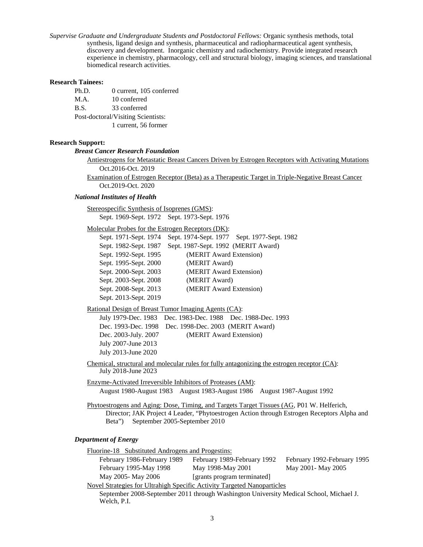*Supervise Graduate and Undergraduate Students and Postdoctoral Fellows:* Organic synthesis methods, total synthesis, ligand design and synthesis, pharmaceutical and radiopharmaceutical agent synthesis, discovery and development. Inorganic chemistry and radiochemistry. Provide integrated research experience in chemistry, pharmacology, cell and structural biology, imaging sciences, and translational biomedical research activities.

### **Research Tainees:**

Ph.D. 0 current, 105 conferred M.A. 10 conferred B.S. 33 conferred Post-doctoral/Visiting Scientists: 1 current, 56 former

### **Research Support:**

#### *Breast Cancer Research Foundation*

Antiestrogens for Metastatic Breast Cancers Driven by Estrogen Receptors with Activating Mutations Oct.2016-Oct. 2019

Examination of Estrogen Receptor (Beta) as a Therapeutic Target in Triple-Negative Breast Cancer Oct.2019-Oct. 2020

### *National Institutes of Health*

Stereospecific Synthesis of Isoprenes (GMS):

Sept. 1969-Sept. 1972 Sept. 1973-Sept. 1976

Molecular Probes for the Estrogen Receptors (DK):

| Sept. 1971-Sept. 1974 | Sept. 1974-Sept. 1977 Sept. 1977-Sept. 1982 |
|-----------------------|---------------------------------------------|
| Sept. 1982-Sept. 1987 | Sept. 1987-Sept. 1992 (MERIT Award)         |
| Sept. 1992-Sept. 1995 | (MERIT Award Extension)                     |
| Sept. 1995-Sept. 2000 | (MERIT Award)                               |
| Sept. 2000-Sept. 2003 | (MERIT Award Extension)                     |
| Sept. 2003-Sept. 2008 | (MERIT Award)                               |
| Sept. 2008-Sept. 2013 | (MERIT Award Extension)                     |
| Sept. 2013-Sept. 2019 |                                             |

### Rational Design of Breast Tumor Imaging Agents (CA):

July 1979-Dec. 1983 Dec. 1983-Dec. 1988 Dec. 1988-Dec. 1993 Dec. 1993-Dec. 1998 Dec. 1998-Dec. 2003 (MERIT Award) Dec. 2003-July. 2007 (MERIT Award Extension) July 2007-June 2013 July 2013-June 2020

Chemical, structural and molecular rules for fully antagonizing the estrogen receptor (CA): July 2018-June 2023

Enzyme-Activated Irreversible Inhibitors of Proteases (AM): August 1980-August 1983 August 1983-August 1986 August 1987-August 1992

Phytoestrogens and Aging: Dose, Timing, and Targets Target Tissues (AG, P01 W. Helferich, Director; JAK Project 4 Leader, "Phytoestrogen Action through Estrogen Receptors Alpha and Beta") September 2005-September 2010

### *Department of Energy*

Fluorine-18 Substituted Androgens and Progestins: February 1986-February 1989 February 1989-February 1992 February 1992-February 1995 February 1995-May 1998 May 1998-May 2001 May 2001- May 2005 May 2005- May 2006 [grants program terminated] Novel Strategies for Ultrahigh Specific Activity Targeted Nanoparticles

September 2008-September 2011 through Washington University Medical School, Michael J. Welch, P.I.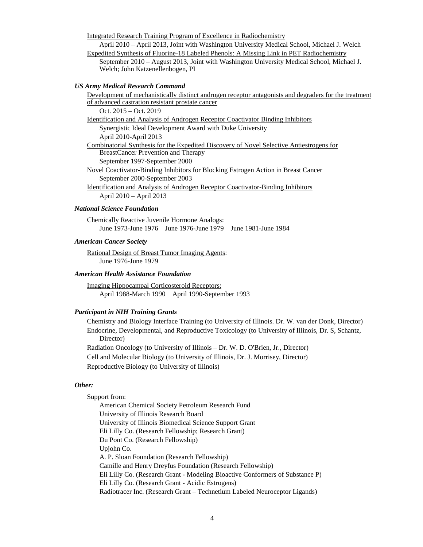Integrated Research Training Program of Excellence in Radiochemistry

April 2010 – April 2013, Joint with Washington University Medical School, Michael J. Welch Expedited Synthesis of Fluorine-18 Labeled Phenols: A Missing Link in PET Radiochemistry September 2010 – August 2013, Joint with Washington University Medical School, Michael J.

Welch; John Katzenellenbogen, PI

### *US Army Medical Research Command*

Development of mechanistically distinct androgen receptor antagonists and degraders for the treatment of advanced castration resistant prostate cancer

Oct. 2015 – Oct. 2019

Identification and Analysis of Androgen Receptor Coactivator Binding Inhibitors Synergistic Ideal Development Award with Duke University April 2010-April 2013 Combinatorial Synthesis for the Expedited Discovery of Novel Selective Antiestrogens for BreastCancer Prevention and Therapy September 1997-September 2000 Novel Coactivator-Binding Inhibitors for Blocking Estrogen Action in Breast Cancer September 2000-September 2003

Identification and Analysis of Androgen Receptor Coactivator-Binding Inhibitors April 2010 – April 2013

### *National Science Foundation*

Chemically Reactive Juvenile Hormone Analogs: June 1973-June 1976 June 1976-June 1979 June 1981-June 1984

### *American Cancer Society*

Rational Design of Breast Tumor Imaging Agents: June 1976-June 1979

### *American Health Assistance Foundation*

Imaging Hippocampal Corticosteroid Receptors: April 1988-March 1990 April 1990-September 1993

### *Participant in NIH Training Grants*

Chemistry and Biology Interface Training (to University of Illinois. Dr. W. van der Donk, Director) Endocrine, Developmental, and Reproductive Toxicology (to University of Illinois, Dr. S, Schantz, Director)

Radiation Oncology (to University of Illinois – Dr. W. D. O'Brien, Jr., Director) Cell and Molecular Biology (to University of Illinois, Dr. J. Morrisey, Director) Reproductive Biology (to University of Illinois)

### *Other:*

#### Support from:

American Chemical Society Petroleum Research Fund University of Illinois Research Board University of Illinois Biomedical Science Support Grant Eli Lilly Co. (Research Fellowship; Research Grant) Du Pont Co. (Research Fellowship) Upjohn Co. A. P. Sloan Foundation (Research Fellowship) Camille and Henry Dreyfus Foundation (Research Fellowship) Eli Lilly Co. (Research Grant - Modeling Bioactive Conformers of Substance P) Eli Lilly Co. (Research Grant - Acidic Estrogens) Radiotracer Inc. (Research Grant – Technetium Labeled Neuroceptor Ligands)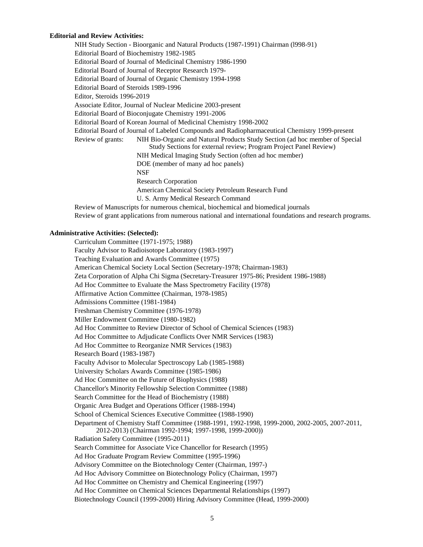#### **Editorial and Review Activities:**

NIH Study Section - Bioorganic and Natural Products (1987-1991) Chairman (l998-91) Editorial Board of Biochemistry 1982-1985 Editorial Board of Journal of Medicinal Chemistry 1986-1990 Editorial Board of Journal of Receptor Research 1979- Editorial Board of Journal of Organic Chemistry 1994-1998 Editorial Board of Steroids 1989-1996 Editor, Steroids 1996-2019 Associate Editor, Journal of Nuclear Medicine 2003-present Editorial Board of Bioconjugate Chemistry 1991-2006 Editorial Board of Korean Journal of Medicinal Chemistry 1998-2002 Editorial Board of Journal of Labeled Compounds and Radiopharmaceutical Chemistry 1999-present Review of grants: NIH Bio-Organic and Natural Products Study Section (ad hoc member of Special Study Sections for external review; Program Project Panel Review) NIH Medical Imaging Study Section (often ad hoc member) DOE (member of many ad hoc panels) NSF Research Corporation American Chemical Society Petroleum Research Fund U. S. Army Medical Research Command

Review of Manuscripts for numerous chemical, biochemical and biomedical journals Review of grant applications from numerous national and international foundations and research programs.

#### **Administrative Activities: (Selected):**

Curriculum Committee (1971-1975; 1988) Faculty Advisor to Radioisotope Laboratory (1983-1997) Teaching Evaluation and Awards Committee (1975) American Chemical Society Local Section (Secretary-1978; Chairman-1983) Zeta Corporation of Alpha Chi Sigma (Secretary-Treasurer 1975-86; President 1986-1988) Ad Hoc Committee to Evaluate the Mass Spectrometry Facility (1978) Affirmative Action Committee (Chairman, 1978-1985) Admissions Committee (1981-1984) Freshman Chemistry Committee (1976-1978) Miller Endowment Committee (1980-1982) Ad Hoc Committee to Review Director of School of Chemical Sciences (1983) Ad Hoc Committee to Adjudicate Conflicts Over NMR Services (1983) Ad Hoc Committee to Reorganize NMR Services (1983) Research Board (1983-1987) Faculty Advisor to Molecular Spectroscopy Lab (1985-1988) University Scholars Awards Committee (1985-1986) Ad Hoc Committee on the Future of Biophysics (1988) Chancellor's Minority Fellowship Selection Committee (1988) Search Committee for the Head of Biochemistry (1988) Organic Area Budget and Operations Officer (1988-1994) School of Chemical Sciences Executive Committee (1988-1990) Department of Chemistry Staff Committee (1988-1991, 1992-1998, 1999-2000, 2002-2005, 2007-2011, 2012-2013) (Chairman 1992-1994; 1997-1998, 1999-2000)) Radiation Safety Committee (1995-2011) Search Committee for Associate Vice Chancellor for Research (1995) Ad Hoc Graduate Program Review Committee (1995-1996) Advisory Committee on the Biotechnology Center (Chairman, 1997-) Ad Hoc Advisory Committee on Biotechnology Policy (Chairman, 1997) Ad Hoc Committee on Chemistry and Chemical Engineering (1997) Ad Hoc Committee on Chemical Sciences Departmental Relationships (1997) Biotechnology Council (1999-2000) Hiring Advisory Committee (Head, 1999-2000)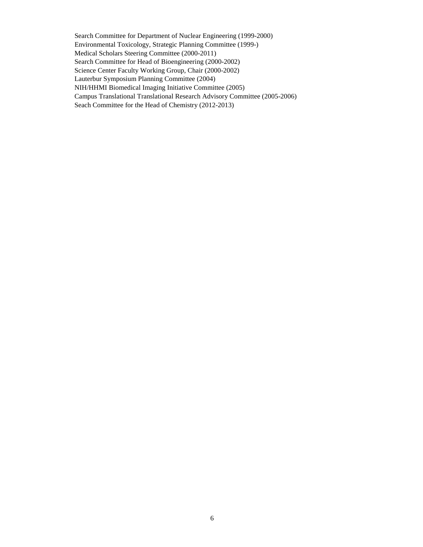Search Committee for Department of Nuclear Engineering (1999-2000) Environmental Toxicology, Strategic Planning Committee (1999-) Medical Scholars Steering Committee (2000-2011) Search Committee for Head of Bioengineering (2000-2002) Science Center Faculty Working Group, Chair (2000-2002) Lauterbur Symposium Planning Committee (2004) NIH/HHMI Biomedical Imaging Initiative Committee (2005) Campus Translational Translational Research Advisory Committee (2005-2006) Seach Committee for the Head of Chemistry (2012-2013)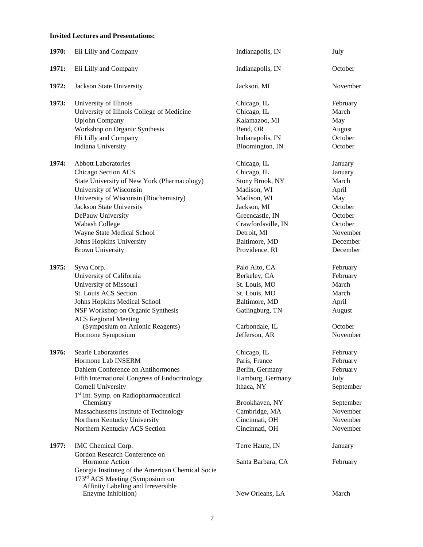## **Invited Lectures and Presentations:**

| 1970: | Eli Lilly and Company                                          | Indianapolis, IN   | July      |
|-------|----------------------------------------------------------------|--------------------|-----------|
| 1971: | Eli Lilly and Company                                          | Indianapolis, IN   | October   |
| 1972: | Jackson State University                                       | Jackson, MI        | November  |
| 1973: | University of Illinois                                         | Chicago, IL        | February  |
|       | University of Illinois College of Medicine                     | Chicago, IL        | March     |
|       | <b>Upjohn Company</b>                                          | Kalamazoo, MI      | May       |
|       | Workshop on Organic Synthesis                                  | Bend, OR           | August    |
|       | Eli Lilly and Company                                          | Indianapolis, IN   | October   |
|       | Indiana University                                             | Bloomington, IN    | October   |
| 1974: | <b>Abbott Laboratories</b>                                     | Chicago, IL        | January   |
|       | Chicago Section ACS                                            | Chicago, IL        | January   |
|       | State University of New York (Pharmacology)                    | Stony Brook, NY    | March     |
|       | University of Wisconsin                                        | Madison, WI        | April     |
|       | University of Wisconsin (Biochemistry)                         | Madison, WI        | May       |
|       | Jackson State University                                       | Jackson, MI        | October   |
|       | DePauw University                                              | Greencastle, IN    | October   |
|       | Wabash College                                                 | Crawfordsville, IN | October   |
|       | Wayne State Medical School                                     | Detroit, MI        | November  |
|       | Johns Hopkins University                                       | Baltimore, MD      | December  |
|       | <b>Brown University</b>                                        | Providence, RI     | December  |
| 1975: | Syva Corp.                                                     | Palo Alto, CA      | February  |
|       | University of California                                       | Berkeley, CA       | February  |
|       | University of Missouri                                         | St. Louis, MO      | March     |
|       | St. Louis ACS Section                                          | St. Louis, MO      | March     |
|       | Johns Hopkins Medical School                                   | Baltimore, MD      | April     |
|       | NSF Workshop on Organic Synthesis                              | Gatlingburg, TN    | August    |
|       | <b>ACS Regional Meeting</b>                                    |                    |           |
|       | (Symposium on Anionic Reagents)                                | Carbondale, IL     | October   |
|       | Hormone Symposium                                              | Jefferson, AR      | November  |
| 1976: | Searle Laboratories                                            | Chicago, IL        | February  |
|       | Hormone Lab INSERM                                             | Paris, France      | February  |
|       | Dahlem Conference on Antihormones                              | Berlin, Germany    | February  |
|       | <b>Fifth International Congress of Endocrinology</b>           | Hamburg, Germany   | July      |
|       | <b>Cornell University</b>                                      | Ithaca, NY         | September |
|       | 1 <sup>st</sup> Int. Symp. on Radiopharmaceutical<br>Chemistry | Brookhaven, NY     | September |
|       | Massachussetts Institute of Technology                         | Cambridge, MA      | November  |
|       | Northern Kentucky University                                   | Cincinnati, OH     | November  |
|       | Northern Kentucky ACS Section                                  | Cincinnati, OH     | November  |
|       |                                                                |                    |           |
| 1977: | IMC Chemical Corp.<br>Gordon Research Conference on            | Terre Haute, IN    | January   |
|       | Hormone Action                                                 | Santa Barbara, CA  | February  |
|       | Georgia Instituteg of the American Chemical Socie              |                    |           |
|       | 173 <sup>rd</sup> ACS Meeting (Symposium on                    |                    |           |
|       | Affinity Labeling and Irreversible                             |                    |           |
|       | Enzyme Inhibition)                                             | New Orleans, LA    | March     |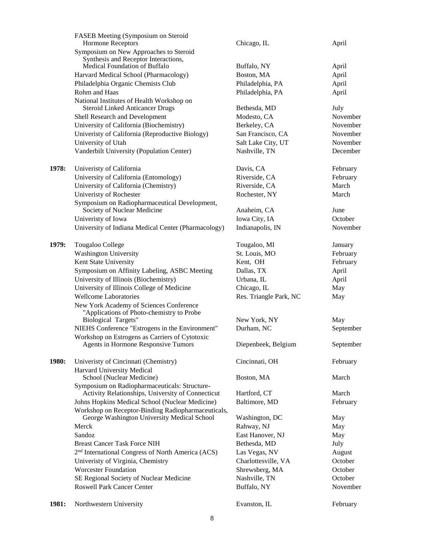|       | FASEB Meeting (Symposium on Steroid<br><b>Hormone Receptors</b>                                    | Chicago, IL            | April     |
|-------|----------------------------------------------------------------------------------------------------|------------------------|-----------|
|       | Symposium on New Approaches to Steroid                                                             |                        |           |
|       | Synthesis and Receptor Interactions,                                                               |                        |           |
|       | Medical Foundation of Buffalo                                                                      | Buffalo, NY            | April     |
|       | Harvard Medical School (Pharmacology)                                                              | Boston, MA             | April     |
|       | Philadelphia Organic Chemists Club                                                                 | Philadelphia, PA       | April     |
|       | Rohm and Haas                                                                                      | Philadelphia, PA       | April     |
|       | National Institutes of Health Workshop on                                                          |                        |           |
|       | <b>Steroid Linked Anticancer Drugs</b>                                                             | Bethesda, MD           | July      |
|       | Shell Research and Development                                                                     | Modesto, CA            | November  |
|       | University of California (Biochemistry)                                                            | Berkeley, CA           | November  |
|       | Univeristy of California (Reproductive Biology)                                                    | San Francisco, CA      | November  |
|       | University of Utah                                                                                 | Salt Lake City, UT     | November  |
|       | Vanderbilt University (Population Center)                                                          | Nashville, TN          | December  |
| 1978: | Univeristy of California                                                                           | Davis, CA              | February  |
|       | University of California (Entomology)                                                              | Riverside, CA          | February  |
|       | University of California (Chemistry)                                                               | Riverside, CA          | March     |
|       | Univeristy of Rochester                                                                            | Rochester, NY          | March     |
|       | Symposium on Radiopharmaceutical Development,                                                      |                        |           |
|       | Society of Nuclear Medicine                                                                        | Anaheim, CA            | June      |
|       | Univeristy of Iowa                                                                                 | Iowa City, IA          | October   |
|       | University of Indiana Medical Center (Pharmacology)                                                | Indianapolis, IN       | November  |
| 1979: | Tougaloo College                                                                                   | Tougaloo, MI           | January   |
|       | <b>Washington University</b>                                                                       | St. Louis, MO          | February  |
|       | Kent State University                                                                              | Kent, OH               | February  |
|       | Symposium on Affinity Labeling, ASBC Meeting                                                       | Dallas, TX             | April     |
|       | University of Illinois (Biochemistry)                                                              | Urbana, IL             | April     |
|       | University of Illinois College of Medicine                                                         | Chicago, IL            | May       |
|       | <b>Wellcome Laboratories</b>                                                                       | Res. Triangle Park, NC | May       |
|       | New York Academy of Sciences Conference                                                            |                        |           |
|       | "Applications of Photo-chemistry to Probe                                                          |                        |           |
|       | <b>Biological Targets"</b>                                                                         | New York, NY           | May       |
|       | NIEHS Conference "Estrogens in the Environment"                                                    | Durham, NC             | September |
|       | Workshop on Estrogens as Carriers of Cytotoxic                                                     |                        |           |
|       | Agents in Hormone Responsive Tumors                                                                | Diepenbeek, Belgium    | September |
| 1980: | Univeristy of Cincinnati (Chemistry)                                                               | Cincinnati, OH         | February  |
|       | Harvard University Medical                                                                         |                        |           |
|       | School (Nuclear Medicine)                                                                          | Boston, MA             | March     |
|       | Symposium on Radiopharmaceuticals: Structure-<br>Activity Relationships, University of Connecticut | Hartford, CT           | March     |
|       | Johns Hopkins Medical School (Nuclear Medicine)                                                    | Baltimore, MD          | February  |
|       | Workshop on Receptor-Binding Radiopharmaceuticals,<br>George Washington University Medical School  | Washington, DC         |           |
|       | Merck                                                                                              | Rahway, NJ             | May       |
|       | Sandoz                                                                                             | East Hanover, NJ       | May       |
|       | <b>Breast Cancer Task Force NIH</b>                                                                | Bethesda, MD           | May       |
|       |                                                                                                    |                        | July      |
|       | 2 <sup>nd</sup> International Congress of North America (ACS)                                      | Las Vegas, NV          | August    |
|       | Univeristy of Virginia, Chemistry                                                                  | Charlottesville, VA    | October   |
|       | <b>Worcester Foundation</b>                                                                        | Shrewsberg, MA         | October   |
|       | SE Regional Society of Nuclear Medicine                                                            | Nashville, TN          | October   |
|       | <b>Roswell Park Cancer Center</b>                                                                  | Buffalo, NY            | November  |
| 1981: | Northwestern University                                                                            | Evanston, IL           | February  |
|       |                                                                                                    |                        |           |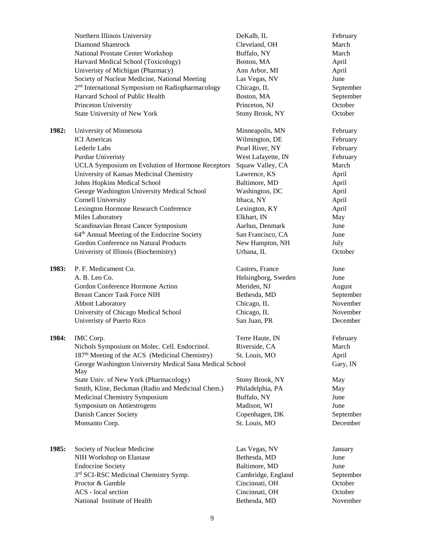|       | Northern Illinois University                                 | DeKalb, IL          | February  |
|-------|--------------------------------------------------------------|---------------------|-----------|
|       | <b>Diamond Shamrock</b>                                      | Cleveland, OH       | March     |
|       | National Prostate Center Workshop                            | Buffalo, NY         | March     |
|       | Harvard Medical School (Toxicology)                          | Boston, MA          | April     |
|       | Univeristy of Michigan (Pharmacy)                            | Ann Arbor, MI       | April     |
|       | Society of Nuclear Medicine, National Meeting                | Las Vegas, NV       | June      |
|       | 2 <sup>nd</sup> International Symposium on Radiopharmacology | Chicago, IL         | September |
|       | Harvard School of Public Health                              | Boston, MA          | September |
|       | Princeton University                                         | Princeton, NJ       | October   |
|       | State University of New York                                 | Stony Brook, NY     | October   |
|       |                                                              |                     |           |
| 1982: | University of Minnesota                                      | Minneapolis, MN     | February  |
|       | <b>ICI</b> Americas                                          | Wilmington, DE      | February  |
|       | Lederle Labs                                                 | Pearl River, NY     | February  |
|       | Purdue Univeristy                                            | West Lafayette, IN  | February  |
|       | UCLA Symposium on Evolution of Hormone Receptors             | Squaw Valley, CA    | March     |
|       | University of Kansas Medicinal Chemistry                     | Lawrence, KS        | April     |
|       | Johns Hopkins Medical School                                 | Baltimore, MD       | April     |
|       | George Washington University Medical School                  | Washington, DC      | April     |
|       | <b>Cornell University</b>                                    | Ithaca, NY          | April     |
|       | Lexington Hormone Research Conference                        | Lexington, KY       | April     |
|       | Miles Laboratory                                             | Elkhart, IN         | May       |
|       | Scandinavian Breast Cancer Symposium                         | Aarhus, Denmark     | June      |
|       | 64 <sup>th</sup> Annual Meeting of the Endocrine Society     | San Francisco, CA   | June      |
|       | Gordon Conference on Natural Products                        | New Hampton, NH     | July      |
|       | Univeristy of Illinois (Biochemistry)                        | Urbana, IL          | October   |
| 1983: | P. F. Medicament Co.                                         | Castres, France     | June      |
|       | A. B. Leo Co.                                                | Helsingborg, Sweden | June      |
|       | Gordon Conference Hormone Action                             | Meriden, NJ         | August    |
|       | <b>Breast Cancer Task Force NIH</b>                          | Bethesda, MD        | September |
|       | <b>Abbott Laboratory</b>                                     | Chicago, IL         | November  |
|       | University of Chicago Medical School                         | Chicago, IL         | November  |
|       | Univeristy of Puerto Rico                                    | San Juan, PR        | December  |
| 1984: | IMC Corp.                                                    | Terre Haute, IN     | February  |
|       | Nichols Symposium on Molec. Cell. Endocrinol.                | Riverside, CA       | March     |
|       | 187 <sup>th</sup> Meeting of the ACS (Medicinal Chemistry)   | St. Louis, MO       | April     |
|       | George Washington University Medical Sana Medical School     |                     | Gary, IN  |
|       | May                                                          |                     |           |
|       | State Univ. of New York (Pharmacology)                       | Stony Brook, NY     | May       |
|       | Smith, Kline, Beckman (Radio and Medicinal Chem.)            | Philadelphia, PA    | May       |
|       | Medicinal Chemistry Symposium                                | Buffalo, NY         | June      |
|       | Symposium on Antiestrogens                                   | Madison, WI         | June      |
|       | Danish Cancer Society                                        | Copenhagen, DK      | September |
|       | Monsanto Corp.                                               | St. Louis, MO       | December  |
|       |                                                              |                     |           |
| 1985: | Society of Nuclear Medicine                                  | Las Vegas, NV       | January   |
|       | NIH Workshop on Elastase                                     | Bethesda, MD        | June      |
|       | <b>Endocrine Society</b>                                     | Baltimore, MD       | June      |
|       | 3rd SCI-RSC Medicinal Chemistry Symp.                        | Cambridge, England  | September |
|       | Proctor & Gamble                                             | Cincinnati, OH      | October   |
|       | ACS - local section                                          | Cincinnati, OH      | October   |
|       | National Institute of Health                                 | Bethesda, MD        | November  |
|       |                                                              |                     |           |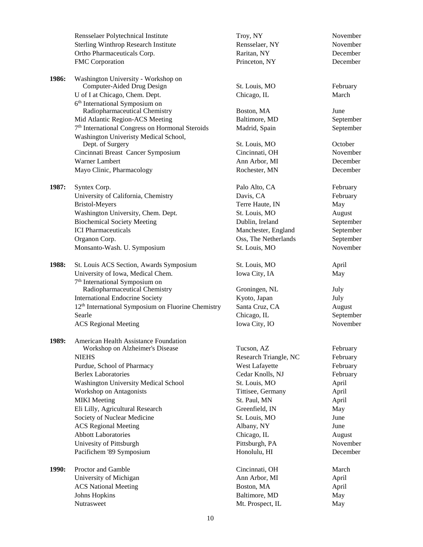|       | Rensselaer Polytechnical Institute                             | Troy, NY              | November  |
|-------|----------------------------------------------------------------|-----------------------|-----------|
|       | <b>Sterling Winthrop Research Institute</b>                    | Rensselaer, NY        | November  |
|       | Ortho Pharmaceuticals Corp.                                    | Raritan, NY           | December  |
|       | FMC Corporation                                                | Princeton, NY         | December  |
|       |                                                                |                       |           |
| 1986: | Washington University - Workshop on                            |                       |           |
|       | Computer-Aided Drug Design                                     | St. Louis, MO         | February  |
|       | U of I at Chicago, Chem. Dept.                                 | Chicago, IL           | March     |
|       | 6 <sup>th</sup> International Symposium on                     |                       |           |
|       | Radiopharmaceutical Chemistry                                  | Boston, MA            | June      |
|       | Mid Atlantic Region-ACS Meeting                                | Baltimore, MD         | September |
|       | 7 <sup>th</sup> International Congress on Hormonal Steroids    | Madrid, Spain         | September |
|       | Washington Univeristy Medical School,                          |                       |           |
|       | Dept. of Surgery                                               | St. Louis, MO         | October   |
|       | Cincinnati Breast Cancer Symposium                             | Cincinnati, OH        | November  |
|       | Warner Lambert                                                 | Ann Arbor, MI         | December  |
|       | Mayo Clinic, Pharmacology                                      | Rochester, MN         | December  |
| 1987: | Syntex Corp.                                                   | Palo Alto, CA         | February  |
|       | University of California, Chemistry                            | Davis, CA             | February  |
|       | <b>Bristol-Meyers</b>                                          | Terre Haute, IN       | May       |
|       | Washington University, Chem. Dept.                             | St. Louis, MO         | August    |
|       | <b>Biochemical Society Meeting</b>                             | Dublin, Ireland       | September |
|       | <b>ICI</b> Pharmaceuticals                                     | Manchester, England   | September |
|       | Organon Corp.                                                  | Oss, The Netherlands  | September |
|       | Monsanto-Wash. U. Symposium                                    | St. Louis, MO         | November  |
|       |                                                                |                       |           |
| 1988: | St. Louis ACS Section, Awards Symposium                        | St. Louis, MO         | April     |
|       | University of Iowa, Medical Chem.                              | Iowa City, IA         | May       |
|       | 7 <sup>th</sup> International Symposium on                     |                       |           |
|       | Radiopharmaceutical Chemistry                                  | Groningen, NL         | July      |
|       | <b>International Endocrine Society</b>                         | Kyoto, Japan          | July      |
|       | 12 <sup>th</sup> International Symposium on Fluorine Chemistry | Santa Cruz, CA        | August    |
|       | Searle                                                         | Chicago, IL           | September |
|       | <b>ACS Regional Meeting</b>                                    | Iowa City, IO         | November  |
| 1989: | American Health Assistance Foundation                          |                       |           |
|       | Workshop on Alzheimer's Disease                                | Tucson, AZ            | February  |
|       | <b>NIEHS</b>                                                   | Research Triangle, NC | February  |
|       | Purdue, School of Pharmacy                                     | West Lafayette        | February  |
|       | <b>Berlex Laboratories</b>                                     | Cedar Knolls, NJ      | February  |
|       | Washington University Medical School                           | St. Louis, MO         | April     |
|       | <b>Workshop on Antagonists</b>                                 | Tittisee, Germany     | April     |
|       | <b>MIKI</b> Meeting                                            | St. Paul, MN          | April     |
|       | Eli Lilly, Agricultural Research                               | Greenfield, IN        | May       |
|       | Society of Nuclear Medicine                                    | St. Louis, MO         | June      |
|       | <b>ACS</b> Regional Meeting                                    | Albany, NY            | June      |
|       | <b>Abbott Laboratories</b>                                     | Chicago, IL           | August    |
|       | Univesity of Pittsburgh                                        | Pittsburgh, PA        | November  |
|       | Pacifichem '89 Symposium                                       | Honolulu, HI          | December  |
|       |                                                                |                       |           |
| 1990: | Proctor and Gamble                                             | Cincinnati, OH        | March     |
|       | University of Michigan                                         | Ann Arbor, MI         | April     |
|       | <b>ACS National Meeting</b>                                    | Boston, MA            | April     |
|       | <b>Johns Hopkins</b>                                           | Baltimore, MD         | May       |
|       | Nutrasweet                                                     | Mt. Prospect, IL      | May       |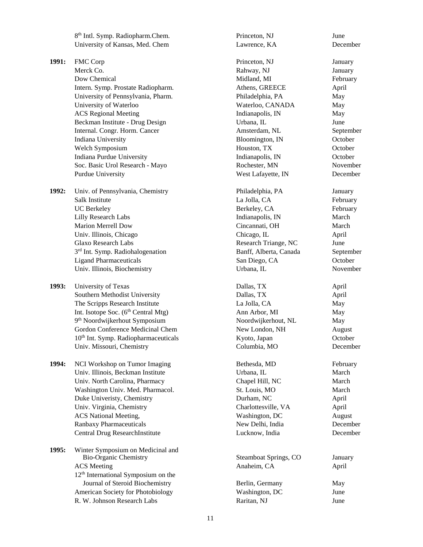8<sup>th</sup> Intl. Symp. Radiopharm.Chem. Princeton, NJ June University of Kansas, Med. Chem Lawrence, KA December **1991:** FMC Corp **Princeton, NJ** January Merck Co. **Rahway, NJ** January Dow Chemical Midland, MI February Intern. Symp. Prostate Radiopharm. Athens, GREECE April University of Pennsylvania, Pharm. Philadelphia, PA May University of Waterloo Nates and Waterloo, CANADA May ACS Regional Meeting and a set of the Indianapolis, IN May Beckman Institute - Drug Design and Urbana, IL June Internal. Congr. Horm. Cancer Amsterdam, NL September Indiana University **Bloomington, IN** October Welch Symposium and the Mouston, TX and October Corollars and October 2011 and October 2012 19:30 Mouse 20:30 Indiana Purdue University Indianapolis, IN October Soc. Basic Urol Research - Mayo Rochester, MN November Purdue University West Lafayette, IN December **1992:** Univ. of Pennsylvania, Chemistry **Philadelphia, PA** January Salk Institute **La Jolla, CA** February UC Berkeley Berkeley, CA February Lilly Research Labs **Indianapolis**, IN March Marion Merrell Dow Cincannati, OH March Univ. Illinois, Chicago Chicago, IL April April April April 2012 11: 2013 Glaxo Research Labs **Research Triange**, NC June 3rd Int. Symp. Radiohalogenation Banff, Alberta, Canada September Ligand Pharmaceuticals San Diego, CA October Univ. Illinois, Biochemistry **Example 2018** Urbana, IL November **1993:** University of Texas **Dallas, TX** April Southern Methodist University **Dallas, TX** April The Scripps Research Institute La Jolla, CA May Int. Isotope Soc. (6<sup>th</sup> Central Mtg) Ann Arbor, MI May 9th Noordwijkerhout Symposium Noordwijkerhout, NL May Gordon Conference Medicinal Chem New London, NH August 10<sup>th</sup> Int. Symp. Radiopharmaceuticals Kyoto, Japan October Univ. Missouri, Chemistry Columbia, MO December **1994:** NCI Workshop on Tumor Imaging Bethesda, MD February Univ. Illinois, Beckman Institute Urbana, IL March Univ. North Carolina, Pharmacy Chapel Hill, NC March Washington Univ. Med. Pharmacol. 
St. Louis, MO March Duke Univeristy, Chemistry **Ducket Example 2** Durham, NC April Univ. Virginia, Chemistry **Charlottesville, VA** April ACS National Meeting, the control of the Washington, DC and August Ranbaxy Pharmaceuticals **New Delhi, India** December Central Drug ResearchInstitute Lucknow, India December **1995:** Winter Symposium on Medicinal and Bio-Organic Chemistry Ste ACS Meeting Anaheim, CA April 2018 12th International Symposium on the Journal of Steroid Biochemistry Berlin, Germany May American Society for Photobiology Washington, DC 308

| <b>Bio-Organic Chemistry</b>          | Steamboat Springs, CO | <b>January</b> |
|---------------------------------------|-----------------------|----------------|
| <b>ACS</b> Meeting                    | Anaheim, CA           | April          |
| $12th$ International Symposium on the |                       |                |
| Journal of Steroid Biochemistry       | Berlin, Germany       | May            |
| American Society for Photobiology     | Washington, DC        | June           |
| R. W. Johnson Research Labs           | Raritan, NJ           | June           |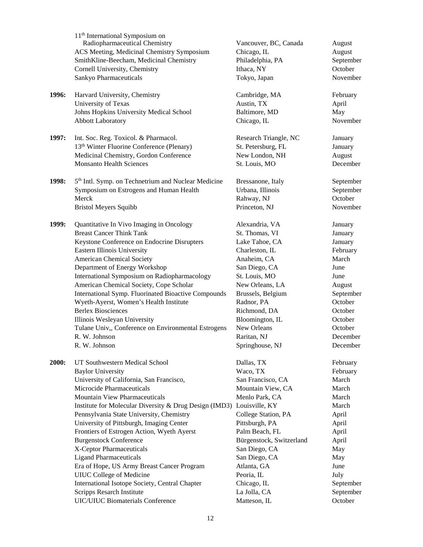|       | 11 <sup>th</sup> International Symposium on<br>Radiopharmaceutical Chemistry<br>ACS Meeting, Medicinal Chemistry Symposium<br>SmithKline-Beecham, Medicinal Chemistry<br>Cornell University, Chemistry<br>Sankyo Pharmaceuticals | Vancouver, BC, Canada<br>Chicago, IL<br>Philadelphia, PA<br>Ithaca, NY<br>Tokyo, Japan | August<br>August<br>September<br>October<br>November |
|-------|----------------------------------------------------------------------------------------------------------------------------------------------------------------------------------------------------------------------------------|----------------------------------------------------------------------------------------|------------------------------------------------------|
| 1996: | Harvard University, Chemistry<br>University of Texas<br>Johns Hopkins University Medical School                                                                                                                                  | Cambridge, MA<br>Austin, TX<br>Baltimore, MD                                           | February<br>April<br>May                             |
|       | <b>Abbott Laboratory</b>                                                                                                                                                                                                         | Chicago, IL                                                                            | November                                             |
| 1997: | Int. Soc. Reg. Toxicol. & Pharmacol.                                                                                                                                                                                             | Research Triangle, NC                                                                  | January                                              |
|       | 13 <sup>th</sup> Winter Fluorine Conference (Plenary)                                                                                                                                                                            | St. Petersburg, FL                                                                     | January                                              |
|       | Medicinal Chemistry, Gordon Conference                                                                                                                                                                                           | New London, NH                                                                         | August                                               |
|       | <b>Monsanto Health Sciences</b>                                                                                                                                                                                                  | St. Louis, MO                                                                          | December                                             |
| 1998: | 5 <sup>th</sup> Intl. Symp. on Technetrium and Nuclear Medicine                                                                                                                                                                  | Bressanone, Italy                                                                      | September                                            |
|       | Symposium on Estrogens and Human Health                                                                                                                                                                                          | Urbana, Illinois                                                                       | September                                            |
|       | Merck                                                                                                                                                                                                                            | Rahway, NJ                                                                             | October                                              |
|       | <b>Bristol Meyers Squibb</b>                                                                                                                                                                                                     | Princeton, NJ                                                                          | November                                             |
| 1999: | Quantitative In Vivo Imaging in Oncology                                                                                                                                                                                         | Alexandria, VA                                                                         | January                                              |
|       | <b>Breast Cancer Think Tank</b>                                                                                                                                                                                                  | St. Thomas, VI                                                                         | January                                              |
|       | Keystone Conference on Endocrine Disrupters                                                                                                                                                                                      | Lake Tahoe, CA                                                                         | January                                              |
|       | Eastern Illinois University                                                                                                                                                                                                      | Charleston, IL                                                                         | February                                             |
|       | <b>American Chemical Society</b>                                                                                                                                                                                                 | Anaheim, CA                                                                            | March                                                |
|       | Department of Energy Workshop                                                                                                                                                                                                    | San Diego, CA                                                                          | June                                                 |
|       | International Symposium on Radiopharmacology                                                                                                                                                                                     | St. Louis, MO                                                                          | June                                                 |
|       | American Chemical Society, Cope Scholar                                                                                                                                                                                          | New Orleans, LA                                                                        | August                                               |
|       | International Symp. Fluorinated Bioactive Compounds                                                                                                                                                                              | Brussels, Belgium                                                                      | September                                            |
|       | Wyeth-Ayerst, Women's Health Institute                                                                                                                                                                                           | Radnor, PA                                                                             | October                                              |
|       | <b>Berlex Biosciences</b>                                                                                                                                                                                                        | Richmond, DA                                                                           | October                                              |
|       | Illinois Wesleyan University                                                                                                                                                                                                     | Bloomington, IL                                                                        | October                                              |
|       | Tulane Univ,, Conference on Environmental Estrogens                                                                                                                                                                              | New Orleans                                                                            | October                                              |
|       | R. W. Johnson                                                                                                                                                                                                                    | Raritan, NJ                                                                            | December                                             |
|       | R. W. Johnson                                                                                                                                                                                                                    | Springhouse, NJ                                                                        | December                                             |
| 2000: | UT Southwestern Medical School                                                                                                                                                                                                   | Dallas, TX                                                                             | February                                             |
|       | <b>Baylor University</b>                                                                                                                                                                                                         | Waco, TX                                                                               | February                                             |
|       | University of California, San Francisco,                                                                                                                                                                                         | San Francisco, CA                                                                      | March                                                |
|       | Microcide Pharmaceuticals                                                                                                                                                                                                        | Mountain View, CA                                                                      | March                                                |
|       | Mountain View Pharmaceuticals                                                                                                                                                                                                    | Menlo Park, CA                                                                         | March                                                |
|       | Institute for Molecular Diversity & Drug Design (IMD3) Louisville, KY                                                                                                                                                            |                                                                                        | March                                                |
|       | Pennsylvania State University, Chemistry                                                                                                                                                                                         | College Station, PA                                                                    | April                                                |
|       | University of Pittsburgh, Imaging Center                                                                                                                                                                                         | Pittsburgh, PA                                                                         | April                                                |
|       | Frontiers of Estrogen Action, Wyeth Ayerst                                                                                                                                                                                       | Palm Beach, FL                                                                         | April                                                |
|       | <b>Burgenstock Conference</b>                                                                                                                                                                                                    | Bürgenstock, Switzerland                                                               | April                                                |
|       | X-Ceptor Pharmaceuticals                                                                                                                                                                                                         | San Diego, CA                                                                          | May                                                  |
|       | <b>Ligand Pharmaceuticals</b>                                                                                                                                                                                                    | San Diego, CA                                                                          | May                                                  |
|       | Era of Hope, US Army Breast Cancer Program                                                                                                                                                                                       | Atlanta, GA                                                                            | June                                                 |
|       | <b>UIUC</b> College of Medicine                                                                                                                                                                                                  | Peoria, IL                                                                             | July                                                 |
|       | International Isotope Society, Central Chapter                                                                                                                                                                                   | Chicago, IL                                                                            | September                                            |
|       | Scripps Resarch Institute                                                                                                                                                                                                        | La Jolla, CA                                                                           | September                                            |
|       | <b>UIC/UIUC Biomaterials Conference</b>                                                                                                                                                                                          | Matteson, IL                                                                           | October                                              |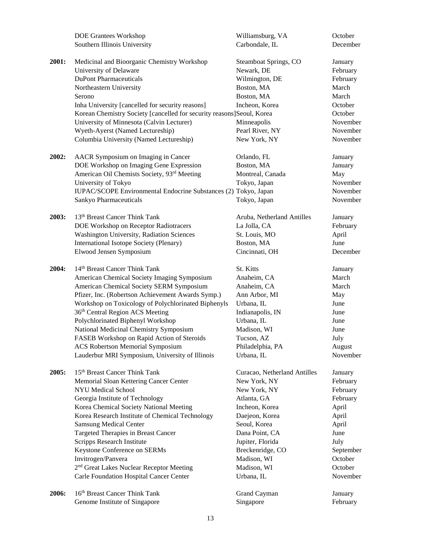|       | <b>DOE Grantees Workshop</b>                                          | Williamsburg, VA             | October   |
|-------|-----------------------------------------------------------------------|------------------------------|-----------|
|       | Southern Illinois University                                          | Carbondale, IL               | December  |
|       |                                                                       |                              |           |
| 2001: | Medicinal and Bioorganic Chemistry Workshop                           | Steamboat Springs, CO        | January   |
|       | University of Delaware                                                | Newark, DE                   | February  |
|       | <b>DuPont Pharmaceuticals</b>                                         | Wilmington, DE               | February  |
|       | Northeastern University                                               | Boston, MA                   | March     |
|       | Serono                                                                | Boston, MA                   | March     |
|       | Inha University [cancelled for security reasons]                      | Incheon, Korea               | October   |
|       | Korean Chemistry Society [cancelled for security reasons]Seoul, Korea |                              | October   |
|       | University of Minnesota (Calvin Lecturer)                             | Minneapolis                  | November  |
|       | Wyeth-Ayerst (Named Lectureship)                                      | Pearl River, NY              | November  |
|       | Columbia University (Named Lectureship)                               | New York, NY                 | November  |
|       |                                                                       |                              |           |
| 2002: | AACR Symposium on Imaging in Cancer                                   | Orlando, FL                  | January   |
|       | DOE Workshop on Imaging Gene Expression                               | Boston, MA                   | January   |
|       | American Oil Chemists Society, 93rd Meeting                           | Montreal, Canada             | May       |
|       | University of Tokyo                                                   | Tokyo, Japan                 | November  |
|       | IUPAC/SCOPE Environmental Endocrine Substances (2) Tokyo, Japan       |                              | November  |
|       | Sankyo Pharmaceuticals                                                | Tokyo, Japan                 | November  |
|       |                                                                       |                              |           |
| 2003: | 13 <sup>th</sup> Breast Cancer Think Tank                             | Aruba, Netherland Antilles   | January   |
|       | DOE Workshop on Receptor Radiotracers                                 | La Jolla, CA                 | February  |
|       | Washington University, Radiation Sciences                             | St. Louis, MO                | April     |
|       | International Isotope Society (Plenary)                               | Boston, MA                   | June      |
|       | Elwood Jensen Symposium                                               | Cincinnati, OH               | December  |
|       |                                                                       |                              |           |
| 2004: | 14th Breast Cancer Think Tank                                         | St. Kitts                    | January   |
|       | American Chemical Society Imaging Symposium                           | Anaheim, CA                  | March     |
|       | American Chemical Society SERM Symposium                              | Anaheim, CA                  | March     |
|       | Pfizer, Inc. (Robertson Achievement Awards Symp.)                     | Ann Arbor, MI                | May       |
|       | Workshop on Toxicology of Polychlorinated Biphenyls                   | Urbana, IL                   | June      |
|       | 36th Central Region ACS Meeting                                       | Indianapolis, IN             | June      |
|       | Polychlorinated Biphenyl Workshop                                     | Urbana, IL                   | June      |
|       | National Medicinal Chemistry Symposium                                | Madison, WI                  | June      |
|       | FASEB Workshop on Rapid Action of Steroids                            | Tucson, AZ                   | July      |
|       | <b>ACS Robertson Memorial Symposium</b>                               | Philadelphia, PA             | August    |
|       | Lauderbur MRI Symposium, University of Illinois                       | Urbana, IL                   | November  |
|       |                                                                       |                              |           |
| 2005: | 15 <sup>th</sup> Breast Cancer Think Tank                             | Curacao, Netherland Antilles | January   |
|       | Memorial Sloan Kettering Cancer Center                                | New York, NY                 | February  |
|       | <b>NYU Medical School</b>                                             | New York, NY                 | February  |
|       | Georgia Institute of Technology                                       | Atlanta, GA                  | February  |
|       | Korea Chemical Society National Meeting                               | Incheon, Korea               | April     |
|       | Korea Research Institute of Chemical Technology                       | Daejeon, Korea               | April     |
|       | <b>Samsung Medical Center</b>                                         | Seoul, Korea                 | April     |
|       | Targeted Therapies in Breast Cancer                                   | Dana Point, CA               | June      |
|       | Scripps Research Institute                                            | Jupiter, Florida             | July      |
|       | Keystone Conference on SERMs                                          | Breckenridge, CO             | September |
|       | Invitrogen/Panvera                                                    | Madison, WI                  | October   |
|       | 2 <sup>nd</sup> Great Lakes Nuclear Receptor Meeting                  | Madison, WI                  | October   |
|       | Carle Foundation Hospital Cancer Center                               | Urbana, IL                   | November  |
|       |                                                                       |                              |           |
| 2006: | 16th Breast Cancer Think Tank                                         | Grand Cayman                 | January   |
|       | Genome Institute of Singapore                                         | Singapore                    | February  |
|       |                                                                       |                              |           |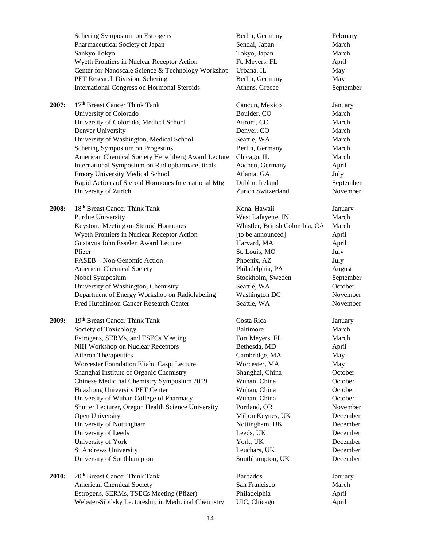|       | Schering Symposium on Estrogens                     | Berlin, Germany                | February  |
|-------|-----------------------------------------------------|--------------------------------|-----------|
|       | Pharmaceutical Society of Japan                     | Sendai, Japan                  | March     |
|       | Sankyo Tokyo                                        | Tokyo, Japan                   | March     |
|       | Wyeth Frontiers in Nuclear Receptor Action          | Ft. Meyers, FL                 | April     |
|       | Center for Nanoscale Science & Technology Workshop  | Urbana, IL                     | May       |
|       | PET Research Division, Schering                     | Berlin, Germany                | May       |
|       | <b>International Congress on Hormonal Steroids</b>  | Athens, Greece                 | September |
|       |                                                     |                                |           |
| 2007: | 17th Breast Cancer Think Tank                       | Cancun, Mexico                 | January   |
|       | University of Colorado                              | Boulder, CO                    | March     |
|       | University of Colorado, Medical School              | Aurora, CO                     | March     |
|       | Denver University                                   | Denver, CO                     | March     |
|       | University of Washington, Medical School            | Seattle, WA                    | March     |
|       |                                                     |                                |           |
|       | Schering Symposium on Progestins                    | Berlin, Germany                | March     |
|       | American Chemical Society Herschberg Award Lecture  | Chicago, IL                    | March     |
|       | International Symposium on Radiopharmaceuticals     | Aachen, Germany                | April     |
|       | <b>Emory University Medical School</b>              | Atlanta, GA                    | July      |
|       | Rapid Actions of Steroid Hormones International Mtg | Dublin, Ireland                | September |
|       | University of Zurich                                | Zurich Switzerland             | November  |
|       |                                                     |                                |           |
| 2008: | 18 <sup>th</sup> Breast Cancer Think Tank           | Kona, Hawaii                   | January   |
|       | Purdue University                                   | West Lafayette, IN             | March     |
|       | Keystone Meeting on Steroid Hormones                | Whistler, British Columbia, CA | March     |
|       | Wyeth Frontiers in Nuclear Receptor Action          | [to be announced]              | April     |
|       | Gustavus John Esselen Award Lecture                 | Harvard, MA                    | April     |
|       | Pfizer                                              | St. Louis, MO                  | July      |
|       | FASEB - Non-Genomic Action                          | Phoenix, AZ                    | July      |
|       | <b>American Chemical Society</b>                    | Philadelphia, PA               | August    |
|       | Nobel Symposium                                     | Stockholm, Sweden              | September |
|       | University of Washington, Chemistry                 | Seattle, WA                    | October   |
|       | Department of Energy Workshop on Radiolabeling`     | <b>Washington DC</b>           | November  |
|       | Fred Hutchinson Cancer Research Center              | Seattle, WA                    | November  |
| 2009: | 19th Breast Cancer Think Tank                       | Costa Rica                     | January   |
|       | Society of Toxicology                               | <b>Baltimore</b>               | March     |
|       | Estrogens, SERMs, and TSECs Meeting                 | Fort Meyers, FL                | March     |
|       | NIH Workshop on Nuclear Receptors                   | Bethesda, MD                   | April     |
|       | Aileron Therapeutics                                | Cambridge, MA                  | May       |
|       |                                                     |                                |           |
|       | Worcester Foundation Eliahu Caspi Lecture           | Worcester, MA                  | May       |
|       | Shanghai Institute of Organic Chemistry             | Shanghai, China                | October   |
|       | Chinese Medicinal Chemistry Symposium 2009          | Wuhan, China                   | October   |
|       | Huazhong University PET Center                      | Wuhan, China                   | October   |
|       | University of Wuhan College of Pharmacy             | Wuhan, China                   | October   |
|       | Shutter Lecturer, Oregon Health Science University  | Portland, OR                   | November  |
|       | Open University                                     | Milton Keynes, UK              | December  |
|       | University of Nottingham                            | Nottingham, UK                 | December  |
|       | University of Leeds                                 | Leeds, UK                      | December  |
|       | University of York                                  | York, UK                       | December  |
|       | St Andrews University                               | Leuchars, UK                   | December  |
|       | University of Southhampton                          | Southhampton, UK               | December  |
| 2010: | 20 <sup>th</sup> Breast Cancer Think Tank           | <b>Barbados</b>                | January   |
|       | <b>American Chemical Society</b>                    | San Francisco                  | March     |
|       | Estrogens, SERMs, TSECs Meeting (Pfizer)            | Philadelphia                   | April     |
|       | Webster-Sibilsky Lectureship in Medicinal Chemistry | UIC, Chicago                   | April     |
|       |                                                     |                                |           |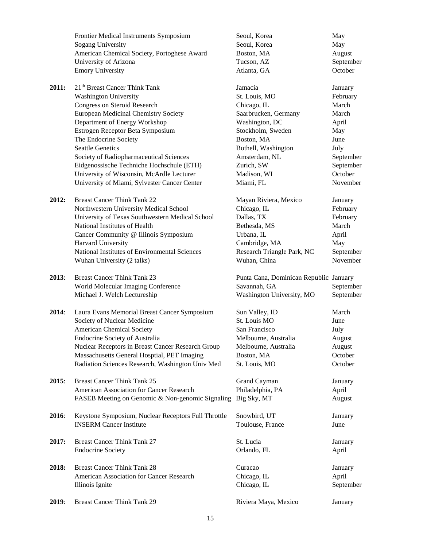|       | Frontier Medical Instruments Symposium                                                                   | Seoul, Korea                                                                        | May                    |
|-------|----------------------------------------------------------------------------------------------------------|-------------------------------------------------------------------------------------|------------------------|
|       | <b>Sogang University</b>                                                                                 | Seoul, Korea                                                                        | May                    |
|       | American Chemical Society, Portoghese Award                                                              | Boston, MA                                                                          | August                 |
|       | University of Arizona                                                                                    | Tucson, AZ                                                                          | September              |
|       | <b>Emory University</b>                                                                                  | Atlanta, GA                                                                         | October                |
| 2011: | 21 <sup>th</sup> Breast Cancer Think Tank                                                                | Jamacia                                                                             | January                |
|       | <b>Washington University</b>                                                                             | St. Louis, MO                                                                       | February               |
|       | Congress on Steroid Research                                                                             | Chicago, IL                                                                         | March                  |
|       | European Medicinal Chemistry Society                                                                     | Saarbrucken, Germany                                                                | March                  |
|       | Department of Energy Workshop                                                                            | Washington, DC                                                                      | April                  |
|       | Estrogen Receptor Beta Symposium                                                                         | Stockholm, Sweden                                                                   | May                    |
|       | The Endocrine Society                                                                                    | Boston, MA                                                                          | June                   |
|       | <b>Seattle Genetics</b>                                                                                  | Bothell, Washington                                                                 | July                   |
|       | Society of Radiopharmaceutical Sciences                                                                  | Amsterdam, NL                                                                       | September              |
|       | Eidgenossische Techniche Hochschule (ETH)                                                                | Zurich, SW                                                                          | September              |
|       | University of Wisconsin, McArdle Lecturer                                                                | Madison, WI                                                                         | October                |
|       | University of Miami, Sylvester Cancer Center                                                             | Miami, FL                                                                           | November               |
| 2012: | <b>Breast Cancer Think Tank 22</b>                                                                       | Mayan Riviera, Mexico                                                               | January                |
|       | Northwestern University Medical School                                                                   | Chicago, IL                                                                         | February               |
|       | University of Texas Southwestern Medical School                                                          | Dallas, TX                                                                          | February               |
|       | National Institutes of Health                                                                            | Bethesda, MS                                                                        | March                  |
|       | Cancer Community @ Illinois Symposium                                                                    | Urbana, IL                                                                          | April                  |
|       | Harvard University                                                                                       | Cambridge, MA                                                                       | May                    |
|       | National Institutes of Environmental Sciences                                                            | Research Triangle Park, NC                                                          | September              |
|       | Wuhan University (2 talks)                                                                               | Wuhan, China                                                                        | November               |
| 2013: | <b>Breast Cancer Think Tank 23</b><br>World Molecular Imaging Conference<br>Michael J. Welch Lectureship | Punta Cana, Dominican Republic January<br>Savannah, GA<br>Washington University, MO | September<br>September |
| 2014: | Laura Evans Memorial Breast Cancer Symposium                                                             | Sun Valley, ID                                                                      | March                  |
|       | Society of Nuclear Medicine                                                                              | St. Louis MO                                                                        | June                   |
|       | <b>American Chemical Society</b>                                                                         | San Francisco                                                                       | July                   |
|       | <b>Endocrine Society of Australia</b>                                                                    | Melbourne, Australia                                                                | August                 |
|       | Nuclear Receptors in Breast Cancer Research Group                                                        | Melbourne, Australia                                                                | August                 |
|       | Massachusetts General Hosptial, PET Imaging                                                              | Boston, MA                                                                          | October                |
|       | Radiation Sciences Research, Washington Univ Med                                                         | St. Louis, MO                                                                       | October                |
| 2015: | <b>Breast Cancer Think Tank 25</b>                                                                       | Grand Cayman                                                                        | January                |
|       | American Association for Cancer Research                                                                 | Philadelphia, PA                                                                    | April                  |
|       | FASEB Meeting on Genomic & Non-genomic Signaling                                                         | Big Sky, MT                                                                         | August                 |
| 2016: | Keystone Symposium, Nuclear Receptors Full Throttle                                                      | Snowbird, UT                                                                        | January                |
|       | <b>INSERM Cancer Institute</b>                                                                           | Toulouse, France                                                                    | June                   |
| 2017: | <b>Breast Cancer Think Tank 27</b>                                                                       | St. Lucia                                                                           | January                |
|       | <b>Endocrine Society</b>                                                                                 | Orlando, FL                                                                         | April                  |
| 2018: | <b>Breast Cancer Think Tank 28</b>                                                                       | Curacao                                                                             | January                |
|       | American Association for Cancer Research                                                                 | Chicago, IL                                                                         | April                  |
|       | Illinois Ignite                                                                                          | Chicago, IL                                                                         | September              |
| 2019: | <b>Breast Cancer Think Tank 29</b>                                                                       | Riviera Maya, Mexico                                                                | January                |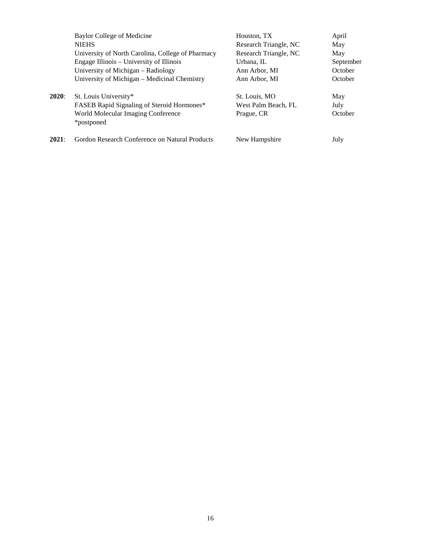|              | Baylor College of Medicine                        | Houston, TX           | April     |
|--------------|---------------------------------------------------|-----------------------|-----------|
|              | <b>NIEHS</b>                                      | Research Triangle, NC | May       |
|              | University of North Carolina, College of Pharmacy | Research Triangle, NC | May       |
|              | Engage Illinois – University of Illinois          | Urbana, IL            | September |
|              | University of Michigan - Radiology                | Ann Arbor, MI         | October   |
|              | University of Michigan – Medicinal Chemistry      | Ann Arbor, MI         | October   |
| <b>2020:</b> | St. Louis University*                             | St. Louis, MO         | May       |
|              | <b>FASEB</b> Rapid Signaling of Steroid Hormones* | West Palm Beach, FL   | July      |
|              | World Molecular Imaging Conference                | Prague, CR            | October   |
|              | *postponed                                        |                       |           |
| 2021:        | Gordon Research Conference on Natural Products    | New Hampshire         | July      |
|              |                                                   |                       |           |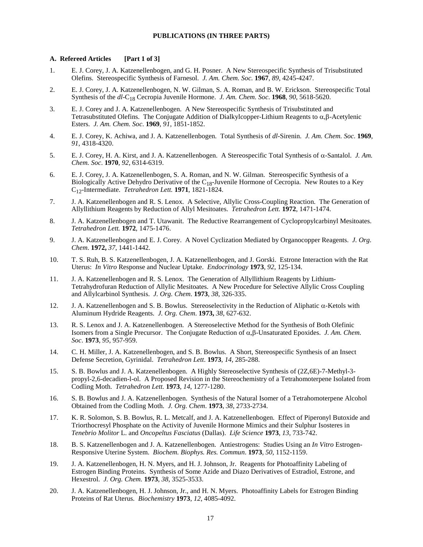### **PUBLICATIONS (IN THREE PARTS)**

#### **A. Refereed Articles [Part 1 of 3]**

- 1. E. J. Corey, J. A. Katzenellenbogen, and G. H. Posner. A New Stereospecific Synthesis of Trisubstituted Olefins. Stereospecific Synthesis of Farnesol. *J. Am. Chem. Soc.* **1967**, *89*, 4245-4247.
- 2. E. J. Corey, J. A. Katzenellenbogen, N. W. Gilman, S. A. Roman, and B. W. Erickson. Stereospecific Total Synthesis of the *dl*-C18 Cecropia Juvenile Hormone. *J. Am. Chem. Soc*. **1968**, *90*, 5618-5620.
- 3. E. J. Corey and J. A. Katzenellenbogen. A New Stereospecific Synthesis of Trisubstituted and Tetrasubstituted Olefins. The Conjugate Addition of Dialkylcopper-Lithium Reagents to α,β-Acetylenic Esters. *J. Am. Chem. Soc*. **1969**, *91*, 1851-1852.
- 4. E. J. Corey, K. Achiwa, and J. A. Katzenellenbogen. Total Synthesis of *dl*-Sirenin. *J. Am. Chem. Soc.* **1969**, *91*, 4318-4320.
- 5. E. J. Corey, H. A. Kirst, and J. A. Katzenellenbogen. A Stereospecific Total Synthesis of α-Santalol. *J. Am. Chem. Soc*. **1970**, *92*, 6314-6319.
- 6. E. J. Corey, J. A. Katzenellenbogen, S. A. Roman, and N. W. Gilman. Stereospecific Synthesis of a Biologically Active Dehydro Derivative of the  $C_{18}$ -Juvenile Hormone of Cecropia. New Routes to a Key C12-Intermediate. *Tetrahedron Lett.* **1971**, 1821-1824.
- 7. J. A. Katzenellenbogen and R. S. Lenox. A Selective, Allylic Cross-Coupling Reaction. The Generation of Allyllithium Reagents by Reduction of Allyl Mesitoates. *Tetrahedron Lett.* **1972**, 1471-1474.
- 8. J. A. Katzenellenbogen and T. Utawanit. The Reductive Rearrangement of Cyclopropylcarbinyl Mesitoates. *Tetrahedron Lett.* **1972**, 1475-1476.
- 9. J. A. Katzenellenbogen and E. J. Corey. A Novel Cyclization Mediated by Organocopper Reagents. *J. Org. Chem*. **1972,** *37*, 1441-1442.
- 10. T. S. Ruh, B. S. Katzenellenbogen, J. A. Katzenellenbogen, and J. Gorski. Estrone Interaction with the Rat Uterus: *In Vitro* Response and Nuclear Uptake. *Endocrinology* **1973**, *92*, 125-134.
- 11. J. A. Katzenellenbogen and R. S. Lenox. The Generation of Allyllithium Reagents by Lithium-Tetrahydrofuran Reduction of Allylic Mesitoates. A New Procedure for Selective Allylic Cross Coupling and Allylcarbinol Synthesis. *J. Org. Chem*. **1973**, *38*, 326-335.
- 12. J. A. Katzenellenbogen and S. B. Bowlus. Stereoselectivity in the Reduction of Aliphatic α-Ketols with Aluminum Hydride Reagents. *J. Org. Chem*. **1973,** *38*, 627-632.
- 13. R. S. Lenox and J. A. Katzenellenbogen. A Stereoselective Method for the Synthesis of Both Olefinic Isomers from a Single Precursor. The Conjugate Reduction of α,β-Unsaturated Epoxides. *J. Am. Chem. Soc*. **1973**, *95*, 957-959.
- 14. C. H. Miller, J. A. Katzenellenbogen, and S. B. Bowlus. A Short, Stereospecific Synthesis of an Insect Defense Secretion, Gyrinidal. *Tetrahedron Lett*. **1973**, *14*, 285-288.
- 15. S. B. Bowlus and J. A. Katzenellenbogen. A Highly Stereoselective Synthesis of (2Z,6E)-7-Methyl-3 propyl-2,6-decadien-l-ol. A Proposed Revision in the Stereochemistry of a Tetrahomoterpene Isolated from Codling Moth. *Tetrahedron Lett.* **1973**, *14*, 1277-1280.
- 16. S. B. Bowlus and J. A. Katzenellenbogen. Synthesis of the Natural Isomer of a Tetrahomoterpene Alcohol Obtained from the Codling Moth. *J. Org. Chem*. **1973**, *38*, 2733-2734.
- 17. K. R. Solomon, S. B. Bowlus, R. L. Metcalf, and J. A. Katzenellenbogen. Effect of Piperonyl Butoxide and Triorthocresyl Phosphate on the Activity of Juvenile Hormone Mimics and their Sulphur Isosteres in *Tenebrio Molitor* L. and *Oncopeltus Fasciatus* (Dallas). *Life Science* **1973**, *13*, 733-742.
- 18. B. S. Katzenellenbogen and J. A. Katzenellenbogen. Antiestrogens: Studies Using an *In Vitro* Estrogen-Responsive Uterine System. *Biochem. Biophys. Res. Commun*. **1973**, *50*, 1152-1159.
- 19. J. A. Katzenellenbogen, H. N. Myers, and H. J. Johnson, Jr. Reagents for Photoaffinity Labeling of Estrogen Binding Proteins. Synthesis of Some Azide and Diazo Derivatives of Estradiol, Estrone, and Hexestrol. *J. Org. Chem.* **1973**, *38*, 3525-3533.
- 20. J. A. Katzenellenbogen, H. J. Johnson, Jr., and H. N. Myers. Photoaffinity Labels for Estrogen Binding Proteins of Rat Uterus. *Biochemistry* **1973**, *12*, 4085-4092.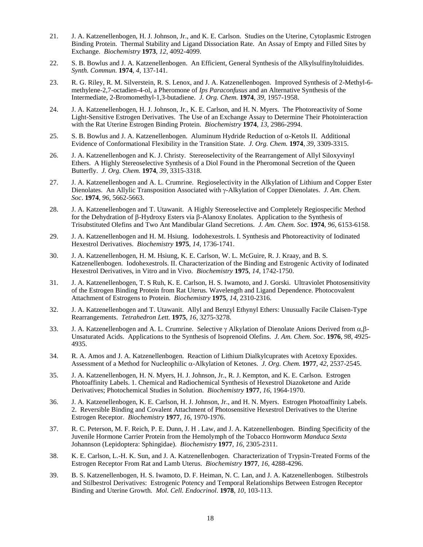- 21. J. A. Katzenellenbogen, H. J. Johnson, Jr., and K. E. Carlson. Studies on the Uterine, Cytoplasmic Estrogen Binding Protein. Thermal Stability and Ligand Dissociation Rate. An Assay of Empty and Filled Sites by Exchange. *Biochemistry* **1973**, *12*, 4092-4099.
- 22. S. B. Bowlus and J. A. Katzenellenbogen. An Efficient, General Synthesis of the Alkylsulfinyltoluidides. *Synth. Commun.* **1974**, *4,* 137-141.
- 23. R. G. Riley, R. M. Silverstein, R. S. Lenox, and J. A. Katzenellenbogen. Improved Synthesis of 2-Methyl-6 methylene-2,7-octadien-4-ol, a Pheromone of *Ips Paraconfusus* and an Alternative Synthesis of the Intermediate, 2-Bromomethyl-1,3-butadiene. *J. Org. Chem.* **1974**, *39,* 1957-1958.
- 24. J. A. Katzenellenbogen, H. J. Johnson, Jr., K. E. Carlson, and H. N. Myers. The Photoreactivity of Some Light-Sensitive Estrogen Derivatives. The Use of an Exchange Assay to Determine Their Photointeraction with the Rat Uterine Estrogen Binding Protein. *Biochemistry* **1974**, *13*, 2986-2994.
- 25. S. B. Bowlus and J. A. Katzenellenbogen. Aluminum Hydride Reduction of α-Ketols II. Additional Evidence of Conformational Flexibility in the Transition State. *J. Org. Chem.* **1974**, *39*, 3309-3315.
- 26. J. A. Katzenellenbogen and K. J. Christy. Stereoselectivity of the Rearrangement of Allyl Siloxyvinyl Ethers. A Highly Stereoselective Synthesis of a Diol Found in the Pheromonal Secretion of the Queen Butterfly. *J. Org. Chem.* **1974**, *39*, 3315-3318.
- 27. J. A. Katzenellenbogen and A. L. Crumrine. Regioselectivity in the Alkylation of Lithium and Copper Ester Dienolates. An Allylic Transposition Associated with γ-Alkylation of Copper Dienolates. *J. Am. Chem. Soc*. **1974**, *96*, 5662-5663.
- 28. J. A. Katzenellenbogen and T. Utawanit. A Highly Stereoselective and Completely Regiospecific Method for the Dehydration of β-Hydroxy Esters via β-Alanoxy Enolates. Application to the Synthesis of Trisubstituted Olefins and Two Ant Mandibular Gland Secretions. *J. Am. Chem. Soc.* **1974**, *96*, 6153-6158.
- 29. J. A. Katzenellenbogen and H. M. Hsiung. Iodohexestrols. I. Synthesis and Photoreactivity of Iodinated Hexestrol Derivatives. *Biochemistry* **1975**, *14*, 1736-1741.
- 30. J. A. Katzenellenbogen, H. M. Hsiung, K. E. Carlson, W. L. McGuire, R. J. Kraay, and B. S. Katzenellenbogen. Iodohexestrols. II. Characterization of the Binding and Estrogenic Activity of Iodinated Hexestrol Derivatives, in Vitro and in Vivo. *Biochemistry* **1975**, *14*, 1742-1750.
- 31. J. A. Katzenellenbogen, T. S Ruh, K. E. Carlson, H. S. Iwamoto, and J. Gorski. Ultraviolet Photosensitivity of the Estrogen Binding Protein from Rat Uterus. Wavelength and Ligand Dependence. Photocovalent Attachment of Estrogens to Protein. *Biochemistry* **1975**, *14*, 2310-2316.
- 32. J. A. Katzenellenbogen and T. Utawanit. Allyl and Benzyl Ethynyl Ethers: Unusually Facile Claisen-Type Rearrangements. *Tetrahedron Lett.* **1975**, *16*, 3275-3278.
- 33. J. A. Katzenellenbogen and A. L. Crumrine. Selective γ Alkylation of Dienolate Anions Derived from α,β-Unsaturated Acids. Applications to the Synthesis of Isoprenoid Olefins. *J. Am. Chem. Soc*. **1976**, *98*, 4925- 4935.
- 34. R. A. Amos and J. A. Katzenellenbogen. Reaction of Lithium Dialkylcuprates with Acetoxy Epoxides. Assessment of a Method for Nucleophilic α-Alkylation of Ketones. *J. Org. Chem.* **1977**, *42*, 2537-2545.
- 35. J. A. Katzenellenbogen, H. N. Myers, H. J. Johnson, Jr., R. J. Kempton, and K. E. Carlson. Estrogen Photoaffinity Labels. 1. Chemical and Radiochemical Synthesis of Hexestrol Diazoketone and Azide Derivatives; Photochemical Studies in Solution. *Biochemistry* **1977**, *16*, 1964-1970.
- 36. J. A. Katzenellenbogen, K. E. Carlson, H. J. Johnson, Jr., and H. N. Myers. Estrogen Photoaffinity Labels. 2. Reversible Binding and Covalent Attachment of Photosensitive Hexestrol Derivatives to the Uterine Estrogen Receptor. *Biochemistry* **1977**, *16*, 1970-1976.
- 37. R. C. Peterson, M. F. Reich, P. E. Dunn, J. H . Law, and J. A. Katzenellenbogen. Binding Specificity of the Juvenile Hormone Carrier Protein from the Hemolymph of the Tobacco Hornworm *Manduca Sexta* Johannson (Lepidoptera: Sphingidae). *Biochemistry* **1977**, *16*, 2305-2311.
- 38. K. E. Carlson, L.-H. K. Sun, and J. A. Katzenellenbogen. Characterization of Trypsin-Treated Forms of the Estrogen Receptor From Rat and Lamb Uterus. *Biochemistry* **1977**, *16*, 4288-4296.
- 39. B. S. Katzenellenbogen, H. S. Iwamoto, D. F. Heiman, N. C. Lan, and J. A. Katzenellenbogen. Stilbestrols and Stilbestrol Derivatives: Estrogenic Potency and Temporal Relationships Between Estrogen Receptor Binding and Uterine Growth. *Mol. Cell. Endocrinol*. **1978**, *10*, 103-113.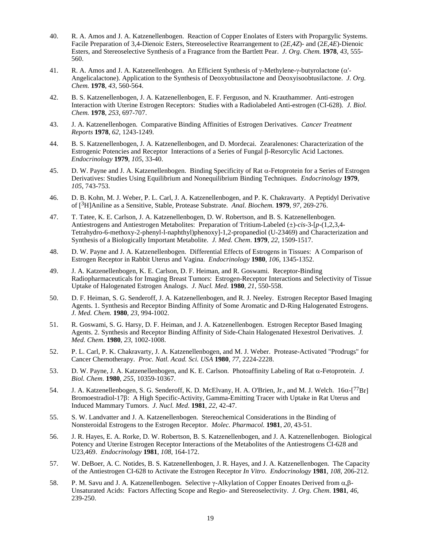- 40. R. A. Amos and J. A. Katzenellenbogen. Reaction of Copper Enolates of Esters with Propargylic Systems. Facile Preparation of 3,4-Dienoic Esters, Stereoselective Rearrangement to (2*E*,4*Z*)- and (2*E*,4*E*)-Dienoic Esters, and Stereoselective Synthesis of a Fragrance from the Bartlett Pear. *J. Org. Chem.* **1978**, *43*, 555- 560.
- 41. R. A. Amos and J. A. Katzenellenbogen. An Efficient Synthesis of γ-Methylene-γ-butyrolactone (α'- Angelicalactone). Application to the Synthesis of Deoxyobtusilactone and Deoxyisoobtusilactone. *J. Org. Chem.* **1978**, *43*, 560-564.
- 42. B. S. Katzenellenbogen, J. A. Katzenellenbogen, E. F. Ferguson, and N. Krauthammer. Anti-estrogen Interaction with Uterine Estrogen Receptors: Studies with a Radiolabeled Anti-estrogen (CI-628). *J. Biol. Chem.* **1978**, *253*, 697-707.
- 43. J. A. Katzenellenbogen. Comparative Binding Affinities of Estrogen Derivatives. *Cancer Treatment Reports* **1978**, *62*, 1243-1249.
- 44. B. S. Katzenellenbogen, J. A. Katzenellenbogen, and D. Mordecai. Zearalenones: Characterization of the Estrogenic Potencies and Receptor Interactions of a Series of Fungal β-Resorcylic Acid Lactones. *Endocrinology* **1979**, *105*, 33-40.
- 45. D. W. Payne and J. A. Katzenellenbogen. Binding Specificity of Rat α-Fetoprotein for a Series of Estrogen Derivatives: Studies Using Equilibrium and Nonequilibrium Binding Techniques. *Endocrinology* **1979**, *105*, 743-753.
- 46. D. B. Kohn, M. J. Weber, P. L. Carl, J. A. Katzenellenbogen, and P. K. Chakravarty. A Peptidyl Derivative of [3H]Aniline as a Sensitive, Stable, Protease Substrate. *Anal. Biochem.* **1979**, *97,* 269-276.
- 47. T. Tatee, K. E. Carlson, J. A. Katzenellenbogen, D. W. Robertson, and B. S. Katzenellenbogen. Antiestrogens and Antiestrogen Metabolites: Preparation of Tritium-Labeled (±)-*cis*-3-[*p*-(1,2,3,4- Tetrahydro-6-methoxy-2-phenyl-l-naphthyl)phenoxy]-1,2-propanediol (U-23469) and Characterization and Synthesis of a Biologically Important Metabolite. *J. Med. Chem*. **1979**, *22*, 1509-1517.
- 48. D. W. Payne and J. A. Katzenellenbogen. Differential Effects of Estrogens in Tissues: A Comparison of Estrogen Receptor in Rabbit Uterus and Vagina. *Endocrinology* **1980**, *106,* 1345-1352.
- 49. J. A. Katzenellenbogen, K. E. Carlson, D. F. Heiman, and R. Goswami. Receptor-Binding Radiopharmaceuticals for Imaging Breast Tumors: Estrogen-Receptor Interactions and Selectivity of Tissue Uptake of Halogenated Estrogen Analogs. *J. Nucl. Med*. **1980**, *21*, 550-558.
- 50. D. F. Heiman, S. G. Senderoff, J. A. Katzenellenbogen, and R. J. Neeley. Estrogen Receptor Based Imaging Agents. 1. Synthesis and Receptor Binding Affinity of Some Aromatic and D-Ring Halogenated Estrogens. *J. Med. Chem.* **1980**, *23*, 994-1002.
- 51. R. Goswami, S. G. Harsy, D. F. Heiman, and J. A. Katzenellenbogen. Estrogen Receptor Based Imaging Agents. 2. Synthesis and Receptor Binding Affinity of Side-Chain Halogenated Hexestrol Derivatives. *J. Med. Chem*. **1980**, *23*, 1002-1008.
- 52. P. L. Carl, P. K. Chakravarty, J. A. Katzenellenbogen, and M. J. Weber. Protease-Activated "Prodrugs" for Cancer Chemotherapy. *Proc. Natl. Acad. Sci. USA* **1980**, *77*, 2224-2228.
- 53. D. W. Payne, J. A. Katzenellenbogen, and K. E. Carlson. Photoaffinity Labeling of Rat α-Fetoprotein. *J. Biol. Chem*. **1980**, *255*, 10359-10367.
- 54. J. A. Katzenellenbogen, S. G. Senderoff, K. D. McElvany, H. A. O'Brien, Jr., and M. J. Welch. 16α-[77Br] Bromoestradiol-17β: A High Specific-Activity, Gamma-Emitting Tracer with Uptake in Rat Uterus and Induced Mammary Tumors. *J. Nucl. Med*. **1981**, *22*, 42-47.
- 55. S. W. Landvatter and J. A. Katzenellenbogen. Stereochemical Considerations in the Binding of Nonsteroidal Estrogens to the Estrogen Receptor. *Molec. Pharmacol.* **1981**, *20*, 43-51.
- 56. J. R. Hayes, E. A. Rorke, D. W. Robertson, B. S. Katzenellenbogen, and J. A. Katzenellenbogen. Biological Potency and Uterine Estrogen Receptor Interactions of the Metabolites of the Antiestrogens CI-628 and U23,469. *Endocrinology* **1981**, *108*, 164-172.
- 57. W. DeBoer, A. C. Notides, B. S. Katzenellenbogen, J. R. Hayes, and J. A. Katzenellenbogen. The Capacity of the Antiestrogen CI-628 to Activate the Estrogen Receptor *In Vitro*. *Endocrinology* **1981**, *108*, 206-212.
- 58. P. M. Savu and J. A. Katzenellenbogen. Selective γ-Alkylation of Copper Enoates Derived from α,β-Unsaturated Acids: Factors Affecting Scope and Regio- and Stereoselectivity. *J. Org. Chem*. **1981**, *46*, 239-250.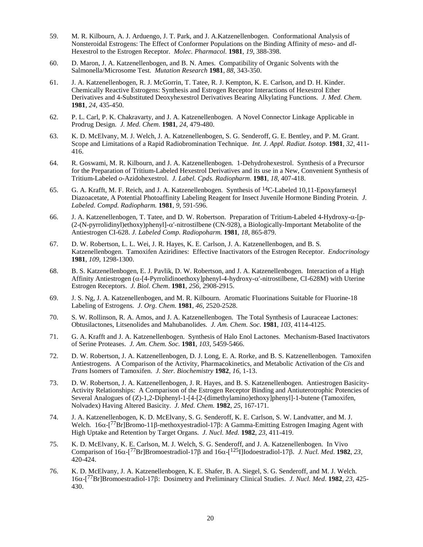- 59. M. R. Kilbourn, A. J. Arduengo, J. T. Park, and J. A.Katzenellenbogen. Conformational Analysis of Nonsteroidal Estrogens: The Effect of Conformer Populations on the Binding Affinity of *meso*- and *dl*-Hexestrol to the Estrogen Receptor. *Molec. Pharmacol.* **1981**, *19*, 388-398.
- 60. D. Maron, J. A. Katzenellenbogen, and B. N. Ames. Compatibility of Organic Solvents with the Salmonella/Microsome Test. *Mutation Research* **1981**, *88*, 343-350.
- 61. J. A. Katzenellenbogen, R. J. McGorrin, T. Tatee, R. J. Kempton, K. E. Carlson, and D. H. Kinder. Chemically Reactive Estrogens: Synthesis and Estrogen Receptor Interactions of Hexestrol Ether Derivatives and 4-Substituted Deoxyhexestrol Derivatives Bearing Alkylating Functions. *J. Med. Chem*. **1981**, *24*, 435-450.
- 62. P. L. Carl, P. K. Chakravarty, and J. A. Katzenellenbogen. A Novel Connector Linkage Applicable in Prodrug Design. *J. Med. Chem*. **1981**, *24*, 479-480.
- 63. K. D. McElvany, M. J. Welch, J. A. Katzenellenbogen, S. G. Senderoff, G. E. Bentley, and P. M. Grant. Scope and Limitations of a Rapid Radiobromination Technique. *Int. J. Appl. Radiat. Isotop*. **1981**, *32*, 411- 416.
- 64. R. Goswami, M. R. Kilbourn, and J. A. Katzenellenbogen. 1-Dehydrohexestrol. Synthesis of a Precursor for the Preparation of Tritium-Labeled Hexestrol Derivatives and its use in a New, Convenient Synthesis of Tritium-Labeled *o*-Azidohexestrol. *J. Label. Cpds. Radiopharm*. **1981**, *18*, 407-418.
- 65. G. A. Krafft, M. F. Reich, and J. A. Katzenellenbogen. Synthesis of 14C-Labeled 10,11-Epoxyfarnesyl Diazoacetate, A Potential Photoaffinity Labeling Reagent for Insect Juvenile Hormone Binding Protein. *J. Labeled. Compd. Radiopharm.* **1981**, *9*, 591-596.
- 66. J. A. Katzenellenbogen, T. Tatee, and D. W. Robertson. Preparation of Tritium-Labeled 4-Hydroxy-α-[p- (2-(N-pyrrolidinyl)ethoxy)phenyl]-α'-nitrostilbene (CN-928), a Biologically-Important Metabolite of the Antiestrogen CI-628. *J. Labeled Comp. Radiopoharm.* **1981**, *18*, 865-879.
- 67. D. W. Robertson, L. L. Wei, J. R. Hayes, K. E. Carlson, J. A. Katzenellenbogen, and B. S. Katzenellenbogen. Tamoxifen Aziridines: Effective Inactivators of the Estrogen Receptor. *Endocrinology*  **1981**, *109*, 1298-1300.
- 68. B. S. Katzenellenbogen, E. J. Pavlik, D. W. Robertson, and J. A. Katzenellenbogen. Interaction of a High Affinity Antiestrogen ( $\alpha$ -[4-Pyrrolidinoethoxy]phenyl-4-hydroxy- $\alpha$ '-nitrostilbene, CI-628M) with Uterine Estrogen Receptors. *J. Biol. Chem*. **1981**, *256*, 2908-2915.
- 69. J. S. Ng, J. A. Katzenellenbogen, and M. R. Kilbourn. Aromatic Fluorinations Suitable for Fluorine-18 Labeling of Estrogens. *J. Org. Chem.* **1981**, *46*, 2520-2528.
- 70. S. W. Rollinson, R. A. Amos, and J. A. Katzenellenbogen. The Total Synthesis of Lauraceae Lactones: Obtusilactones, Litsenolides and Mahubanolides. *J. Am. Chem. Soc.* **1981**, *103*, 4114-4125.
- 71. G. A. Krafft and J. A. Katzenellenbogen. Synthesis of Halo Enol Lactones. Mechanism-Based Inactivators of Serine Proteases. *J. Am. Chem. Soc.* **1981**, *103,* 5459-5466.
- 72. D. W. Robertson, J. A. Katzenellenbogen, D. J. Long, E. A. Rorke, and B. S. Katzenellenbogen. Tamoxifen Antiestrogens. A Comparison of the Activity, Pharmacokinetics, and Metabolic Activation of the *Cis* and *Trans* Isomers of Tamoxifen. *J. Ster. Biochemistry* **1982**, *16*, 1-13.
- 73. D. W. Robertson, J. A. Katzenellenbogen, J. R. Hayes, and B. S. Katzenellenbogen. Antiestrogen Basicity-Activity Relationships: A Comparison of the Estrogen Receptor Binding and Antiuterotrophic Potencies of Several Analogues of (Z)-1,2-Diphenyl-1-[4-[2-(dimethylamino)ethoxy]phenyl]-1-butene (Tamoxifen, Nolvadex) Having Altered Basicity. *J. Med. Chem.* **1982**, *25*, 167-171.
- 74. J. A. Katzenellenbogen, K. D. McElvany, S. G. Senderoff, K. E. Carlson, S. W. Landvatter, and M. J. Welch.  $16\alpha$ -[<sup>77</sup>Br]Bromo-11β-methoxyestradiol-17β: A Gamma-Emitting Estrogen Imaging Agent with High Uptake and Retention by Target Organs. *J. Nucl. Med.* **1982**, *23,* 411-419.
- 75. K. D. McElvany, K. E. Carlson, M. J. Welch, S. G. Senderoff, and J. A. Katzenellenbogen. In Vivo Comparison of 16α-[77Br]Bromoestradiol-17β and 16α-[125I]Iodoestradiol-17β. *J. Nucl. Med*. **1982**, *23,* 420-424.
- 76. K. D. McElvany, J. A. Katzenellenbogen, K. E. Shafer, B. A. Siegel, S. G. Senderoff, and M. J. Welch. 16α-[77Br]Bromoestradiol-17β: Dosimetry and Preliminary Clinical Studies. *J. Nucl. Med*. **1982**, *23*, 425- 430.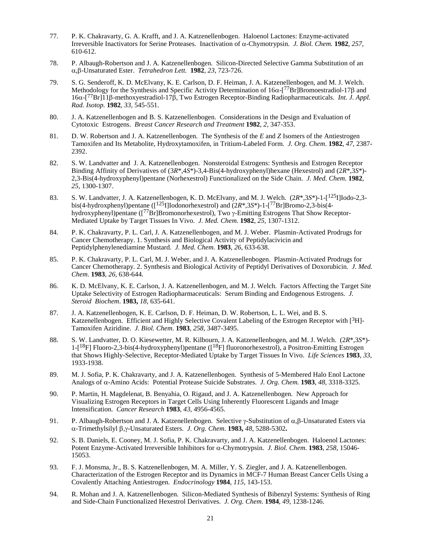- 77. P. K. Chakravarty, G. A. Krafft, and J. A. Katzenellenbogen. Haloenol Lactones: Enzyme-activated Irreversible Inactivators for Serine Proteases. Inactivation of α-Chymotrypsin. *J. Biol. Chem.* **1982**, *257*, 610-612.
- 78. P. Albaugh-Robertson and J. A. Katzenellenbogen. Silicon-Directed Selective Gamma Substitution of an α,β-Unsaturated Ester. *Tetrahedron Lett.* **1982**, *23*, 723-726.
- 79. S. G. Senderoff, K. D. McElvany, K. E. Carlson, D. F. Heiman, J. A. Katzenellenbogen, and M. J. Welch. Methodology for the Synthesis and Specific Activity Determination of 16α-[<sup>77</sup>Br]Bromoestradiol-17β and 16α-[77Br]11β-methoxyestradiol-17β, Two Estrogen Receptor-Binding Radiopharmaceuticals. *Int. J. Appl. Rad. Isotop.* **1982**, *33*, 545-551.
- 80. J. A. Katzenellenbogen and B. S. Katzenellenbogen. Considerations in the Design and Evaluation of Cytotoxic Estrogens. *Breast Cancer Research and Treatment* **1982**, *2*, 347-353.
- 81. D. W. Robertson and J. A. Katzenellenbogen. The Synthesis of the *E* and *Z* Isomers of the Antiestrogen Tamoxifen and Its Metabolite, Hydroxytamoxifen, in Tritium-Labeled Form. *J. Org. Chem*. **1982**, *47*, 2387- 2392.
- 82. S. W. Landvatter and J. A. Katzenellenbogen. Nonsteroidal Estrogens: Synthesis and Estrogen Receptor Binding Affinity of Derivatives of (3*R*\*,4*S*\*)-3,4-Bis(4-hydroxyphenyl)hexane (Hexestrol) and (2*R*\*,3*S*\*)- 2,3-Bis(4-hydroxyphenyl)pentane (Norhexestrol) Functionalized on the Side Chain. *J. Med. Chem.* **1982**, *25*, 1300-1307.
- 83. S. W. Landvatter, J. A. Katzenellenbogen, K. D. McElvany, and M. J. Welch. (2*R*\*,3*S*\*)-1-[125I]Iodo-2,3 bis(4-hydroxphenyl)pentane ([<sup>125</sup>I]Iodonorhexestrol) and (2 $R^*$ ,3 $S^*$ )-1-[<sup>77</sup>Br]Bromo-2,3-bis(4hydroxyphenyl)pentane ([77Br]Bromonorhexestrol), Two γ-Emitting Estrogens That Show Receptor-Mediated Uptake by Target Tissues In Vivo. *J. Med. Chem*. **1982**, *25*, 1307-1312.
- 84. P. K. Chakravarty, P. L. Carl, J. A. Katzenellenbogen, and M. J. Weber. Plasmin-Activated Prodrugs for Cancer Chemotherapy. 1. Synthesis and Biological Activity of Peptidylacivicin and Peptidylphenylenediamine Mustard. *J. Med. Chem*. **1983**, *26*, 633-638.
- 85. P. K. Chakravarty, P. L. Carl, M. J. Weber, and J. A. Katzenellenbogen. Plasmin-Activated Prodrugs for Cancer Chemotherapy. 2. Synthesis and Biological Activity of Peptidyl Derivatives of Doxorubicin. *J. Med. Chem*. **1983**, *26*, 638-644.
- 86. K. D. McElvany, K. E. Carlson, J. A. Katzenellenbogen, and M. J. Welch. Factors Affecting the Target Site Uptake Selectivity of Estrogen Radiopharmaceuticals: Serum Binding and Endogenous Estrogens. *J. Steroid Biochem*. **1983,** *18*, 635-641.
- 87. J. A. Katzenellenbogen, K. E. Carlson, D. F. Heiman, D. W. Robertson, L. L. Wei, and B. S. Katzenellenbogen. Efficient and Highly Selective Covalent Labeling of the Estrogen Receptor with  $[3H]$ -Tamoxifen Aziridine. *J. Biol. Chem*. **1983**, *258*, 3487-3495.
- 88. S. W. Landvatter, D. O. Kiesewetter, M. R. Kilbourn, J. A. Katzenellenbogen, and M. J. Welch. (2*R*\*,3*S*\*)-  $1-[18F]$  Fluoro-2,3-bis(4-hydroxyphenyl)pentane ( $[18F]$  fluoronorhexestrol), a Positron-Emitting Estrogen that Shows Highly-Selective, Receptor-Mediated Uptake by Target Tissues In Vivo. *Life Sciences* **1983**, *33*, 1933-1938.
- 89. M. J. Sofia, P. K. Chakravarty, and J. A. Katzenellenbogen. Synthesis of 5-Membered Halo Enol Lactone Analogs of α-Amino Acids: Potential Protease Suicide Substrates. *J. Org. Chem.* **1983**, *48*, 3318-3325.
- 90. P. Martin, H. Magdelenat, B. Benyahia, O. Rigaud, and J. A. Katzenellenbogen. New Approach for Visualizing Estrogen Receptors in Target Cells Using Inherently Fluorescent Ligands and Image Intensification. *Cancer Research* **1983**, *43*, 4956-4565.
- 91. P. Albaugh-Robertson and J. A. Katzenellenbogen. Selective γ-Substitution of α,β-Unsaturated Esters via α-Trimethylsilyl β,γ-Unsaturated Esters. *J. Org. Chem*. **1983,** *48*, 5288-5302**.**
- 92. S. B. Daniels, E. Cooney, M. J. Sofia, P. K. Chakravarty, and J. A. Katzenellenbogen. Haloenol Lactones: Potent Enzyme-Activated Irreversible Inhibitors for α-Chymotrypsin. *J. Biol. Chem*. **1983**, *258*, 15046- 15053.
- 93. F. J. Monsma, Jr., B. S. Katzenellenbogen, M. A. Miller, Y. S. Ziegler, and J. A. Katzenellenbogen. Characterization of the Estrogen Receptor and its Dynamics in MCF-7 Human Breast Cancer Cells Using a Covalently Attaching Antiestrogen. *Endocrinology* **1984**, *115*, 143-153.
- 94. R. Mohan and J. A. Katzenellenbogen. Silicon-Mediated Synthesis of Bibenzyl Systems: Synthesis of Ring and Side-Chain Functionalized Hexestrol Derivatives. *J. Org. Chem*. **1984**, *49*, 1238-1246.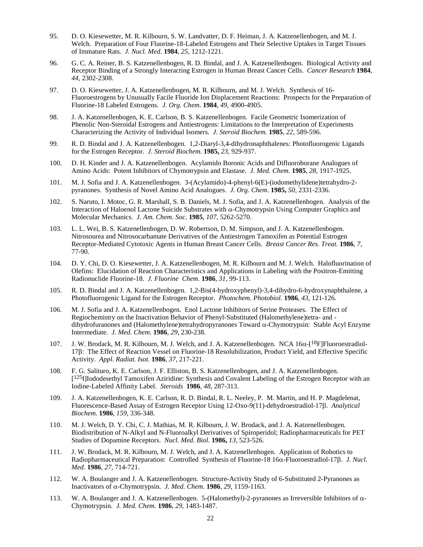- 95. D. O. Kiesewetter, M. R. Kilbourn, S. W. Landvatter, D. F. Heiman, J. A. Katzenellenbogen, and M. J. Welch. Preparation of Four Fluorine-18-Labeled Estrogens and Their Selective Uptakes in Target Tissues of Immature Rats. *J. Nucl. Med*. **1984**, *25*, 1212-1221.
- 96. G. C. A. Reiner, B. S. Katzenellenbogen, R. D. Bindal, and J. A. Katzenellenbogen. Biological Activity and Receptor Binding of a Strongly Interacting Estrogen in Human Breast Cancer Cells. *Cancer Research* **1984**, *44*, 2302-2308.
- 97. D. O. Kiesewetter, J. A. Katzenellenbogen, M. R. Kilbourn, and M. J. Welch. Synthesis of 16- Fluoroestrogens by Unusually Facile Fluoride Ion Displacement Reactions: Prospects for the Preparation of Fluorine-18 Labeled Estrogens. *J. Org. Chem.* **1984**, *49*, 4900-4905.
- 98. J. A. Katzenellenbogen, K. E. Carlson, B. S. Katzenellenbogen. Facile Geometric Isomerization of Phenolic Non-Steroidal Estrogens and Antiestrogens: Limitations to the Interpretation of Experiments Characterizing the Activity of Individual Isomers. *J. Steroid Biochem.* **1985**, *22*, 589-596.
- 99. R. D. Bindal and J. A. Katzenellenbogen. 1,2-Diaryl-3,4-dihydronaphthalenes: Photofluorogenic Ligands for the Estrogen Receptor. *J. Steroid Biochem.* **1985,** *23,* 929-937.
- 100. D. H. Kinder and J. A. Katzenellenbogen. Acylamido Boronic Acids and Difluoroborane Analogues of Amino Acids: Potent Inhibitors of Chymotrypsin and Elastase. *J. Med. Chem.* **1985**, *28*, 1917-1925.
- 101. M. J. Sofia and J. A. Katzenellenbogen. 3-(Acylamido)-4-phenyl-6(E)-(iodomethylidene)tetrahydro-2 pyranones. Synthesis of Novel Amino Acid Analogues. *J. Org. Chem*. **1985,** *50*, 2331-2336.
- 102. S. Naruto, I. Motoc, G. R. Marshall, S. B. Daniels, M. J. Sofia, and J. A. Katzenellenbogen. Analysis of the Interaction of Haloenol Lactone Suicide Substrates with α-Chymotrypsin Using Computer Graphics and Molecular Mechanics. *J. Am. Chem. Soc*. **1985**, *107*, 5262-5270.
- 103. L. L. Wei, B. S. Katzenellenbogen, D. W. Robertson, D. M. Simpson, and J. A. Katzenellenbogen. Nitrosourea and Nitrosocarbamate Derivatives of the Antiestrogen Tamoxifen as Potential Estrogen Receptor-Mediated Cytotoxic Agents in Human Breast Cancer Cells. *Breast Cancer Res. Treat.* **1986**, *7*, 77-90.
- 104. D. Y. Chi, D. O. Kiesewetter, J. A. Katzenellenbogen, M. R. Kilbourn and M. J. Welch. Halofluorination of Olefins: Elucidation of Reaction Characteristics and Applications in Labeling with the Positron-Emitting Radionuclide Fluorine-18. *J. Fluorine Chem.* **1986**, *31*, 99-113.
- 105. R. D. Bindal and J. A. Katzenellenbogen. 1,2-Bis(4-hydroxyphenyl)-3,4-dihydro-6-hydroxynaphthalene, a Photofluorogenic Ligand for the Estrogen Receptor. *Photochem. Photobiol*. **1986**, *43*, 121-126.
- 106. M. J. Sofia and J. A. Katzenellenbogen. Enol Lactone Inhibitors of Serine Proteases. The Effect of Regiochemistry on the Inactivation Behavior of Phenyl-Substituted (Halomethylene)tetra- and dihydrofuranones and (Halomethylene)tetrahydropyranones Toward α-Chymotrypsin: Stable Acyl Enzyme Intermediate. *J. Med. Chem.* **1986**, *29*, 230-238.
- 107. J. W. Brodack, M. R. Kilbourn, M. J. Welch, and J. A. Katzenellenbogen. NCA 16α-[18F]Fluoroestradiol-17β: The Effect of Reaction Vessel on Fluorine-18 Resolubilization, Product Yield, and Effective Specific Activity. *Appl. Radiat. Isot.* **1986**, *37*, 217-221.
- 108. F. G. Salituro, K. E. Carlson, J. F. Elliston, B. S. Katzenellenbogen, and J. A. Katzenellenbogen. <sup>[125</sup>I]Iododesethyl Tamoxifen Aziridine: Synthesis and Covalent Labeling of the Estrogen Receptor with an Iodine-Labeled Affinity Label. *Steroids* **1986**, *48*, 287-313.
- 109. J. A. Katzenellenbogen, K. E. Carlson, R. D. Bindal, R. L. Neeley, P. M. Martin, and H. P. Magdelenat, Fluorescence-Based Assay of Estrogen Receptor Using 12-Oxo-9(11)-dehydroestradiol-17β. *Analytical Biochem*. **1986**, *159*, 336-348.
- 110. M. J. Welch, D. Y. Chi, C. J. Mathias, M. R. Kilbourn, J. W. Brodack, and J. A. Katzenellenbogen. Biodistribution of N-Alkyl and N-Fluoroalkyl Derivatives of Spiroperidol; Radiopharmaceuticals for PET Studies of Dopamine Receptors. *Nucl. Med. Biol.* **1986,** *13*, 523-526.
- 111. J. W. Brodack, M. R. Kilbourn, M. J. Welch, and J. A. Katzenellenbogen. Application of Robotics to Radiopharmaceutical Preparation: Controlled Synthesis of Fluorine-18 16α-Fluoroestradiol-17β. *J. Nucl. Med*. **1986**, *27*, 714-721.
- 112. W. A. Boulanger and J. A. Katzenellenbogen. Structure-Activity Study of 6-Substituted 2-Pyranones as Inactivators of α-Chymotrypsin. *J. Med. Chem.* **1986**, *29*, 1159-1163.
- 113. W. A. Boulanger and J. A. Katzenellenbogen. 5-(Halomethyl)-2-pyranones as Irreversible Inhibitors of α-Chymotrypsin. *J. Med. Chem.* **1986**, *29*, 1483-1487.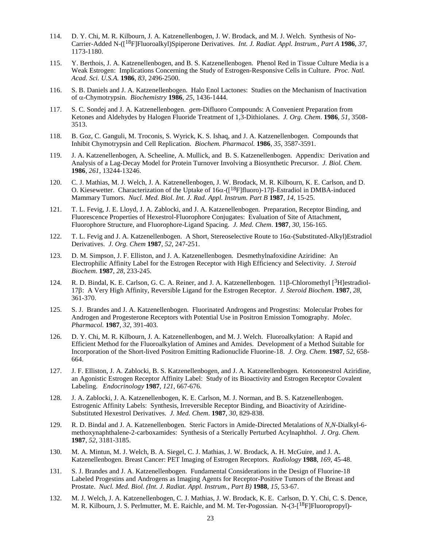- 114. D. Y. Chi, M. R. Kilbourn, J. A. Katzenellenbogen, J. W. Brodack, and M. J. Welch. Synthesis of No-Carrier-Added N-([18F]Fluoroalkyl)Spiperone Derivatives. *Int. J. Radiat. Appl. Instrum., Part A* **1986**, *37*, 1173-1180.
- 115. Y. Berthois, J. A. Katzenellenbogen, and B. S. Katzenellenbogen. Phenol Red in Tissue Culture Media is a Weak Estrogen: Implications Concerning the Study of Estrogen-Responsive Cells in Culture. *Proc. Natl. Acad. Sci. U.S.A.* **1986**, *83*, 2496-2500.
- 116. S. B. Daniels and J. A. Katzenellenbogen. Halo Enol Lactones: Studies on the Mechanism of Inactivation of α-Chymotrypsin. *Biochemistry* **1986**, *25*, 1436-1444.
- 117. S. C. Sondej and J. A. Katzenellenbogen. *gem*-Difluoro Compounds: A Convenient Preparation from Ketones and Aldehydes by Halogen Fluoride Treatment of 1,3-Dithiolanes. *J. Org. Chem*. **1986**, *51*, 3508- 3513.
- 118. B. Goz, C. Ganguli, M. Troconis, S. Wyrick, K. S. Ishaq, and J. A. Katzenellenbogen. Compounds that Inhibit Chymotrypsin and Cell Replication. *Biochem. Pharmacol.* **1986**, *35*, 3587-3591.
- 119. J. A. Katzenellenbogen, A. Scheeline, A. Mullick, and B. S. Katzenellenbogen. Appendix: Derivation and Analysis of a Lag-Decay Model for Protein Turnover Involving a Biosynthetic Precursor. *J. Biol. Chem*. **1986**, *261*, 13244-13246.
- 120. C. J. Mathias, M. J. Welch, J. A. Katzenellenbogen, J. W. Brodack, M. R. Kilbourn, K. E. Carlson, and D. O. Kiesewetter. Characterization of the Uptake of 16α-([18F]fluoro)-17β-Estradiol in DMBA-induced Mammary Tumors. *Nucl. Med. Biol. Int. J. Rad. Appl. Instrum. Part B* **1987**, *14,* 15-25.
- 121. T. L. Fevig, J. E. Lloyd, J. A. Zablocki, and J. A. Katzenellenbogen. Preparation, Receptor Binding, and Fluorescence Properties of Hexestrol-Fluorophore Conjugates: Evaluation of Site of Attachment, Fluorophore Structure, and Fluorophore-Ligand Spacing. *J. Med. Chem*. **1987**, *30*, 156-165.
- 122. T. L. Fevig and J. A. Katzenellenbogen. A Short, Stereoselective Route to 16α-(Substituted-Alkyl)Estradiol Derivatives. *J. Org. Chem* **1987**, *52*, 247-251.
- 123. D. M. Simpson, J. F. Elliston, and J. A. Katzenellenbogen. Desmethylnafoxidine Aziridine: An Electrophilic Affinity Label for the Estrogen Receptor with High Efficiency and Selectivity. *J. Steroid Biochem*. **1987**, *28*, 233-245.
- 124. R. D. Bindal, K. E. Carlson, G. C. A. Reiner, and J. A. Katzenellenbogen. 11β-Chloromethyl [3H]estradiol-17β: A Very High Affinity, Reversible Ligand for the Estrogen Receptor. *J. Steroid Biochem*. **1987**, *28*, 361-370.
- 125. S. J. Brandes and J. A. Katzenellenbogen. Fluorinated Androgens and Progestins: Molecular Probes for Androgen and Progesterone Receptors with Potential Use in Positron Emission Tomography. *Molec. Pharmacol.* **1987**, *32*, 391-403.
- 126. D. Y. Chi, M. R. Kilbourn, J. A. Katzenellenbogen, and M. J. Welch. Fluoroalkylation: A Rapid and Efficient Method for the Fluoroalkylation of Amines and Amides. Development of a Method Suitable for Incorporation of the Short-lived Positron Emitting Radionuclide Fluorine-18. *J. Org. Chem*. **1987**, *52*, 658- 664.
- 127. J. F. Elliston, J. A. Zablocki, B. S. Katzenellenbogen, and J. A. Katzenellenbogen. Ketononestrol Aziridine, an Agonistic Estrogen Receptor Affinity Label: Study of its Bioactivity and Estrogen Receptor Covalent Labeling. *Endocrinology* **1987**, *121*, 667-676.
- 128. J. A. Zablocki, J. A. Katzenellenbogen, K. E. Carlson, M. J. Norman, and B. S. Katzenellenbogen. Estrogenic Affinity Labels: Synthesis, Irreversible Receptor Binding, and Bioactivity of Aziridine-Substituted Hexestrol Derivatives. *J. Med. Chem*. **1987**, *30*, 829-838.
- 129. R. D. Bindal and J. A. Katzenellenbogen. Steric Factors in Amide-Directed Metalations of *N,N*-Dialkyl-6 methoxynaphthalene-2-carboxamides: Synthesis of a Sterically Perturbed Acylnaphthol. *J. Org. Chem.* **1987**, *52*, 3181-3185.
- 130. M. A. Mintun, M. J. Welch, B. A. Siegel, C. J. Mathias, J. W. Brodack, A. H. McGuire, and J. A. Katzenellenbogen. Breast Cancer: PET Imaging of Estrogen Receptors. *Radiology* **1988**, *169*, 45-48.
- 131. S. J. Brandes and J. A. Katzenellenbogen. Fundamental Considerations in the Design of Fluorine-18 Labeled Progestins and Androgens as Imaging Agents for Receptor-Positive Tumors of the Breast and Prostate. *Nucl. Med. Biol. (Int. J. Radiat. Appl. Instrum., Part B)* **1988**, *15*, 53-67.
- 132. M. J. Welch, J. A. Katzenellenbogen, C. J. Mathias, J. W. Brodack, K. E. Carlson, D. Y. Chi, C. S. Dence, M. R. Kilbourn, J. S. Perlmutter, M. E. Raichle, and M. M. Ter-Pogossian. N-(3-[<sup>18</sup>F]Fluoropropyl)-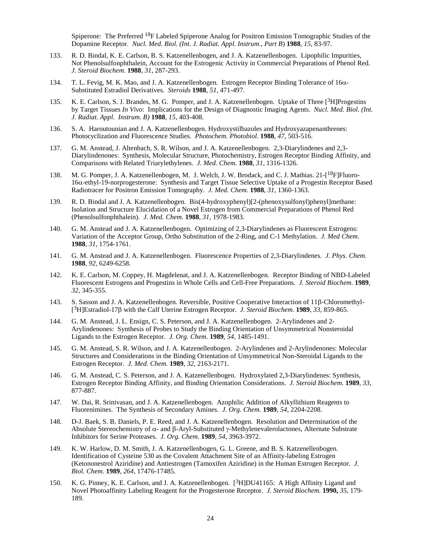Spiperone: The Preferred <sup>18</sup>F Labeled Spiperone Analog for Positron Emission Tomographic Studies of the Dopamine Receptor. *Nucl. Med. Biol. (Int. J. Radiat. Appl. Instrum., Part B*) **1988**, *15*, 83-97.

- 133. R. D. Bindal, K. E. Carlson, B. S. Katzenellenbogen, and J. A. Katzenellenbogen. Lipophilic Impurities, Not Phenolsulfonphthalein, Account for the Estrogenic Activity in Commercial Preparations of Phenol Red. *J. Steroid Biochem.* **1988**, *31*, 287-293.
- 134. T. L. Fevig, M. K. Mao, and J. A. Katzenellenbogen. Estrogen Receptor Binding Tolerance of 16α-Substituted Estradiol Derivatives. *Steroids* **1988**, *51,* 471-497.
- 135. K. E. Carlson, S. J. Brandes, M. G. Pomper, and J. A. Katzenellenbogen. Uptake of Three [3H]Progestins by Target Tissues *In Vivo*: Implications for the Design of Diagnostic Imaging Agents. *Nucl. Med. Biol. (Int. J. Radiat. Appl. Instrum. B)* **1988**, *15,* 403-408.
- 136. S. A. Haroutounian and J. A. Katzenellenbogen. Hydroxystilbazoles and Hydroxyazapenanthrenes: Photocyclization and Fluorescence Studies. *Photochem. Photobiol.* **1988**, *47*, 503-516.
- 137. G. M. Anstead, J. Altenbach, S. R. Wilson, and J. A. Katzenellenbogen. 2,3-Diarylindenes and 2,3- Diarylindenones: Synthesis, Molecular Structure, Photochemistry, Estrogen Receptor Binding Affinity, and Comparisons with Related Triarylethylenes. *J. Med. Chem*. **1988**, *31*, 1316-1326.
- 138. M. G. Pomper, J. A. Katzenellenbogen, M. J. Welch, J. W. Brodack, and C. J. Mathias. 21-<sup>[18</sup>F]Fluoro-16α-ethyl-19-norprogesterone: Synthesis and Target Tissue Selective Uptake of a Progestin Receptor Based Radiotracer for Positron Emission Tomography. *J. Med. Chem.* **1988**, *31*, 1360-1363.
- 139. R. D. Bindal and J. A. Katzenellenbogen. Bis(4-hydroxyphenyl)[2-(phenoxysulfonyl)phenyl]methane: Isolation and Structure Elucidation of a Novel Estrogen from Commercial Preparations of Phenol Red (Phenolsulfonphthalein). *J. Med. Chem.* **1988**, *31*, 1978-1983.
- 140. G. M. Anstead and J. A. Katzenellenbogen. Optimizing of 2,3-Diarylindenes as Fluorescent Estrogens: Variation of the Acceptor Group, Ortho Substitution of the 2-Ring, and C-1 Methylation. *J. Med Chem*. **1988**, *31*, 1754-1761.
- 141. G. M. Anstead and J. A. Katzenellenbogen. Fluorescence Properties of 2,3-Diarylindenes. *J. Phys. Chem*. **1988**, *92*, 6249-6258.
- 142. K. E. Carlson, M. Coppey, H. Magdelenat, and J. A. Katzenellenbogen. Receptor Binding of NBD-Labeled Fluorescent Estrogens and Progestins in Whole Cells and Cell-Free Preparations. *J. Steroid Biochem.* **1989**, *32*, 345-355.
- 143. S. Sasson and J. A. Katzenellenbogen. Reversible, Positive Cooperative Interaction of 11β-Chloromethyl- [3H]Estradiol-17β with the Calf Uterine Estrogen Receptor. *J. Steroid Biochem.* **1989**, *33*, 859-865.
- 144. G. M. Anstead, J. L. Ensign, C. S. Peterson, and J. A. Katzenellenbogen. 2-Arylindenes and 2- Arylindenones: Synthesis of Probes to Study the Binding Orientation of Unsymmetrical Nonsteroidal Ligands to the Estrogen Receptor. *J. Org. Chem.* **1989**, *54,* 1485-1491.
- 145. G. M. Anstead, S. R. Wilson, and J. A. Katzenellenbogen. 2-Arylindenes and 2-Arylindenones: Molecular Structures and Considerations in the Binding Orientation of Unsymmetrical Non-Steroidal Ligands to the Estrogen Receptor. *J. Med. Chem.* **1989**, *32*, 2163-2171.
- 146. G. M. Anstead, C. S. Peterson, and J. A. Katzenellenbogen. Hydroxylated 2,3-Diarylindenes: Synthesis, Estrogen Receptor Binding Affinity, and Binding Orientation Considerations. *J. Steroid Biochem.* **1989**, *33*, 877-887.
- 147. W. Dai, R. Srinivasan, and J. A. Katzenellenbogen. Azophilic Addition of Alkyllithium Reagents to Fluorenimines. The Synthesis of Secondary Amines. *J. Org. Chem.* **1989**, *54,* 2204-2208.
- 148. D-J. Baek, S. B. Daniels, P. E. Reed, and J. A. Katzenellenbogen. Resolution and Determination of the Absolute Stereochemistry of α- and β-Aryl-Substituted γ-Methylenevalerolactones, Alternate Substrate Inhibitors for Serine Proteases. *J. Org. Chem*. **1989**, *54,* 3963-3972.
- 149. K. W. Harlow, D. M. Smith, J. A. Katzenellenbogen, G. L. Greene, and B. S. Katzenellenbogen. Identification of Cysteine 530 as the Covalent Attachment Site of an Affinity-labeling Estrogen (Ketononestrol Aziridine) and Antiestrogen (Tamoxifen Aziridine) in the Human Estrogen Receptor. *J. Biol. Chem.* **1989**, *264*, 17476-17485.
- 150. K. G. Pinney, K. E. Carlson, and J. A. Katzenellenbogen. [3H]DU41165: A High Affinity Ligand and Novel Photoaffinity Labeling Reagent for the Progesterone Receptor. *J. Steroid Biochem.* **1990,** *35*, 179- 189.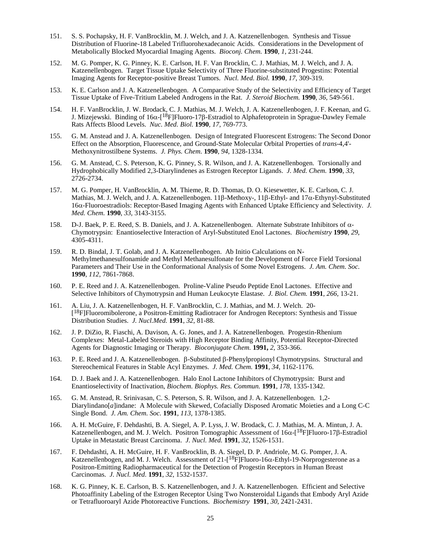- 151. S. S. Pochapsky, H. F. VanBrocklin, M. J. Welch, and J. A. Katzenellenbogen. Synthesis and Tissue Distribution of Fluorine-18 Labeled Trifluorohexadecanoic Acids. Considerations in the Development of Metabolically Blocked Myocardial Imaging Agents. *Bioconj. Chem.* **1990**, *1*, 231-244.
- 152. M. G. Pomper, K. G. Pinney, K. E. Carlson, H. F. Van Brocklin, C. J. Mathias, M. J. Welch, and J. A. Katzenellenbogen. Target Tissue Uptake Selectivity of Three Fluorine-substituted Progestins: Potential Imaging Agents for Receptor-positive Breast Tumors. *Nucl. Med. Biol.* **1990**, *17*, 309-319.
- 153. K. E. Carlson and J. A. Katzenellenbogen. A Comparative Study of the Selectivity and Efficiency of Target Tissue Uptake of Five-Tritium Labeled Androgens in the Rat. *J. Steroid Biochem.* **1990***, 36,* 549-561.
- 154. H. F. VanBrocklin, J. W. Brodack, C. J. Mathias, M. J. Welch, J. A. Katzenellenbogen, J. F. Keenan, and G. J. Mizejewski. Binding of 16α-[18F]Fluoro-17β-Estradiol to Alphafetoprotein in Sprague-Dawley Female Rats Affects Blood Levels. *Nuc. Med. Biol.* **1990***, 17,* 769-773.
- 155. G. M. Anstead and J. A. Katzenellenbogen. Design of Integrated Fluorescent Estrogens: The Second Donor Effect on the Absorption, Fluorescence, and Ground-State Molecular Orbital Properties of *trans*-4,4'- Methoxynitrostilbene Systems. *J. Phys. Chem*. **1990**, *94*, 1328-1334.
- 156. G. M. Anstead, C. S. Peterson, K. G. Pinney, S. R. Wilson, and J. A. Katzenellenbogen. Torsionally and Hydrophobically Modified 2,3-Diarylindenes as Estrogen Receptor Ligands. *J. Med. Chem.* **1990**, *33*, 2726-2734.
- 157. M. G. Pomper, H. VanBrocklin, A. M. Thieme, R. D. Thomas, D. O. Kiesewetter, K. E. Carlson, C. J. Mathias, M. J. Welch, and J. A. Katzenellenbogen. 11β-Methoxy-, 11β-Ethyl- and 17α-Ethynyl-Substituted 16α-Fluoroestradiols: Receptor-Based Imaging Agents with Enhanced Uptake Efficiency and Selectivity. *J. Med. Chem.* **1990**, *33,* 3143-3155.
- 158. D-J. Baek, P. E. Reed, S. B. Daniels, and J. A. Katzenellenbogen. Alternate Substrate Inhibitors of α-Chymotrypsin: Enantioselective Interaction of Aryl-Substituted Enol Lactones. *Biochemistry* **1990**, *29*, 4305-4311.
- 159. R. D. Bindal, J. T. Golab, and J. A. Katzenellenbogen. Ab Initio Calculations on N-Methylmethanesulfonamide and Methyl Methanesulfonate for the Development of Force Field Torsional Parameters and Their Use in the Conformational Analysis of Some Novel Estrogens. *J. Am. Chem. Soc.*  **1990**, *112*, 7861-7868.
- 160. P. E. Reed and J. A. Katzenellenbogen. Proline-Valine Pseudo Peptide Enol Lactones. Effective and Selective Inhibitors of Chymotrypsin and Human Leukocyte Elastase. *J. Biol. Chem.* **1991***, 266,* 13-21.
- 161. A. Liu, J. A. Katzenellenbogen, H. F. VanBrocklin, C. J. Mathias, and M. J. Welch. 20- [18F]Fluoromibolerone, a Positron-Emitting Radiotracer for Androgen Receptors: Synthesis and Tissue Distribution Studies. *J. Nucl.Med.* **1991***, 32*, 81-88.
- 162. J. P. DiZio, R. Fiaschi, A. Davison, A. G. Jones, and J. A. Katzenellenbogen. Progestin-Rhenium Complexes: Metal-Labeled Steroids with High Receptor Binding Affinity, Potential Receptor-Directed Agents for Diagnostic Imaging or Therapy. *Bioconjugate Chem.* **1991,** *2,* 353-366.
- 163. P. E. Reed and J. A. Katzenellenbogen. β-Substituted β-Phenylpropionyl Chymotrypsins. Structural and Stereochemical Features in Stable Acyl Enzymes. *J. Med. Chem.* **1991**, *34*, 1162-1176.
- 164. D. J. Baek and J. A. Katzenellenbogen. Halo Enol Lactone Inhibitors of Chymotrypsin: Burst and Enantioselectivity of Inactivation, *Biochem. Biophys. Res. Commun.* **1991**, *178,* 1335-1342.
- 165. G. M. Anstead, R. Srinivasan, C. S. Peterson, S. R. Wilson, and J. A. Katzenellenbogen. 1,2- Diarylindano[*a*]indane: A Molecule with Skewed, Cofacially Disposed Aromatic Moieties and a Long C-C Single Bond. *J. Am. Chem. Soc.* **1991**, *113,* 1378-1385.
- 166. A. H. McGuire, F. Dehdashti, B. A. Siegel, A. P. Lyss, J. W. Brodack, C. J. Mathias, M. A. Mintun, J. A. Katzenellenbogen, and M. J. Welch. Positron Tomographic Assessment of  $16\alpha$ -[<sup>18</sup>F]Fluoro-17β-Estradiol Uptake in Metastatic Breast Carcinoma. *J. Nucl. Med.* **1991**, *32*, 1526-1531.
- 167. F. Dehdashti, A. H. McGuire, H. F. VanBrocklin, B. A. Siegel, D. P. Andriole, M. G. Pomper, J. A. Katzenellenbogen, and M. J. Welch. Assessment of  $21-[^{18}F]$ Fluoro-16 $\alpha$ -Ethyl-19-Norprogesterone as a Positron-Emitting Radiopharmaceutical for the Detection of Progestin Receptors in Human Breast Carcinomas. *J. Nucl. Med.* **1991**, *32*, 1532-1537.
- 168. K. G. Pinney, K. E. Carlson, B. S. Katzenellenbogen, and J. A. Katzenellenbogen. Efficient and Selective Photoaffinity Labeling of the Estrogen Receptor Using Two Nonsteroidal Ligands that Embody Aryl Azide or Tetrafluoroaryl Azide Photoreactive Functions. *Biochemistry* **1991**, *30,* 2421-2431.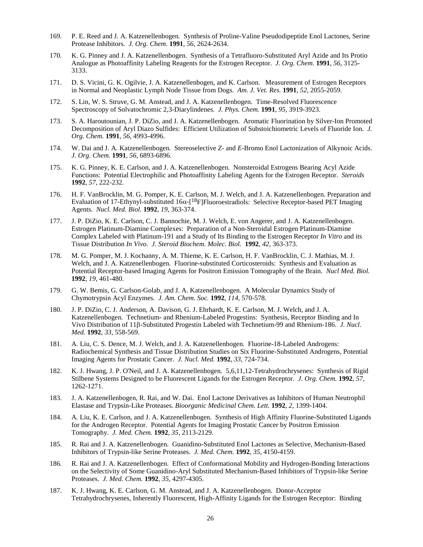- 169. P. E. Reed and J. A. Katzenellenbogen. Synthesis of Proline-Valine Pseudodipeptide Enol Lactones, Serine Protease Inhibitors. *J. Org. Chem.* **1991**, *56*, 2624-2634.
- 170. K. G. Pinney and J. A. Katzenellenbogen. Synthesis of a Tetrafluoro-Substituted Aryl Azide and Its Protio Analogue as Photoaffinity Labeling Reagents for the Estrogen Receptor. *J. Org. Chem*. **1991**, *56*, 3125- 3133.
- 171. D. S. Vicini, G. K. Ogilvie, J. A. Katzenellenbogen, and K. Carlson. Measurement of Estrogen Receptors in Normal and Neoplastic Lymph Node Tissue from Dogs. *Am. J. Vet. Res.* **1991**, *52*, 2055-2059.
- 172. S. Lin, W. S. Struve, G. M. Anstead, and J. A. Katzenellenbogen. Time-Resolved Fluorescence Spectroscopy of Solvatochromic 2,3-Diarylindenes. *J. Phys. Chem.* **1991**, *95,* 3919-3923.
- 173. S. A. Haroutounian, J. P. DiZio, and J. A. Katzenellenbogen. Aromatic Fluorination by Silver-Ion Promoted Decomposition of Aryl Diazo Sulfides: Efficient Utilization of Substoichiometric Levels of Fluoride Ion. *J. Org. Chem.* **1991**, *56,* 4993-4996*.*
- 174. W. Dai and J. A. Katzenellenbogen. Stereoselective *Z* and *E*-Bromo Enol Lactonization of Alkynoic Acids. *J. Org. Chem.* **1991**, *56*, 6893-6896.
- 175. K. G. Pinney, K. E. Carlson, and J. A. Katzenellenbogen. Nonsteroidal Estrogens Bearing Acyl Azide Functions: Potential Electrophilic and Photoaffinity Labeling Agents for the Estrogen Receptor. *Steroids*  **1992**, *57*, 222-232.
- 176. H. F. VanBrocklin, M. G. Pomper, K. E. Carlson, M. J. Welch, and J. A. Katzenellenbogen. Preparation and Evaluation of 17-Ethynyl-substituted 16α-[18F]Fluoroestradiols: Selective Receptor-based PET Imaging Agents. *Nucl. Med. Biol.* **1992**, *19*, 363-374.
- 177. J. P. DiZio, K. E. Carlson, C. J. Bannochie, M. J. Welch, E. von Angerer, and J. A. Katzenellenbogen. Estrogen Platinum-Diamine Complexes: Preparation of a Non-Steroidal Estrogen Platinum-Diamine Complex Labeled with Platinum-191 and a Study of Its Binding to the Estrogen Receptor *In Vitro* and its Tissue Distribution *In Vivo. J. Steroid Biochem. Molec. Biol.* **1992**, *42,* 363-373.
- 178. M. G. Pomper, M. J. Kochanny, A. M. Thieme, K. E. Carlson, H. F. VanBrocklin, C. J. Mathias, M. J. Welch, and J. A. Katzenellenbogen. Fluorine-substituted Corticosteroids: Synthesis and Evaluation as Potential Receptor-based Imaging Agents for Positron Emission Tomography of the Brain. *Nucl Med. Biol.*  **1992**, *19,* 461-480.
- 179. G. W. Bemis, G. Carlson-Golab, and J. A. Katzenellenbogen. A Molecular Dynamics Study of Chymotrypsin Acyl Enzymes. *J. Am. Chem. Soc.* **1992**, *114,* 570-578.
- 180. J. P. DiZio, C. J. Anderson, A. Davison, G. J. Ehrhardt, K. E. Carlson, M. J. Welch, and J. A. Katzenellenbogen. Technetium- and Rhenium-Labeled Progestins: Synthesis, Receptor Binding and In Vivo Distribution of 11β-Substituted Progestin Labeled with Technetium-99 and Rhenium-186. *J. Nucl. Med.* **1992**, *33*, 558-569.
- 181. A. Liu, C. S. Dence, M. J. Welch, and J. A. Katzenellenbogen. Fluorine-18-Labeled Androgens: Radiochemical Synthesis and Tissue Distribution Studies on Six Fluorine-Substituted Androgens, Potential Imaging Agents for Prostatic Cancer. *J. Nucl. Med.* **1992**, *33,* 724-734.
- 182. K. J. Hwang, J. P. O'Neil, and J. A. Katzenellenbogen. 5,6,11,12-Tetrahydrochrysenes: Synthesis of Rigid Stilbene Systems Designed to be Fluorescent Ligands for the Estrogen Receptor. *J. Org. Chem.* **1992**, *57*, 1262-1271.
- 183. J. A. Katzenellenbogen, R. Rai, and W. Dai. Enol Lactone Derivatives as Inhibitors of Human Neutrophil Elastase and Trypsin-Like Proteases. *Bioorganic Medicinal Chem. Lett.* **1992***, 2,* 1399-1404.
- 184. A. Liu, K. E. Carlson, and J. A. Katzenellenbogen. Synthesis of High Affinity Fluorine-Substituted Ligands for the Androgen Receptor. Potential Agents for Imaging Prostatic Cancer by Positron Emission Tomography. *J. Med. Chem.* **1992**, *35*, 2113-2129.
- 185. R. Rai and J. A. Katzenellenbogen. Guanidino-Substituted Enol Lactones as Selective, Mechanism-Based Inhibitors of Trypsin-like Serine Proteases. *J. Med. Chem.* **1992**, *35,* 4150-4159.
- 186. R. Rai and J. A. Katzenellenbogen. Effect of Conformational Mobility and Hydrogen-Bonding Interactions on the Selectivity of Some Guanidino-Aryl Substituted Mechanism-Based Inhibitors of Trypsin-like Serine Proteases. *J. Med. Chem.* **1992**, *35,* 4297-4305.
- 187. K. J. Hwang, K. E. Carlson, G. M. Anstead, and J. A. Katzenellenbogen. Donor-Acceptor Tetrahydrochrysenes, Inherently Fluorescent, High-Affinity Ligands for the Estrogen Receptor: Binding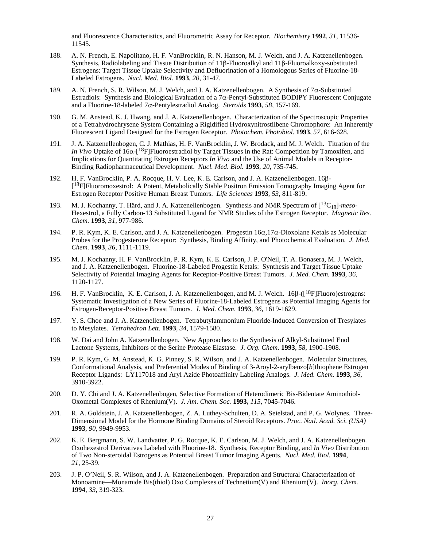and Fluorescence Characteristics, and Fluorometric Assay for Receptor. *Biochemistry* **1992**, *31,* 11536- 11545.

- 188. A. N. French, E. Napolitano, H. F. VanBrocklin, R. N. Hanson, M. J. Welch, and J. A. Katzenellenbogen. Synthesis, Radiolabeling and Tissue Distribution of 11β-Fluoroalkyl and 11β-Fluoroalkoxy-substituted Estrogens: Target Tissue Uptake Selectivity and Defluorination of a Homologous Series of Fluorine-18- Labeled Estrogens. *Nucl. Med. Biol.* **1993**, *20,* 31-47.
- 189. A. N. French, S. R. Wilson, M. J. Welch, and J. A. Katzenellenbogen. A Synthesis of 7 $\alpha$ -Substituted Estradiols: Synthesis and Biological Evaluation of a 7α-Pentyl-Substituted BODIPY Fluorescent Conjugate and a Fluorine-18-labeled 7α-Pentylestradiol Analog. *Steroids* **1993**, *58,* 157-169.
- 190. G. M. Anstead, K. J. Hwang, and J. A. Katzenellenbogen. Characterization of the Spectroscopic Properties of a Tetrahydrochrysene System Containing a Rigidified Hydroxynitrostilbene Chromophore: An Inherently Fluorescent Ligand Designed for the Estrogen Receptor. *Photochem. Photobiol.* **1993**, *57*, 616-628.
- 191. J. A. Katzenellenbogen, C. J. Mathias, H. F. VanBrocklin, J. W. Brodack, and M. J. Welch. Titration of the *In Vivo* Uptake of 16α-[<sup>18</sup>F]Fluoroestradiol by Target Tissues in the Rat: Competition by Tamoxifen, and Implications for Quantitating Estrogen Receptors *In Vivo* and the Use of Animal Models in Receptor-Binding Radiopharmaceutical Development. *Nucl. Med. Biol.* **1993**, *20,* 735-745.
- 192. H. F. VanBrocklin, P. A. Rocque, H. V. Lee, K. E. Carlson, and J. A. Katzenellenbogen. 16β- [18F]Fluoromoxestrol: A Potent, Metabolically Stable Positron Emission Tomography Imaging Agent for Estrogen Receptor Positive Human Breast Tumors. *Life Sciences* **1993***, 53,* 811-819.
- 193. M. J. Kochanny, T. Härd, and J. A. Katzenellenbogen. Synthesis and NMR Spectrum of [13C18]-*meso*-Hexestrol, a Fully Carbon-13 Substituted Ligand for NMR Studies of the Estrogen Receptor. *Magnetic Res. Chem.* **1993**, *31*, 977-986.
- 194. P. R. Kym, K. E. Carlson, and J. A. Katzenellenbogen. Progestin 16α,17α-Dioxolane Ketals as Molecular Probes for the Progesterone Receptor: Synthesis, Binding Affinity, and Photochemical Evaluation. *J. Med. Chem.* **1993**, *36*, 1111-1119.
- 195. M. J. Kochanny, H. F. VanBrocklin, P. R. Kym, K. E. Carlson, J. P. O'Neil, T. A. Bonasera, M. J. Welch, and J. A. Katzenellenbogen. Fluorine-18-Labeled Progestin Ketals: Synthesis and Target Tissue Uptake Selectivity of Potential Imaging Agents for Receptor-Positive Breast Tumors. *J. Med. Chem.* **1993**, *36*, 1120-1127.
- 196. H. F. VanBrocklin, K. E. Carlson, J. A. Katzenellenbogen, and M. J. Welch. 16β-([18F]Fluoro)estrogens: Systematic Investigation of a New Series of Fluorine-18-Labeled Estrogens as Potential Imaging Agents for Estrogen-Receptor-Positive Breast Tumors. *J. Med. Chem*. **1993**, *36*, 1619-1629.
- 197. Y. S. Choe and J. A. Katzenellenbogen. Tetrabutylammonium Fluoride-Induced Conversion of Tresylates to Mesylates. *Tetrahedron Lett.* **1993**, *34*, 1579-1580.
- 198. W. Dai and John A. Katzenellenbogen. New Approaches to the Synthesis of Alkyl-Substituted Enol Lactone Systems, Inhibitors of the Serine Protease Elastase. *J. Org. Chem.* **1993**, *58,* 1900-1908.
- 199. P. R. Kym, G. M. Anstead, K. G. Pinney, S. R. Wilson, and J. A. Katzenellenbogen. Molecular Structures, Conformational Analysis, and Preferential Modes of Binding of 3-Aroyl-2-arylbenzo[*b*]thiophene Estrogen Receptor Ligands: LY117018 and Aryl Azide Photoaffinity Labeling Analogs. *J. Med. Chem.* **1993**, *36*, 3910-3922.
- 200. D. Y. Chi and J. A. Katzenellenbogen, Selective Formation of Heterodimeric Bis-Bidentate Aminothiol-Oxometal Complexes of Rhenium(V). *J. Am. Chem. Soc.* **1993,** *115,* 7045-7046*.*
- 201. R. A. Goldstein, J. A. Katzenellenbogen, Z. A. Luthey-Schulten, D. A. Seielstad, and P. G. Wolynes. Three-Dimensional Model for the Hormone Binding Domains of Steroid Receptors. *Proc. Natl. Acad. Sci. (USA)* **1993**, *90,* 9949-9953.
- 202. K. E. Bergmann, S. W. Landvatter, P. G. Rocque, K. E. Carlson, M. J. Welch, and J. A. Katzenellenbogen. Oxohexestrol Derivatives Labeled with Fluorine-18. Synthesis, Receptor Binding, and *In Vivo* Distribution of Two Non-steroidal Estrogens as Potential Breast Tumor Imaging Agents. *Nucl. Med. Biol.* **1994**, *21*, 25-39.
- 203. J. P. O'Neil, S. R. Wilson, and J. A. Katzenellenbogen. Preparation and Structural Characterization of Monoamine—Monamide Bis(thiol) Oxo Complexes of Technetium(V) and Rhenium(V). *Inorg. Chem.*  **1994**, *33*, 319-323.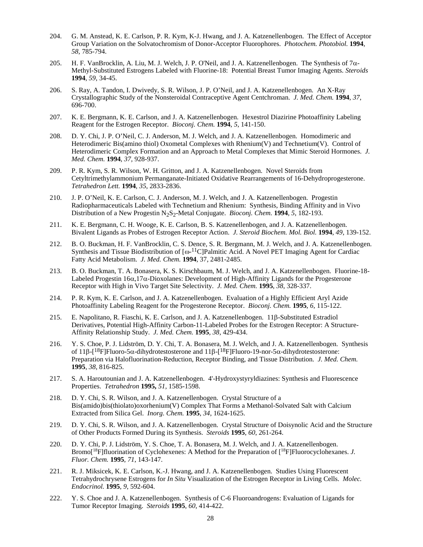- 204. G. M. Anstead, K. E. Carlson, P. R. Kym, K-J. Hwang, and J. A. Katzenellenbogen. The Effect of Acceptor Group Variation on the Solvatochromism of Donor-Acceptor Fluorophores. *Photochem. Photobiol.* **1994**, *58*, 785-794.
- 205. H. F. VanBrocklin, A. Liu, M. J. Welch, J. P. O'Neil, and J. A. Katzenellenbogen. The Synthesis of  $7\alpha$ -Methyl-Substituted Estrogens Labeled with Fluorine-18: Potential Breast Tumor Imaging Agents. *Steroids*  **1994**, *59*, 34-45.
- 206. S. Ray, A. Tandon, I. Dwivedy, S. R. Wilson, J. P. O'Neil, and J. A. Katzenellenbogen. An X-Ray Crystallographic Study of the Nonsteroidal Contraceptive Agent Centchroman. *J. Med. Chem.* **1994**, *37*, 696-700.
- 207. K. E. Bergmann, K. E. Carlson, and J. A. Katzenellenbogen. Hexestrol Diazirine Photoaffinity Labeling Reagent for the Estrogen Receptor. *Bioconj. Chem.* **1994**, *5*, 141-150.
- 208. D. Y. Chi, J. P. O'Neil, C. J. Anderson, M. J. Welch, and J. A. Katzenellenbogen. Homodimeric and Heterodimeric Bis(amino thiol) Oxometal Complexes with Rhenium(V) and Technetium(V). Control of Heterodimeric Complex Formation and an Approach to Metal Complexes that Mimic Steroid Hormones. *J. Med. Chem.* **1994**, *37,* 928-937.
- 209. P. R. Kym, S. R. Wilson, W. H. Gritton, and J. A. Katzenellenbogen. Novel Steroids from Cetyltrimethylammonium Permanganate-Initiated Oxidative Rearrangements of 16-Dehydroprogesterone. *Tetrahedron Lett.* **1994**, *35*, 2833-2836.
- 210. J. P. O'Neil, K. E. Carlson, C. J. Anderson, M. J. Welch, and J. A. Katzenellenbogen. Progestin Radiopharmaceuticals Labeled with Technetium and Rhenium: Synthesis, Binding Affinity and in Vivo Distribution of a New Progestin N2S2-Metal Conjugate. *Bioconj. Chem.* **1994**, *5*, 182-193.
- 211. K. E. Bergmann, C. H. Wooge, K. E. Carlson, B. S. Katzenellenbogen, and J. A. Katzenellenbogen. Bivalent Ligands as Probes of Estrogen Receptor Action. *J. Steroid Biochem. Mol. Biol.* **1994**, *49*, 139-152.
- 212. B. O. Buckman, H. F. VanBrocklin, C. S. Dence, S. R. Bergmann, M. J. Welch, and J. A. Katzenellenbogen. Synthesis and Tissue Biodistribution of  $\lceil \omega^{-1} \cdot C \rceil$ Palmitic Acid. A Novel PET Imaging Agent for Cardiac Fatty Acid Metabolism. *J. Med. Chem.* **1994**, 37, 2481-2485.
- 213. B. O. Buckman, T. A. Bonasera, K. S. Kirschbaum, M. J. Welch, and J. A. Katzenellenbogen. Fluorine-18- Labeled Progestin 16α,17α-Dioxolanes: Development of High-Affinity Ligands for the Progesterone Receptor with High in Vivo Target Site Selectivity. *J. Med. Chem.* **1995**, *38*, 328-337.
- 214. P. R. Kym, K. E. Carlson, and J. A. Katzenellenbogen. Evaluation of a Highly Efficient Aryl Azide Photoaffinity Labeling Reagent for the Progesterone Receptor. *Bioconj. Chem.* **1995**, *6*, 115-122.
- 215. E. Napolitano, R. Fiaschi, K. E. Carlson, and J. A. Katzenellenbogen. 11β-Substituted Estradiol Derivatives, Potential High-Affinity Carbon-11-Labeled Probes for the Estrogen Receptor: A Structure-Affinity Relationship Study. *J. Med. Chem.* **1995**, *38*, 429-434.
- 216. Y. S. Choe, P. J. Lidström, D. Y. Chi, T. A. Bonasera, M. J. Welch, and J. A. Katzenellenbogen. Synthesis of 11β- $\lceil 18F \rceil$ Fluoro-5α-dihydrotestosterone and 11β- $\lceil 18F \rceil$ Fluoro-19-nor-5α-dihydrotestosterone: Preparation via Halofluorination-Reduction, Receptor Binding, and Tissue Distribution. *J. Med. Chem.*  **1995**, *38*, 816-825.
- 217. S. A. Haroutounian and J. A. Katzenellenbogen. 4'-Hydroxystyryldiazines: Synthesis and Fluorescence Properties. *Tetrahedron* **1995,** *51,* 1585-1598.
- 218. D. Y. Chi, S. R. Wilson, and J. A. Katzenellenbogen. Crystal Structure of a Bis(amido)bis(thiolato)oxorhenium(V) Complex That Forms a Methanol-Solvated Salt with Calcium Extracted from Silica Gel. *Inorg. Chem.* **1995**, *34*, 1624-1625.
- 219. D. Y. Chi, S. R. Wilson, and J. A. Katzenellenbogen. Crystal Structure of Doisynolic Acid and the Structure of Other Products Formed During its Synthesis. *Steroids* **1995**, *60*, 261-264.
- 220. D. Y. Chi, P. J. Lidström, Y. S. Choe, T. A. Bonasera, M. J. Welch, and J. A. Katzenellenbogen. Bromo[18F]fluorination of Cyclohexenes: A Method for the Preparation of [18F]Fluorocyclohexanes. *J. Fluor. Chem.* **1995**, *71*, 143-147.
- 221. R. J. Miksicek, K. E. Carlson, K.-J. Hwang, and J. A. Katzenellenbogen. Studies Using Fluorescent Tetrahydrochrysene Estrogens for *In Situ* Visualization of the Estrogen Receptor in Living Cells. *Molec. Endocrinol.* **1995**, *9*, 592-604.
- 222. Y. S. Choe and J. A. Katzenellenbogen. Synthesis of C-6 Fluoroandrogens: Evaluation of Ligands for Tumor Receptor Imaging. *Steroids* **1995**, *60*, 414-422.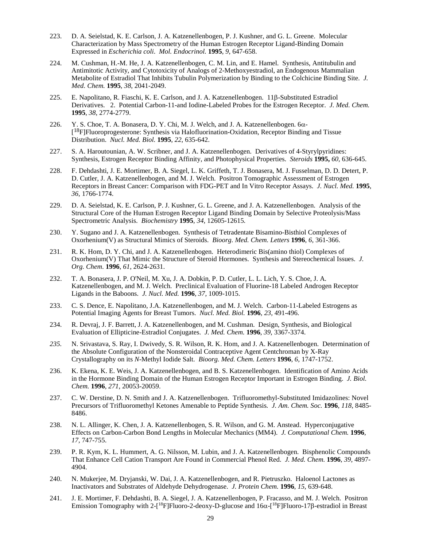- 223. D. A. Seielstad, K. E. Carlson, J. A. Katzenellenbogen, P. J. Kushner, and G. L. Greene. Molecular Characterization by Mass Spectrometry of the Human Estrogen Receptor Ligand-Binding Domain Expressed in *Escherichia coli*. *Mol. Endocrinol.* **1995**, *9*, 647-658.
- 224. M. Cushman, H.-M. He, J. A. Katzenellenbogen, C. M. Lin, and E. Hamel. Synthesis, Antitubulin and Antimitotic Activity, and Cytotoxicity of Analogs of 2-Methoxyestradiol, an Endogenous Mammalian Metabolite of Estradiol That Inhibits Tubulin Polymerization by Binding to the Colchicine Binding Site. *J. Med. Chem.* **1995**, *38*, 2041-2049.
- 225. E. Napolitano, R. Fiaschi, K. E. Carlson, and J. A. Katzenellenbogen. 11β-Substituted Estradiol Derivatives. 2. Potential Carbon-11-and Iodine-Labeled Probes for the Estrogen Receptor. *J. Med. Chem.* **1995**, *38*, 2774-2779.
- 226. Y. S. Choe, T. A. Bonasera, D. Y. Chi, M. J. Welch, and J. A. Katzenellenbogen. 6α-  $[18F]$ Fluoroprogesterone: Synthesis via Halofluorination-Oxidation, Receptor Binding and Tissue Distribution. *Nucl. Med. Biol.* **1995**, *22*, 635-642.
- 227. S. A. Haroutounian, A. W. Scribner, and J. A. Katzenellenbogen. Derivatives of 4-Styrylpyridines: Synthesis, Estrogen Receptor Binding Affinity, and Photophysical Properties. *Steroids* **1995,** *60,* 636-645.
- 228. F. Dehdashti, J. E. Mortimer, B. A. Siegel, L. K. Griffeth, T. J. Bonasera, M. J. Fusselman, D. D. Detert, P. D. Cutler, J. A. Katzenellenbogen, and M. J. Welch. Positron Tomographic Assessment of Estrogen Receptors in Breast Cancer: Comparison with FDG-PET and In Vitro Receptor Assays. *J. Nucl. Med.* **1995**, *36*, 1766-1774.
- 229. D. A. Seielstad, K. E. Carlson, P. J. Kushner, G. L. Greene, and J. A. Katzenellenbogen. Analysis of the Structural Core of the Human Estrogen Receptor Ligand Binding Domain by Selective Proteolysis/Mass Spectrometric Analysis. *Biochemistry* **1995***, 34,* 12605-12615*.*
- 230. Y. Sugano and J. A. Katzenellenbogen. Synthesis of Tetradentate Bisamino-Bisthiol Complexes of Oxorhenium(V) as Structural Mimics of Steroids. *Bioorg. Med. Chem. Letters* **1996**, *6*, 361-366.
- 231. R. K. Hom, D. Y. Chi, and J. A. Katzenellenbogen. Heterodimeric Bis(amino thiol) Complexes of Oxorhenium(V) That Mimic the Structure of Steroid Hormones. Synthesis and Stereochemical Issues. *J. Org. Chem*. **1996**, *61*, 2624-2631.
- 232. T. A. Bonasera, J. P. O'Neil, M. Xu, J. A. Dobkin, P. D. Cutler, L. L. Lich, Y. S. Choe, J. A. Katzenellenbogen, and M. J. Welch. Preclinical Evaluation of Fluorine-18 Labeled Androgen Receptor Ligands in the Baboons. *J. Nucl. Med.* **1996***, 37,* 1009-1015.
- 233. C. S. Dence, E. Napolitano, J.A. Katzenellenbogen, and M. J. Welch. Carbon-11-Labeled Estrogens as Potential Imaging Agents for Breast Tumors. *Nucl. Med. Biol.* **1996**, *23,* 491-496.
- 234. R. Devraj, J. F. Barrett, J. A. Katzenellenbogen, and M. Cushman. Design, Synthesis, and Biological Evaluation of Ellipticine-Estradiol Conjugates. *J. Med. Chem.* **1996**, *39*, 3367-3374.
- *235.* N. Srivastava, S. Ray, I. Dwivedy, S. R. Wilson, R. K. Hom, and J. A. Katzenellenbogen. Determination of the Absolute Configuration of the Nonsteroidal Contraceptive Agent Centchroman by X-Ray Crystallography on its *N*-Methyl Iodide Salt. *Bioorg. Med. Chem. Letters* **1996**, *6,* 1747-1752.
- 236. K. Ekena, K. E. Weis, J. A. Katzenellenbogen, and B. S. Katzenellenbogen. Identification of Amino Acids in the Hormone Binding Domain of the Human Estrogen Receptor Important in Estrogen Binding. *J. Biol. Chem.* **1996**, *271*, 20053-20059.
- 237. C. W. Derstine, D. N. Smith and J. A. Katzenellenbogen. Trifluoromethyl-Substituted Imidazolines: Novel Precursors of Trifluoromethyl Ketones Amenable to Peptide Synthesis*. J. Am. Chem. Soc.* **1996**, *118*, 8485- 8486.
- 238. N. L. Allinger, K. Chen, J. A. Katzenellenbogen, S. R. Wilson, and G. M. Anstead. Hyperconjugative Effects on Carbon-Carbon Bond Lengths in Molecular Mechanics (MM4). *J. Computational Chem.* **1996***, 17,* 747-755.
- 239. P. R. Kym, K. L. Hummert, A. G. Nilsson, M. Lubin, and J. A. Katzenellenbogen. Bisphenolic Compounds That Enhance Cell Cation Transport Are Found in Commercial Phenol Red. *J. Med. Chem.* **1996**, *39,* 4897- 4904.
- 240. N. Mukerjee, M. Dryjanski, W. Dai, J. A. Katzenellenbogen, and R. Pietruszko. Haloenol Lactones as Inactivators and Substrates of Aldehyde Dehydrogenase. *J. Protein Chem.* **1996**, *15*, 639-648.
- 241. J. E. Mortimer, F. Dehdashti, B. A. Siegel, J. A. Katzenellenbogen, P. Fracasso, and M. J. Welch. Positron Emission Tomography with 2-[<sup>18</sup>F]Fluoro-2-deoxy-D-glucose and 16α-[<sup>18</sup>F]Fluoro-17β-estradiol in Breast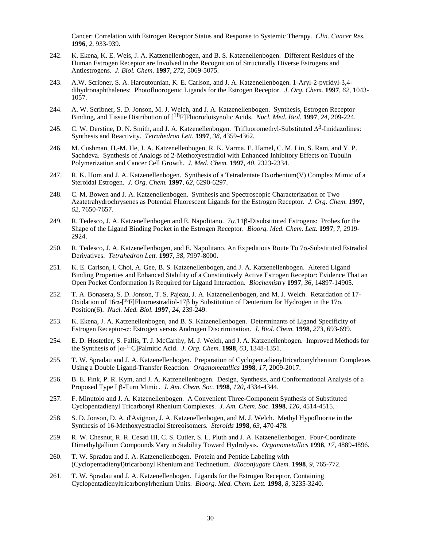Cancer: Correlation with Estrogen Receptor Status and Response to Systemic Therapy. *Clin. Cancer Res.*  **1996**, *2,* 933-939.

- 242. K. Ekena, K. E. Weis, J. A. Katzenellenbogen, and B. S. Katzenellenbogen. Different Residues of the Human Estrogen Receptor are Involved in the Recognition of Structurally Diverse Estrogens and Antiestrogens. *J. Biol. Chem.* **1997**, *272*, 5069-5075.
- 243. A.W. Scribner, S. A. Haroutounian, K. E. Carlson, and J. A. Katzenellenbogen. 1-Aryl-2-pyridyl-3,4 dihydronaphthalenes: Photofluorogenic Ligands for the Estrogen Receptor. *J. Org. Chem.* **1997**, *62*, 1043- 1057.
- 244. A. W. Scribner, S. D. Jonson, M. J. Welch, and J. A. Katzenellenbogen. Synthesis, Estrogen Receptor Binding, and Tissue Distribution of [18F]Fluorodoisynolic Acids. *Nucl. Med. Biol.* **1997**, *24*, 209-224.
- 245. C. W. Derstine, D. N. Smith, and J. A. Katzenellenbogen. Trifluoromethyl-Substituted ∆<sup>3</sup>-Imidazolines: Synthesis and Reactivity. *Tetrahedron Lett.* **1997**, *38*, 4359-4362*.*
- 246. M. Cushman, H.-M. He, J. A. Katzenellenbogen, R. K. Varma, E. Hamel, C. M. Lin, S. Ram, and Y. P. Sachdeva. Synthesis of Analogs of 2-Methoxyestradiol with Enhanced Inhibitory Effects on Tubulin Polymerization and Cancer Cell Growth. *J. Med. Chem.* **1997**, *40*, 2323-2334.
- 247. R. K. Hom and J. A. Katzenellenbogen. Synthesis of a Tetradentate Oxorhenium(V) Complex Mimic of a Steroidal Estrogen. *J. Org. Chem.* **1997**, *62*, 6290-6297.
- 248. C. M. Bowen and J. A. Katzenellenbogen. Synthesis and Spectroscopic Characterization of Two Azatetrahydrochrysenes as Potential Fluorescent Ligands for the Estrogen Receptor. *J. Org. Chem.* **1997**, *62*, 7650-7657.
- 249. R. Tedesco, J. A. Katzenellenbogen and E. Napolitano.  $7\alpha$ , 11 $\beta$ -Disubstituted Estrogens: Probes for the Shape of the Ligand Binding Pocket in the Estrogen Receptor. *Bioorg. Med. Chem. Lett.* **1997**, *7*, 2919- 2924.
- 250. R. Tedesco, J. A. Katzenellenbogen, and E. Napolitano. An Expeditious Route To 7α-Substituted Estradiol Derivatives. *Tetrahedron Lett.* **1997**, *38*, 7997-8000.
- 251. K. E. Carlson, I. Choi, A. Gee, B. S. Katzenellenbogen, and J. A. Katzenellenbogen. Altered Ligand Binding Properties and Enhanced Stability of a Constitutively Active Estrogen Receptor: Evidence That an Open Pocket Conformation Is Required for Ligand Interaction. *Biochemistry* **1997**, *36*, 14897-14905.
- 252. T. A. Bonasera, S. D. Jonson, T. S. Pajeau, J. A. Katzenellenbogen, and M. J. Welch. Retardation of 17- Oxidation of 16α-[<sup>18</sup>F]Fluoroestradiol-17β by Substitution of Deuterium for Hydrogen in the 17α Position(6). *Nucl. Med. Biol.* **1997**, *24*, 239-249.
- 253. K. Ekena, J. A. Katzenellenbogen, and B. S. Katzenellenbogen. Determinants of Ligand Specificity of Estrogen Receptor-α: Estrogen versus Androgen Discrimination. *J. Biol. Chem.* **1998**, *273*, 693-699.
- 254. E. D. Hostetler, S. Fallis, T. J. McCarthy, M. J. Welch, and J. A. Katzenellenbogen. Improved Methods for the Synthesis of [ω-11C]Palmitic Acid. *J. Org. Chem.* **1998**, *63*, 1348-1351.
- 255. T. W. Spradau and J. A. Katzenellenbogen. Preparation of Cyclopentadienyltricarbonylrhenium Complexes Using a Double Ligand-Transfer Reaction. *Organometallics* **1998**, *17*, 2009-2017.
- 256. B. E. Fink, P. R. Kym, and J. A. Katzenellenbogen. Design, Synthesis, and Conformational Analysis of a Proposed Type I β-Turn Mimic. *J. Am. Chem. Soc.* **1998**, *120*, 4334-4344.
- 257. F. Minutolo and J. A. Katzenellenbogen. A Convenient Three-Component Synthesis of Substituted Cyclopentadienyl Tricarbonyl Rhenium Complexes. *J. Am. Chem. Soc.* **1998**, *120*, 4514-4515.
- 258. S. D. Jonson, D. A. d'Avignon, J. A. Katzenellenbogen, and M. J. Welch. Methyl Hypofluorite in the Synthesis of 16-Methoxyestradiol Stereoisomers. *Steroids* **1998**, *63*, 470-478*.*
- 259. R. W. Chesnut, R. R. Cesati III, C. S. Cutler, S. L. Pluth and J. A. Katzenellenbogen. Four-Coordinate Dimethylgallium Compounds Vary in Stability Toward Hydrolysis. *Organometallics* **1998**, *17*, 4889-4896*.*
- 260. T. W. Spradau and J. A. Katzenellenbogen. Protein and Peptide Labeling with (Cyclopentadienyl)tricarbonyl Rhenium and Technetium. *Bioconjugate Chem.* **1998**, *9,* 765-772.
- 261. T. W. Spradau and J. A. Katzenellenbogen. Ligands for the Estrogen Receptor, Containing Cyclopentadienyltricarbonylrhenium Units. *Bioorg. Med. Chem. Lett.* **1998**, *8*, 3235-3240.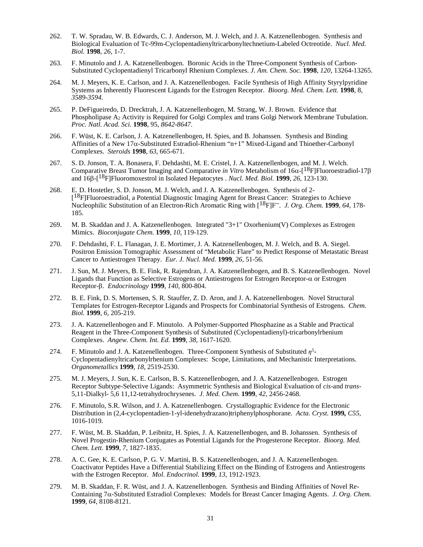- 262. T. W. Spradau, W. B. Edwards, C. J. Anderson, M. J. Welch, and J. A. Katzenellenbogen. Synthesis and Biological Evaluation of Tc-99m-Cyclopentadienyltricarbonyltechnetium-Labeled Octreotide. *Nucl. Med. Biol.* **1998**, *26*, 1-7.
- 263. F. Minutolo and J. A. Katzenellenbogen. Boronic Acids in the Three-Component Synthesis of Carbon-Substituted Cyclopentadienyl Tricarbonyl Rhenium Complexes. *J. Am. Chem. Soc.* **1998**, *120*, 13264-13265.
- 264. M. J. Meyers, K. E. Carlson, and J. A. Katzenellenbogen. Facile Synthesis of High Affinity Styrylpyridine Systems as Inherently Fluorescent Ligands for the Estrogen Receptor. *Bioorg. Med. Chem. Lett.* **1998**, 8, *3589-3594*.
- 265. P. DeFigueiredo, D. Drecktrah, J. A. Katzenellenbogen, M. Strang, W. J. Brown. Evidence that Phospholipase  $A_2$  Activity is Required for Golgi Complex and trans Golgi Network Membrane Tubulation. *Proc. Natl. Acad. Sci.* **1998**, 95, *8642-8647*.
- 266. F. Wüst, K. E. Carlson, J. A. Katzenellenbogen, H. Spies, and B. Johanssen. Synthesis and Binding Affinities of a New 17α-Substituted Estradiol-Rhenium "n+1" Mixed-Ligand and Thioether-Carbonyl Complexes. *Steroids* **1998**, *63*, 665-671.
- 267. S. D. Jonson, T. A. Bonasera, F. Dehdashti, M. E. Cristel, J. A. Katzenellenbogen, and M. J. Welch. Comparative Breast Tumor Imaging and Comparative *in Vitro* Metabolism of 16α-[18F]Fluoroestradiol-17β and 16β-[18F]Fluoromoxestrol in Isolated Hepatocytes . *Nucl. Med. Biol.* **1999**, *26*, 123-130.
- 268. E. D. Hostetler, S. D. Jonson, M. J. Welch, and J. A. Katzenellenbogen. Synthesis of 2- [18F]Fluoroestradiol, a Potential Diagnostic Imaging Agent for Breast Cancer: Strategies to Achieve Nucleophilic Substitution of an Electron-Rich Aromatic Ring with [18F]F–. *J. Org. Chem.* **1999**, *64,* 178- 185*.*
- 269. M. B. Skaddan and J. A. Katzenellenbogen. Integrated "3+1" Oxorhenium(V) Complexes as Estrogen Mimics. *Bioconjugate Chem.* **1999**, *10*, 119-129.
- 270. F. Dehdashti, F. L. Flanagan, J. E. Mortimer, J. A. Katzenellenbogen, M. J. Welch, and B. A. Siegel. Positron Emission Tomographic Assessment of "Metabolic Flare" to Predict Response of Metastatic Breast Cancer to Antiestrogen Therapy. *Eur. J. Nucl. Med.* **1999**, *26*, 51-56*.*
- 271. J. Sun, M. J. Meyers, B. E. Fink, R. Rajendran, J. A. Katzenellenbogen, and B. S. Katzenellenbogen. Novel Ligands that Function as Selective Estrogens or Antiestrogens for Estrogen Receptor- $\alpha$  or Estrogen Receptor-β. *Endocrinology* **1999**, *140*, 800-804.
- 272. B. E. Fink, D. S. Mortensen, S. R. Stauffer, Z. D. Aron, and J. A. Katzenellenbogen. Novel Structural Templates for Estrogen-Receptor Ligands and Prospects for Combinatorial Synthesis of Estrogens. *Chem. Biol.* **1999**, *6*, 205-219.
- 273. J. A. Katzenellenbogen and F. Minutolo. A Polymer-Supported Phosphazine as a Stable and Practical Reagent in the Three-Component Synthesis of Substituted (Cyclopentadienyl)-tricarbonylrhenium Complexes. *Angew. Chem. Int. Ed.* **1999**, *38*, 1617-1620.
- 274. F. Minutolo and J. A. Katzenellenbogen. Three-Component Synthesis of Substituted *η<sup>5</sup>*-Cyclopentadienyltricarbonylrhenium Complexes: Scope, Limitations, and Mechanistic Interpretations. *Organometallics* **1999**, *18*, 2519-2530.
- 275. M. J. Meyers, J. Sun, K. E. Carlson, B. S. Katzenellenbogen, and J. A. Katzenellenbogen. Estrogen Receptor Subtype-Selective Ligands: Asymmetric Synthesis and Biological Evaluation of *cis*-and *trans*-5,11-Dialkyl- 5,6 11,12-tetrahydrochrysenes. *J. Med. Chem.* **1999**, *42*, 2456-2468.
- 276. F. Minutolo, S.R. Wilson, and J. A. Katzenellenbogen. Crystallographic Evidence for the Electronic Distribution in (2,4-cyclopentadien-1-yl-idenehydrazano)triphenylphosphorane. *Acta. Cryst.* **1999***, C55*, 1016-1019.
- 277. F. Wüst, M. B. Skaddan, P. Leibnitz, H. Spies, J. A. Katzenellenbogen, and B. Johanssen. Synthesis of Novel Progestin-Rhenium Conjugates as Potential Ligands for the Progesterone Receptor. *Bioorg. Med. Chem. Lett.* **1999**, *7*, 1827-183*5*.
- 278. A. C. Gee, K. E. Carlson, P. G. V. Martini, B. S. Katzenellenbogen, and J. A. Katzenellenbogen. Coactivator Peptides Have a Differential Stabilizing Effect on the Binding of Estrogens and Antiestrogens with the Estrogen Receptor. *Mol. Endocrinol.* **1999**, *13*, 1912-1923.
- 279. M. B. Skaddan, F. R. Wüst, and J. A. Katzenellenbogen. Synthesis and Binding Affinities of Novel Re-Containing 7α-Substituted Estradiol Complexes: Models for Breast Cancer Imaging Agents. *J. Org. Chem.* **1999**, *64*, 8108-8121.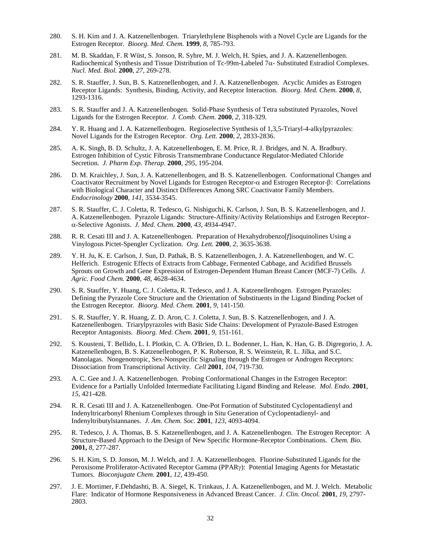- 280. S. H. Kim and J. A. Katzenellenbogen. Triarylethylene Bisphenols with a Novel Cycle are Ligands for the Estrogen Receptor. *Bioorg. Med. Chem.* **1999**, *8*, 785-793.
- 281. M. B. Skaddan, F. R Wüst, S. Jonson, R. Syhre, M. J. Welch, H. Spies, and J. A. Katzenellenbogen. Radiochemical Synthesis and Tissue Distribution of Tc-99m-Labeled 7α- Substituted Estradiol Complexes. *Nucl. Med. Biol.* **2000**, *27*, 269-278.
- 282. S. R. Stauffer, J. Sun, B. S. Katzenellenbogen, and J. A. Katzenellenbogen. Acyclic Amides as Estrogen Receptor Ligands: Synthesis, Binding, Activity, and Receptor Interaction. *Bioorg. Med. Chem.* **2000**, *8*, 1293-1316.
- 283. S. R. Stauffer and J. A. Katzenellenbogen. Solid-Phase Synthesis of Tetra substituted Pyrazoles, Novel Ligands for the Estrogen Receptor. *J. Comb. Chem.* **2000**, *2*, 318-329.
- 284. Y. R. Huang and J. A. Katzenellenbogen. Regioselective Synthesis of 1,3,5-Triaryl-4-alkylpyrazoles: Novel Ligands for the Estrogen Receptor. *Org. Lett.* **2000**, *2*, 2833-2836.
- 285. A. K. Singh, B. D. Schultz, J. A. Katzenellenbogen, E. M. Price, R. J. Bridges, and N. A. Bradbury. Estrogen Inhibition of Cystic Fibrosis Transmembrane Conductance Regulator-Mediated Chloride Secretion. *J. Pharm Exp. Therap.* **2000**, *295*, 195-204.
- 286. D. M. Kraichley, J. Sun, J. A. Katzenellenbogen, and B. S. Katzenellenbogen. Conformational Changes and Coactivator Recruitment by Novel Ligands for Estrogen Receptor-α and Estrogen Receptor-β: Correlations with Biological Character and Distinct Differences Among SRC Coactivator Family Members. *Endocrinology* **2000**, *141*, 3534-3545.
- 287. S. R. Stauffer, C. J. Coletta, R. Tedesco, G. Nishiguchi, K. Carlson, J. Sun, B. S. Katzenellenbogen, and J. A. Katzenellenbogen. Pyrazole Ligands: Structure-Affinity/Activity Relationships and Estrogen Receptorα-Selective Agonists. *J. Med. Chem.* **2000**, *43,* 4934-4947.
- 288. R. R. Cesati III and J. A. Katzenellenbogen. Preparation of Hexahydrobenzo[*f*]isoquinolines Using a Vinylogous Pictet-Spengler Cyclization. *Org. Lett.* **2000**, *2,* 3635-3638.
- 289. Y. H. Ju, K. E. Carlson, J. Sun, D. Pathak, B. S. Katzenellenbogen, J. A. Katzenellenbogen, and W. C. Helferich. Estrogenic Effects of Extracts from Cabbage, Fermented Cabbage, and Acidified Brussels Sprouts on Growth and Gene Expression of Estrogen-Dependent Human Breast Cancer (MCF-7) Cells. *J. Agric. Food Chem.* **2000**, *48*, 4628-4634.
- 290. S. R. Stauffer, Y. Huang, C. J. Coletta, R. Tedesco, and J. A. Katzenellenbogen. Estrogen Pyrazoles: Defining the Pyrazole Core Structure and the Orientation of Substituents in the Ligand Binding Pocket of the Estrogen Receptor. *Bioorg. Med. Chem.* **2001**, *9*, 141-150.
- 291. S. R. Stauffer, Y. R. Huang, Z. D. Aron, C. J. Coletta, J. Sun, B. S. Katzenellenbogen, and J. A. Katzenellenbogen. Triarylpyrazoles with Basic Side Chains: Development of Pyrazole-Based Estrogen Receptor Antagonists. *Bioorg. Med. Chem.* **2001**, *9*, 151-161.
- 292. S. Kousteni, T. Bellido, L. I. Plotkin, C. A. O'Brien, D. L. Bodenner, L. Han, K. Han, G. B. Digregorio, J. A. Katzenellenbogen, B. S. Katzenellenbogen, P. K. Roberson, R. S. Weinstein, R. L. Jilka, and S.C. Manolagas. Nongenotropic, Sex-Nonspecific Signaling through the Estrogen or Androgen Receptors: Dissociation from Transcriptional Activity. *Cell* **2001**, *104*, 719-730.
- 293. A. C. Gee and J. A. Katzenellenbogen. Probing Conformational Changes in the Estrogen Receptor: Evidence for a Partially Unfolded Intermediate Facilitating Ligand Binding and Release. *Mol. Endo.* **2001**, *15*, 421-428.
- 294. R. R. Cesati III and J. A. Katzenellenbogen. One-Pot Formation of Substituted Cyclopentadienyl and Indenyltricarbonyl Rhenium Complexes through in Situ Generation of Cyclopentadienyl- and Indenyltributylstannanes. *J. Am. Chem. Soc.* **2001**, *123*, 4093-4094.
- 295. R. Tedesco, J. A. Thomas, B. S. Katzenellenbogen, and J. A. Katzenellenbogen. The Estrogen Receptor: A Structure-Based Approach to the Design of New Specific Hormone-Receptor Combinations. *Chem. Bio.* **2001,** *8*, 277-287.
- 296. S. H. Kim, S. D. Jonson, M. J. Welch, and J. A. Katzenellenbogen. Fluorine-Substituted Ligands for the Peroxisome Proliferator-Activated Receptor Gamma (PPARγ): Potential Imaging Agents for Metastatic Tumors. *Bioconjugate Chem.* **2001**, *12*, 439-450.
- 297. J. E. Mortimer, F.Dehdashti, B. A. Siegel, K. Trinkaus, J. A. Katzenellenbogen, and M. J. Welch. Metabolic Flare: Indicator of Hormone Responsiveness in Advanced Breast Cancer. *J. Clin. Oncol.* **2001**, *19*, 2797- 2803.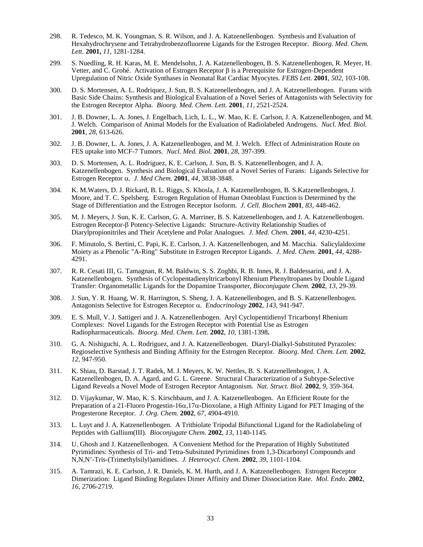- 298. R. Tedesco, M. K. Youngman, S. R. Wilson, and J. A. Katzenellenbogen. Synthesis and Evaluation of Hexahydrochrysene and Tetrahydrobenzofluorene Ligands for the Estrogen Receptor. *Bioorg. Med. Chem. Lett.* **2001,** *11*, 1281-1284.
- 299. S. Nuedling, R. H. Karas, M. E. Mendelsohn, J. A. Katzenellenbogen, B. S. Katzenellenbogen, R. Meyer, H. Vetter, and C. Grohé. Activation of Estrogen Receptor β is a Prerequisite for Estrogen-Dependent Upregulation of Nitric Oxide Synthases in Neonatal Rat Cardiac Myocytes. *FEBS Lett*. **2001**, *502,* 103-108.
- 300. D. S. Mortensen, A. L. Rodriquez, J. Sun, B. S. Katzenellenbogen, and J. A. Katzenellenbogen. Furans with Basic Side Chains: Synthesis and Biological Evaluation of a Novel Series of Antagonists with Selectivity for the Estrogen Receptor Alpha. *Bioorg. Med. Chem. Lett.* **2001**, *11*, 2521-2524.
- 301. J. B. Downer, L. A. Jones, J. Engelbach, Lich, L. L., W. Mao, K. E. Carlson, J. A. Katzenellenbogen, and M. J. Welch. Comparison of Animal Models for the Evaluation of Radiolabeled Androgens. *Nucl. Med. Biol.* **2001**, *28*, 613-626.
- 302. J. B. Downer, L. A. Jones, J. A. Katzenellenbogen, and M. J. Welch. Effect of Administration Route on FES uptake into MCF-7 Tumors. *Nucl. Med. Biol.* **2001**, *28*, 397-399.
- 303. D. S. Mortensen, A. L. Rodriguez, K. E. Carlson, J. Sun, B. S. Katzenellenbogen, and J. A. Katzenellenbogen. Synthesis and Biological Evaluation of a Novel Series of Furans: Ligands Selective for Estrogen Receptor α. *J. Med Chem.* **2001**, *44*, 3838-3848.
- 304. K. M.Waters, D. J. Rickard, B. L. Riggs, S. Khosla, J. A. Katzenellenbogen, B. S.Katzenellenbogen, J. Moore, and T. C. Spelsberg. Estrogen Regulation of Human Osteoblast Function is Determined by the Stage of Differentiation and the Estrogen Receptor Isoform. *J. Cell. Biochem* **2001**, *83,* 448-462.
- 305. M. J. Meyers, J. Sun, K. E. Carlson, G. A. Marriner, B. S. Katzenellenbogen, and J. A. Katzenellenbogen. Estrogen Receptor-β Potency-Selective Ligands: Structure-Activity Relationship Studies of Diarylpropionitriles and Their Acetylene and Polar Analogues. *J. Med. Chem.* **2001**, *44,* 4230-4251.
- 306. F. Minutolo, S. Bertini, C. Papi, K. E. Carlson, J. A. Katzenellenbogen, and M. Macchia. Salicylaldoxime Moiety as a Phenolic "A-Ring" Substitute in Estrogen Receptor Ligands. *J. Med. Chem.* **2001**, *44*, 4288- 4291.
- 307. R. R. Cesati III, G. Tamagnan, R. M. Baldwin, S. S. Zoghbi, R. B. Innes, R. J. Baldessarini, and J. A. Katzenellenbogen. Synthesis of Cyclopentadienyltricarbonyl Rhenium Phenyltropanes by Double Ligand Transfer: Organometallic Ligands for the Dopamine Transporter, *Bioconjugate Chem.* **2002**, *13*, 29-39.
- 308. J. Sun, Y. R. Huang, W. R. Harrington, S. Sheng, J. A. Katzenellenbogen, and B. S. Katzenellenbogen. Antagonists Selective for Estrogen Receptor α. *Endocrinology* **2002**, *143*, 941-947.
- 309. E. S. Mull, V. J. Sattigeri and J. A. Katzenellenbogen. Aryl Cyclopentidienyl Tricarbonyl Rhenium Complexes: Novel Ligands for the Estrogen Receptor with Potential Use as Estrogen Radiopharmaceuticals. *Bioorg. Med. Chem. Lett.* **2002**, *10*, 1381-1398**.**
- 310. G. A. Nishiguchi, A. L. Rodriguez, and J. A. Katzenellenbogen. Diaryl-Dialkyl-Substituted Pyrazoles: Regioselective Synthesis and Binding Affinity for the Estrogen Receptor. *Bioorg. Med. Chem. Lett.* **2002**, *12*, 947-950.
- 311. K. Shiau, D. Barstad, J. T. Radek, M. J. Meyers, K. W. Nettles, B. S. Katzenellenbogen, J. A. Katzenellenbogen, D. A. Agard, and G. L. Greene. Structural Characterization of a Subtype-Selective Ligand Reveals a Novel Mode of Estrogen Receptor Antagonism. *Nat. Struct. Biol.* **2002**, *9*, 359-364.
- 312. D. Vijaykumar, W. Mao, K. S. Kirschbaum, and J. A. Katzenellenbogen. An Efficient Route for the Preparation of a 21-Fluoro Progestin-16 $\alpha$ ,17 $\alpha$ -Dioxolane, a High Affinity Ligand for PET Imaging of the Progesterone Receptor. *J. Org. Chem.* **2002**, *67*, 4904-4910.
- 313. L. Luyt and J. A. Katzenellenbogen. A Trithiolate Tripodal Bifunctional Ligand for the Radiolabeling of Peptides with Gallium(III). *Bioconjugate Chem.* **2002**, *13*, 1140-1145.
- 314. U. Ghosh and J. Katzenellenbogen. A Convenient Method for the Preparation of Highly Substituted Pyrimidines: Synthesis of Tri- and Tetra-Subsituted Pyrimidines from 1,3-Dicarbonyl Compounds and N,N,N'-Tris-(Trimethylsilyl)amidines. *J. Heterocycl. Chem.* **2002**, *39*, 1101-1104.
- 315. A. Tamrazi, K. E. Carlson, J. R. Daniels, K. M. Hurth, and J. A. Katzenellenbogen. Estrogen Receptor Dimerization: Ligand Binding Regulates Dimer Affinity and Dimer Dissociation Rate. *Mol. Endo.* **2002**, *16*, 2706-2719.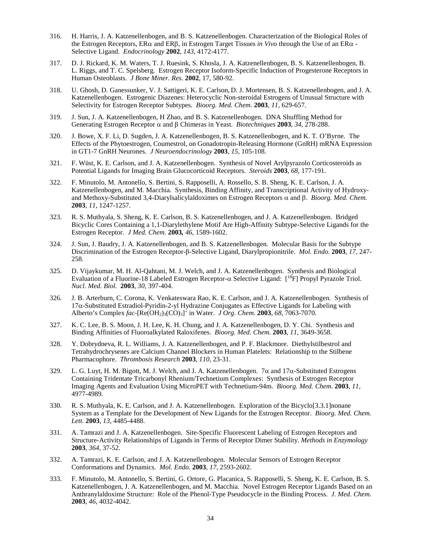- 316. H. Harris, J. A. Katzenellenbogen, and B. S. Katzenellenbogen. Characterization of the Biological Roles of the Estrogen Receptors, ERα and ERβ, in Estrogen Target Tissues *in Vivo* through the Use of an ERα - Selective Ligand. *Endocrinology* **2002**, *143*, 4172-4177.
- 317. D. J. Rickard, K. M. Waters, T. J. Ruesink, S. Khosla, J. A. Katzenellenbogen, B. S. Katzenellenbogen, B. L. Riggs, and T. C. Spelsberg. Estrogen Receptor Isoform-Specific Induction of Progesterone Receptors in Human Osteoblasts. *J Bone Miner. Res*. **2002**, 17, 580-92.
- 318. U. Ghosh, D. Ganessunker, V. J. Sattigeri, K. E. Carlson, D. J. Mortensen, B. S. Katzenellenbogen, and J. A. Katzenellenbogen. Estrogenic Diazenes: Heterocyclic Non-steroidal Estrogens of Unusual Structure with Selectivity for Estrogen Receptor Subtypes. *Bioorg. Med. Chem.* **2003**, *11*, 629-657.
- 319. J. Sun, J. A. Katzenellenbogen, H Zhao, and B. S. Katzenellenbogen. DNA Shuffling Method for Generating Estrogen Receptor α and β Chimeras in Yeast. *Biotechniques* **2003**, *34*, 278-288.
- 320. J. Bowe, X. F. Li, D. Sugden, J. A. Katzenellenbogen, B. S. Katzenellenbogen, and K. T. O'Byrne. The Effects of the Phytoestrogen, Coumestrol, on Gonadotropin-Releasing Hormone (GnRH) mRNA Expression in GT1-7 GnRH Neurones. *J Neuroendocrinology* **2003**, *15*, 105-108.
- 321. F. Wüst, K. E. Carlson, and J. A. Katzenellenbogen. Synthesis of Novel Arylpyrazolo Corticosteroids as Potential Ligands for Imaging Brain Glucocorticoid Receptors. *Steroids* **2003**, *68*, 177-191.
- 322. F. Minutolo, M. Antonello, S. Bertini, S. Rapposelli, A. Rossello, S. B. Sheng, K. E. Carlson, J. A. Katzenellenbogen, and M. Macchia. Synthesis, Binding Affinity, and Transcriptional Activity of Hydroxyand Methoxy-Substituted 3,4-Diarylsalicylaldoximes on Estrogen Receptors α and β. *Bioorg. Med. Chem.* **2003**, *11*, 1247-1257.
- 323. R. S. Muthyala, S. Sheng, K. E. Carlson, B. S. Katzenellenbogen, and J. A. Katzenellenbogen. Bridged Bicyclic Cores Containing a 1,1-Diarylethylene Motif Are High-Affinity Subtype-Selective Ligands for the Estrogen Receptor. *J Med. Chem.* **2003***, 46*, 1589-1602.
- 324. J. Sun, J. Baudry, J. A. Katzenellenbogen, and B. S. Katzenellenbogen. Molecular Basis for the Subtype Discrimination of the Estrogen Receptor-β-Selective Ligand, Diarylpropionitrile. *Mol. Endo.* **2003**, *17*, 247- 258.
- 325. D. Vijaykumar, M. H. Al-Qahtani, M. J. Welch, and J. A. Katzenellenbogen. Synthesis and Biological Evaluation of a Fluorine-18 Labeled Estrogen Receptor-α Selective Ligand: [18F] Propyl Pyrazole Triol. *Nucl. Med. Biol.* **2003**, *30*, 397-404.
- 326. J. B. Arterburn, C. Corona, K. Venkateswara Rao, K. E. Carlson, and J. A. Katzenellenbogen. Synthesis of 17α-Substituted Estradiol-Pyridin-2-yl Hydrazine Conjugates as Effective Ligands for Labeling with Alberto's Complex *fac*-[Re(OH2)3(CO)3] <sup>+</sup> in Water. *J Org. Chem.* **2003**, *68*, 7063-7070.
- 327. K. C. Lee, B. S. Moon, J. H. Lee, K. H. Chung, and J. A. Katzenellenbogen, D. Y. Chi. Synthesis and Binding Affinities of Fluoroalkylated Raloxifenes. *Bioorg. Med. Chem.* **2003**, *11*, 3649-3658.
- 328. Y. Dobrydneva, R. L. Williams, J. A. Katzenellenbogen, and P. F. Blackmore. Diethylstilbestrol and Tetrahydrochrysenes are Calcium Channel Blockers in Human Platelets: Relationship to the Stilbene Pharmacophore. *Thrombosis Research* **2003**, *110*, 23-31.
- 329. L. G. Luyt, H. M. Bigott, M. J. Welch, and J. A. Katzenellenbogen.  $7\alpha$  and  $17\alpha$ -Substituted Estrogens Containing Tridentate Tricarbonyl Rhenium/Technetium Complexes: Synthesis of Estrogen Receptor Imaging Agents and Evaluation Using MicroPET with Technetium-94m. *Bioorg. Med. Chem.* **2003**, *11*, 4977-4989.
- 330. R. S. Muthyala, K. E. Carlson, and J. A. Katzenellenbogen. Exploration of the Bicyclo[3.3.1]nonane System as a Template for the Development of New Ligands for the Estrogen Receptor. *Bioorg. Med. Chem. Lett.* **2003**, *13*, 4485-4488.
- 331. A. Tamrazi and J. A. Katzenellenbogen. Site-Specific Fluorescent Labeling of Estrogen Receptors and Structure-Activity Relationships of Ligands in Terms of Receptor Dimer Stability. *Methods in Enzymology* **2003**, *364*, 37-52.
- 332. A. Tamrazi, K. E. Carlson, and J. A. Katzenellenbogen. Molecular Sensors of Estrogen Receptor Conformations and Dynamics. *Mol. Endo.* **2003**, *17*, 2593-2602.
- 333. F. Minutolo, M. Antonello, S. Bertini, G. Ortore, G. Placanica, S. Rapposelli, S. Sheng, K. E. Carlson, B. S. Katzenellenbogen, J. A. Katzenellenbogen, and M. Macchia. Novel Estrogen Receptor Ligands Based on an Anthranylaldoxime Structure: Role of the Phenol-Type Pseudocycle in the Binding Process. *J. Med. Chem.* **2003**, *46*, 4032-4042.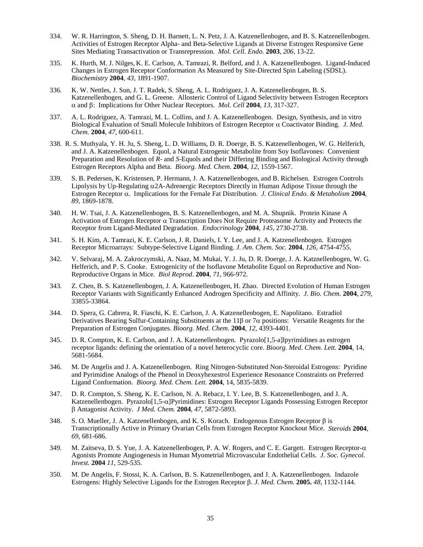- 334. W. R. Harrington, S. Sheng, D. H. Barnett, L. N. Petz, J. A. Katzenellenbogen, and B. S. Katzenellenbogen. Activities of Estrogen Receptor Alpha- and Beta-Selective Ligands at Diverse Estrogen Responsive Gene Sites Mediating Transactivation or Transrepression. *Mol. Cell. Endo.* **2003**, *206*, 13-22.
- 335. K. Hurth, M. J. Nilges, K. E. Carlson, A. Tamrazi, R. Belford, and J. A. Katzenellenbogen. Ligand-Induced Changes in Estrogen Receptor Conformation As Measured by Site-Directed Spin Labeling (SDSL). *Biochemistry* **2004**, *43*, 1891-1907.
- 336. K. W. Nettles, J. Sun, J. T. Radek, S. Sheng, A. L. Rodriguez, J. A. Katzenellenbogen, B. S. Katzenellenbogen, and G. L. Greene. Allosteric Control of Ligand Selectivity between Estrogen Receptors α and β: Implications for Other Nuclear Receptors. *Mol. Cell* **2004**, *13*, 317-327.
- 337. A. L. Rodriguez, A. Tamrazi, M. L. Collins, and J. A. Katzenellenbogen. Design, Synthesis, and in vitro Biological Evaluation of Small Molecule Inhibitors of Estrogen Receptor α Coactivator Binding. *J. Med. Chem.* **2004**, *47,* 600-611.
- 338. R. S. Muthyala, Y. H. Ju, S. Sheng, L. D. Williams, D. R. Doerge, B. S. Katzenellenbogen, W. G. Helferich, and J. A. Katzenellenbogen. Equol, a Natural Estrogenic Metabolite from Soy Isoflavones: Convenient Preparation and Resolution of *R*- and *S*-Equols and their Differing Binding and Biological Activity through Estrogen Receptors Alpha and Beta. *Bioorg. Med. Chem.* **2004**, *12*, 1559-1567.
- 339. S. B. Pedersen, K. Kristensen, P. Hermann, J. A. Katzenellenbogen, and B. Richelsen. Estrogen Controls Lipolysis by Up-Regulating  $\alpha$ 2A-Adrenergic Receptors Directly in Human Adipose Tissue through the Estrogen Receptor α. Implications for the Female Fat Distribution. *J. Clinical Endo. & Metabolism* **2004**, *89,* 1869-1878.
- 340. H. W. Tsai, J. A. Katzenellenbogen, B. S. Katzenellenbogen, and M. A. Shupnik. Protein Kinase A Activation of Estrogen Receptor α Transcription Does Not Require Proteasome Activity and Protects the Receptor from Ligand-Mediated Degradation. *Endocrinology* **2004**, *145*, 2730-2738.
- 341. S. H. Kim, A. Tamrazi, K. E. Carlson, J. R. Daniels, I. Y. Lee, and J. A. Katzenellenbogen. Estrogen Receptor Microarrays: Subtype-Selective Ligand Binding. *J. Am. Chem. Soc.* **2004**, *126*, 4754-4755.
- 342. V. Selvaraj, M. A. Zakroczymski, A. Naaz, M. Mukai, Y. J. Ju, D. R. Doerge, J. A. Katznellenbogen, W. G. Helferich, and P. S. Cooke. Estrogenicity of the Isoflavone Metabolite Equol on Reproductive and Non-Reproductive Organs in Mice. *Biol Reprod*. **2004**, *71*, 966-972.
- 343. Z. Chen, B. S. Katzenellenbogen, J. A. Katzenellenbogen, H. Zhao. Directed Evolution of Human Estrogen Receptor Variants with Significantly Enhanced Androgen Specificity and Affinity. *J. Bio. Chem.* **2004**, *279*, 33855-33864.
- 344. D. Spera, G. Cabrera, R. Fiaschi, K. E. Carlson, J. A. Katzenellenbogen, E. Napolitano. Estradiol Derivatives Bearing Sulfur-Containing Substituents at the 11 $\beta$  or 7 $\alpha$  positions: Versatile Reagents for the Preparation of Estrogen Conjugates. *Bioorg. Med. Chem.* **2004**, *12*, 4393-4401.
- 345. D. R. Compton, K. E. Carlson, and J. A. Katzenellenbogen. Pyrazolo[1,5-a]lpyrimidines as estrogen receptor ligands: defining the orientation of a novel heterocyclic core. *Bioorg. Med. Chem. Lett.* **2004**, 14, 5681-5684.
- 346. M. De Angelis and J. A. Katzenellenbogen. Ring Nitrogen-Substituted Non-Steroidal Estrogens: Pyridine and Pyrimidine Analogs of the Phenol in Deoxyhexestrol Experience Resonance Constraints on Preferred Ligand Conformation. *Bioorg. Med. Chem. Lett.* **2004**, 14, 5835-5839.
- 347. D. R. Compton, S. Sheng, K. E. Carlson, N. A. Rebacz, I. Y. Lee, B. S. Katzenellenbogen, and J. A. Katzenellenbogen. Pyrazolo[1,5-α]Pyrimidines: Estrogen Receptor Ligands Possessing Estrogen Receptor β Antagonist Activity. *J Med. Chem.* **2004**, *47,* 5872-5893.
- 348. S. O. Mueller, J. A. Katzenellenbogen, and K. S. Korach. Endogenous Estrogen Receptor β is Transcriptionally Active in Primary Ovarian Cells from Estrogen Receptor Knockout Mice. *Steroids* **2004**, *69*, 681-686.
- 349. M. Zaitseva, D. S. Yue, J. A. Katzenellenbogen, P. A. W. Rogers, and C. E. Gargett. Estrogen Receptor-α Agonists Promote Angiogenesis in Human Myometrial Microvascular Endothelial Cells. *J. Soc. Gynecol. Invest.* **2004** *11,* 529-535.
- 350. M. De Angelis, F. Stossi, K. A. Carlson, B. S. Katzenellenbogen, and J. A. Katzenellenbogen. Indazole Estrogens: Highly Selective Ligands for the Estrogen Receptor β. *J. Med. Chem.* **2005.** *48*, 1132-1144.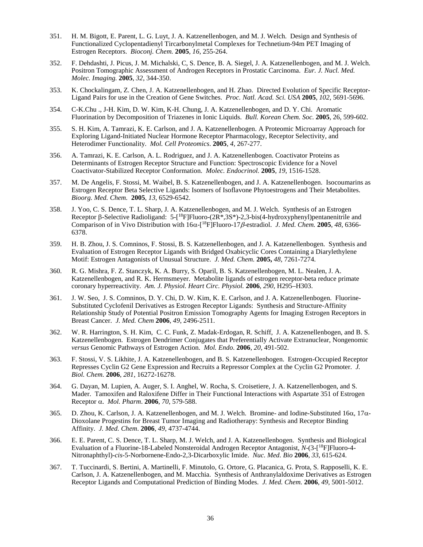- 351. H. M. Bigott, E. Parent, L. G. Luyt, J. A. Katzenellenbogen, and M. J. Welch. Design and Synthesis of Functionalized Cyclopentadienyl Tircarbonylmetal Complexes for Technetium-94m PET Imaging of Estrogen Receptors. *Bioconj. Chem.* **2005**, *16*, 255-264.
- 352. F. Dehdashti, J. Picus, J. M. Michalski, C, S. Dence, B. A. Siegel, J. A. Katzenellenbogen, and M. J. Welch. Positron Tomographic Assessment of Androgen Receptors in Prostatic Carcinoma. *Eur. J. Nucl. Med. Molec. Imaging.* **2005**, *32*, 344-350.
- 353. K. Chockalingam, Z. Chen, J. A. Katzenellenbogen, and H. Zhao. Directed Evolution of Specific Receptor-Ligand Pairs for use in the Creation of Gene Switches. *Proc. Natl. Acad. Sci. USA* **2005**, *102*, 5691-5696.
- 354. C-K.Chu ., J-H. Kim, D. W. Kim, K-H. Chung, J. A. Katzenellenbogen, and D. Y. Chi. Aromatic Fluorination by Decomposition of Triazenes in Ionic Liquids. *Bull. Korean Chem. Soc.* **2005**, 26, 599-602.
- 355. S. H. Kim, A. Tamrazi, K. E. Carlson, and J. A. Katzenellenbogen. A Proteomic Microarray Approach for Exploring Ligand-Initiated Nuclear Hormone Receptor Pharmacology, Receptor Selectivity, and Heterodimer Functionality. *Mol. Cell Proteomics*. **2005**, *4*, 267-277.
- 356. A. Tamrazi, K. E. Carlson, A. L. Rodriguez, and J. A. Katzenellenbogen. Coactivator Proteins as Determinants of Estrogen Receptor Structure and Function: Spectroscopic Evidence for a Novel Coactivator-Stabilized Receptor Conformation. *Molec. Endocrinol.* **2005**, *19*, 1516-1528.
- 357. M. De Angelis, F. Stossi, M. Waibel, B. S. Katzenellenbogen, and J. A. Katzenellenbogen. Isocoumarins as Estrogen Receptor Beta Selective Ligands: Isomers of Isoflavone Phytoestrogens and Their Metabolites. *Bioorg. Med. Chem.* **2005**, *13*, 6529-6542.
- 358. J. Yoo, C. S. Dence, T. L. Sharp, J. A. Katzenellenbogen, and M. J. Welch. Synthesis of an Estrogen Receptor β-Selective Radioligand: 5-[<sup>18</sup>F]Fluoro-(2R<sup>\*</sup>,3S<sup>\*</sup>)-2,3-bis(4-hydroxyphenyl)pentanenitrile and Comparison of in Vivo Distribution with 16α-[ 18F]Fluoro-17β-estradiol. *J. Med. Chem.* **2005**, *48*, 6366- 6378.
- 359. H. B. Zhou, J. S. Comninos, F. Stossi, B. S. Katzenellenbogen, and J. A. Katzenellenbogen. Synthesis and Evaluation of Estrogen Receptor Ligands with Bridged Oxabicyclic Cores Containing a Diarylethylene Motif: Estrogen Antagonists of Unusual Structure. *J. Med. Chem.* **2005,** *48*, 7261-7274.
- 360. R. G. Mishra, F. Z. Stanczyk, K. A. Burry, S. Oparil, B. S. Katzenellenbogen, M. L. Nealen, J. A. Katzenellenbogen, and R. K. Hermsmeyer. Metabolite ligands of estrogen receptor-beta reduce primate coronary hyperreactivity. *Am. J. Physiol. Heart Circ. Physiol.* **2006**, *290*, H295–H303.
- 361. J. W. Seo, J. S. Comninos, D. Y. Chi, D. W. Kim, K. E. Carlson, and J. A. Katzenellenbogen. Fluorine-Substituted Cyclofenil Derivatives as Estrogen Receptor Ligands: Synthesis and Structure-Affinity Relationship Study of Potential Positron Emission Tomography Agents for Imaging Estrogen Receptors in Breast Cancer. *J. Med. Chem* **2006**, *49*, 2496-2511.
- 362. W. R. Harrington, S. H. Kim, C. C. Funk, Z. Madak-Erdogan, R. Schiff, J. A. Katzenellenbogen, and B. S. Katzenellenbogen. Estrogen Dendrimer Conjugates that Preferentially Activate Extranuclear, Nongenomic *versus* Genomic Pathways of Estrogen Action. *Mol. Endo.* **2006**, *20*, 491-502.
- 363. F. Stossi, V. S. Likhite, J. A. Katzenellenbogen, and B. S. Katzenellenbogen. Estrogen-Occupied Receptor Represses Cyclin G2 Gene Expression and Recruits a Repressor Complex at the Cyclin G2 Promoter. *J. Biol. Chem.* **2006**, *281*, 16272-16278.
- 364. G. Dayan, M. Lupien, A. Auger, S. I. Anghel, W. Rocha, S. Croisetiere, J. A. Katzenellenbogen, and S. Mader. Tamoxifen and Raloxifene Differ in Their Functional Interactions with Aspartate 351 of Estrogen Receptor α. *Mol. Pharm*. **2006**, *70*, 579-588.
- 365. D. Zhou, K. Carlson, J. A. Katzenellenbogen, and M. J. Welch. Bromine- and Iodine-Substituted 16α, 17α-Dioxolane Progestins for Breast Tumor Imaging and Radiotherapy: Synthesis and Receptor Binding Affinity. *J. Med. Chem*. **2006**, *49*, 4737-4744.
- 366. E. E. Parent, C. S. Dence, T. L. Sharp, M. J. Welch, and J. A. Katzenellenbogen. Synthesis and Biological Evaluation of a Fluorine-18-Labeled Nonsteroidal Androgen Receptor Antagonist, *N*-(3-[ 18F]Fluoro-4- Nitronaphthyl)-*cis*-5-Norbornene-Endo-2,3-Dicarboxylic Imide. *Nuc. Med. Bio* **2006**, *33*, 615-624.
- 367. T. Tuccinardi, S. Bertini, A. Martinelli, F. Minutolo, G. Ortore, G. Placanica, G. Prota, S. Rapposelli, K. E. Carlson, J. A. Katzenellenbogen, and M. Macchia. Synthesis of Anthranylaldoxime Derivatives as Estrogen Receptor Ligands and Computational Prediction of Binding Modes. *J. Med. Chem.* **2006**, *49*, 5001-5012.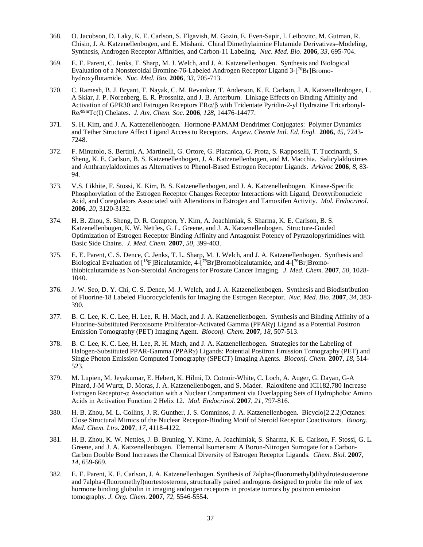- 368. O. Jacobson, D. Laky, K. E. Carlson, S. Elgavish, M. Gozin, E. Even-Sapir, I. Leibovitc, M. Gutman, R. Chisin, J. A. Katzenellenbogen, and E. Mishani. Chiral Dimethylaimine Flutamide Derivatives–Modeling, Synthesis, Androgen Receptor Affinities, and Carbon-11 Labeling. *Nuc. Med. Bio*. **2006**, *33*, 695-704.
- 369. E. E. Parent, C. Jenks, T. Sharp, M. J. Welch, and J. A. Katzenellenbogen. Synthesis and Biological Evaluation of a Nonsteroidal Bromine-76-Labeled Androgen Receptor Ligand 3-[<sup>76</sup>Br]Bromohydroxyflutamide. *Nuc. Med. Bio.* **2006**, *33*, 705-713.
- 370. C. Ramesh, B. J. Bryant, T. Nayak, C. M. Revankar, T. Anderson, K. E. Carlson, J. A. Katzenellenbogen, L. A Skiar, J. P. Norenberg, E. R. Prossnitz, and J. B. Arterburn. Linkage Effects on Binding Affinity and Activation of GPR30 and Estrogen Receptors  $ER\alpha/\beta$  with Tridentate Pyridin-2-yl Hydrazine Tricarbonyl-Re/99mTc(I) Chelates. *J. Am. Chem. Soc.* **2006**, *128*, 14476-14477.
- 371. S. H. Kim, and J. A. Katzenellenbogen. Hormone-PAMAM Dendrimer Conjugates: Polymer Dynamics and Tether Structure Affect Ligand Access to Receptors. *Angew. Chemie Intl. Ed. Engl.* **2006,** *45*, 7243- 7248.
- 372. F. Minutolo, S. Bertini, A. Martinelli, G. Ortore, G. Placanica, G. Prota, S. Rapposelli, T. Tuccinardi, S. Sheng, K. E. Carlson, B. S. Katzenellenbogen, J. A. Katzenellenbogen, and M. Macchia. Salicylaldoximes and Anthranylaldoximes as Alternatives to Phenol-Based Estrogen Receptor Ligands. *Arkivoc* **2006**, *8*, 83- 94.
- 373. V.S. Likhite, F. Stossi, K. Kim, B. S. Katzenellenbogen, and J. A. Katzenellenbogen. Kinase-Specific Phosphorylation of the Estrogen Receptor Changes Receptor Interactions with Ligand, Deoxyribonucleic Acid, and Coregulators Associated with Alterations in Estrogen and Tamoxifen Activity. *Mol. Endocrinol*. **2006**, *20*, 3120-3132.
- 374. H. B. Zhou, S. Sheng, D. R. Compton, Y. Kim, A. Joachimiak, S. Sharma, K. E. Carlson, B. S. Katzenellenbogen, K. W. Nettles, G. L. Greene, and J. A. Katzenellenbogen. Structure-Guided Optimization of Estrogen Receptor Binding Affinity and Antagonist Potency of Pyrazolopyrimidines with Basic Side Chains. *J. Med. Chem.* **2007**, *50*, 399-403.
- 375. E. E. Parent, C. S. Dence, C. Jenks, T. L. Sharp, M. J. Welch, and J. A. Katzenellenbogen. Synthesis and Biological Evaluation of [<sup>18</sup>F]Bicalutamide, 4-[<sup>76</sup>Br]Bromobicalutamide, and 4-[<sup>76</sup>Br]Bromothiobicalutamide as Non-Steroidal Androgens for Prostate Cancer Imaging. *J. Med. Chem.* **2007**, *50*, 1028- 1040.
- 376. J. W. Seo, D. Y. Chi, C. S. Dence, M. J. Welch, and J. A. Katzenellenbogen. Synthesis and Biodistribution of Fluorine-18 Labeled Fluorocyclofenils for Imaging the Estrogen Receptor. *Nuc. Med. Bio.* **2007**, *34*, 383- 390.
- 377. B. C. Lee, K. C. Lee, H. Lee, R. H. Mach, and J. A. Katzenellenbogen. Synthesis and Binding Affinity of a Fluorine-Substituted Peroxisome Proliferator-Activated Gamma (PPARγ) Ligand as a Potential Positron Emission Tomography (PET) Imaging Agent. *Bioconj. Chem.* **2007**, *18*, 507-513.
- 378. B. C. Lee, K. C. Lee, H. Lee, R. H. Mach, and J. A. Katzenellenbogen. Strategies for the Labeling of Halogen-Substituted PPAR-Gamma (PPARγ) Ligands: Potential Positron Emission Tomography (PET) and Single Photon Emission Computed Tomography (SPECT) Imaging Agents. *Bioconj. Chem.* **2007**, *18*, 514- 523.
- 379. M. Lupien, M. Jeyakumar, E. Hebert, K. Hilmi, D. Cotnoir-White, C. Loch, A. Auger, G. Dayan, G-A Pinard, J-M Wurtz, D. Moras, J. A. Katzenellenbogen, and S. Mader. Raloxifene and ICI182,780 Increase Estrogen Receptor-α Association with a Nuclear Compartment via Overlapping Sets of Hydrophobic Amino Acids in Activation Function 2 Helix 12. *Mol. Endocrinol.* **2007**, *21*, 797-816.
- 380. H. B. Zhou, M. L. Collins, J. R. Gunther, J. S. Comninos, J. A. Katzenellenbogen. Bicyclo[2.2.2]Octanes: Close Structural Mimics of the Nuclear Receptor-Binding Motif of Steroid Receptor Coactivators. *Bioorg. Med. Chem. Ltrs.* **2007**, *17*, 4118-4122.
- 381. H. B. Zhou, K. W. Nettles, J. B. Bruning, Y. Kime, A. Joachimiak, S. Sharma, K. E. Carlson, F. Stossi, G. L. Greene, and J. A. Katzenellenbogen. Elemental Isomerism: A Boron-Nitrogen Surrogate for a Carbon-Carbon Double Bond Increases the Chemical Diversity of Estrogen Receptor Ligands. *Chem. Biol.* **2007**, *14*, 659-669.
- 382. E. E. Parent, K. E. Carlson, J. A. Katzenellenbogen. Synthesis of 7alpha-(fluoromethyl)dihydrotestosterone and 7alpha-(fluoromethyl)nortestosterone, structurally paired androgens designed to probe the role of sex hormone binding globulin in imaging androgen receptors in prostate tumors by positron emission tomography. *J. Org. Chem.* **2007**, *72*, 5546-5554.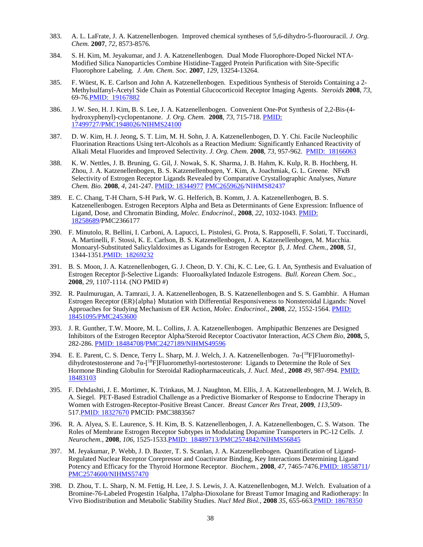- 383. A. L. LaFrate, J. A. Katzenellenbogen. Improved chemical syntheses of 5,6-dihydro-5-fluorouracil. *J. Org. Chem.* **2007**, *72*, 8573-8576.
- 384. S. H. Kim, M. Jeyakumar, and J. A. Katzenellenbogen. Dual Mode Fluorophore-Doped Nickel NTA-Modified Silica Nanoparticles Combine Histidine-Tagged Protein Purification with Site-Specific Fluorophore Labeling. *J. Am. Chem. Soc.* **2007**, *129*, 13254-13264.
- 385. F. Wüest, K. E. Carlson and John A. Katzenellenbogen. Expeditious Synthesis of Steroids Containing a 2- Methylsulfanyl-Acetyl Side Chain as Potential Glucocorticoid Receptor Imaging Agents. *Steroids* **2008**, *73*, 69-76[.PMID: 19167882](http://www.ncbi.nlm.nih.gov/pubmed/19167882?ordinalpos=1&itool=EntrezSystem2.PEntrez.Pubmed.Pubmed_ResultsPanel.Pubmed_DefaultReportPanel.Pubmed_RVDocSum)
- 386. J. W. Seo, H. J. Kim, B. S. Lee, J. A. Katzenellenbogen. Convenient One-Pot Synthesis of 2,2-Bis-(4 hydroxyphenyl)-cyclopentanone. *J. Org. Chem.* **2008**, *73,* 715-718. [PMID:](http://www.ncbi.nlm.nih.gov/pubmed/17499727?ordinalpos=2&itool=EntrezSystem2.PEntrez.Pubmed.Pubmed_ResultsPanel.Pubmed_RVDocSum)  [17499727/PMC1948026/NIHMS24100](http://www.ncbi.nlm.nih.gov/pubmed/17499727?ordinalpos=2&itool=EntrezSystem2.PEntrez.Pubmed.Pubmed_ResultsPanel.Pubmed_RVDocSum)
- 387. D. W. Kim, H. J. Jeong, S. T. Lim, M. H. Sohn, J. A. Katzenellenbogen, D. Y. Chi. Facile Nucleophilic Fluorination Reactions Using tert-Alcohols as a Reaction Medium: Significantly Enhanced Reactivity of Alkali Metal Fluorides and Improved Selectivity. *J. Org. Chem*. **2008**, *73*, 957-962. [PMID: 18166063](http://www.ncbi.nlm.nih.gov/pubmed/18166063?ordinalpos=3&itool=EntrezSystem2.PEntrez.Pubmed.Pubmed_ResultsPanel.Pubmed_DefaultReportPanel.Pubmed_RVDocSum)
- 388. K. W. Nettles, J. B. Bruning, G. Gil, J. Nowak, S. K. Sharma, J. B. Hahm, K. Kulp, R. B. Hochberg, H. Zhou, J. A. Katzenellenbogen, B. S. Katzenellenbogen, Y. Kim, A. Joachmiak, G. L. Greene. NFκB Selectivity of Estrogen Receptor Ligands Revealed by Comparative Crystallographic Analyses, *Nature Chem. Bio.* **2008**, *4*, 241-247. [PMID: 18344977](http://www.ncbi.nlm.nih.gov/pubmed/18344977?ordinalpos=1&itool=EntrezSystem2.PEntrez.Pubmed.Pubmed_ResultsPanel.Pubmed_RVDocSum) [PMC2659626/](http://www.ncbi.nlm.nih.gov/pmc/articles/PMC2659626/?tool=nihms)NIHMS82437
- 389. E. C. Chang, T-H Charn, S-H Park, W. G. Helferich, B. Komm, J. A. Katzenellenbogen, B. S. Katzenellenbogen. Estrogen Receptors Alpha and Beta as Determinants of Gene Expression: Influence of Ligand, Dose, and Chromatin Binding, *Molec. Endocrinol.*, **2008**, *22*, 1032-1043. [PMID:](http://www.ncbi.nlm.nih.gov/pubmed/18258689?ordinalpos=4&itool=EntrezSystem2.PEntrez.Pubmed.Pubmed_ResultsPanel.Pubmed_RVDocSum)  [18258689/](http://www.ncbi.nlm.nih.gov/pubmed/18258689?ordinalpos=4&itool=EntrezSystem2.PEntrez.Pubmed.Pubmed_ResultsPanel.Pubmed_RVDocSum)PMC2366177
- 390. F. Minutolo, R. Bellini, I. Carboni, A. Lapucci, L. Pistolesi, G. Prota, S. Rapposelli, F. Solati, T. Tuccinardi, A. Martinelli, F. Stossi, K. E. Carlson, B. S. Katzenellenbogen, J. A. Katzenellenbogen, M. Macchia. Monoaryl-Substituted Salicylaldoximes as Ligands for Estrogen Receptor β, *J. Med. Chem.*, **2008**, *51*, 1344-1351[.PMID: 18269232](http://www.ncbi.nlm.nih.gov/pubmed/18269232?itool=EntrezSystem2.PEntrez.Pubmed.Pubmed_ResultsPanel.Pubmed_RVDocSum&ordinalpos=2)
- 391. B. S. Moon, J. A. Katzenellenbogen, G. J. Cheon, D. Y. Chi, K. C. Lee, G. I. An, Synthesis and Evaluation of Estrogen Receptor β-Selective Ligands: Fluoroalkylated Indazole Estrogens. *Bull. Korean Chem. Soc.*, **2008**, *29*, 1107-1114. (NO PMID #)
- 392. R. Paulmurugan, A. Tamrazi, J. A. Katzenellenbogen, B. S. Katzenellenbogen and S. S. Gambhir. A Human Estrogen Receptor (ER){alpha} Mutation with Differential Responsiveness to Nonsteroidal Ligands: Novel Approaches for Studying Mechanism of ER Action, *Molec. Endocrinol.*, **2008**, *22*, 1552-1564. [PMID:](http://www.ncbi.nlm.nih.gov/pubmed/18451095?ordinalpos=2&itool=EntrezSystem2.PEntrez.Pubmed.Pubmed_ResultsPanel.Pubmed_RVDocSum)  [18451095/PMC2453600](http://www.ncbi.nlm.nih.gov/pubmed/18451095?ordinalpos=2&itool=EntrezSystem2.PEntrez.Pubmed.Pubmed_ResultsPanel.Pubmed_RVDocSum)
- 393. J. R. Gunther, T.W. Moore, M. L. Collins, J. A. Katzenellenbogen. Amphipathic Benzenes are Designed Inhibitors of the Estrogen Receptor Alpha/Steroid Receptor Coactivator Interaction, *ACS Chem Bio,* **2008,** *5*, 282-286. [PMID: 18484708](http://www.ncbi.nlm.nih.gov/pubmed/18484708?ordinalpos=2&itool=EntrezSystem2.PEntrez.Pubmed.Pubmed_ResultsPanel.Pubmed_RVDocSum)[/PMC2427189/NIHMS49596](http://www.ncbi.nlm.nih.gov/pmc/articles/PMC2427189/?tool=nihms)
- 394. E. E. Parent, C. S. Dence, Terry L. Sharp, M. J. Welch, J. A. Katzenellenbogen. 7α-[<sup>18</sup>F]Fluoromethyldihydrotestosterone and  $7\alpha$ -[<sup>18</sup>F]Fluoromethyl-nortestosterone: Ligands to Determine the Role of Sex Hormone Binding Globulin for Steroidal Radiopharmaceuticals, *J. Nucl. Med.*, **2008** *49*, 987-994. [PMID:](http://www.ncbi.nlm.nih.gov/pubmed/18483103?ordinalpos=3&itool=EntrezSystem2.PEntrez.Pubmed.Pubmed_ResultsPanel.Pubmed_RVDocSum)  [18483103](http://www.ncbi.nlm.nih.gov/pubmed/18483103?ordinalpos=3&itool=EntrezSystem2.PEntrez.Pubmed.Pubmed_ResultsPanel.Pubmed_RVDocSum)
- 395. F. Dehdashti, J. E. Mortimer, K. Trinkaus, M. J. Naughton, M. Ellis, J. A. Katzenellenbogen, M. J. Welch, B. A. Siegel. PET-Based Estradiol Challenge as a Predictive Biomarker of Response to Endocrine Therapy in Women with Estrogen-Receptor-Positive Breast Cancer. *Breast Cancer Res Treat*, **2009**, *113*,509- 51[7.PMID: 18327670](http://www.ncbi.nlm.nih.gov/pubmed/18327670?ordinalpos=1&itool=EntrezSystem2.PEntrez.Pubmed.Pubmed_ResultsPanel.Pubmed_DefaultReportPanel.Pubmed_RVDocSum) PMCID: PMC3883567
- 396. R. A. Alyea, S. E. Laurence, S. H. Kim, B. S. Katzenellenbogen, J. A. Katzenellenbogen, C. S. Watson. The Roles of Membrane Estrogen Receptor Subtypes in Modulating Dopamine Transporters in PC-12 Cells. *J. Neurochem.*, **2008**, *106*, 1525-153[3.PMID: 18489713/PMC2574842/NIHMS56845](http://www.ncbi.nlm.nih.gov/pubmed/18489713?itool=EntrezSystem2.PEntrez.Pubmed.Pubmed_ResultsPanel.Pubmed_RVDocSum&ordinalpos=1)
- 397. M. Jeyakumar, P. Webb, J. D. Baxter, T. S. Scanlan, J. A. Katzenellenbogen. Quantification of Ligand-Regulated Nuclear Receptor Corepressor and Coactivator Binding, Key Interactions Determining Ligand Potency and Efficacy for the Thyroid Hormone Receptor. *Biochem.,* **2008**, *47*, 7465-7476[.PMID: 18558711/](http://www.ncbi.nlm.nih.gov/pubmed/18558711?itool=EntrezSystem2.PEntrez.Pubmed.Pubmed_ResultsPanel.Pubmed_RVDocSum&ordinalpos=7) [PMC2574600/NIHMS57470](http://www.ncbi.nlm.nih.gov/pmc/articles/PMC2574600/?tool=nihms)
- 398. D. Zhou, T. L. Sharp, N. M. Fettig, H. Lee, J. S. Lewis, J. A. Katzenellenbogen, M.J. Welch. Evaluation of a Bromine-76-Labeled Progestin 16alpha, 17alpha-Dioxolane for Breast Tumor Imaging and Radiotherapy: In Vivo Biodistribution and Metabolic Stability Studies. *Nucl Med Biol.*, **2008** *35*, 655-66[3.PMID: 18678350](http://www.ncbi.nlm.nih.gov/pubmed/18678350?itool=EntrezSystem2.PEntrez.Pubmed.Pubmed_ResultsPanel.Pubmed_RVDocSum&ordinalpos=9)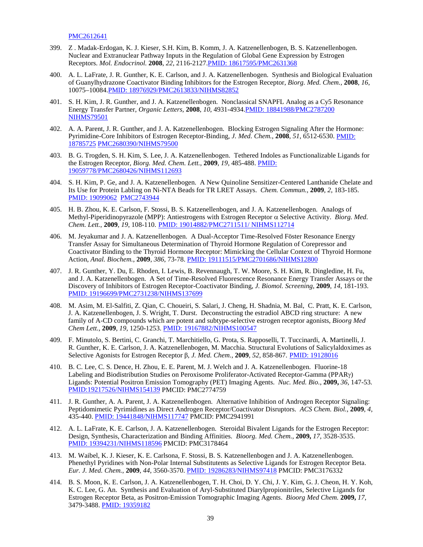[PMC2612641](http://www.ncbi.nlm.nih.gov/pmc/articles/PMC2612641/?tool=nihms)

- 399. Z . Madak-Erdogan, K. J. Kieser, S.H. Kim, B. Komm, J. A. Katzenellenbogen, B. S. Katzenellenbogen. Nuclear and Extranuclear Pathway Inputs in the Regulation of Global Gene Expression by Estrogen Receptors. *Mol. Endocrinol.* **2008**, *22,* 2116-2127[.PMID: 18617595/PMC2631368](http://www.ncbi.nlm.nih.gov/pubmed/18617595?itool=EntrezSystem2.PEntrez.Pubmed.Pubmed_ResultsPanel.Pubmed_RVDocSum&ordinalpos=10)
- 400. A. L. LaFrate, J. R. Gunther, K. E. Carlson, and J. A. Katzenellenbogen. Synthesis and Biological Evaluation of Guanylhydrazone Coactivator Binding Inhibitors for the Estrogen Receptor, *Biorg. Med. Chem.,* **2008**, *16*, 10075–1008[4.PMID: 18976929/PMC2613833/NIHMS82852](http://www.ncbi.nlm.nih.gov/pubmed/18976929?itool=EntrezSystem2.PEntrez.Pubmed.Pubmed_ResultsPanel.Pubmed_RVDocSum&ordinalpos=6)
- 401. S. H. Kim, J. R. Gunther, and J. A. Katzenellenbogen. Nonclassical SNAPFL Analog as a Cy5 Resonance Energy Transfer Partner, *Organic Letters,* **2008**, *10*, 4931-4934[.PMID: 18841988/PMC2787200](http://www.ncbi.nlm.nih.gov/pubmed/18841988?itool=EntrezSystem2.PEntrez.Pubmed.Pubmed_ResultsPanel.Pubmed_RVDocSum&ordinalpos=7)  [NIHMS79501](http://www.ncbi.nlm.nih.gov/pubmed/18841988?itool=EntrezSystem2.PEntrez.Pubmed.Pubmed_ResultsPanel.Pubmed_RVDocSum&ordinalpos=7)
- 402. A. A. Parent, J. R. Gunther, and J. A. Katzenellenbogen. Blocking Estrogen Signaling After the Hormone: Pyrimidine-Core Inhibitors of Estrogen Receptor-Binding, *J. Med. Chem.*, **2008**, *51*, 6512-6530. [PMID:](http://www.ncbi.nlm.nih.gov/pubmed/18785725?itool=EntrezSystem2.PEntrez.Pubmed.Pubmed_ResultsPanel.Pubmed_RVDocSum&ordinalpos=8)  [18785725](http://www.ncbi.nlm.nih.gov/pubmed/18785725?itool=EntrezSystem2.PEntrez.Pubmed.Pubmed_ResultsPanel.Pubmed_RVDocSum&ordinalpos=8) [PMC2680390/NIHMS79500](http://www.ncbi.nlm.nih.gov/pmc/articles/PMC2680390/?tool=pubmed)
- 403. B. G. Trogden, S. H. Kim, S. Lee, J. A. Katzenellenbogen. Tethered Indoles as Functionalizable Ligands for the Estrogen Receptor, *Biorg. Med. Chem. Lett.*, **2009**, *19*, 485-488. [PMID:](http://www.ncbi.nlm.nih.gov/pubmed/19059778?ordinalpos=10&itool=EntrezSystem2.PEntrez.Pubmed.Pubmed_ResultsPanel.Pubmed_DefaultReportPanel.Pubmed_RVDocSum)  [19059778/PMC2680426/NIHMS112693](http://www.ncbi.nlm.nih.gov/pubmed/19059778?ordinalpos=10&itool=EntrezSystem2.PEntrez.Pubmed.Pubmed_ResultsPanel.Pubmed_DefaultReportPanel.Pubmed_RVDocSum)
- 404. S. H. Kim, P. Ge, and J. A. Katzenellenbogen. A New Quinoline Sensitizer-Centered Lanthanide Chelate and Its Use for Protein Labling on Ni-NTA Beads for TR LRET Assays. *Chem. Commun.*, **2009**, *2*, 183-185. [PMID: 19099062](http://www.ncbi.nlm.nih.gov/pubmed/19099062?ordinalpos=2&itool=EntrezSystem2.PEntrez.Pubmed.Pubmed_ResultsPanel.Pubmed_DefaultReportPanel.Pubmed_RVDocSum) [PMC2743944](http://www.ncbi.nlm.nih.gov/pmc/articles/PMC2743944/?tool=nihms)
- 405. H. B. Zhou, K. E. Carlson, F. Stossi, B. S. Katzenellenbogen, and J. A. Katzenellenbogen. Analogs of Methyl-Piperidinopyrazole (MPP): Antiestrogens with Estrogen Receptor α Selective Activity. *Biorg. Med. Chem. Lett.*, **2009**, *19*, 108-110. [PMID: 19014882/PMC2711511/ NIHMS112714](http://www.ncbi.nlm.nih.gov/pubmed/19014882?ordinalpos=1&itool=EntrezSystem2.PEntrez.Pubmed.Pubmed_ResultsPanel.Pubmed_DefaultReportPanel.Pubmed_RVDocSum)
- 406. M. Jeyakumar and J. A. Katzenellenbogen. A Dual-Acceptor Time-Resolved Föster Resonance Energy Transfer Assay for Simultaneous Determination of Thyroid Hormone Regulation of Corepressor and Coactivator Binding to the Thyroid Hormone Receptor: Mimicking the Cellular Context of Thyroid Hormone Action, *Anal. Biochem.*, **2009**, *386*, 73-78. [PMID: 19111515/PMC2701686/NIHMS12800](http://www.ncbi.nlm.nih.gov/pubmed/19111515?ordinalpos=2&itool=EntrezSystem2.PEntrez.Pubmed.Pubmed_ResultsPanel.Pubmed_DefaultReportPanel.Pubmed_RVDocSum)
- 407. J. R. Gunther, Y. Du, E. Rhoden, I. Lewis, B. Revennaugh, T. W. Moore, S. H. Kim, R. Dingledine, H. Fu, and J. A. Katzenellenbogen. A Set of Time-Resolved Fluorescence Resonance Energy Transfer Assays or the Discovery of Inhibitors of Estrogen Receptor-Coactivator Binding, *J. Biomol. Screening*, **2009**, *14*, 181-193. [PMID: 19196699/PMC2731238/NIHMS137699](http://www.ncbi.nlm.nih.gov/pubmed/19196699?ordinalpos=2&itool=EntrezSystem2.PEntrez.Pubmed.Pubmed_ResultsPanel.Pubmed_DefaultReportPanel.Pubmed_RVDocSum)
- 408. M. Asim, M. El-Salfiti, Z. Qian, C. Choueiri, S. Salari, J. Cheng, H. Shadnia, M. Bal, C. Pratt, K. E. Carlson, J. A. Katzenellenbogen, J. S. Wright, T. Durst. Deconstructing the estradiol ABCD ring structure: A new family of A-CD compounds which are potent and subtype-selective estrogen receptor agonists, *Bioorg Med Chem Lett.*, **2009**, *19*, 1250-1253. [PMID: 19167882/NIHMS100547](http://www.ncbi.nlm.nih.gov/pubmed/19167882?itool=EntrezSystem2.PEntrez.Pubmed.Pubmed_ResultsPanel.Pubmed_RVDocSum&ordinalpos=9)
- 409. F. Minutolo, S. Bertini, C. Granchi, T. Marchitiello, G. Prota, S. Rapposelli, T. Tuccinardi, A. Martinelli, J. R. Gunther, K. E. Carlson, J. A. Katzenellenbogen, M. Macchia. Structural Evolutions of Salicylaldoximes as Selective Agonists for Estrogen Receptor β, *J. Med. Chem.*, **2009**, *52*, 858-867. [PMID: 19128016](http://www.ncbi.nlm.nih.gov/pubmed/19128016?ordinalpos=3&itool=EntrezSystem2.PEntrez.Pubmed.Pubmed_ResultsPanel.Pubmed_DefaultReportPanel.Pubmed_RVDocSum)
- 410. B. C. Lee, C. S. Dence, H. Zhou, E. E. Parent, M. J. Welch and J. A. Katzenellenbogen. Fluorine-18 Labeling and Biodistribution Studies on Peroxisome Proliferator-Activated Receptor-Gamma (PPARγ) Ligands: Potential Positron Emission Tomography (PET) Imaging Agents. *Nuc. Med. Bio.*, **2009,** *36,* 147-53. [PMID:19217526/NIHMS154139](http://www.ncbi.nlm.nih.gov/pubmed/19167882?itool=EntrezSystem2.PEntrez.Pubmed.Pubmed_ResultsPanel.Pubmed_RVDocSum&ordinalpos=9) PMCID: PMC2774759
- 411. J. R. Gunther, A. A. Parent, J. A. Katzenellenbogen. Alternative Inhibition of Androgen Receptor Signaling: Peptidomimetic Pyrimidines as Direct Androgen Receptor/Coactivator Disruptors. *ACS Chem. Biol.*, **2009**, *4*, 435-440. [PMID: 19441848/NIHMS117747](http://www.ncbi.nlm.nih.gov/pubmed/19441848?ordinalpos=1&itool=EntrezSystem2.PEntrez.Pubmed.Pubmed_ResultsPanel.Pubmed_DefaultReportPanel.Pubmed_RVDocSum) PMCID: PMC2941991
- 412. A. L. LaFrate, K. E. Carlson, J. A. Katzenellenbogen. Steroidal Bivalent Ligands for the Estrogen Receptor: Design, Synthesis, Characterization and Binding Affinities. *Bioorg. Med. Chem.*, **2009,** *17,* 3528-3535. [PMID: 19394231/NIHMS118596](http://www.ncbi.nlm.nih.gov/pubmed/19394231?ordinalpos=1&itool=EntrezSystem2.PEntrez.Pubmed.Pubmed_ResultsPanel.Pubmed_DefaultReportPanel.Pubmed_RVDocSum) PMCID: PMC3178464
- 413. M. Waibel, K. J. Kieser, K. E. Carlsona, F. Stossi, B. S. Katzenellenbogen and J. A. Katzenellenbogen. Phenethyl Pyridines with Non-Polar Internal Substitutents as Selective Ligands for Estrogen Receptor Beta. *Eur. J. Med. Chem.*, **2009**, *44*, 3560-3570. [PMID: 19286283/NIHMS97418](http://www.ncbi.nlm.nih.gov/pubmed/19286283?ordinalpos=2&itool=EntrezSystem2.PEntrez.Pubmed.Pubmed_ResultsPanel.Pubmed_DefaultReportPanel.Pubmed_RVDocSum) PMCID: PMC3176332
- 414. B. S. Moon, K. E. Carlson, J. A. Katzenellenbogen, T. H. Choi, D. Y. Chi, J. Y. Kim, G. J. Cheon, H. Y. Koh, K. C. Lee, G. An. Synthesis and Evaluation of Aryl-Substituted Diarylpropionitriles, Selective Ligands for Estrogen Receptor Beta, as Positron-Emission Tomographic Imaging Agents. *Bioorg Med Chem.* **2009,** *17*, 3479-3488. [PMID: 19359182](http://www.ncbi.nlm.nih.gov/sites/entrez)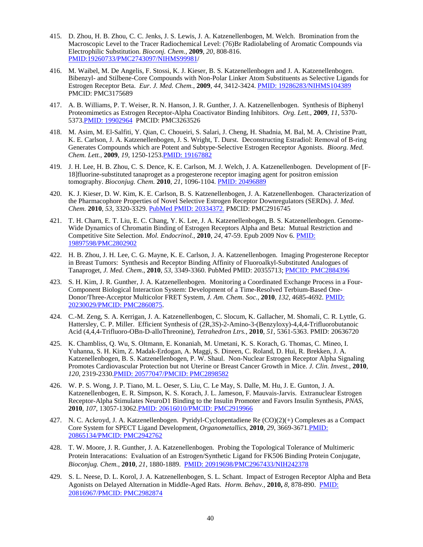- 415. D. Zhou, H. B. Zhou, C. C. Jenks, J. S. Lewis, J. A. Katzenellenbogen, M. Welch. Bromination from the Macroscopic Level to the Tracer Radiochemical Level: (76)Br Radiolabeling of Aromatic Compounds via Electrophilic Substitution. *Bioconj. Chem.*, **2009**, *20*, 808-816. [PMID:19260733/PMC2743097/NIHMS99981/](http://www.ncbi.nlm.nih.gov/pubmed/19260733?ordinalpos=1&itool=EntrezSystem2.PEntrez.Pubmed.Pubmed_ResultsPanel.Pubmed_DefaultReportPanel.Pubmed_RVDocSum)
- 416. M. Waibel, M. De Angelis, F. Stossi, K. J. Kieser, B. S. Katzenellenbogen and J. A. Katzenellenbogen. Bibenzyl- and Stilbene-Core Compounds with Non-Polar Linker Atom Substituents as Selective Ligands for Estrogen Receptor Beta. *Eur. J. Med. Chem.*, **2009**, *44*, 3412-3424. [PMID: 19286283/NIHMS104389](http://www.ncbi.nlm.nih.gov/pubmed/19394116?ordinalpos=1&itool=EntrezSystem2.PEntrez.Pubmed.Pubmed_ResultsPanel.Pubmed_DefaultReportPanel.Pubmed_RVDocSum) PMCID: PMC3175689
- 417. A. B. Williams, P. T. Weiser, R. N. Hanson, J. R. Gunther, J. A. Katzenellenbogen. Synthesis of Biphenyl Proteomimetics as Estrogen Receptor-Alpha Coactivator Binding Inhibitors. *Org. Lett.*, **2009**, *11*, 5370- 537[3.PMID: 19902964](http://www.ncbi.nlm.nih.gov/pubmed/19902964) PMCID: PMC3263526
- 418. M. Asim, M. El-Salfiti, Y. Qian, C. Choueiri, S. Salari, J. Cheng, H. Shadnia, M. Bal, M. A. Christine Pratt, K. E. Carlson, J. A. Katzenellenbogen, J. S. Wright, T. Durst. Deconstructing Estradiol: Removal of B-ring Generates Compounds which are Potent and Subtype-Selective Estrogen Receptor Agonists. *Bioorg. Med. Chem. Lett.*, **2009**, *19,* 1250-1253[.PMID: 19167882](http://www.ncbi.nlm.nih.gov/pubmed/19167882)
- 419. J. H. Lee, H. B. Zhou, C. S. Dence, K. E. Carlson, M. J. Welch, J. A. Katzenellenbogen. Development of [F-18]fluorine-substituted tanaproget as a progesterone receptor imaging agent for positron emission tomography. *Bioconjug. Chem*. **2010**, *21*, 1096-1104. [PMID: 20496889](http://www.ncbi.nlm.nih.gov/pubmed/20496889)
- 420. K. J. Kieser, D. W. Kim, K. E. Carlson, B. S. Katzenellenbogen, J. A. Katzenellenbogen. Characterization of the Pharmacophore Properties of Novel Selective Estrogen Receptor Downregulators (SERDs). *J. Med. Chem.* **2010**, *53*, 3320-3329[. PubMed PMID: 20334372.](http://www.ncbi.nlm.nih.gov/sites/entrez) PMCID: PMC2916745
- 421. T. H. Charn, E. T. Liu, E. C. Chang, Y. K. Lee, J. A. Katzenellenbogen, B. S. Katzenellenbogen. Genome-Wide Dynamics of Chromatin Binding of Estrogen Receptors Alpha and Beta: Mutual Restriction and Competitive Site Selection. *Mol. Endocrinol.*, **2010**, *24*, 47-59. Epub 2009 Nov 6. [PMID:](http://www.ncbi.nlm.nih.gov/pubmed/19897598)  [19897598/PMC2802902](http://www.ncbi.nlm.nih.gov/pubmed/19897598)
- 422. H. B. Zhou, J. H. Lee, C. G. Mayne, K. E. Carlson, J. A. Katzenellenbogen. Imaging Progesterone Receptor in Breast Tumors: Synthesis and Receptor Binding Affinity of Fluoroalkyl-Substituted Analogues of Tanaproget, *J. Med. Chem*., **2010**, *53*, 3349-3360. PubMed PMID: 20355713; [PMCID: PMC2884396](http://www.ncbi.nlm.nih.gov/pubmed/20355713)
- 423. S. H. Kim, J. R. Gunther, J. A. Katzenellenbogen. Monitoring a Coordinated Exchange Process in a Four-Component Biological Interaction System: Development of a Time-Resolved Terbium-Based One-Donor/Three-Acceptor Multicolor FRET System, *J. Am. Chem. Soc.*, **2010**, *132*, 4685-4692. [PMID:](http://www.ncbi.nlm.nih.gov/pubmed/20230029)  [20230029/PMCID: PMC2860875.](http://www.ncbi.nlm.nih.gov/pubmed/20230029)
- 424. C.-M. Zeng, S. A. Kerrigan, J. A. Katzenellenbogen, C. Slocum, K. Gallacher, M. Shomali, C. R. Lyttle, G. Hattersley, C. P. Miller. Efficient Synthesis of (2R,3S)-2-Amino-3-(Benzyloxy)-4,4,4-Trifluorobutanoic Acid (4,4,4-Trifluoro-OBn-D-alloThreonine), *Tetrahedron Ltrs.*, **2010**, *51*, 5361-5363. PMID: 20636720
- 425. K. Chambliss, Q. Wu, S. Oltmann, E. Konaniah, M. Umetani, K. S. Korach, G. Thomas, C. Mineo, I. Yuhanna, S. H. Kim, Z. Madak-Erdogan, A. Maggi, S. Dineen, C. Roland, D. Hui, R. Brekken, J. A. Katzenellenbogen, B. S. Katzenellenbogen, P. W. Shaul. Non-Nuclear Estrogen Receptor Alpha Signaling Promotes Cardiovascular Protection but not Uterine or Breast Cancer Growth in Mice. *J. Clin. Invest.*, **2010**, *120*, 2319-2330[.PMID: 20577047/PMCID: PMC2898582](http://www.ncbi.nlm.nih.gov/pubmed?term=PMC2898582)
- 426. W. P. S. Wong, J. P. Tiano, M. L. Oeser, S. Liu, C. Le May, S. Dalle, M. Hu, J. E. Gunton, J. A. Katzenellenbogen, E. R. Simpson, K. S. Korach, J. L. Jameson, F. Mauvais-Jarvis. Extranuclear Estrogen Receptor-Alpha Stimulates NeuroD1 Binding to the Insulin Promoter and Favors Insulin Synthesis, *PNAS*, **2010**, *107*, 13057-13062[.PMID: 20616010/PMCID: PMC2919966](http://www.ncbi.nlm.nih.gov/pubmed?term=PMC2919966)
- 427. N. C. Ackroyd, J. A. Katzenellenbogen. Pyridyl-Cyclopentadiene Re (CO)(2)(+) Complexes as a Compact Core System for SPECT Ligand Development, *Organometallics*, **2010**, *29*, 3669-3671[.PMID:](http://www.ncbi.nlm.nih.gov/sites/entrez)  [20865134/PMCID: PMC2942762](http://www.ncbi.nlm.nih.gov/sites/entrez)
- 428. T. W. Moore, J. R. Gunther, J. A. Katzenellenbogen. Probing the Topological Tolerance of Multimeric Protein Interacations: Evaluation of an Estrogen/Synthetic Ligand for FK506 Binding Protein Conjugate, *Bioconjug. Chem.*, **2010**, *21*, 1880-1889. [PMID: 20919698/PMC2967433/NIH242378](http://www.ncbi.nlm.nih.gov/pubmed/20919698)
- 429. S. L. Neese, D. L. Korol, J. A. Katzenellenbogen, S. L. Schant. Impact of Estrogen Receptor Alpha and Beta Agonists on Delayed Alternation in Middle-Aged Rats. *Horm. Behav.,* **2010,** *8*, 878-890. [PMID:](http://www.ncbi.nlm.nih.gov/pubmed/20816967)  [20816967/PMCID: PMC2982874](http://www.ncbi.nlm.nih.gov/pubmed/20816967)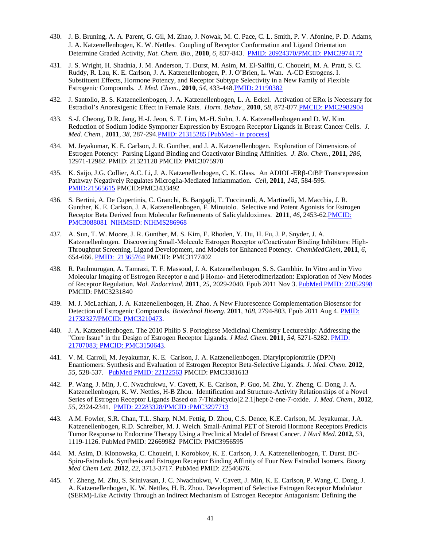- 430. J. B. Bruning, A. A. Parent, G. Gil, M. Zhao, J. Nowak, M. C. Pace, C. L. Smith, P. V. Afonine, P. D. Adams, J. A. Katzenellenbogen, K. W. Nettles. Coupling of Receptor Conformation and Ligand Orientation Determine Graded Activity, *Nat. Chem. Bio.*, **2010**, *6*, 837-843. [PMID: 20924370/PMCID: PMC2974172](http://www.ncbi.nlm.nih.gov/pubmed/20924370)
- 431. J. S. Wright, H. Shadnia, J. M. Anderson, T. Durst, M. Asim, M. El-Salfiti, C. Choueiri, M. A. Pratt, S. C. Ruddy, R. Lau, K. E. Carlson, J. A. Katzenellenbogen, P. J. O'Brien, L. Wan. A-CD Estrogens. I. Substituent Effects, Hormone Potency, and Receptor Subtype Selectivity in a New Family of Flexible Estrogenic Compounds. *J. Med. Chem.*, **2010**, *54*, 433-448[.PMID: 21190382](http://www.ncbi.nlm.nih.gov/pubmed/21190382)
- 432. J. Santollo, B. S. Katzenellenbogen, J. A. Katzenellenbogen, L. A. Eckel. Activation of ERα is Necessary for Estradiol's Anorexigenic Effect in Female Rats. *Horm. Behav.*, **2010**, *58*, 872-877[.PMCID: PMC2982904](http://www.ncbi.nlm.nih.gov/pubmed/20807534)
- 433. S.-J. Cheong, D.R. Jang, H.-J. Jeon, S. T. Lim, M.-H. Sohn, J. A. Katzenellenbogen and D. W. Kim. Reduction of Sodium Iodide Symporter Expression by Estrogen Receptor Ligands in Breast Cancer Cells. *J. Med. Chem.*, **2011**, *38*, 287-294[.PMID: 21315285 \[PubMed -](http://www.ncbi.nlm.nih.gov/pubmed/21315285) in process]
- 434. M. Jeyakumar, K. E. Carlson, J. R. Gunther, and J. A. Katzenellenbogen. Exploration of Dimensions of Estrogen Potency: Parsing Ligand Binding and Coactivator Binding Affinities. *J. Bio. Chem.*, **2011**, *286*, 12971-12982. PMID: 21321128 PMCID: PMC3075970
- 435. K. Saijo, J.G. Collier, A.C. Li, J. A. Katzenellenbogen, C. K. Glass. An ADIOL-ERβ-CtBP Transrepression Pathway Negatively Regulates Microglia-Mediated Inflammation. *Cell*, **2011**, *145*, 584-595. [PMID:21565615](http://www.ncbi.nlm.nih.gov/pubmed?term=Saijo%20k%20katzenellenbogen%20ja%202011) PMCID:PMC3433492
- 436. S. Bertini, A. De Cupertinis, C. Granchi, B. Bargagli, T. Tuccinardi, A. Martinelli, M. Macchia, J. R. Gunther, K. E. Carlson, J. A. Katzenellenbogen, F. Minutolo. Selective and Potent Agonists for Estrogen Receptor Beta Derived from Molecular Refinements of Salicylaldoximes. **2011**, *46*, 2453-6[2.PMCID:](http://www.ncbi.nlm.nih.gov/pmc/articles/PMC3088081/)  [PMC3088081](http://www.ncbi.nlm.nih.gov/pmc/articles/PMC3088081/) [NIHMSID: NIHMS286968](http://www.ncbi.nlm.nih.gov/pmc/articles/PMC3088081/)
- 437. A. Sun, T. W. Moore, J. R. Gunther, M. S. Kim, E. Rhoden, Y. Du, H. Fu, J. P. Snyder, J. A. Katzenellenbogen. Discovering Small-Molecule Estrogen Receptor α/Coactivator Binding Inhibitors: High-Throughput Screening, Ligand Development, and Models for Enhanced Potency. *ChemMedChem*, **2011**, *6*, 654-666. [PMID: 21365764](http://www.ncbi.nlm.nih.gov/pubmed?term=sun%20a%20%20katzenellenbogen%20ja%202011) PMCID: PMC3177402
- 438. R. Paulmurugan, A. Tamrazi, T. F. Massoud, J. A. Katzenellenbogen, S. S. Gambhir. In Vitro and in Vivo Molecular Imaging of Estrogen Receptor α and β Homo- and Heterodimerization: Exploration of New Modes of Receptor Regulation. *Mol. Endocrinol.* **2011**, *25*, 2029-2040. Epub 2011 Nov 3[. PubMed PMID: 22052998](http://mend.endojournals.org/content/25/12/2029.long) PMCID: PMC3231840
- 439. M. J. McLachlan, J. A. Katzenellenbogen, H. Zhao. A New Fluorescence Complementation Biosensor for Detection of Estrogenic Compounds. *Biotechnol Bioeng*. **2011**, *108*, 2794-803. Epub 2011 Aug 4. [PMID:](http://onlinelibrary.wiley.com/doi/10.1002/bit.23254/pdf)  [21732327/PMCID: PMC3210473.](http://onlinelibrary.wiley.com/doi/10.1002/bit.23254/pdf)
- 440. J. A. Katzenellenbogen. The 2010 Philip S. Portoghese Medicinal Chemistry Lectureship: Addressing the "Core Issue" in the Design of Estrogen Receptor Ligands. *J Med. Chem*. **2011**, *54*, 5271-5282. [PMID:](http://pubs.acs.org/doi/pdf/10.1021/jm200801h)  [21707083; PMCID: PMC3150643.](http://pubs.acs.org/doi/pdf/10.1021/jm200801h)
- 441. V. M. Carroll, M. Jeyakumar, K. E. Carlson, J. A. Katzenellenbogen. Diarylpropionitrile (DPN) Enantiomers: Synthesis and Evaluation of Estrogen Receptor Beta-Selective Ligands. *J. Med. Chem*. **2012**, *55*, 528-537. [PubMed PMID: 22122563](http://pubs.acs.org/doi/pdf/10.1021/jm201436k) PMCID: PMC3381613
- 442. P. Wang, J. Min, J. C. Nwachukwu, V. Cavett, K. E. Carlson, P. Guo, M. Zhu, Y. Zheng, C. Dong, J. A. Katzenellenbogen, K. W. Nettles, H-B Zhou. Identification and Structure-Activity Relationships of a Novel Series of Estrogen Receptor Ligands Based on 7-Thiabicyclo[2.2.1]hept-2-ene-7-oxide. *J. Med. Chem*., **2012**, *55*, 2324-2341. [PMID: 22283328/PMCID :PMC3297713](http://www.ncbi.nlm.nih.gov/pubmed/22283328)
- 443. A.M. Fowler, S.R. Chan, T.L. Sharp, N.M. Fettig, D. Zhou, C.S. Dence, K.E. Carlson, M. Jeyakumar, J.A. Katzenellenbogen, R.D. Schreiber, M. J. Welch. Small-Animal PET of Steroid Hormone Receptors Predicts Tumor Response to Endocrine Therapy Using a Preclinical Model of Breast Cancer. *J Nucl Med.* **2012,** *53*, 1119-1126. PubMed PMID: 22669982 PMCID: PMC3956595
- 444. M. Asim, D. Klonowska, C. Choueiri, I. Korobkov, K. E. Carlson, J. A. Katzenellenbogen, T. Durst. BC-Spiro-Estradiols. Synthesis and Estrogen Receptor Binding Affinity of Four New Estradiol Isomers. *Bioorg Med Chem Lett*. **2012***, 22*, 3713-3717. PubMed PMID: 22546676.
- 445. Y. Zheng, M. Zhu, S. Srinivasan, J. C. Nwachukwu, V. Cavett, J. Min, K. E. Carlson, P. Wang, C. Dong, J. A. Katzenellenbogen, K. W. Nettles, H. B. Zhou. Development of Selective Estrogen Receptor Modulator (SERM)-Like Activity Through an Indirect Mechanism of Estrogen Receptor Antagonism: Defining the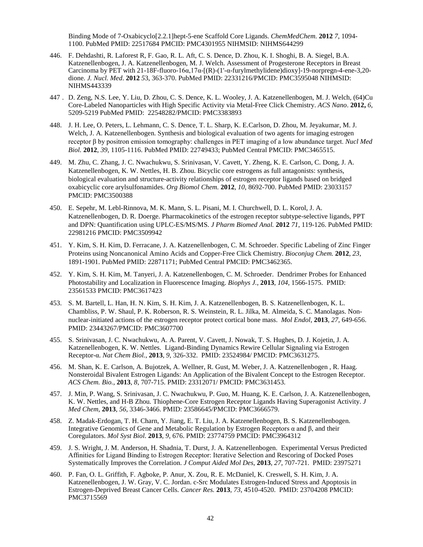Binding Mode of 7-Oxabicyclo[2.2.1]hept-5-ene Scaffold Core Ligands. *ChemMedChem.* **2012** *7*, 1094- 1100. PubMed PMID: 22517684 PMCID: PMC4301955 NIHMSID: NIHMS644299

- 446. F. Dehdashti, R. Laforest R, F. Gao, R. L. Aft, C. S. Dence, D. Zhou, K. I. Shoghi, B. A. Siegel, B.A. Katzenellenbogen, J. A. Katzenellenbogen, M. J. Welch. Assessment of Progesterone Receptors in Breast Carcinoma by PET with 21-18F-fluoro-16α,17α-[(R)-(1'-α-furylmethylidene)dioxy]-19-norpregn-4-ene-3,20 dione. *J. Nucl. Med*. **2012** *5*3, 363-370. PubMed PMID: 22331216/PMCID: PMC3595048 NIHMSID: NIHMS443339
- 447 . D. Zeng, N.S. Lee, Y. Liu, D. Zhou, C. S. Dence, K. L. Wooley, J. A. Katzenellenbogen, M. J. Welch, (64)Cu Core-Labeled Nanoparticles with High Specific Activity via Metal-Free Click Chemistry. *ACS Nano*. **2012,** *6*, 5209-5219 PubMed PMID: 22548282/PMCID: PMC3383893
- 448. J. H. Lee, O. Peters, L. Lehmann, C. S. Dence, T. L. Sharp, K. E.Carlson, D. Zhou, M. Jeyakumar, M. J. Welch, J. A. Katzenellenbogen. Synthesis and biological evaluation of two agents for imaging estrogen receptor β by positron emission tomography: challenges in PET imaging of a low abundance target. *Nucl Med Biol.* **2012**, *39*, 1105-1116. PubMed PMID: 22749433; PubMed Central PMCID: PMC3465515.
- 449. M. Zhu, C. Zhang, J. C. Nwachukwu, S. Srinivasan, V. Cavett, Y. Zheng, K. E. Carlson, C. Dong, J. A. Katzenellenbogen, K. W. Nettles, H. B. Zhou. Bicyclic core estrogens as full antagonists: synthesis, biological evaluation and structure-activity relationships of estrogen receptor ligands based on bridged oxabicyclic core arylsulfonamides. *Org Biomol Chem.* **2012**, *10*, 8692-700. PubMed PMID: 23033157 PMCID: PMC3500388
- 450. E. Sepehr, M. Lebl-Rinnova, M. K. Mann, S. L. Pisani, M. I. Churchwell, D. L. Korol, J. A. Katzenellenbogen, D. R. Doerge. Pharmacokinetics of the estrogen receptor subtype-selective ligands, PPT and DPN: Quantification using UPLC-ES/MS/MS. *J Pharm Biomed Anal.* **2012** *71*, 119-126. PubMed PMID: 22981216 PMCID: PMC3509942
- 451. Y. Kim, S. H. Kim, D. Ferracane, J. A. Katzenellenbogen, C. M. Schroeder. Specific Labeling of Zinc Finger Proteins using Noncanonical Amino Acids and Copper-Free Click Chemistry. *Bioconjug Chem.* **2012**, *23*, 1891-1901. PubMed PMID: 22871171; PubMed Central PMCID: PMC3462365.
- 452. Y. Kim, S. H. Kim, M. Tanyeri, J. A. Katzenellenbogen, C. M. Schroeder. Dendrimer Probes for Enhanced Photostability and Localization in Fluorescence Imaging. *Biophys J.*, **2013**, *104*, 1566-1575. PMID: 23561533 PMCID: PMC3617423
- 453. S. M. Bartell, L. Han, H. N. Kim, S. H. Kim, J. A. Katzenellenbogen, B. S. Katzenellenbogen, K. L. Chambliss, P. W. Shaul, P. K. Roberson, R. S. Weinstein, R. L. Jilka, M. Almeida, S. C. Manolagas. Nonnuclear-initiated actions of the estrogen receptor protect cortical bone mass. *Mol Endol*, **2013**, *27,* 649-656. PMID: 23443267/PMCID: PMC3607700
- 455. S. Srinivasan, J. C. Nwachukwu, A. A. Parent, V. Cavett, J. Nowak, T. S. Hughes, D. J. Kojetin, J. A. Katzenellenbogen, K. W. Nettles. Ligand-Binding Dynamics Rewire Cellular Signaling via Estrogen Receptor-α. *Nat Chem Biol.*, **2013**, *9*, 326-332. PMID: 23524984/ PMCID: PMC3631275.
- 456. M. Shan, K. E. Carlson, A. Bujotzek, A. Wellner, R. Gust, M. Weber, J. A. Katzenellenbogen , R. Haag. Nonsteroidal Bivalent Estrogen Ligands: An Application of the Bivalent Concept to the Estrogen Receptor. *ACS Chem. Bio.*, **2013**, *8*, 707-715. PMID: 23312071/ PMCID: PMC3631453.
- 457. J. Min, P. Wang, S. Srinivasan, J. C. Nwachukwu, P. Guo, M. Huang, K. E. Carlson, J. A. Katzenellenbogen, K. W. Nettles, and H-B Zhou. Thiophene-Core Estrogen Receptor Ligands Having Superagonist Activity. *J Med Chem*, **2013**, *56*, 3346-3466. PMID: 23586645/PMCID: PMC3666579.
- 458. Z. Madak-Erdogan, T. H. Charn, Y. Jiang, E. T. Liu, J. A. Katzenellenbogen, B. S. Katzenellenbogen. Integrative Genomics of Gene and Metabolic Regulation by Estrogen Receptors α and β, and their Coregulators. *Mol Syst Biol*. **2013**, *9*, 676. PMID: 23774759 PMCID: PMC3964312
- 459. J. S. Wright, J. M. Anderson, H. Shadnia, T. Durst, J. A. Katzenellenbogen. Experimental Versus Predicted Affinities for Ligand Binding to Estrogen Receptor: Iterative Selection and Rescoring of Docked Poses Systematically Improves the Correlation. *J Comput Aided Mol Des*, **2013**, *27*, 707-721. PMID: 23975271
- 460. P. Fan, O. L. Griffith, F. Agboke, P. Anur, X. Zou, R. E. McDaniel, K. Creswell, S. H. Kim, J. A. Katzenellenbogen, J. W. Gray, V. C. Jordan. c-Src Modulates Estrogen-Induced Stress and Apoptosis in Estrogen-Deprived Breast Cancer Cells. *Cancer Res.* **2013**, *73*, 4510-4520.PMID: 23704208 PMCID: PMC3715569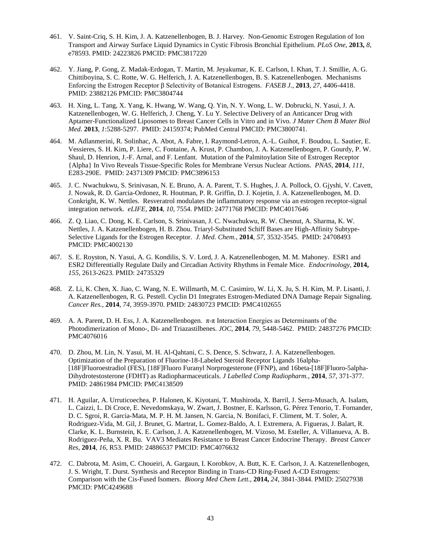- 461. V. Saint-Criq, S. H. Kim, J. A. Katzenellenbogen, B. J. Harvey. Non-Genomic Estrogen Regulation of Ion Transport and Airway Surface Liquid Dynamics in Cystic Fibrosis Bronchial Epithelium. *PLoS One*, **2013,** *8*, e78593. PMID: 24223826 PMCID: PMC3817220
- 462. Y. Jiang, P. Gong, Z. Madak-Erdogan, T. Martin, M. Jeyakumar, K. E. Carlson, I. Khan, T. J. Smillie, A. G. Chittiboyina, S. C. Rotte, W. G. Helferich, J. A. Katzenellenbogen, B. S. Katzenellenbogen. Mechanisms Enforcing the Estrogen Receptor β Selectivity of Botanical Estrogens. *FASEB J.*, **2013**, *27*, 4406-4418. PMID: 23882126 PMCID: PMC3804744
- 463. H. Xing, L. Tang, X. Yang, K. Hwang, W. Wang, Q. Yin, N. Y. Wong, L. W. Dobrucki, N. Yasui, J. A. Katzenellenbogen, W. G. Helferich, J. Cheng, Y. Lu Y. Selective Delivery of an Anticancer Drug with Aptamer-Functionalized Liposomes to Breast Cancer Cells in Vitro and in Vivo. *J Mater Chem B Mater Biol Med.* **2013**, *1*:5288-5297. PMID: 24159374; PubMed Central PMCID: PMC3800741.
- 464. M. Adlanmerini, R. Solinhac, A. Abot, A. Fabre, I. Raymond-Letron, A.-L. Guihot, F. Boudou, L. Sautier, E. Vessieres, S. H. Kim, P. Liere, C. Fontaine, A. Krust, P. Chambon, J. A. Katzenellenbogen, P. Gourdy, P. W. Shaul, D. Henrion, J.-F. Arnal, and F. Lenfant. Mutation of the Palmitoylation Site of Estrogen Receptor {Alpha} In Vivo Reveals Tissue-Specific Roles for Membrane Versus Nuclear Actions. *PNAS*, **2014**, *111*, E283-290E. PMID: 24371309 PMCID: PMC3896153
- 465. J. C. Nwachukwu, S. Srinivasan, N. E. Bruno, A. A. Parent, T. S. Hughes, J. A. Pollock, O. Gjyshi, V. Cavett, J. Nowak, R. D. Garcia-Ordonez, R. Houtman, P. R. Griffin, D. J. Kojetin, J. A. Katzenellenbogen, M. D. Conkright, K. W. Nettles. Resveratrol modulates the inflammatory response via an estrogen receptor-signal integration network. *eLIFE*, **2014**, *10*, 7554. PMID: 24771768 PMCID: PMC4017646
- 466. Z. Q. Liao, C. Dong, K. E. Carlson, S. Srinivasan, J. C. Nwachukwu, R. W. Chesnut, A. Sharma, K. W. Nettles, J. A. Katzenellenbogen, H. B. Zhou. Triaryl-Substituted Schiff Bases are High-Affinity Subtype-Selective Ligands for the Estrogen Receptor. *J. Med. Chem.*, **2014**, *57*, 3532-3545. PMID: 24708493 PMCID: PMC4002130
- 467. S. E. Royston, N. Yasui, A. G. Kondilis, S. V. Lord, J. A. Katzenellenbogen, M. M. Mahoney. ESR1 and ESR2 Differentially Regulate Daily and Circadian Activity Rhythms in Female Mice. *Endocrinology*, **2014,**  *155*, 2613-2623. PMID: 24735329
- 468. Z. Li, K. Chen, X. Jiao, C. Wang, N. E. Willmarth, M. C. Casimiro, W. Li, X. Ju, S. H. Kim, M. P. Lisanti, J. A. Katzenellenbogen, R. G. Pestell. Cyclin D1 Integrates Estrogen-Mediated DNA Damage Repair Signaling. *Cancer Res.*, **2014**, *74*, 3959-3970. PMID: 24830723 PMCID: PMC4102655
- 469. A. A. Parent, D. H. Ess, J. A. Katzenellenbogen. π-π Interaction Energies as Determinants of the Photodimerization of Mono-, Di- and Triazastilbenes. *JOC*, **2014**, *79*, 5448-5462. PMID: 24837276 PMCID: PMC4076016
- 470. D. Zhou, M. Lin, N. Yasui, M. H. Al-Qahtani, C. S. Dence, S. Schwarz, J. A. Katzenellenbogen. Optimization of the Preparation of Fluorine-18-Labeled Steroid Receptor Ligands 16alpha- [18F]Fluoroestradiol (FES), [18F]Fluoro Furanyl Norprogesterone (FFNP), and 16beta-[18F]Fluoro-5alpha-Dihydrotestosterone (FDHT) as Radiopharmaceuticals. *J Labelled Comp Radiopharm.*, **2014**, *57*, 371-377. PMID: 24861984 PMCID: PMC4138509
- 471. H. Aguilar, A. Urruticoechea, P. Halonen, K. Kiyotani, T. Mushiroda, X. Barril, J. Serra-Musach, A. Isalam, L. Caizzi, L. Di Croce, E. Nevedomskaya, W. Zwart, J. Bostner, E. Karlsson, G. Pérez Tenorio, T. Fornander, D. C. Sgroi, R. Garcia-Mata, M. P. H. M. Jansen, N. Garcia, N. Bonifaci, F. Climent, M. T. Soler, A. Rodriguez-Vida, M. Gil, J. Brunet, G. Martrat, L. Gomez-Baldo, A. I. Extremera, A. Figueras, J. Balart, R. Clarke, K. L. Burnstein, K. E. Carlson, J. A. Katzenellenbogen, M. Vizoso, M. Esteller, A. Villanueva, A. B. Rodriguez-Peña, X. R. Bu. VAV3 Mediates Resistance to Breast Cancer Endocrine Therapy. *Breast Cancer Res*, **2014**, *16*, R53. PMID: 24886537 PMCID: PMC4076632
- 472. C. Dabrota, M. Asim, C. Choueiri, A. Gargaun, I. Korobkov, A. Butt, K. E. Carlson, J. A. Katzenellenbogen, J. S. Wright, T. Durst. Synthesis and Receptor Binding in Trans-CD Ring-Fused A-CD Estrogens: Comparison with the Cis-Fused Isomers. *Bioorg Med Chem Lett.*, **2014,** *24*, 3841-3844. PMID: 25027938 PMCID: PMC4249688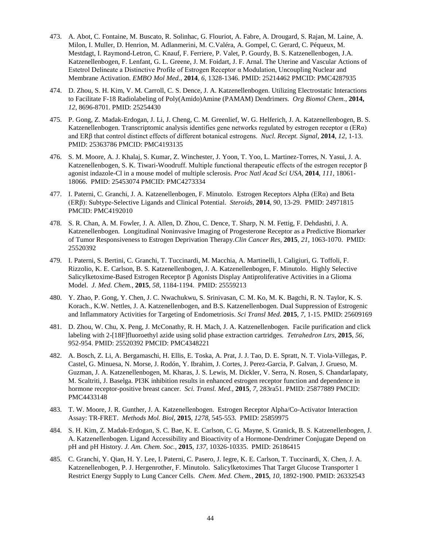- 473. A. Abot, C. Fontaine, M. Buscato, R. Solinhac, G. Flouriot, A. Fabre, A. Drougard, S. Rajan, M. Laine, A. Milon, I. Muller, D. Henrion, M. Adlanmerini, M. C.Valéra, A. Gompel, C. Gerard, C. Péqueux, M. Mestdagt, I. Raymond-Letron, C. Knauf, F. Ferriere, P. Valet, P. Gourdy, B. S. Katzenellenbogen, J.A. Katzenellenbogen, F. Lenfant, G. L. Greene, J. M. Foidart, J. F. Arnal. The Uterine and Vascular Actions of Estetrol Delineate a Distinctive Profile of Estrogen Receptor α Modulation, Uncoupling Nuclear and Membrane Activation. *EMBO Mol Med.*, **2014**, *6,* 1328-1346. PMID: 25214462 PMCID: PMC4287935
- 474. D. Zhou, S. H. Kim, V. M. Carroll, C. S. Dence, J. A. Katzenellenbogen. Utilizing Electrostatic Interactions to Facilitate F-18 Radiolabeling of Poly(Amido)Amine (PAMAM) Dendrimers. *Org Biomol Chem.,* **2014,** *12*, 8696-8701. PMID: 25254430
- 475. P. Gong, Z. Madak-Erdogan, J. Li, J. Cheng, C. M. Greenlief, W. G. Helferich, J. A. Katzenellenbogen, B. S. Katzenellenbogen. Transcriptomic analysis identifies gene networks regulated by estrogen receptor α (ERα) and ERβ that control distinct effects of different botanical estrogens. *Nucl. Recept. Signal*, **2014**, *12*, 1-13. PMID: 25363786 PMCID: PMC4193135
- 476. S. M. Moore, A. J. Khalaj, S. Kumar, Z. Winchester, J. Yoon, T. Yoo, L. Martinez-Torres, N. Yasui, J. A. Katzenellenbogen, S. K. Tiwari-Woodruff. Multiple functional therapeutic effects of the estrogen receptor β agonist indazole-Cl in a mouse model of multiple sclerosis. *Proc Natl Acad Sci USA,* **2014**, *111*, 18061- 18066. PMID: 25453074 PMCID: PMC4273334
- 477. I. Paterni, C. Granchi, J. A. Katzenellenbogen, F. Minutolo. Estrogen Receptors Alpha (ERα) and Beta (ERβ): Subtype-Selective Ligands and Clinical Potential. *Steroids*, **2014**, *90*, 13-29. PMID: 24971815 PMCID: PMC4192010
- 478. S. R. Chan, A. M. Fowler, J. A. Allen, D. Zhou, C. Dence, T. Sharp, N. M. Fettig, F. Dehdashti, J. A. Katzenellenbogen. Longitudinal Noninvasive Imaging of Progesterone Receptor as a Predictive Biomarker of Tumor Responsiveness to Estrogen Deprivation Therapy.*Clin Cancer Res,* **2015**, *21*, 1063-1070. PMID: 25520392
- 479. I. Paterni, S. Bertini, C. Granchi, T. Tuccinardi, M. Macchia, A. Martinelli, I. Caligiuri, G. Toffoli, F. Rizzolio, K. E. Carlson, B. S. Katzenellenbogen, J. A. Katzenellenbogen, F. Minutolo. Highly Selective Salicylketoxime-Based Estrogen Receptor β Agonists Display Antiproliferative Activities in a Glioma Model. *J. Med. Chem.*, **2015**, *58*, 1184-1194. PMID: 25559213
- 480. Y. Zhao, P. Gong, Y. Chen, J. C. Nwachukwu, S. Srinivasan, C. M. Ko, M. K. Bagchi, R. N. Taylor, K. S. Korach., K.W. Nettles, J. A. Katzenellenbogen, and B.S. Katzenellenbogen. Dual Suppression of Estrogenic and Inflammatory Activities for Targeting of Endometriosis. *Sci Transl Med.* **2015**, *7*, 1-15. PMID: 25609169
- 481. D. Zhou, W. Chu, X. Peng, J. McConathy, R. H. Mach, J. A. Katzenellenbogen. Facile purification and click labeling with 2-[18F]fluoroethyl azide using solid phase extraction cartridges. *Tetrahedron Ltrs*, **2015**, *56*, 952-954. PMID: 25520392 PMCID: PMC4348221
- 482. A. Bosch, Z. Li, A. Bergamaschi, H. Ellis, E. Toska, A. Prat, J. J. Tao, D. E. Spratt, N. T. Viola-Villegas, P. Castel, G. Minuesa, N. Morse, J. Rodón, Y. Ibrahim, J. Cortes, J. Perez-Garcia, P. Galvan, J. Grueso, M. Guzman, J. A. Katzenellenbogen, M. Kharas, J. S. Lewis, M. Dickler, V. Serra, N. Rosen, S. Chandarlapaty, M. Scaltriti, J. Baselga. PI3K inhibition results in enhanced estrogen receptor function and dependence in hormone receptor-positive breast cancer. *Sci. Transl. Med.*, **2015**, *7*, 283ra51. PMID: 25877889 PMCID: PMC4433148
- 483. T. W. Moore, J. R. Gunther, J. A. Katzenellenbogen. Estrogen Receptor Alpha/Co-Activator Interaction Assay: TR-FRET. *Methods Mol. Biol*, **2015**, *1278*, 545-553. PMID: 25859975
- 484. S. H. Kim, Z. Madak-Erdogan, S. C. Bae, K. E. Carlson, C. G. Mayne, S. Granick, B. S. Katzenellenbogen, J. A. Katzenellenbogen. Ligand Accessibility and Bioactivity of a Hormone-Dendrimer Conjugate Depend on pH and pH History. *J. Am. Chem. Soc.*, **2015**, *137*, 10326-10335. PMID: 26186415
- 485. C. Granchi, Y. Qian, H. Y. Lee, I. Paterni, C. Pasero, J. Iegre, K. E. Carlson, T. Tuccinardi, X. Chen, J. A. Katzenellenbogen, P. J. Hergenrother, F. Minutolo. Salicylketoximes That Target Glucose Transporter 1 Restrict Energy Supply to Lung Cancer Cells. *Chem. Med. Chem.*, **2015**, *10*, 1892-1900. PMID: 26332543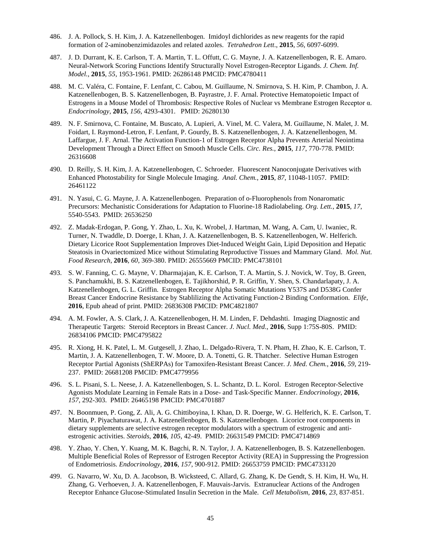- 486. J. A. Pollock, S. H. Kim, J. A. Katzenellenbogen. Imidoyl dichlorides as new reagents for the rapid formation of 2-aminobenzimidazoles and related azoles. *Tetrahedron Lett*., **2015**, *56*, 6097-6099.
- 487. J. D. Durrant, K. E. Carlson, T. A. Martin, T. L. Offutt, C. G. Mayne, J. A. Katzenellenbogen, R. E. Amaro. Neural-Network Scoring Functions Identify Structurally Novel Estrogen-Receptor Ligands. *J. Chem. Inf. Model.*, **2015**, *55*, 1953-1961. PMID: 26286148 PMCID: PMC4780411
- 488. M. C. Valéra, C. Fontaine, F. Lenfant, C. Cabou, M. Guillaume, N. Smirnova, S. H. Kim, P. Chambon, J. A. Katzenellenbogen, B. S. Katzenellenbogen, B. Payrastre, J. F. Arnal. Protective Hematopoietic Impact of Estrogens in a Mouse Model of Thrombosis: Respective Roles of Nuclear vs Membrane Estrogen Receptor α. *Endocrinology*, **2015**, *156*, 4293-4301. PMID: 26280130
- 489. N. F. Smirnova, C. Fontaine, M. Buscato, A. Lupieri, A. Vinel, M. C. Valera, M. Guillaume, N. Malet, J. M. Foidart, I. Raymond-Letron, F. Lenfant, P. Gourdy, B. S. Katzenellenbogen, J. A. Katzenellenbogen, M. Laffargue, J. F. Arnal. The Activation Function-1 of Estrogen Receptor Alpha Prevents Arterial Neointima Development Through a Direct Effect on Smooth Muscle Cells. *Circ. Res.*, **2015**, *117*, 770-778. PMID: 26316608
- 490. D. Reilly, S. H. Kim, J. A. Katzenellenbogen, C. Schroeder. Fluorescent Nanoconjugate Derivatives with Enhanced Photostability for Single Molecule Imaging. *Anal. Chem.*, **2015**, *87*, 11048-11057. PMID: 26461122
- 491. N. Yasui, C. G. Mayne, J. A. Katzenellenbogen. Preparation of o-Fluorophenols from Nonaromatic Precursors: Mechanistic Considerations for Adaptation to Fluorine-18 Radiolabeling. *Org. Lett.*, **2015**, *17*, 5540-5543. PMID: 26536250
- 492. Z. Madak-Erdogan, P. Gong, Y. Zhao, L. Xu, K. Wrobel, J. Hartman, M. Wang, A. Cam, U. Iwaniec, R. Turner, N. Twaddle, D. Doerge, I. Khan, J. A. Katzenellenbogen, B. S. Katzenellenbogen, W. Helferich. Dietary Licorice Root Supplementation Improves Diet-Induced Weight Gain, Lipid Deposition and Hepatic Steatosis in Ovariectomized Mice without Stimulating Reproductive Tissues and Mammary Gland. *Mol. Nut. Food Research*, **2016**, *60*, 369-380. PMID: 26555669 PMCID: PMC4738101
- 493. S. W. Fanning, C. G. Mayne, V. Dharmajajan, K. E. Carlson, T. A. Martin, S. J. Novick, W. Toy, B. Green, S. Panchamukhi, B. S. Katzenellenbogen, E. Tajikhorshid, P. R. Griffin, Y. Shen, S. Chandarlapaty, J. A. Katzenellenbogen, G. L. Griffin. Estrogen Receptor Alpha Somatic Mutations Y537S and D538G Confer Breast Cancer Endocrine Resistance by Stablilizing the Activating Function-2 Binding Conformation. *Elife*, **2016**, Epub ahead of print. PMID: 26836308 PMCID: PMC4821807
- 494. A. M. Fowler, A. S. Clark, J. A. Katzenellenbogen, H. M. Linden, F. Dehdashti. Imaging Diagnostic and Therapeutic Targets: Steroid Receptors in Breast Cancer. *J. Nucl. Med.*, **2016**, Supp 1:75S-80S. PMID: 26834106 PMCID: PMC4795822
- 495. R. Xiong, H. K. Patel, L. M. Gutgesell, J. Zhao, L. Delgado-Rivera, T. N. Pham, H. Zhao, K. E. Carlson, T. Martin, J. A. Katzenellenbogen, T. W. Moore, D. A. Tonetti, G. R. Thatcher. Selective Human Estrogen Receptor Partial Agonists (ShERPAs) for Tamoxifen-Resistant Breast Cancer. *J. Med. Chem.*, **2016**, *59*, 219- 237. PMID: 26681208 PMCID: PMC4779956
- 496. S. L. Pisani, S. L. Neese, J. A. Katzenellenbogen, S. L. Schantz, D. L. Korol. Estrogen Receptor-Selective Agonists Modulate Learning in Female Rats in a Dose- and Task-Specific Manner. *Endocrinology*, **2016**, *157*, 292-303. PMID: 26465198 PMCID: PMC4701887
- 497. N. Boonmuen, P. Gong, Z. Ali, A. G. Chittiboyina, I. Khan, D. R. Doerge, W. G. Helferich, K. E. Carlson, T. Martin, P. Piyachaturawat, J. A. Katzenellenbogen, B. S. Katzenellenbogen. Licorice root components in dietary supplements are selective estrogen receptor modulators with a spectrum of estrogenic and antiestrogenic activities. *Steroids*, **2016**, *105*, 42-49. PMID: 26631549 PMCID: PMC4714869
- 498. Y. Zhao, Y. Chen, Y. Kuang, M. K. Bagchi, R. N. Taylor, J. A. Katzenellenbogen, B. S. Katzenellenbogen. Multiple Beneficial Roles of Repressor of Estrogen Receptor Activity (REA) in Suppressing the Progression of Endometriosis. *Endocrinology*, **2016**, *157*, 900-912. PMID: 26653759 PMCID: PMC4733120
- 499. G. Navarro, W. Xu, D. A. Jacobson, B. Wicksteed, C. Allard, G. Zhang, K. De Gendt, S. H. Kim, H. Wu, H. Zhang, G. Verhoeven, J. A. Katzenellenbogen, F. Mauvais-Jarvis. Extranuclear Actions of the Androgen Receptor Enhance Glucose-Stimulated Insulin Secretion in the Male. *Cell Metabolism*, **2016**, *23*, 837-851.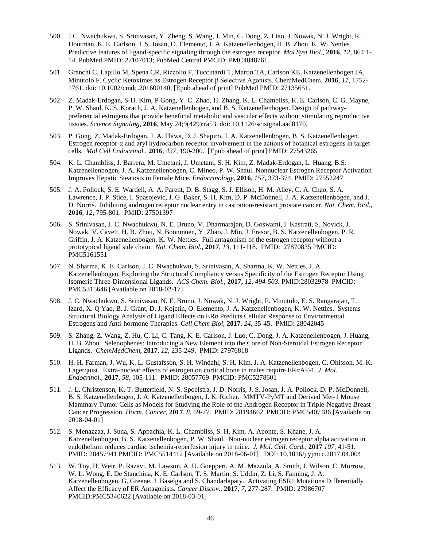- 500. J.C. Nwachukwu, S. Srinivasan, Y. Zheng, S. Wang, J. Min, C. Dong, Z. Liao, J. Nowak, N. J. Wright, R. Houtman, K. E. Carlson, J. S. Josan, O. Elemento, J. A. Katzenellenbogen, H. B. Zhou, K. W. Nettles. Predictive features of ligand-specific signaling through the estrogen receptor. *Mol Syst Biol.,* **2016**, *12*, 864:1- 14. PubMed PMID: 27107013; PubMed Central PMCID: PMC4848761.
- 501. Granchi C, Lapillo M, Spena CR, Rizzolio F, Tuccinardi T, Martin TA, Carlson KE, Katzenellenbogen JA, Minutolo F. Cyclic Ketoximes as Estrogen Receptor β Selective Agonists. ChemMedChem. **2016**, *11*, 1752- 1761. doi: 10.1002/cmdc.201600140. [Epub ahead of print] PubMed PMID: 27135651.
- 502. Z. Madak-Erdogan, S-H. Kim, P Gong, Y. C. Zhao, H. Zhang, K. L. Chambliss, K. E. Carlson, C. G. Mayne, P. W. Shaul, K. S. Korach, J. A. Katzenellenbogen, and B. S. Katzenellenbogen. Design of pathwaypreferential estrogens that provide beneficial metabolic and vascular effects without stimulating reproductive tissues. *Science Signaling*, **2016**, May 24;9(429):ra53. doi: 10.1126/scisignal.aad8170.
- 503. P. Gong, Z. Madak-Erdogan, J. A. Flaws, D. J. Shapiro, J. A. Katzenellenbogen, B. S. Katzenellenbogen. Estrogen receptor-α and aryl hydrocarbon receptor involvement in the actions of botanical estrogens in target cells. *Mol Cell Endocrinol.*, **2016**, *437*, 190-200. [Epub ahead of print] PMID: 27543265
- 504. K. L. Chambliss, J. Barrera, M. Umetani, J. Umetani, S. H. Kim, Z. Madak-Erdogan, L. Huang, B.S. Katzenellenbogen, J. A. Katzenellenbogen, C. Mineo, P. W. Shaul. Nonnuclear Estrogen Receptor Activation Improves Hepatic Steatosis in Female Mice. *Endocrinology*, **2016**, *157*, 373-374. PMID: 27552247
- 505. J. A. Pollock, S. E. Wardell, A. A. Parent, D. B. Stagg, S. J. Ellison, H. M. Alley, C. A. Chao, S. A. Lawrence, J. P. Stice, I. Spasojevic, J. G. Baker, S. H. Kim, D. P. McDonnell, J. A. Katzenellenbogen, and J. D. Norris. Inhibiting androgen receptor nuclear entry in castration-resistant prostate cancer. *Nat. Chem. Biol.*, **2016**, *12*, 795-801. PMID: 27501397
- 506. S. Srinivasan, J. C. Nwachukwu, N. E. Bruno, V. Dharmarajan, D. Goswami, I. Kastrati, S. Novick, J. Nowak, V. Cavett, H. B. Zhou, N. Boonmuen, Y. Zhao, J. Min, J. Frasor, B. S. Katzenellenbogen, P. R. Griffin, J. A. Katzenellenbogen, K. W. Nettles. Full antagonism of the estrogen receptor without a prototypical ligand side chain. *Nat. Chem. Biol.*, **2017**, *13*, 111-118. PMID: 27870835 PMCID: PMC5161551
- 507. N. Sharma, K. E. Carlson, J. C. Nwachukwu, S. Srinivasan, A. Sharma, K. W. Nettles, J. A. Katzenellenbogen. Exploring the Structural Compliancy versus Specificity of the Estrogen Receptor Using Isomeric Three-Dimensional Ligands. *ACS Chem. Biol.*, **2017,** *12, 494-503.* PMID:28032978 PMCID: PMC5315646 [Available on 2018-02-17]
- 508. J. C. Nwachukwu, S. Srinivasan, N. E. Bruno, J. Nowak, N. J. Wright, F. Minutolo, E. S. Rangarajan, T. Izard, X. Q Yao, B. J. Grant, D. J. Kojetin, O. Elemento, J. A. Katzenellenbogen, K. W. Nettles. Systems Structural Biology Analysis of Ligand Effects on ERα Predicts Cellular Response to Environmental Estrogens and Anti-hormone Therapies. *Cell Chem Biol*, **2017**, *24*, 35-45. PMID: 28042045
- 509. S. Zhang, Z. Wang, Z. Hu, C. Li, C. Tang, K. E. Carlson, J. Luo, C. Dong, J. A. Katzenellenbogen, J. Huang, H. B. Zhou. Selenophenes: Introducing a New Element into the Core of Non-Steroidal Estrogen Receptor Ligands. *ChemMedChem*, **2017**, *12*, 235-249. PMID: 27976818
- 510. H. H. Farman, J. Wu, K. L. Gustafsson, S. H. Windahl, S. H. Kim, J. A. Katzenellenbogen, C. Ohlsson, M. K. Lagerquist. Extra-nuclear effects of estrogen on cortical bone in males require ERαAF-1. *J. Mol. Endocrinol*., **2017**, *58,* 105-111. PMID: 28057769 PMCID: PMC5278601
- 511. J. L. Christenson, K. T. Butterfield, N. S. Spoelstra, J. D. Norris, J. S. Josan, J. A. Pollock, D. P. McDonnell, B. S. Katzenellenbogen, J. A. Katzenellenbogen, J. K. Richer. MMTV-PyMT and Derived Met-1 Mouse Mammary Tumor Cells as Models for Studying the Role of the Androgen Receptor in Triple-Negative Breast Cancer Progression. *Horm. Cancer,* **2017***, 8*, 69-77. PMID: 28194662 PMCID: PMC5407486 [Available on 2018-04-01]
- 512. S. Menazzaa, J. Suna, S. Appachia, K. L. Chambliss, S. H. Kim, A. Aponte, S. Khane, J. A. Katzenellenbogen, B. S. Katzenellenbogen, P. W. Shaul. Non-nuclear estrogen receptor alpha activation in endothelium reduces cardiac ischemia-reperfusion injury in mice. *J. Mol. Cell. Card.*, **2017** *107*, 41-51. PMID: 28457941 PMCID: PMC5514412 [Available on 2018-06-01] DOI: 10.1016/j.yjmcc.2017.04.004
- 513. W. Toy, H. Weir, P. Razavi, M. Lawson, A. U. Goeppert, A. M. Mazzola, A. Smith, J. Wilson, C. Morrow, W. L. Wong, E. De Stanchina, K. E. Carlson, T. S. Martin, S. Uddin, Z. Li, S. Fanning, J. A. Katzenellenbogen, G. Greene, J. Baselga and S. Chandarlapaty. Activating ESR1 Mutations Differentially Affect the Efficacy of ER Antagonists. *Cancer Discov*., **2017**, *7*, 277-287. PMID: 27986707 PMCID:PMC5340622 [Available on 2018-03-01]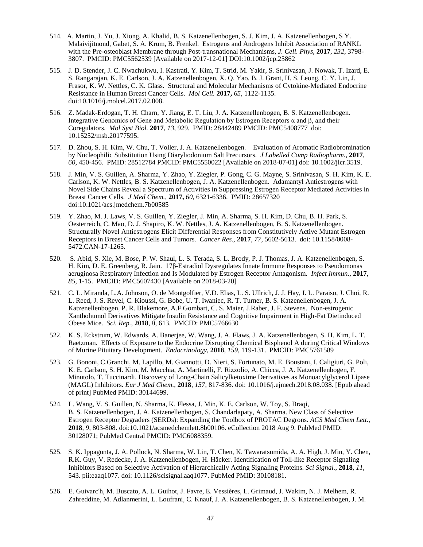- 514. A. Martin, J. Yu, J. Xiong, A. Khalid, B. S. Katzenellenbogen, S. J. Kim, J. A. Katzenellenbogen, S Y. Malaivijitnond, Gabet, S. A. Krum, B. Frenkel. Estrogens and Androgens Inhibit Association of RANKL with the Pre-osteoblast Membrane through Post-transnational Mechanisms, *J. Cell. Phys*, **2017**, *232*, 3798- 3807. PMCID: PMC5562539 [Available on 2017-12-01] DOI:10.1002/jcp.25862
- 515. J. D. Stender, J. C. Nwachukwu, I. Kastrati, Y. Kim, T. Strid, M. Yakir, S. Srinivasan, J. Nowak, T. Izard, E. S. Rangarajan, K. E. Carlson, J. A. Katzenellenbogen, X. Q. Yao, B. J. Grant, H. S. Leong, C. Y. Lin, J. Frasor, K. W. Nettles, C. K. Glass. Structural and Molecular Mechanisms of Cytokine-Mediated Endocrine Resistance in Human Breast Cancer Cells. *Mol Cell.* **2017,** *65*, 1122-1135. doi:10.1016/j.molcel.2017.02.008.
- 516. Z. Madak-Erdogan, T. H. Charn, Y. Jiang, E. T. Liu, J. A. Katzenellenbogen, B. S. Katzenellenbogen. Integrative Genomics of Gene and Metabolic Regulation by Estrogen Receptors α and β, and their Coregulators. *Mol Syst Biol.* **2017**, *13*, 929. PMID: 28442489 PMCID: PMC5408777 doi: 10.15252/msb.20177595.
- 517. D. Zhou, S. H. Kim, W. Chu, T. Voller, J. A. Katzenellenbogen. Evaluation of Aromatic Radiobromination by Nucleophilic Substitution Using Diaryliodonium Salt Precursors. *J Labelled Comp Radiopharm.*, **2017**, *60*, 450-456. PMID: 28512784 PMCID: PMC5550022 [Available on 2018-07-01] doi: 10.1002/jlcr.3519.
- 518. J. Min, V. S. Guillen, A. Sharma, Y. Zhao, Y. Ziegler, P. Gong, C. G. Mayne, S. Srinivasan, S. H. Kim, K. E. Carlson, K. W. Nettles, B. S. Katzenellenbogen, J. A. Katzenellenbogen. Adamantyl Antiestrogens with Novel Side Chains Reveal a Spectrum of Activities in Suppressing Estrogen Receptor Mediated Activities in Breast Cancer Cells. *J Med Chem.*, **2017,** *60,* 6321-6336. PMID: 28657320 doi:10.1021/acs.jmedchem.7b00585
- 519. Y. Zhao, M. J. Laws, V. S. Guillen, Y. Ziegler, J. Min, A. Sharma, S. H. Kim, D. Chu, B. H. Park, S. Oesterreich, C. Mao, D. J. Shapiro, K. W. Nettles, J. A. Katzenellenbogen, B. S. Katzenellenbogen. Structurally Novel Antiestrogens Elicit Differential Responses from Constitutively Active Mutant Estrogen Receptors in Breast Cancer Cells and Tumors. *Cancer Res.,* **2017**, *77*, 5602-5613. doi: 10.1158/0008- 5472.CAN-17-1265.
- 520. S. Abid, S. Xie, M. Bose, P. W. Shaul, L. S. Terada, S. L. Brody, P. J. Thomas, J. A. Katzenellenbogen, S. H. Kim, D. E. Greenberg, R. Jain. 17β-Estradiol Dysregulates Innate Immune Responses to Pseudomonas aeruginosa Respiratory Infection and Is Modulated by Estrogen Receptor Antagonism. *Infect Immun.,* **2017**, *85*, 1-15. PMCID: PMC5607430 [Available on 2018-03-20]
- 521. C. L. Miranda, L.A. Johnson, O. de Montgolfier, V.D. Elias, L. S. Ullrich, J. J. Hay, I. L. Paraiso, J. Choi, R. L. Reed, J. S. Revel, C. Kioussi, G. Bobe, U. T. Iwaniec, R. T. Turner, B. S. Katzenellenbogen, J. A. Katzenellenbogen, P. R. Blakemore, A.F.Gombart, C. S. Maier, J.Raber, J. F. Stevens. Non-estrogenic Xanthohumol Derivatives Mitigate Insulin Resistance and Cognitive Impairment in High-Fat Dietinduced Obese Mice. *Sci. Rep.*, **2018**, *8,* 613. PMCID: PMC5766630
- 522. K. S. Eckstrum, W. Edwards, A. Banerjee, W. Wang, J. A. Flaws, J. A. Katzenellenbogen, S. H. Kim, L. T. Raetzman. Effects of Exposure to the Endocrine Disrupting Chemical Bisphenol A during Critical Windows of Murine Pituitary Development. *Endocrinology*, **2018**, *159*, 119-131. PMCID: PMC5761589
- 523. G. Bononi, C.Granchi, M. Lapillo, M. Giannotti, D. Nieri, S. Fortunato, M. E. Boustani, I. Caligiuri, G. Poli, K. E. Carlson, S. H. Kim, M. Macchia, A. Martinelli, F. Rizzolio, A. Chicca, J. A. Katzenellenbogen, F. Minutolo, T. Tuccinardi. Discovery of Long-Chain Salicylketoxime Derivatives as Monoacylglycerol Lipase (MAGL) Inhibitors. *Eur J Med Chem*., **2018**, *157*, 817-836. doi: 10.1016/j.ejmech.2018.08.038. [Epub ahead of print] PubMed PMID: 30144699.
- 524. L. Wang, V. S. Guillen, N. Sharma, K. Flessa, J. Min, K. E. Carlson, W. Toy, S. Braqi, B. S. Katzenellenbogen, J. A. Katzenellenbogen, S. Chandarlapaty, A. Sharma. New Class of Selective Estrogen Receptor Degraders (SERDs): Expanding the Toolbox of PROTAC Degrons. *ACS Med Chem Lett.,* **2018**, *9*, 803-808. doi:10.1021/acsmedchemlett.8b00106. eCollection 2018 Aug 9. PubMed PMID: 30128071; PubMed Central PMCID: PMC6088359.
- 525. S. K. Ippagunta, J. A. Pollock, N. Sharma, W. Lin, T. Chen, K. Tawaratsumida, A. A. High, J. Min, Y. Chen, R.K. Guy, V. Redecke, J. A. Katzenellenbogen, H. Häcker. Identification of Toll-like Receptor Signaling Inhibitors Based on Selective Activation of Hierarchically Acting Signaling Proteins. *Sci Signal.*, **2018**, *11*, 543. pii:eaaq1077. doi: 10.1126/scisignal.aaq1077. PubMed PMID: 30108181.
- 526. E. Guivarc'h, M. Buscato, A. L. Guihot, J. Favre, E. Vessières, L. Grimaud, J. Wakim, N. J. Melhem, R. Zahreddine, M. Adlanmerini, L. Loufrani, C. Knauf, J. A. Katzenellenbogen, B. S. Katzenellenbogen, J. M.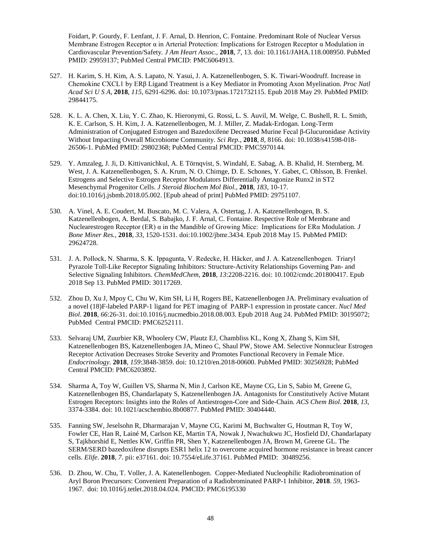Foidart, P. Gourdy, F. Lenfant, J. F. Arnal, D. Henrion, C. Fontaine. Predominant Role of Nuclear Versus Membrane Estrogen Receptor α in Arterial Protection: Implications for Estrogen Receptor α Modulation in Cardiovascular Prevention/Safety*. J Am Heart Assoc.*, **2018**, *7*, 13. doi: 10.1161/JAHA.118.008950. PubMed PMID: 29959137; PubMed Central PMCID: PMC6064913.

- 527. H. Karim, S. H. Kim, A. S. Lapato, N. Yasui, J. A. Katzenellenbogen, S. K. Tiwari-Woodruff. Increase in Chemokine CXCL1 by ERβ Ligand Treatment is a Key Mediator in Promoting Axon Myelination. *Proc Natl Acad Sci U S A*, **2018**, *115*, 6291-6296. doi: 10.1073/pnas.1721732115. Epub 2018 May 29. PubMed PMID: 29844175.
- 528. K. L. A. Chen, X. Liu, Y. C. Zhao, K. Hieronymi, G. Rossi, L. S. Auvil, M. Welge, C. Bushell, R. L. Smith, K. E. Carlson, S. H. Kim, J. A. Katzenellenbogen, M. J. Miller, Z. Madak-Erdogan. Long-Term Administration of Conjugated Estrogen and Bazedoxifene Decreased Murine Fecal β-Glucuronidase Activity Without Impacting Overall Microbiome Community. *Sci Rep.*, **2018**, *8*, 8166. doi: 10.1038/s41598-018- 26506-1. PubMed PMID: 29802368; PubMed Central PMCID: PMC5970144.
- 529. Y. Amzaleg, J. Ji, D. Kittivanichkul, A. E Törnqvist, S. Windahl, E. Sabag, A. B. Khalid, H. Sternberg, M. West, J. A. Katzenellenbogen, S. A. Krum, N. O. Chimge, D. E. Schones, Y. Gabet, C. Ohlsson, B. Frenkel. Estrogens and Selective Estrogen Receptor Modulators Differentially Antagonize Runx2 in ST2 Mesenchymal Progenitor Cells. *J Steroid Biochem Mol Biol.*, **2018**, *183*, 10-17. doi:10.1016/j.jsbmb.2018.05.002. [Epub ahead of print] PubMed PMID: 29751107.
- 530. A. Vinel, A. E. Coudert, M. Buscato, M. C. Valera, A. Ostertag, J. A. Katzenellenbogen, B. S. Katzenellenbogen, A. Berdal, S. Babajko, J. F. Arnal, C. Fontaine. Respective Role of Membrane and Nuclearestrogen Receptor (ER) α in the Mandible of Growing Mice: Implications for ERα Modulation. *J Bone Miner Res.*, **2018**, *33*, 1520-1531. doi:10.1002/jbmr.3434. Epub 2018 May 15. PubMed PMID: 29624728.
- 531. J. A. Pollock, N. Sharma, S. K. Ippagunta, V. Redecke, H. Häcker, and J. A. Katzenellenbogen. Triaryl Pyrazole Toll-Like Receptor Signaling Inhibitors: Structure-Activity Relationships Governing Pan- and Selective Signaling Inhibitors. *ChemMedChem*, **2018**, *13*:2208-2216. doi: 10.1002/cmdc.201800417. Epub 2018 Sep 13. PubMed PMID: 30117269.
- 532. Zhou D, Xu J, Mpoy C, Chu W, Kim SH, Li H, Rogers BE, Katzenellenbogen JA. Preliminary evaluation of a novel (18)F-labeled PARP-1 ligand for PET imaging of PARP-1 expression in prostate cancer. *Nucl Med Biol*. **2018**, *66*:26-31. doi:10.1016/j.nucmedbio.2018.08.003. Epub 2018 Aug 24. PubMed PMID: 30195072; PubMed Central PMCID: PMC6252111.
- 533. Selvaraj UM, Zuurbier KR, Whoolery CW, Plautz EJ, Chambliss KL, Kong X, Zhang S, Kim SH, Katzenellenbogen BS, Katzenellenbogen JA, Mineo C, Shaul PW, Stowe AM. Selective Nonnuclear Estrogen Receptor Activation Decreases Stroke Severity and Promotes Functional Recovery in Female Mice. *Endocrinology*. **2018**, *159*:3848-3859. doi: 10.1210/en.2018-00600. PubMed PMID: 30256928; PubMed Central PMCID: PMC6203892.
- 534. Sharma A, Toy W, Guillen VS, Sharma N, Min J, Carlson KE, Mayne CG, Lin S, Sabio M, Greene G, Katzenellenbogen BS, Chandarlapaty S, Katzenellenbogen JA. Antagonists for Constitutively Active Mutant Estrogen Receptors: Insights into the Roles of Antiestrogen-Core and Side-Chain. *ACS Chem Biol*. **2018**, *13*, 3374-3384. doi: 10.1021/acschembio.8b00877. PubMed PMID: 30404440.
- 535. Fanning SW, Jeselsohn R, Dharmarajan V, Mayne CG, Karimi M, Buchwalter G, Houtman R, Toy W, Fowler CE, Han R, Lainé M, Carlson KE, Martin TA, Nowak J, Nwachukwu JC, Hosfield DJ, Chandarlapaty S, Tajkhorshid E, Nettles KW, Griffin PR, Shen Y, Katzenellenbogen JA, Brown M, Greene GL. The SERM/SERD bazedoxifene disrupts ESR1 helix 12 to overcome acquired hormone resistance in breast cancer cells. *Elife*. **2018**, *7*. pii: e37161. doi: 10.7554/eLife.37161. PubMed PMID: 30489256.
- 536. D. Zhou, W. Chu, T. Voller, J. A. Katenellenbogen. Copper-Mediated Nucleophilic Radiobromination of Aryl Boron Precursors: Convenient Preparation of a Radiobrominated PARP-1 Inhibitor, **2018**. *59*, 1963- 1967. doi: 10.1016/j.tetlet.2018.04.024. PMCID: PMC6195330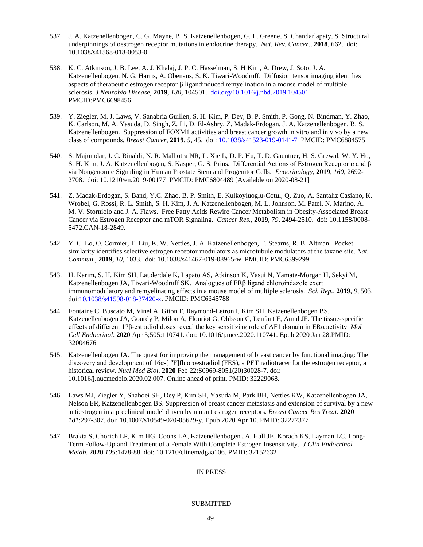- 537. J. A. Katzenellenbogen, C. G. Mayne, B. S. Katzenellenbogen, G. L. Greene, S. Chandarlapaty, S. Structural underpinnings of oestrogen receptor mutations in endocrine therapy. *Nat. Rev. Cancer*., **2018**, 662. doi: 10.1038/s41568-018-0053-0
- 538. K. C. Atkinson, J. B. Lee, A. J. Khalaj, J. P. C. Hasselman, S. H Kim, A. Drew, J. Soto, J. A. Katzenellenbogen, N. G. Harris, A. Obenaus, S. K. Tiwari-Woodruff. Diffusion tensor imaging identifies aspects of therapeutic estrogen receptor β ligandinduced remyelination in a mouse model of multiple sclerosis. *J Neurobio Disease*, **2019**, *130*, 104501. [doi.org/10.1016/j.nbd.2019.104501](https://doi.org/10.1016/j.nbd.2019.104501) PMCID:PMC6698456
- 539. Y. Ziegler, M. J. Laws, V. Sanabria Guillen, S. H. Kim, P. Dey, B. P. Smith, P. Gong, N. Bindman, Y. Zhao, K. Carlson, M. A. Yasuda, D. Singh, Z. Li, D. El-Ashry, Z. Madak-Erdogan, J. A. Katzenellenbogen, B. S. Katzenellenbogen. Suppression of FOXM1 activities and breast cancer growth in vitro and in vivo by a new class of compounds. *Breast Cancer*, **2019**, *5*, 45. doi: [10.1038/s41523-019-0141-7](https://dx.doi.org/10.1038%2Fs41523-019-0141-7) PMCID: PMC6884575
- 540. S. Majumdar, J. C. Rinaldi, N. R. Malhotra NR, L. Xie L, D. P. Hu, T. D. Gauntner, H. S. Grewal, W. Y. Hu, S. H. Kim, J. A. Katzenellenbogen, S. Kasper, G. S. Prins. Differential Actions of Estrogen Receptor α and β via Nongenomic Signaling in Human Prostate Stem and Progenitor Cells. *Enocrinology*, **2019**, *160*, 2692- 2708. doi: 10.1210/en.2019-00177 PMCID: PMC6804489 [Available on 2020-08-21]
- 541. Z. Madak-Erdogan, S. Band, Y.C. Zhao, B. P. Smith, E. Kulkoyluoglu-Cotul, Q. Zuo, A. Santaliz Casiano, K. Wrobel, G. Rossi, R. L. Smith, S. H. Kim, J. A. Katzenellenbogen, M. L. Johnson, M. Patel, N. Marino, A. M. V. Storniolo and J. A. Flaws. Free Fatty Acids Rewire Cancer Metabolism in Obesity-Associated Breast Cancer via Estrogen Receptor and mTOR Signaling. *Cancer Res.*, **2019**, *79*, 2494-2510. doi: 10.1158/0008- 5472.CAN-18-2849.
- 542. Y. C. Lo, O. Cormier, T. Liu, K. W. Nettles, J. A. Katzenellenbogen, T. Stearns, R. B. Altman. Pocket similarity identifies selective estrogen receptor modulators as microtubule modulators at the taxane site. *Nat. Commun.*, **2019**, *10*, 1033. doi: 10.1038/s41467-019-08965-w. PMCID: PMC6399299
- 543. H. Karim, S. H. Kim SH, Lauderdale K, Lapato AS, Atkinson K, Yasui N, Yamate-Morgan H, Sekyi M, Katzenellenbogen JA, Tiwari-Woodruff SK. Analogues of ERβ ligand chloroindazole exert immunomodulatory and remyelinating effects in a mouse model of multiple sclerosis. *Sci. Rep.*, **2019**, *9*, 503. doi[:10.1038/s41598-018-37420-x.](https://doi.org/10.1038/s41598-018-37420-x) PMCID: PMC6345788
- 544. Fontaine C, Buscato M, Vinel A, Giton F, Raymond-Letron I, Kim SH, Katzenellenbogen BS, Katzenellenbogen JA, Gourdy P, Milon A, Flouriot G, Ohlsson C, Lenfant F, Arnal JF[. The tissue-specific](https://pubmed.ncbi.nlm.nih.gov/32004676/)  effects of different 17β-[estradiol doses reveal the key sensitizing role of AF1 domain in ERα activity.](https://pubmed.ncbi.nlm.nih.gov/32004676/) *Mol Cell Endocrinol*. **2020** Apr 5;505:110741. doi: 10.1016/j.mce.2020.110741. Epub 2020 Jan 28.PMID: 32004676
- 545. Katzenellenbogen JA. [The quest for improving the management of breast cancer by functional imaging: The](https://pubmed.ncbi.nlm.nih.gov/32229068/)  discovery and development of 16α-[<sup>18</sup>F]fluoroestradiol (FES), a PET radiotracer for the estrogen receptor, a [historical review.](https://pubmed.ncbi.nlm.nih.gov/32229068/) *Nucl Med Biol*. **2020** Feb 22:S0969-8051(20)30028-7. doi: 10.1016/j.nucmedbio.2020.02.007. Online ahead of print. PMID: 32229068.
- 546. Laws MJ, Ziegler Y, Shahoei SH, Dey P, Kim SH, Yasuda M, Park BH, Nettles KW, Katzenellenbogen JA, Nelson ER, Katzenellenbogen BS[. Suppression of breast cancer metastasis and extension of survival by a new](https://pubmed.ncbi.nlm.nih.gov/32277377/)  [antiestrogen in a preclinical model driven by mutant estrogen receptors.](https://pubmed.ncbi.nlm.nih.gov/32277377/) *Breast Cancer Res Treat*. **2020** *181*:297-307. doi: 10.1007/s10549-020-05629-y. Epub 2020 Apr 10. PMID: 32277377
- 547. Brakta S, Chorich LP, Kim HG, Coons LA, Katzenellenbogen JA, Hall JE, Korach KS, Layman LC. [Long-](https://pubmed.ncbi.nlm.nih.gov/32152632/)[Term Follow-Up and Treatment of a Female With Complete Estrogen Insensitivity.](https://pubmed.ncbi.nlm.nih.gov/32152632/) *J Clin Endocrinol Metab*. **2020** *105*:1478-88. doi: 10.1210/clinem/dgaa106. PMID: 32152632

# IN PRESS

# SUBMITTED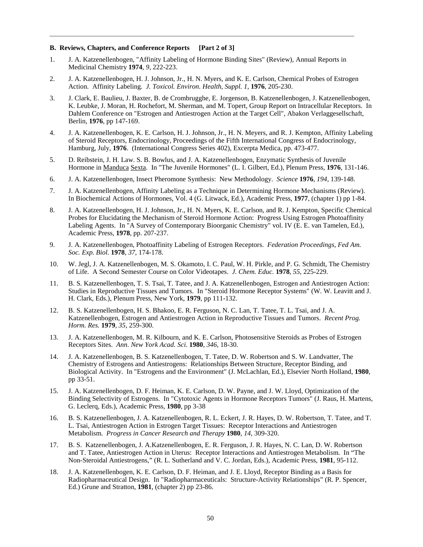#### **B. Reviews, Chapters, and Conference Reports [Part 2 of 3]**

- 1. J. A. Katzenellenbogen, "Affinity Labeling of Hormone Binding Sites" (Review), Annual Reports in Medicinal Chemistry **1974**, *9*, 222-223.
- 2. J. A. Katzenellenbogen, H. J. Johnson, Jr., H. N. Myers, and K. E. Carlson, Chemical Probes of Estrogen Action. Affinity Labeling. *J. Toxicol. Environ. Health, Suppl. 1*, **1976**, 205-230.
- 3. J. Clark, E. Baulieu, J. Baxter, B. de Crombrugghe, E. Jorgenson, B. Katzenellenbogen, J. Katzenellenbogen, K. Leubke, J. Moran, H. Rochefort, M. Sherman, and M. Topert, Group Report on Intracellular Receptors. In Dahlem Conference on "Estrogen and Antiestrogen Action at the Target Cell", Abakon Verlaggesellschaft, Berlin, **1976**, pp 147-169.
- 4. J. A. Katzenellenbogen, K. E. Carlson, H. J. Johnson, Jr., H. N. Meyers, and R. J. Kempton, Affinity Labeling of Steroid Receptors, Endocrinology, Proceedings of the Fifth International Congress of Endocrinology, Hamburg, July, **1976**. (International Congress Series 402), Excerpta Medica, pp. 473-477.
- 5. D. Reibstein, J. H. Law. S. B. Bowlus, and J. A. Katzenellenbogen, Enzymatic Synthesis of Juvenile Hormone in Manduca Sexta. In "The Juvenile Hormones" (L. I. Gilbert, Ed.), Plenum Press, **1976**, 131-146.
- 6. J. A. Katzenellenbogen, Insect Pheromone Synthesis: New Methodology. *Science* **1976**, *194*, 139-148.
- 7. J. A. Katzenellenbogen, Affinity Labeling as a Technique in Determining Hormone Mechanisms (Review). In Biochemical Actions of Hormones, Vol. 4 (G. Litwack, Ed.), Academic Press, **1977**, (chapter 1) pp 1-84.
- 8. J. A. Katzenellenbogen, H. J. Johnson, Jr., H. N. Myers, K. E. Carlson, and R. J. Kempton, Specific Chemical Probes for Elucidating the Mechanism of Steroid Hormone Action: Progress Using Estrogen Photoaffinity Labeling Agents. In "A Survey of Contemporary Bioorganic Chemistry" vol. IV (E. E. van Tamelen, Ed.), Academic Press, **1978**, pp. 207-237.
- 9. J. A. Katzenellenbogen, Photoaffinity Labeling of Estrogen Receptors. *Federation Proceedings, Fed Am. Soc. Exp. Biol.* **1978**, *37*, 174-178.
- 10. W. Jegl, J. A. Katzenellenbogen, M. S. Okamoto, I. C. Paul, W. H. Pirkle, and P. G. Schmidt, The Chemistry of Life. A Second Semester Course on Color Videotapes. *J. Chem. Educ.* **1978**, *55*, 225-229.
- 11. B. S. Katzenellenbogen, T. S. Tsai, T. Tatee, and J. A. Katzenellenbogen, Estrogen and Antiestrogen Action: Studies in Reproductive Tissues and Tumors. In "Steroid Hormone Receptor Systems" (W. W. Leavitt and J. H. Clark, Eds.), Plenum Press, New York, **1979**, pp 111-132.
- 12. B. S. Katzenellenbogen, H. S. Bhakoo, E. R. Ferguson, N. C. Lan, T. Tatee, T. L. Tsai, and J. A. Katzenellenbogen, Estrogen and Antiestrogen Action in Reproductive Tissues and Tumors. *Recent Prog. Horm. Res.* **1979**, *35*, 259-300.
- 13. J. A. Katzenellenbogen, M. R. Kilbourn, and K. E. Carlson, Photosensitive Steroids as Probes of Estrogen Receptors Sites. *Ann. New York Acad. Sci*. **1980**, *346*, 18-30.
- 14. J. A. Katzenellenbogen, B. S. Katzenellenbogen, T. Tatee, D. W. Robertson and S. W. Landvatter, The Chemistry of Estrogens and Antiestrogens: Relationships Between Structure, Receptor Binding, and Biological Activity. In "Estrogens and the Environment" (J. McLachlan, Ed.), Elsevier North Holland, **1980**, pp 33-51.
- 15. J. A. Katzenellenbogen, D. F. Heiman, K. E. Carlson, D. W. Payne, and J. W. Lloyd, Optimization of the Binding Selectivity of Estrogens. In "Cytotoxic Agents in Hormone Receptors Tumors" (J. Raus, H. Martens, G. Leclerq, Eds.), Academic Press, **1980**, pp 3-38
- 16. B. S. Katzenellenbogen, J. A. Katzenellenbogen, R. L. Eckert, J. R. Hayes, D. W. Robertson, T. Tatee, and T. L. Tsai, Antiestrogen Action in Estrogen Target Tissues: Receptor Interactions and Antiestrogen Metabolism. *Progress in Cancer Research and Therapy* **1980**, *14*, 309-320.
- 17. B. S. Katzenellenbogen, J. A.Katzenellenbogen, E. R. Ferguson, J. R. Hayes, N. C. Lan, D. W. Robertson and T. Tatee, Antiestrogen Action in Uterus: Receptor Interactions and Antiestrogen Metabolism. In "The Non-Steroidal Antiestrogens," (R. L. Sutherland and V. C. Jordan, Eds.), Academic Press, **1981**, 95-112.
- 18. J. A. Katzenellenbogen, K. E. Carlson, D. F. Heiman, and J. E. Lloyd, Receptor Binding as a Basis for Radiopharmaceutical Design. In "Radiopharmaceuticals: Structure-Activity Relationships" (R. P. Spencer, Ed.) Grune and Stratton, **1981**, (chapter 2) pp 23-86.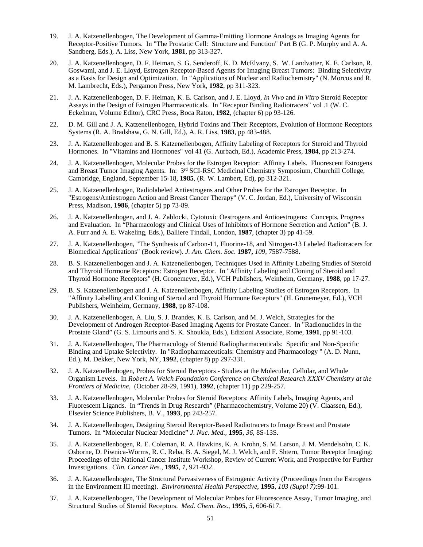- 19. J. A. Katzenellenbogen, The Development of Gamma-Emitting Hormone Analogs as Imaging Agents for Receptor-Positive Tumors. In "The Prostatic Cell: Structure and Function" Part B (G. P. Murphy and A. A. Sandberg, Eds.), A. Liss, New York, **1981**, pp 313-327.
- 20. J. A. Katzenellenbogen, D. F. Heiman, S. G. Senderoff, K. D. McElvany, S. W. Landvatter, K. E. Carlson, R. Goswami, and J. E. Lloyd, Estrogen Receptor-Based Agents for Imaging Breast Tumors: Binding Selectivity as a Basis for Design and Optimization. In "Applications of Nuclear and Radiochemistry" (N. Morcos and R. M. Lambrecht, Eds.), Pergamon Press, New York, **1982**, pp 311-323.
- 21. J. A. Katzenellenbogen, D. F. Heiman, K. E. Carlson, and J. E. Lloyd, *In Vivo* and *In Vitro* Steroid Receptor Assays in the Design of Estrogen Pharmaceuticals. In "Receptor Binding Radiotracers" vol .1 (W. C. Eckelman, Volume Editor), CRC Press, Boca Raton, **1982**, (chapter 6) pp 93-126.
- 22. D. M. Gill and J. A. Katzenellenbogen, Hybrid Toxins and Their Receptors, Evolution of Hormone Receptors Systems (R. A. Bradshaw, G. N. Gill, Ed.), A. R. Liss, **1983**, pp 483-488.
- 23. J. A. Katzenellenbogen and B. S. Katzenellenbogen, Affinity Labeling of Receptors for Steroid and Thyroid Hormones. In "Vitamins and Hormones" vol 41 (G. Aurbach, Ed.), Academic Press, **1984**, pp 213-274.
- 24. J. A. Katzenellenbogen, Molecular Probes for the Estrogen Receptor: Affinity Labels. Fluorescent Estrogens and Breast Tumor Imaging Agents. In: 3rd SCI-RSC Medicinal Chemistry Symposium, Churchill College, Cambridge, England, September 15-18, **1985**, (R. W. Lambert, Ed), pp 312-321.
- 25. J. A. Katzenellenbogen, Radiolabeled Antiestrogens and Other Probes for the Estrogen Receptor. In "Estrogens/Antiestrogen Action and Breast Cancer Therapy" (V. C. Jordan, Ed.), University of Wisconsin Press, Madison, **1986**, (chapter 5) pp 73-89.
- 26. J. A. Katzenellenbogen, and J. A. Zablocki, Cytotoxic Oestrogens and Antioestrogens: Concepts, Progress and Evaluation. In "Pharmacology and Clinical Uses of Inhibitors of Hormone Secretion and Action" (B. J. A. Furr and A. E. Wakeling, Eds.), Balliere Tindall, London, **1987**, (chapter 3) pp 41-59.
- 27. J. A. Katzenellenbogen, "The Synthesis of Carbon-11, Fluorine-18, and Nitrogen-13 Labeled Radiotracers for Biomedical Applications" (Book review). *J. Am. Chem. Soc.* **1987,** *109*, 7587-7588.
- 28. B. S. Katzenellenbogen and J. A. Katzenellenbogen, Techniques Used in Affinity Labeling Studies of Steroid and Thyroid Hormone Receptors: Estrogen Receptor. In "Affinity Labeling and Cloning of Steroid and Thyroid Hormone Receptors" (H. Gronemeyer, Ed.), VCH Publishers, Weinheim, Germany, **1988**, pp 17-27.
- 29. B. S. Katzenellenbogen and J. A. Katzenellenbogen, Affinity Labeling Studies of Estrogen Receptors. In "Affinity Labelling and Cloning of Steroid and Thyroid Hormone Receptors" (H. Gronemeyer, Ed.), VCH Publishers, Weinheim, Germany, **1988**, pp 87-108.
- 30. J. A. Katzenellenbogen, A. Liu, S. J. Brandes, K. E. Carlson, and M. J. Welch, Strategies for the Development of Androgen Receptor-Based Imaging Agents for Prostate Cancer. In "Radionuclides in the Prostate Gland" (G. S. Limouris and S. K. Shoukla, Eds.), Edizioni Associate, Rome, **1991**, pp 91-103.
- 31. J. A. Katzenellenbogen, The Pharmacology of Steroid Radiopharmaceuticals: Specific and Non-Specific Binding and Uptake Selectivity. In "Radiopharmaceuticals: Chemistry and Pharmacology " (A. D. Nunn, Ed.), M. Dekker, New York, NY, **1992**, (chapter 8) pp 297-331.
- 32. J. A. Katzenellenbogen, Probes for Steroid Receptors Studies at the Molecular, Cellular, and Whole Organism Levels. In *Robert A. Welch Foundation Conference on Chemical Research XXXV Chemistry at the Frontiers of Medicine,* (October 28-29, 1991), **1992**, (chapter 11) pp 229-257.
- 33. J. A. Katzenellenbogen, Molecular Probes for Steroid Receptors: Affinity Labels, Imaging Agents, and Fluorescent Ligands. In "Trends in Drug Research" (Pharmacochemistry, Volume 20) (V. Claassen, Ed.), Elsevier Science Publishers, B. V., **1993**, pp 243-257.
- 34. J. A. Katzenellenbogen, Designing Steroid Receptor-Based Radiotracers to Image Breast and Prostate Tumors. In "Molecular Nuclear Medicine" *J. Nuc. Med.*, **1995**, *36*, 8S-13S.
- 35. J. A. Katzenellenbogen, R. E. Coleman, R. A. Hawkins, K. A. Krohn, S. M. Larson, J. M. Mendelsohn, C. K. Osborne, D. Piwnica-Worms, R. C. Reba, B. A. Siegel, M. J. Welch, and F. Shtern, Tumor Receptor Imaging: Proceedings of the National Cancer Institute Workshop, Review of Current Work, and Prospective for Further Investigations. *Clin. Cancer Res.*, **1995**, *1*, 921-932.
- 36. J. A. Katzenellenbogen, The Structural Pervasiveness of Estrogenic Activity (Proceedings from the Estrogens in the Environment III meeting). *Environmental Health Perspective*, **1995**, *103 (Suppl 7)*:99-101.
- 37. J. A. Katzenellenbogen, The Development of Molecular Probes for Fluorescence Assay, Tumor Imaging, and Structural Studies of Steroid Receptors. *Med. Chem. Res.*, **1995**, *5*, 606-617.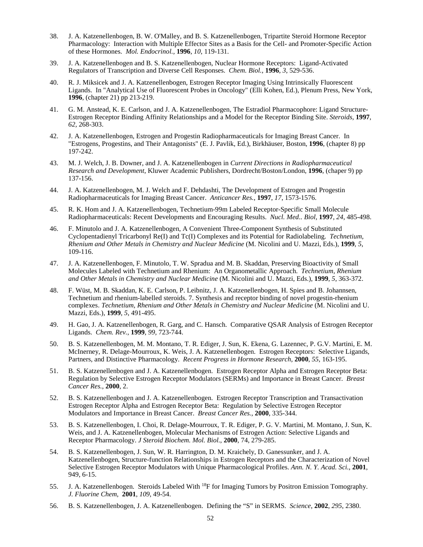- 38. J. A. Katzenellenbogen, B. W. O'Malley, and B. S. Katzenellenbogen, Tripartite Steroid Hormone Receptor Pharmacology: Interaction with Multiple Effector Sites as a Basis for the Cell- and Promoter-Specific Action of these Hormones. *Mol. Endocrinol.,* **1996**, *10*, 119-131.
- 39. J. A. Katzenellenbogen and B. S. Katzenellenbogen, Nuclear Hormone Receptors: Ligand-Activated Regulators of Transcription and Diverse Cell Responses. *Chem. Biol.,* **1996**, *3*, 529-536.
- 40. R. J. Miksicek and J. A. Katzenellenbogen, Estrogen Receptor Imaging Using Intrinsically Fluorescent Ligands. In "Analytical Use of Fluorescent Probes in Oncology" (Elli Kohen, Ed.), Plenum Press, New York, **1996**, (chapter 21) pp 213-219.
- 41. G. M. Anstead, K. E. Carlson, and J. A. Katzenellenbogen, The Estradiol Pharmacophore: Ligand Structure-Estrogen Receptor Binding Affinity Relationships and a Model for the Receptor Binding Site. *Steroids,* **1997**, *62,* 268-303.
- 42. J. A. Katzenellenbogen, Estrogen and Progestin Radiopharmaceuticals for Imaging Breast Cancer. In "Estrogens, Progestins, and Their Antagonists" (E. J. Pavlik, Ed.), Birkhäuser, Boston, **1996**, (chapter 8) pp 197-242.
- 43. M. J. Welch, J. B. Downer, and J. A. Katzenellenbogen in *Current Directions in Radiopharmaceutical Research and Development*, Kluwer Academic Publishers, Dordrecht/Boston/London, **1996**, (chaper 9) pp 137-156.
- 44. J. A. Katzenellenbogen, M. J. Welch and F. Dehdashti, The Development of Estrogen and Progestin Radiopharmaceuticals for Imaging Breast Cancer. *Anticancer Res.*, **1997**, *17*, 1573-1576.
- 45. R. K. Hom and J. A. Katzenellenbogen, Technetium-99m Labeled Receptor-Specific Small Molecule Radiopharmaceuticals: Recent Developments and Encouraging Results. *Nucl. Med.. Biol,* **1997**, *24*, 485-498.
- 46. F. Minutolo and J. A. Katzenellenbogen, A Convenient Three-Component Synthesis of Substituted Cyclopentadienyl Tricarbonyl Re(I) and Tc(I) Complexes and its Potential for Radiolabeling. *Technetium, Rhenium and Other Metals in Chemistry and Nuclear Medicine* (M. Nicolini and U. Mazzi, Eds.), **1999**, *5*, 109-116.
- 47. J. A. Katzenellenbogen, F. Minutolo, T. W. Spradua and M. B. Skaddan, Preserving Bioactivity of Small Molecules Labeled with Technetium and Rhenium: An Organometallic Approach. *Technetium, Rhenium and Other Metals in Chemistry and Nuclear Medicine* (M. Nicolini and U. Mazzi, Eds.), **1999**, *5*, 363-372.
- 48. F. Wüst, M. B. Skaddan, K. E. Carlson, P. Leibnitz, J. A. Katzenellenbogen, H. Spies and B. Johannsen, Technetium and rhenium-labelled steroids. 7. Synthesis and receptor binding of novel progestin-rhenium complexes. *Technetium, Rhenium and Other Metals in Chemistry and Nuclear Medicine* (M. Nicolini and U. Mazzi, Eds.), **1999**, *5*, 491-495.
- 49. H. Gao, J. A. Katzenellenbogen, R. Garg, and C. Hansch. Comparative QSAR Analysis of Estrogen Receptor Ligands. *Chem. Rev.*, **1999**, *99,* 723-744.
- 50. B. S. Katzenellenbogen, M. M. Montano, T. R. Ediger, J. Sun, K. Ekena, G. Lazennec, P. G.V. Martini, E. M. McInerney, R. Delage-Mourroux, K. Weis, J. A. Katzenellenbogen. Estrogen Receptors: Selective Ligands, Partners, and Distinctive Pharmacology. *Recent Progress in Hormone Research*, **2000**, *55*, 163-195.
- 51. B. S. Katzenellenbogen and J. A. Katzenellenbogen. Estrogen Receptor Alpha and Estrogen Receptor Beta: Regulation by Selective Estrogen Receptor Modulators (SERMs) and Importance in Breast Cancer. *Breast Cancer Res.*, **2000**, 2.
- 52. B. S. Katzenellenbogen and J. A. Katzenellenbogen. Estrogen Receptor Transcription and Transactivation Estrogen Receptor Alpha and Estrogen Receptor Beta: Regulation by Selective Estrogen Receptor Modulators and Importance in Breast Cancer. *Breast Cancer Res.*, **2000**, 335-344.
- 53. B. S. Katzenellenbogen, I. Choi, R. Delage-Mourroux, T. R. Ediger, P. G. V. Martini, M. Montano, J. Sun, K. Weis, and J. A. Katzenellenbogen, Molecular Mechanisms of Estrogen Action: Selective Ligands and Receptor Pharmacology. *J Steroid Biochem. Mol. Biol.*, **2000**, 74, 279-285.
- 54. B. S. Katzenellenbogen, J. Sun, W. R. Harrington, D. M. Kraichely, D. Ganessunker, and J. A. Katzenellenbogen, Structure-function Relationships in Estrogen Receptors and the Characterization of Novel Selective Estrogen Receptor Modulators with Unique Pharmacological Profiles. *Ann. N. Y. Acad. Sci.*, **2001**, 949, 6-15.
- 55. J. A. Katzenellenbogen. Steroids Labeled With 18F for Imaging Tumors by Positron Emission Tomography. *J. Fluorine Chem*, **2001**, *109*, 49-54.
- 56. B. S. Katzenellenbogen, J. A. Katzenellenbogen. Defining the "S" in SERMS. *Science*, **2002**, *295*, 2380.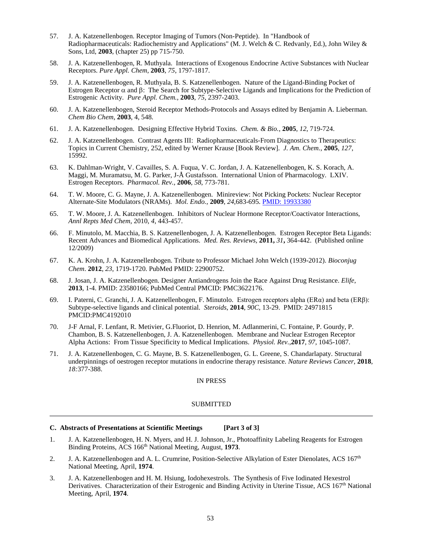- 57. J. A. Katzenellenbogen. Receptor Imaging of Tumors (Non-Peptide). In "Handbook of Radiopharmaceuticals: Radiochemistry and Applications" (M. J. Welch & C. Redvanly, Ed.), John Wiley & Sons, Ltd, **2003**, (chapter 25) pp 715-750.
- 58. J. A. Katzenellenbogen, R. Muthyala. Interactions of Exogenous Endocrine Active Substances with Nuclear Receptors. *Pure Appl. Chem*, **2003**, *75*, 1797-1817.
- 59. J. A. Katzenellenbogen, R. Muthyala, B. S. Katzenellenbogen. Nature of the Ligand-Binding Pocket of Estrogen Receptor α and β: The Search for Subtype-Selective Ligands and Implications for the Prediction of Estrogenic Activity. *Pure Appl. Chem.,* **2003**, *75*, 2397-2403.
- 60. J. A. Katzenellenbogen, Steroid Receptor Methods-Protocols and Assays edited by Benjamin A. Lieberman. *Chem Bio Chem*, **2003**, 4, 548.
- 61. J. A. Katzenellenbogen. Designing Effective Hybrid Toxins. *Chem. & Bio.*, **2005**, *12*, 719-724.
- 62. J. A. Katzenellenbogen. Contrast Agents III: Radiopharmaceuticals-From Diagnostics to Therapeutics: Topics in Current Chemistry, 252, edited by Werner Krause [Book Review]. *J. Am. Chem.*, **2005**, *127*, 15992.
- 63. K. Dahlman-Wright, V. Cavailles, S. A. Fuqua, V. C. Jordan, J. A. Katzenellenbogen, K. S. Korach, A. Maggi, M. Muramatsu, M. G. Parker, J-Å Gustafsson. International Union of Pharmacology. LXIV. Estrogen Receptors. *Pharmacol. Rev.*, **2006**, *58*, 773-781.
- 64. T. W. Moore, C. G. Mayne, J. A. Katzenellenbogen. Minireview: Not Picking Pockets: Nuclear Receptor Alternate-Site Modulators (NRAMs). *Mol. Endo.*, **2009**, *24*,683-695. [PMID: 19933380](http://www.ncbi.nlm.nih.gov/pubmed/19933380?dopt=Abstract)
- 65. T. W. Moore, J. A. Katzenellenbogen. Inhibitors of Nuclear Hormone Receptor/Coactivator Interactions, *Annl Repts Med Chem*, 2010, *4*, 443-457.
- 66. F. Minutolo, M. Macchia, B. S. Katzenellenbogen, J. A. Katzenellenbogen. Estrogen Receptor Beta Ligands: Recent Advances and Biomedical Applications. *Med. Res. Reviews,* **2011,** *31***,** 364-442. (Published online 12/2009)
- 67. K. A. Krohn, J. A. Katzenellenbogen. Tribute to Professor Michael John Welch (1939-2012). *Bioconjug Chem*. **2012**, *23*, 1719-1720. PubMed PMID: 22900752.
- 68. J. Josan, J. A. Katzenellenbogen. Designer Antiandrogens Join the Race Against Drug Resistance. *Elife*, **2013**, 1-4. PMID: 23580166; PubMed Central PMCID: PMC3622176.
- 69. I. Paterni, C. Granchi, J. A. Katzenellenbogen, F. Minutolo. Estrogen receptors alpha (ERα) and beta (ERβ): Subtype-selective ligands and clinical potential. *Steroids*, **2014**, *90C*, 13-29. PMID: 24971815 PMCID:PMC4192010
- 70. J-F Arnal, F. Lenfant, R. Metivier, G.Fluoriot, D. Henrion, M. Adlanmerini, C. Fontaine, P. Gourdy, P. Chambon, B. S. Katzenellenbogen, J. A. Katzenellenbogen. Membrane and Nuclear Estrogen Receptor Alpha Actions: From Tissue Specificity to Medical Implications. *Physiol. Rev.*,**2017**, *97*, 1045-1087.
- 71. J. A. Katzenellenbogen, C. G. Mayne, B. S. Katzenellenbogen, G. L. Greene, S. Chandarlapaty. Structural underpinnings of oestrogen receptor mutations in endocrine therapy resistance. *Nature Reviews Cancer*, **2018**, *18:*377-388.

## IN PRESS

## SUBMITTED

#### **C. Abstracts of Presentations at Scientific Meetings [Part 3 of 3]**

- 1. J. A. Katzenellenbogen, H. N. Myers, and H. J. Johnson, Jr., Photoaffinity Labeling Reagents for Estrogen Binding Proteins, ACS 166<sup>th</sup> National Meeting, August, 1973.
- 2. J. A. Katzenellenbogen and A. L. Crumrine, Position-Selective Alkylation of Ester Dienolates, ACS 167<sup>th</sup> National Meeting, April, **1974**.
- 3. J. A. Katzenellenbogen and H. M. Hsiung, Iodohexestrols. The Synthesis of Five Iodinated Hexestrol Derivatives. Characterization of their Estrogenic and Binding Activity in Uterine Tissue, ACS 167<sup>th</sup> National Meeting, April, **1974**.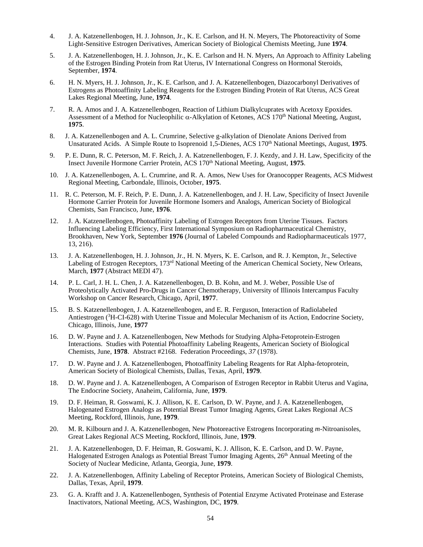- 4. J. A. Katzenellenbogen, H. J. Johnson, Jr., K. E. Carlson, and H. N. Meyers, The Photoreactivity of Some Light-Sensitive Estrogen Derivatives, American Society of Biological Chemists Meeting, June **1974**.
- 5. J. A. Katzenellenbogen, H. J. Johnson, Jr., K. E. Carlson and H. N. Myers, An Approach to Affinity Labeling of the Estrogen Binding Protein from Rat Uterus, IV International Congress on Hormonal Steroids, September, **1974**.
- 6. H. N. Myers, H. J. Johnson, Jr., K. E. Carlson, and J. A. Katzenellenbogen, Diazocarbonyl Derivatives of Estrogens as Photoaffinity Labeling Reagents for the Estrogen Binding Protein of Rat Uterus, ACS Great Lakes Regional Meeting, June, **1974**.
- 7. R. A. Amos and J. A. Katzenellenbogen, Reaction of Lithium Dialkylcuprates with Acetoxy Epoxides. Assessment of a Method for Nucleophilic α-Alkylation of Ketones, ACS 170th National Meeting, August, **1975**.
- 8. J. A. Katzenellenbogen and A. L. Crumrine, Selective g-alkylation of Dienolate Anions Derived from Unsaturated Acids. A Simple Route to Isoprenoid 1,5-Dienes, ACS 170th National Meetings, August, **1975**.
- 9. P. E. Dunn, R. C. Peterson, M. F. Reich, J. A. Katzenellenbogen, F. J. Kezdy, and J. H. Law, Specificity of the Insect Juvenile Hormone Carrier Protein, ACS 170th National Meeting, August, **1975**.
- 10. J. A. Katzenellenbogen, A. L. Crumrine, and R. A. Amos, New Uses for Oranocopper Reagents, ACS Midwest Regional Meeting, Carbondale, Illinois, October, **1975**.
- 11. R. C. Peterson, M. F. Reich, P. E. Dunn, J. A. Katzenellenbogen, and J. H. Law, Specificity of Insect Juvenile Hormone Carrier Protein for Juvenile Hormone Isomers and Analogs, American Society of Biological Chemists, San Francisco, June, **1976**.
- 12. J. A. Katzenellenbogen, Photoaffinity Labeling of Estrogen Receptors from Uterine Tissues. Factors Influencing Labeling Efficiency, First International Symposium on Radiopharmaceutical Chemistry, Brookhaven, New York, September **1976** (Journal of Labeled Compounds and Radiopharmaceuticals 1977, 13, 216).
- 13. J. A. Katzenellenbogen, H. J. Johnson, Jr., H. N. Myers, K. E. Carlson, and R. J. Kempton, Jr., Selective Labeling of Estrogen Receptors, 173rd National Meeting of the American Chemical Society, New Orleans, March, **1977** (Abstract MEDI 47).
- 14. P. L. Carl, J. H. L. Chen, J. A. Katzenellenbogen, D. B. Kohn, and M. J. Weber, Possible Use of Proteolytically Activated Pro-Drugs in Cancer Chemotherapy, University of Illinois Intercampus Faculty Workshop on Cancer Research, Chicago, April, **1977**.
- 15. B. S. Katzenellenbogen, J. A. Katzenellenbogen, and E. R. Ferguson, Interaction of Radiolabeled Antiestrogen (<sup>3</sup>H-CI-628) with Uterine Tissue and Molecular Mechanism of its Action, Endocrine Society, Chicago, Illinois, June, **1977**
- 16. D. W. Payne and J. A. Katzenellenbogen, New Methods for Studying Alpha-Fetoprotein-Estrogen Interactions. Studies with Potential Photoaffinity Labeling Reagents, American Society of Biological Chemists, June, **1978**. Abstract #2168. Federation Proceedings, *37* (1978).
- 17. D. W. Payne and J. A. Katzenellenbogen, Photoaffinity Labeling Reagents for Rat Alpha-fetoprotein, American Society of Biological Chemists, Dallas, Texas, April, **1979**.
- 18. D. W. Payne and J. A. Katzenellenbogen, A Comparison of Estrogen Receptor in Rabbit Uterus and Vagina, The Endocrine Society, Anaheim, California, June, **1979**.
- 19. D. F. Heiman, R. Goswami, K. J. Allison, K. E. Carlson, D. W. Payne, and J. A. Katzenellenbogen, Halogenated Estrogen Analogs as Potential Breast Tumor Imaging Agents, Great Lakes Regional ACS Meeting, Rockford, Illinois, June, **1979**.
- 20. M. R. Kilbourn and J. A. Katzenellenbogen, New Photoreactive Estrogens Incorporating *m*-Nitroanisoles, Great Lakes Regional ACS Meeting, Rockford, Illinois, June, **1979**.
- 21. J. A. Katzenellenbogen, D. F. Heiman, R. Goswami, K. J. Allison, K. E. Carlson, and D. W. Payne, Halogenated Estrogen Analogs as Potential Breast Tumor Imaging Agents, 26<sup>th</sup> Annual Meeting of the Society of Nuclear Medicine, Atlanta, Georgia, June, **1979**.
- 22. J. A. Katzenellenbogen, Affinity Labeling of Receptor Proteins, American Society of Biological Chemists, Dallas, Texas, April, **1979**.
- 23. G. A. Krafft and J. A. Katzenellenbogen, Synthesis of Potential Enzyme Activated Proteinase and Esterase Inactivators, National Meeting, ACS, Washington, DC, **1979**.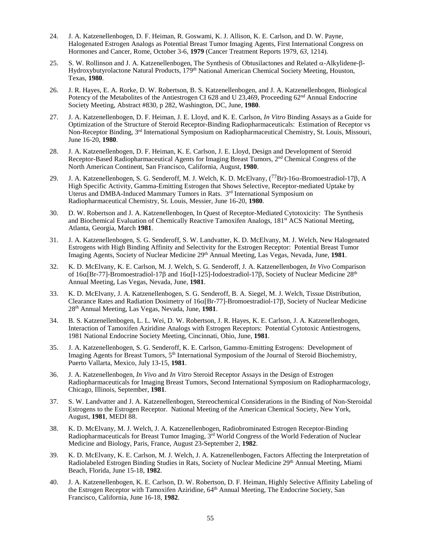- 24. J. A. Katzenellenbogen, D. F. Heiman, R. Goswami, K. J. Allison, K. E. Carlson, and D. W. Payne, Halogenated Estrogen Analogs as Potential Breast Tumor Imaging Agents, First International Congress on Hormones and Cancer, Rome, October 3-6, **1979** (Cancer Treatment Reports 1979, *63*, 1214).
- 25. S. W. Rollinson and J. A. Katzenellenbogen, The Synthesis of Obtusilactones and Related α-Alkylidene-β-Hydroxybutyrolactone Natural Products, 179<sup>th</sup> National American Chemical Society Meeting, Houston, Texas, **1980**.
- 26. J. R. Hayes, E. A. Rorke, D. W. Robertson, B. S. Katzenellenbogen, and J. A. Katzenellenbogen, Biological Potency of the Metabolites of the Antiestrogen CI 628 and U 23,469, Proceeding 62<sup>nd</sup> Annual Endocrine Society Meeting, Abstract #830, p 282, Washington, DC, June, **1980**.
- 27. J. A. Katzenellenbogen, D. F. Heiman, J. E. Lloyd, and K. E. Carlson, *In Vitro* Binding Assays as a Guide for Optimization of the Structure of Steroid Receptor-Binding Radiopharmaceuticals: Estimation of Receptor vs Non-Receptor Binding, 3rd International Symposium on Radiopharmaceutical Chemistry, St. Louis, Missouri, June 16-20, **1980**.
- 28. J. A. Katzenellenbogen, D. F. Heiman, K. E. Carlson, J. E. Lloyd, Design and Development of Steroid Receptor-Based Radiopharmaceutical Agents for Imaging Breast Tumors, 2nd Chemical Congress of the North American Continent, San Francisco, California, August, **1980**.
- 29. J. A. Katzenellenbogen, S. G. Senderoff, M. J. Welch, K. D. McElvany, (77Br)-16α-Bromoestradiol-17β, A High Specific Activity, Gamma-Emitting Estrogen that Shows Selective, Receptor-mediated Uptake by Uterus and DMBA-Induced Mammary Tumors in Rats. 3<sup>rd</sup> International Symposium on Radiopharmaceutical Chemistry, St. Louis, Messier, June 16-20, **1980**.
- 30. D. W. Robertson and J. A. Katzenellenbogen, In Quest of Receptor-Mediated Cytotoxicity: The Synthesis and Biochemical Evaluation of Chemically Reactive Tamoxifen Analogs, 181st ACS National Meeting, Atlanta, Georgia, March **1981**.
- 31. J. A. Katzenellenbogen, S. G. Senderoff, S. W. Landvatter, K. D. McElvany, M. J. Welch, New Halogenated Estrogens with High Binding Affinity and Selectivity for the Estrogen Receptor: Potential Breast Tumor Imaging Agents, Society of Nuclear Medicine 29<sup>th</sup> Annual Meeting, Las Vegas, Nevada, June, 1981.
- 32. K. D. McElvany, K. E. Carlson, M. J. Welch, S. G. Senderoff, J. A. Katzenellenbogen, *In Vivo* Comparison of 16α[Br-77]-Bromoestradiol-17β and 16α[I-125]-Iodoestradiol-17β, Society of Nuclear Medicine 28th Annual Meeting, Las Vegas, Nevada, June, **1981**.
- 33. K. D. McElvany, J. A. Katzenellenbogen, S. G. Senderoff, B. A. Siegel, M. J. Welch, Tissue Distribution, Clearance Rates and Radiation Dosimetry of 16α[Br-77]-Bromoestradiol-17β, Society of Nuclear Medicine 28th Annual Meeting, Las Vegas, Nevada, June, **1981**.
- 34. B. S. Katzenellenbogen, L. L. Wei, D. W. Robertson, J. R. Hayes, K. E. Carlson, J. A. Katzenellenbogen, Interaction of Tamoxifen Aziridine Analogs with Estrogen Receptors: Potential Cytotoxic Antiestrogens, 1981 National Endocrine Society Meeting, Cincinnati, Ohio, June, **1981**.
- 35. J. A. Katzenellenbogen, S. G. Senderoff, K. E. Carlson, Gammα-Emitting Estrogens: Development of Imaging Agents for Breast Tumors, 5<sup>th</sup> International Symposium of the Journal of Steroid Biochemistry, Puerto Vallarta, Mexico, July 13-15, **1981**.
- 36. J. A. Katzenellenbogen, *In Vivo* and *In Vitro* Steroid Receptor Assays in the Design of Estrogen Radiopharmaceuticals for Imaging Breast Tumors, Second International Symposium on Radiopharmacology, Chicago, Illinois, September, **1981**.
- 37. S. W. Landvatter and J. A. Katzenellenbogen, Stereochemical Considerations in the Binding of Non-Steroidal Estrogens to the Estrogen Receptor. National Meeting of the American Chemical Society, New York, August, **1981**, MEDI 88.
- 38. K. D. McElvany, M. J. Welch, J. A. Katzenellenbogen, Radiobrominated Estrogen Receptor-Binding Radiopharmaceuticals for Breast Tumor Imaging, 3rd World Congress of the World Federation of Nuclear Medicine and Biology, Paris, France, August 23-September 2, **1982**.
- 39. K. D. McElvany, K. E. Carlson, M. J. Welch, J. A. Katzenellenbogen, Factors Affecting the Interpretation of Radiolabeled Estrogen Binding Studies in Rats, Society of Nuclear Medicine 29<sup>th</sup> Annual Meeting, Miami Beach, Florida, June 15-18, **1982**.
- 40. J. A. Katzenellenbogen, K. E. Carlson, D. W. Robertson, D. F. Heiman, Highly Selective Affinity Labeling of the Estrogen Receptor with Tamoxifen Aziridine, 64<sup>th</sup> Annual Meeting, The Endocrine Society, San Francisco, California, June 16-18, **1982**.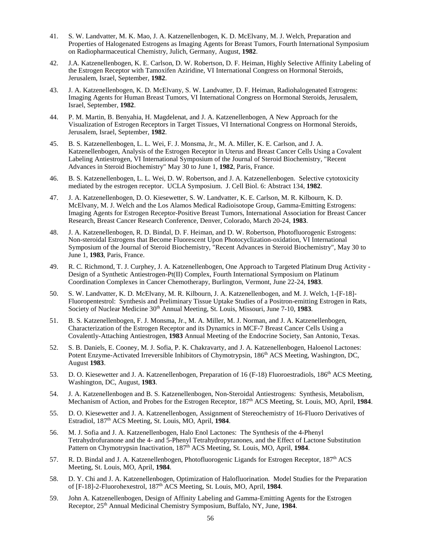- 41. S. W. Landvatter, M. K. Mao, J. A. Katzenellenbogen, K. D. McElvany, M. J. Welch, Preparation and Properties of Halogenated Estrogens as Imaging Agents for Breast Tumors, Fourth International Symposium on Radiopharmaceutical Chemistry, Julich, Germany, August, **1982**.
- 42. J.A. Katzenellenbogen, K. E. Carlson, D. W. Robertson, D. F. Heiman, Highly Selective Affinity Labeling of the Estrogen Receptor with Tamoxifen Aziridine, VI International Congress on Hormonal Steroids, Jerusalem, Israel, September, **1982**.
- 43. J. A. Katzenellenbogen, K. D. McElvany, S. W. Landvatter, D. F. Heiman, Radiohalogenated Estrogens: Imaging Agents for Human Breast Tumors, VI International Congress on Hormonal Steroids, Jerusalem, Israel, September, **1982**.
- 44. P. M. Martin, B. Benyahia, H. Magdelenat, and J. A. Katzenellenbogen, A New Approach for the Visualization of Estrogen Receptors in Target Tissues, VI International Congress on Hormonal Steroids, Jerusalem, Israel, September, **1982**.
- 45. B. S. Katzenellenbogen, L. L. Wei, F. J. Monsma, Jr., M. A. Miller, K. E. Carlson, and J. A. Katzenellenbogen, Analysis of the Estrogen Receptor in Uterus and Breast Cancer Cells Using a Covalent Labeling Antiestrogen, VI International Symposium of the Journal of Steroid Biochemistry, "Recent Advances in Steroid Biochemistry" May 30 to June 1, **1982**, Paris, France.
- 46. B. S. Katzenellenbogen, L. L. Wei, D. W. Robertson, and J. A. Katzenellenbogen. Selective cytotoxicity mediated by the estrogen receptor. UCLA Symposium. J. Cell Biol. 6: Abstract 134, **1982**.
- 47. J. A. Katzenellenbogen, D. O. Kiesewetter, S. W. Landvatter, K. E. Carlson, M. R. Kilbourn, K. D. McElvany, M. J. Welch and the Los Alamos Medical Radioisotope Group, Gamma-Emitting Estrogens: Imaging Agents for Estrogen Receptor-Positive Breast Tumors, International Association for Breast Cancer Research, Breast Cancer Research Conference, Denver, Colorado, March 20-24, **1983**.
- 48. J. A. Katzenellenbogen, R. D. Bindal, D. F. Heiman, and D. W. Robertson, Photofluorogenic Estrogens: Non-steroidal Estrogens that Become Fluorescent Upon Photocyclization-oxidation, VI International Symposium of the Journal of Steroid Biochemistry, "Recent Advances in Steroid Biochemistry", May 30 to June 1, **1983**, Paris, France.
- 49. R. C. Richmond, T. J. Curphey, J. A. Katzenellenbogen, One Approach to Targeted Platinum Drug Activity Design of a Synthetic Antiestrogen-Pt(II) Complex, Fourth International Symposium on Platinum Coordination Complexes in Cancer Chemotherapy, Burlington, Vermont, June 22-24, **1983**.
- 50. S. W. Landvatter, K. D. McElvany, M. R. Kilbourn, J. A. Katzenellenbogen, and M. J. Welch, 1-[F-18]- Fluoropentestrol: Synthesis and Preliminary Tissue Uptake Studies of a Positron-emitting Estrogen in Rats, Society of Nuclear Medicine 30<sup>th</sup> Annual Meeting, St. Louis, Missouri, June 7-10, 1983.
- 51. B. S. Katzenellenbogen, F. J. Monsma, Jr., M. A. Miller, M. J. Norman, and J. A. Katzenellenbogen, Characterization of the Estrogen Receptor and its Dynamics in MCF-7 Breast Cancer Cells Using a Covalently-Attaching Antiestrogen, **1983** Annual Meeting of the Endocrine Society, San Antonio, Texas.
- 52. S. B. Daniels, E. Cooney, M. J. Sofia, P. K. Chakravarty, and J. A. Katzenellenbogen, Haloenol Lactones: Potent Enzyme-Activated Irreversible Inhibitors of Chymotrypsin, 186<sup>th</sup> ACS Meeting, Washington, DC, August **1983**.
- 53. D. O. Kiesewetter and J. A. Katzenellenbogen, Preparation of 16 (F-18) Fluoroestradiols, 186<sup>th</sup> ACS Meeting, Washington, DC, August, **1983**.
- 54. J. A. Katzenellenbogen and B. S. Katzenellenbogen, Non-Steroidal Antiestrogens: Synthesis, Metabolism, Mechanism of Action, and Probes for the Estrogen Receptor, 187th ACS Meeting, St. Louis, MO, April, **1984**.
- 55. D. O. Kiesewetter and J. A. Katzenellenbogen, Assignment of Stereochemistry of 16-Fluoro Derivatives of Estradiol, 187th ACS Meeting, St. Louis, MO, April, **1984**.
- 56. M. J. Sofia and J. A. Katzenellenbogen, Halo Enol Lactones: The Synthesis of the 4-Phenyl Tetrahydrofuranone and the 4- and 5-Phenyl Tetrahydropyranones, and the Effect of Lactone Substitution Pattern on Chymotrypsin Inactivation, 187<sup>th</sup> ACS Meeting, St. Louis, MO, April, 1984.
- 57. R. D. Bindal and J. A. Katzenellenbogen, Photofluorogenic Ligands for Estrogen Receptor, 187<sup>th</sup> ACS Meeting, St. Louis, MO, April, **1984**.
- 58. D. Y. Chi and J. A. Katzenellenbogen, Optimization of Halofluorination. Model Studies for the Preparation of [F-18]-2-Fluorohexestrol, 187th ACS Meeting, St. Louis, MO, April, **1984**.
- 59. John A. Katzenellenbogen, Design of Affinity Labeling and Gamma-Emitting Agents for the Estrogen Receptor, 25th Annual Medicinal Chemistry Symposium, Buffalo, NY, June, **1984**.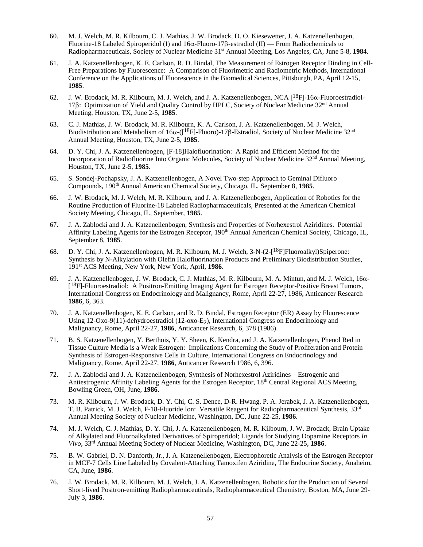- 60. M. J. Welch, M. R. Kilbourn, C. J. Mathias, J. W. Brodack, D. O. Kiesewetter, J. A. Katzenellenbogen, Fluorine-18 Labeled Spiroperidol (I) and 16α-Fluoro-17β-estradiol (II) — From Radiochemicals to Radiopharmaceuticals, Society of Nuclear Medicine 31st Annual Meeting, Los Angeles, CA, June 5-8, **1984**.
- 61. J. A. Katzenellenbogen, K. E. Carlson, R. D. Bindal, The Measurement of Estrogen Receptor Binding in Cell-Free Preparations by Fluorescence: A Comparison of Fluorimetric and Radiometric Methods, International Conference on the Applications of Fluorescence in the Biomedical Sciences, Pittsburgh, PA, April 12-15, **1985**.
- 62. J. W. Brodack, M. R. Kilbourn, M. J. Welch, and J. A. Katzenellenbogen, NCA [18F]-16α-Fluoroestradiol-17β: Optimization of Yield and Quality Control by HPLC, Society of Nuclear Medicine 32nd Annual Meeting, Houston, TX, June 2-5, **1985**.
- 63. C. J. Mathias, J. W. Brodack, M. R. Kilbourn, K. A. Carlson, J. A. Katzenellenbogen, M. J. Welch, Biodistribution and Metabolism of 16α-( $\left[1^8F\right]$ -Fluoro)-17β-Estradiol, Society of Nuclear Medicine 32<sup>nd</sup> Annual Meeting, Houston, TX, June 2-5, **1985**.
- 64. D. Y. Chi, J. A. Katzenellenbogen, [F-18]Halofluorination: A Rapid and Efficient Method for the Incorporation of Radiofluorine Into Organic Molecules, Society of Nuclear Medicine 32nd Annual Meeting, Houston, TX, June 2-5, **1985**.
- 65. S. Sondej-Pochapsky, J. A. Katzenellenbogen, A Novel Two-step Approach to Geminal Difluoro Compounds, 190th Annual American Chemical Society, Chicago, IL, September 8, **1985**.
- 66. J. W. Brodack, M. J. Welch, M. R. Kilbourn, and J. A. Katzenellenbogen, Application of Robotics for the Routine Production of Fluorine-18 Labeled Radiopharmaceuticals, Presented at the American Chemical Society Meeting, Chicago, IL, September, **1985**.
- 67. J. A. Zablocki and J. A. Katzenellenbogen, Synthesis and Properties of Norhexestrol Aziridines. Potential Affinity Labeling Agents for the Estrogen Receptor, 190<sup>th</sup> Annual American Chemical Society, Chicago, IL, September 8, **1985**.
- 68. D. Y. Chi, J. A. Katzenellenbogen, M. R. Kilbourn, M. J. Welch, 3-N-(2-[18F]Fluoroalkyl)Spiperone: Synthesis by N-Alkylation with Olefin Halofluorination Products and Preliminary Biodistribution Studies, 191st ACS Meeting, New York, New York, April, **1986**.
- 69. J. A. Katzenellenbogen, J. W. Brodack, C. J. Mathias, M. R. Kilbourn, M. A. Mintun, and M. J. Welch, 16α- [18F]-Fluoroestradiol: A Positron-Emitting Imaging Agent for Estrogen Receptor-Positive Breast Tumors, International Congress on Endocrinology and Malignancy, Rome, April 22-27, 1986, Anticancer Research **1986**, 6, 363.
- 70. J. A. Katzenellenbogen, K. E. Carlson, and R. D. Bindal, Estrogen Receptor (ER) Assay by Fluorescence Using 12-Oxo-9(11)-dehydroestradiol (12-oxo-E<sub>2</sub>), International Congress on Endocrinology and Malignancy, Rome, April 22-27, **1986**, Anticancer Research, 6, 378 (1986).
- 71. B. S. Katzenellenbogen, Y. Berthois, Y. Y. Sheen, K. Kendra, and J. A. Katzenellenbogen, Phenol Red in Tissue Culture Media is a Weak Estrogen: Implications Concerning the Study of Proliferation and Protein Synthesis of Estrogen-Responsive Cells in Culture, International Congress on Endocrinology and Malignancy, Rome, April 22-27, **1986**, Anticancer Research 1986, 6, 396.
- 72. J. A. Zablocki and J. A. Katzenellenbogen, Synthesis of Norhexestrol Aziridines—Estrogenic and Antiestrogenic Affinity Labeling Agents for the Estrogen Receptor, 18th Central Regional ACS Meeting, Bowling Green, OH, June, **1986**.
- 73. M. R. Kilbourn, J. W. Brodack, D. Y. Chi, C. S. Dence, D-R. Hwang, P. A. Jerabek, J. A. Katzenellenbogen, T. B. Patrick, M. J. Welch, F-18-Fluoride Ion: Versatile Reagent for Radiopharmaceutical Synthesis, 33rd Annual Meeting Society of Nuclear Medicine, Washington, DC, June 22-25, **1986**.
- 74. M. J. Welch, C. J. Mathias, D. Y. Chi, J. A. Katzenellenbogen, M. R. Kilbourn, J. W. Brodack, Brain Uptake of Alkylated and Fluoroalkylated Derivatives of Spiroperidol; Ligands for Studying Dopamine Receptors *In Vivo*, 33rd Annual Meeting Society of Nuclear Medicine, Washington, DC, June 22-25, **1986**.
- 75. B. W. Gabriel, D. N. Danforth, Jr., J. A. Katzenellenbogen, Electrophoretic Analysis of the Estrogen Receptor in MCF-7 Cells Line Labeled by Covalent-Attaching Tamoxifen Aziridine, The Endocrine Society, Anaheim, CA, June, **1986**.
- 76. J. W. Brodack, M. R. Kilbourn, M. J. Welch, J. A. Katzenellenbogen, Robotics for the Production of Several Short-lived Positron-emitting Radiopharmaceuticals, Radiopharmaceutical Chemistry, Boston, MA, June 29- July 3, **1986**.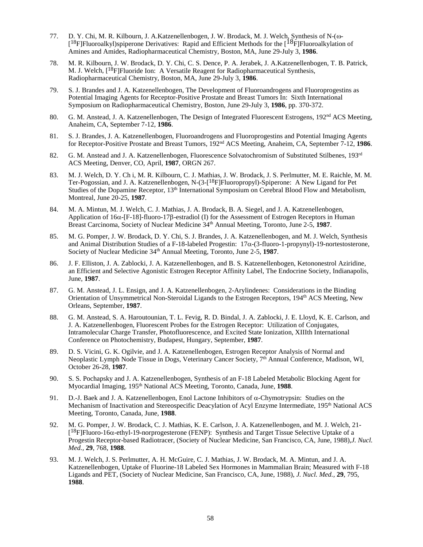- 77. D. Y. Chi, M. R. Kilbourn, J. A.Katzenellenbogen, J. W. Brodack, M. J. Welch, Synthesis of N-(ω- [18F]Fluoroalkyl)spiperone Derivatives: Rapid and Efficient Methods for the [18F]Fluoroalkylation of Amines and Amides, Radiopharmaceutical Chemistry, Boston, MA, June 29-July 3, **1986**.
- 78. M. R. Kilbourn, J. W. Brodack, D. Y. Chi, C. S. Dence, P. A. Jerabek, J. A.Katzenellenbogen, T. B. Patrick, M. J. Welch, [18F]Fluoride Ion: A Versatile Reagent for Radiopharmaceutical Synthesis, Radiopharmaceutical Chemistry, Boston, MA, June 29-July 3, **1986**.
- 79. S. J. Brandes and J. A. Katzenellenbogen, The Development of Fluoroandrogens and Fluoroprogestins as Potential Imaging Agents for Receptor-Positive Prostate and Breast Tumors In: Sixth International Symposium on Radiopharmaceutical Chemistry, Boston, June 29-July 3, **1986**, pp. 370-372.
- 80. G. M. Anstead, J. A. Katzenellenbogen, The Design of Integrated Fluorescent Estrogens, 192<sup>nd</sup> ACS Meeting, Anaheim, CA, September 7-12, **1986**.
- 81. S. J. Brandes, J. A. Katzenellenbogen, Fluoroandrogens and Fluoroprogestins and Potential Imaging Agents for Receptor-Positive Prostate and Breast Tumors, 192nd ACS Meeting, Anaheim, CA, September 7-12, **1986**.
- 82. G. M. Anstead and J. A. Katzenellenbogen, Fluorescence Solvatochromism of Substituted Stilbenes, 193<sup>rd</sup> ACS Meeting, Denver, CO, April, **1987**, ORGN 267.
- 83. M. J. Welch, D. Y. Ch i, M. R. Kilbourn, C. J. Mathias, J. W. Brodack, J. S. Perlmutter, M. E. Raichle, M. M. Ter-Pogossian, and J. A. Katzenellenbogen, N-(3-[18F]Fluoropropyl)-Spiperone: A New Ligand for Pet Studies of the Dopamine Receptor, 13<sup>th</sup> International Symposium on Cerebral Blood Flow and Metabolism, Montreal, June 20-25, **1987**.
- 84. M. A. Mintun, M. J. Welch, C. J. Mathias, J. A. Brodack, B. A. Siegel, and J. A. Katzenellenbogen, Application of 16α-[F-18]-fluoro-17β-estradiol (I) for the Assessment of Estrogen Receptors in Human Breast Carcinoma, Society of Nuclear Medicine 34th Annual Meeting, Toronto, June 2-5, **1987**.
- 85. M. G. Pomper, J. W. Brodack, D. Y. Chi, S. J. Brandes, J. A. Katzenellenbogen, and M. J. Welch, Synthesis and Animal Distribution Studies of a F-18-labeled Progestin: 17α-(3-fluoro-1-propynyl)-19-nortestosterone, Society of Nuclear Medicine 34th Annual Meeting, Toronto, June 2-5, **1987**.
- 86. J. F. Elliston, J. A. Zablocki, J. A. Katzenellenbogen, and B. S. Katzenellenbogen, Ketononestrol Aziridine, an Efficient and Selective Agonistic Estrogen Receptor Affinity Label, The Endocrine Society, Indianapolis, June, **1987**.
- 87. G. M. Anstead, J. L. Ensign, and J. A. Katzenellenbogen, 2-Arylindenes: Considerations in the Binding Orientation of Unsymmetrical Non-Steroidal Ligands to the Estrogen Receptors, 194th ACS Meeting, New Orleans, September, **1987**.
- 88. G. M. Anstead, S. A. Haroutounian, T. L. Fevig, R. D. Bindal, J. A. Zablocki, J. E. Lloyd, K. E. Carlson, and J. A. Katzenellenbogen, Fluorescent Probes for the Estrogen Receptor: Utilization of Conjugates, Intramolecular Charge Transfer, Photofluorescence, and Excited State Ionization, XIIIth International Conference on Photochemistry, Budapest, Hungary, September, **1987**.
- 89. D. S. Vicini, G. K. Ogilvie, and J. A. Katzenellenbogen, Estrogen Receptor Analysis of Normal and Neoplastic Lymph Node Tissue in Dogs, Veterinary Cancer Society, 7<sup>th</sup> Annual Conference, Madison, WI, October 26-28, **1987**.
- 90. S. S. Pochapsky and J. A. Katzenellenbogen, Synthesis of an F-18 Labeled Metabolic Blocking Agent for Myocardial Imaging, 195th National ACS Meeting, Toronto, Canada, June, **1988**.
- 91. D.-J. Baek and J. A. Katzenellenbogen, Enol Lactone Inhibitors of  $\alpha$ -Chymotrypsin: Studies on the Mechanism of Inactivation and Stereospecific Deacylation of Acyl Enzyme Intermediate, 195<sup>th</sup> National ACS Meeting, Toronto, Canada, June, **1988**.
- 92. M. G. Pomper, J. W. Brodack, C. J. Mathias, K. E. Carlson, J. A. Katzenellenbogen, and M. J. Welch, 21- [18F]Fluoro-16α-ethyl-19-norprogesterone (FENP): Synthesis and Target Tissue Selective Uptake of a Progestin Receptor-based Radiotracer, (Society of Nuclear Medicine, San Francisco, CA, June, 1988),*J. Nucl. Med.,* **29**, 768, **1988**.
- 93. M. J. Welch, J. S. Perlmutter, A. H. McGuire, C. J. Mathias, J. W. Brodack, M. A. Mintun, and J. A. Katzenellenbogen, Uptake of Fluorine-18 Labeled Sex Hormones in Mammalian Brain; Measured with F-18 Ligands and PET, (Society of Nuclear Medicine, San Francisco, CA, June, 1988), *J. Nucl. Med.,* **29**, 795, **1988**.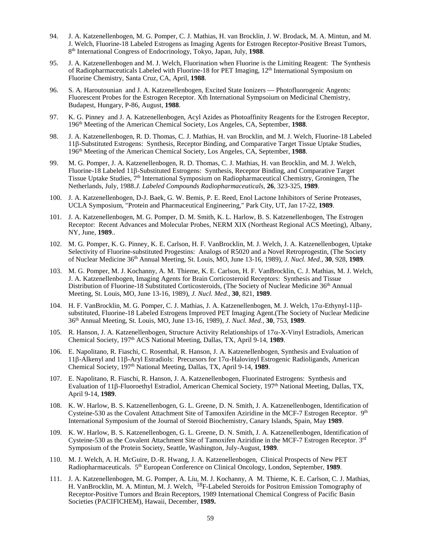- 94. J. A. Katzenellenbogen, M. G. Pomper, C. J. Mathias, H. van Brocklin, J. W. Brodack, M. A. Mintun, and M. J. Welch, Fluorine-18 Labeled Estrogens as Imaging Agents for Estrogen Receptor-Positive Breast Tumors, 8th International Congress of Endocrinology, Tokyo, Japan, July, **1988**.
- 95. J. A. Katzenellenbogen and M. J. Welch, Fluorination when Fluorine is the Limiting Reagent: The Synthesis of Radiopharmaceuticals Labeled with Fluorine-18 for PET Imaging,  $12<sup>th</sup>$  International Symposium on Fluorine Chemistry, Santa Cruz, CA, April, **1988**.
- 96. S. A. Haroutounian and J. A. Katzenellenbogen, Excited State Ionizers Photofluorogenic Angents: Fluorescent Probes for the Estrogen Receptor. Xth International Sympsoium on Medicinal Chemistry, Budapest, Hungary, P-86, August, **1988**.
- 97. K. G. Pinney and J. A. Katzenellenbogen, Acyl Azides as Photoaffinity Reagents for the Estrogen Receptor, 196th Meeting of the American Chemical Society, Los Angeles, CA, September, **1988**.
- 98. J. A. Katzenellenbogen, R. D. Thomas, C. J. Mathias, H. van Brocklin, and M. J. Welch, Fluorine-18 Labeled 11β-Substituted Estrogens: Synthesis, Receptor Binding, and Comparative Target Tissue Uptake Studies, 196th Meeting of the American Chemical Society, Los Angeles, CA, September, **1988**.
- 99. M. G. Pomper, J. A. Katzenellenbogen, R. D. Thomas, C. J. Mathias, H. van Brocklin, and M. J. Welch, Fluorine-18 Labeled 11β-Substituted Estrogens: Synthesis, Receptor Binding, and Comparative Target Tissue Uptake Studies, 7th International Symposium on Radiopharmaceutical Chemistry, Groningen, The Netherlands, July, 1988.*J. Labeled Compounds Radiopharmaceuticals*, **26**, 323-325, **1989**.
- 100. J. A. Katzenellenbogen, D-J. Baek, G. W. Bemis, P. E. Reed, Enol Lactone Inhibitors of Serine Proteases, UCLA Symposium, "Protein and Pharmaceutical Engineering," Park City, UT, Jan 17-22, **1989**.
- 101. J. A. Katzenellenbogen, M. G. Pomper, D. M. Smith, K. L. Harlow, B. S. Katzenellenbogen, The Estrogen Receptor: Recent Advances and Molecular Probes, NERM XIX (Northeast Regional ACS Meeting), Albany, NY, June, **1989**..
- 102. M. G. Pomper, K. G. Pinney, K. E. Carlson, H. F. VanBrocklin, M. J. Welch, J. A. Katzenellenbogen, Uptake Selectivity of Fluorine-substituted Progestins: Analogs of R5020 and a Novel Retroprogestin, (The Society of Nuclear Medicine 36th Annual Meeting, St. Louis, MO, June 13-16, 1989), *J. Nucl. Med.,* **30**, 928, **1989**.
- 103. M. G. Pomper, M. J. Kochanny, A. M. Thieme, K. E. Carlson, H. F. VanBrocklin, C. J. Mathias, M. J. Welch, J. A. Katzenellenbogen, Imaging Agents for Brain Corticosteroid Receptors: Synthesis and Tissue Distribution of Fluorine-18 Substituted Corticosteroids, (The Society of Nuclear Medicine 36<sup>th</sup> Annual Meeting, St. Louis, MO, June 13-16, 1989), *J. Nucl. Med.,* **30**, 821, **1989**.
- 104. H. F. VanBrocklin, M. G. Pomper, C. J. Mathias, J. A. Katzenellenbogen, M. J. Welch, 17α-Ethynyl-11βsubstituted, Fluorine-18 Labeled Estrogens Improved PET Imaging Agent.(The Society of Nuclear Medicine 36th Annual Meeting, St. Louis, MO, June 13-16, 1989), *J. Nucl. Med.,* **30**, 753, **1989**.
- 105. R. Hanson, J. A. Katzenellenbogen, Structure Activity Relationships of  $17\alpha$ -X-Vinyl Estradiols, American Chemical Society, 197th ACS National Meeting, Dallas, TX, April 9-14, **1989**.
- 106. E. Napolitano, R. Fiaschi, C. Rosenthal, R. Hanson, J. A. Katzenellenbogen, Synthesis and Evaluation of 11β-Alkenyl and 11β-Aryl Estradiols: Precursors for 17α-Halovinyl Estrogenic Radioligands, American Chemical Society, 197th National Meeting, Dallas, TX, April 9-14, **1989**.
- 107. E. Napolitano, R. Fiaschi, R. Hanson, J. A. Katzenellenbogen, Fluorinated Estrogens: Synthesis and Evaluation of 11β-Fluoroethyl Estradiol, American Chemical Society, 197th National Meeting, Dallas, TX, April 9-14, **1989**.
- 108. K. W. Harlow, B. S. Katzenellenbogen, G. L. Greene, D. N. Smith, J. A. Katzenellenbogen, Identification of Cysteine-530 as the Covalent Attachment Site of Tamoxifen Aziridine in the MCF-7 Estrogen Receptor. 9<sup>th</sup> International Symposium of the Journal of Steroid Biochemistry, Canary Islands, Spain, May **1989**.
- 109. K. W. Harlow, B. S. Katzenellenbogen, G. L. Greene, D. N. Smith, J. A. Katzenellenbogen, Identification of Cysteine-530 as the Covalent Attachment Site of Tamoxifen Aziridine in the MCF-7 Estrogen Receptor. 3rd Symposium of the Protein Society, Seattle, Washington, July-August, **1989**.
- 110. M. J. Welch, A. H. McGuire, D.-R. Hwang, J. A. Katzenellenbogen, Clinical Prospects of New PET Radiopharmaceuticals. 5th European Conference on Clinical Oncology, London, September, **1989**.
- 111. J. A. Katzenellenbogen, M. G. Pomper, A. Liu, M. J. Kochanny, A M. Thieme, K. E. Carlson, C. J. Mathias, H. VanBrocklin, M. A. Mintun, M. J. Welch, 18F-Labeled Steroids for Positron Emission Tomography of Receptor-Positive Tumors and Brain Receptors, 1989 International Chemical Congress of Pacific Basin Societies (PACIFICHEM), Hawaii, December, **1989.**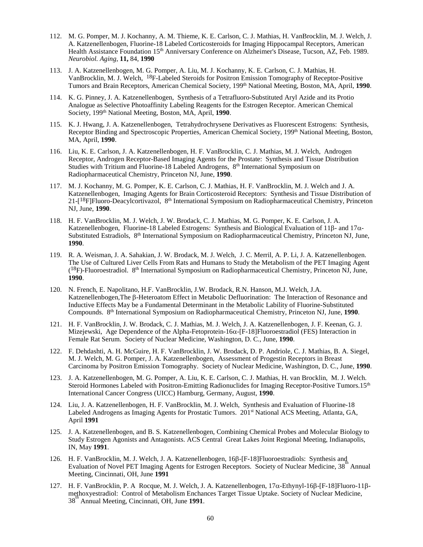- 112. M. G. Pomper, M. J. Kochanny, A. M. Thieme, K. E. Carlson, C. J. Mathias, H. VanBrocklin, M. J. Welch, J. A. Katzenellenbogen, Fluorine-18 Labeled Corticosteroids for Imaging Hippocampal Receptors, American Health Assistance Foundation 15<sup>th</sup> Anniversary Conference on Alzheimer's Disease, Tucson, AZ, Feb. 1989. *Neurobiol. Aging,* **11,** 84, **1990**
- 113. J. A. Katzenellenbogen, M. G. Pomper, A. Liu, M. J. Kochanny, K. E. Carlson, C. J. Mathias, H. VanBrocklin, M. J. Welch, 18F-Labeled Steroids for Positron Emission Tomography of Receptor-Positive Tumors and Brain Receptors, American Chemical Society, 199th National Meeting, Boston, MA, April, **1990**.
- 114. K. G. Pinney, J. A. Katzenellenbogen, Synthesis of a Tetrafluoro-Substituted Aryl Azide and its Protio Analogue as Selective Photoaffinity Labeling Reagents for the Estrogen Receptor. American Chemical Society, 199th National Meeting, Boston, MA, April, **1990**.
- 115. K. J. Hwang, J. A. Katzenellenbogen, Tetrahydrochrysene Derivatives as Fluorescent Estrogens: Synthesis, Receptor Binding and Spectroscopic Properties, American Chemical Society, 199<sup>th</sup> National Meeting, Boston, MA, April, **1990**.
- 116. Liu, K. E. Carlson, J. A. Katzenellenbogen, H. F. VanBrocklin, C. J. Mathias, M. J. Welch, Androgen Receptor, Androgen Receptor-Based Imaging Agents for the Prostate: Synthesis and Tissue Distribution Studies with Tritium and Fluorine-18 Labeled Androgens, 8<sup>th</sup> International Symposium on Radiopharmaceutical Chemistry, Princeton NJ, June, **1990**.
- 117. M. J. Kochanny, M. G. Pomper, K. E. Carlson, C. J. Mathias, H. F. VanBrocklin, M. J. Welch and J. A. Katzenellenbogen, Imaging Agents for Brain Corticosteroid Receptors: Synthesis and Tissue Distribution of 21-[18F]Fluoro-Deacylcortivazol, 8th International Symposium on Radiopharmaceutical Chemistry, Princeton NJ, June, **1990**.
- 118. H. F. VanBrocklin, M. J. Welch, J. W. Brodack, C. J. Mathias, M. G. Pomper, K. E. Carlson, J. A. Katzenellenbogen, Fluorine-18 Labeled Estrogens: Synthesis and Biological Evaluation of 11β- and 17α-Substituted Estradiols, 8th International Symposium on Radiopharmaceutical Chemistry, Princeton NJ, June, **1990**.
- 119. R. A. Weisman, J. A. Sahakian, J. W. Brodack, M. J. Welch, J. C. Merril, A. P. Li, J. A. Katzenellenbogen. The Use of Cultured Liver Cells From Rats and Humans to Study the Metabolism of the PET Imaging Agent  $(18F)$ -Fluoroestradiol. 8<sup>th</sup> International Symposium on Radiopharmaceutical Chemistry, Princeton NJ, June, **1990**.
- 120. N. French, E. Napolitano, H.F. VanBrocklin, J.W. Brodack, R.N. Hanson, M.J. Welch, J.A. Katzenellenbogen,The β-Heteroatom Effect in Metabolic Defluorination: The Interaction of Resonance and Inductive Effects May be a Fundamental Determinant in the Metabolic Lability of Fluorine-Substituted Compounds. 8th International Symposium on Radiopharmaceutical Chemistry, Princeton NJ, June, **1990**.
- 121. H. F. VanBrocklin, J. W. Brodack, C. J. Mathias, M. J. Welch, J. A. Katzenellenbogen, J. F. Keenan, G. J. Mizejewski, Age Dependence of the Alpha-Fetoprotein-16 $\alpha$ -[F-18]Fluoroestradiol (FES) Interaction in Female Rat Serum. Society of Nuclear Medicine, Washington, D. C., June, **1990**.
- 122. F. Dehdashti, A. H. McGuire, H. F. VanBrocklin, J. W. Brodack, D. P. Andriole, C. J. Mathias, B. A. Siegel, M. J. Welch, M. G. Pomper, J. A. Katzenellenbogen, Assessment of Progestin Receptors in Breast Carcinoma by Positron Emission Tomography. Society of Nuclear Medicine, Washington, D. C., June, **1990**.
- 123. J. A. Katzenellenbogen, M. G. Pomper, A. Liu, K. E. Carlson, C. J. Mathias, H. van Brocklin, M. J. Welch. Steroid Hormones Labeled with Positron-Emitting Radionuclides for Imaging Receptor-Positive Tumors.15<sup>th</sup> International Cancer Congress (UICC) Hamburg, Germany, August, **1990**.
- 124. Liu, J. A. Katzenellenbogen, H. F. VanBrocklin, M. J. Welch, Synthesis and Evaluation of Fluorine-18 Labeled Androgens as Imaging Agents for Prostatic Tumors. 201<sup>st</sup> National ACS Meeting, Atlanta, GA, April **1991**
- 125. J. A. Katzenellenbogen, and B. S. Katzenellenbogen, Combining Chemical Probes and Molecular Biology to Study Estrogen Agonists and Antagonists. ACS Central Great Lakes Joint Regional Meeting, Indianapolis, IN, May **1991**.
- 126. H. F. VanBrocklin, M. J. Welch, J. A. Katzenellenbogen, 16β-[F-18]Fluoroestradiols: Synthesis and Evaluation of Novel PET Imaging Agents for Estrogen Receptors. Society of Nuclear Medicine, 38 <sup>th</sup> Annual Meeting, Cincinnati, OH, June **1991**
- 127. H. F. VanBrocklin, P. A Rocque, M. J. Welch, J. A. Katzenellenbogen, 17α-Ethynyl-16β-[F-18]Fluoro-11βmethoxyestradiol: Control of Metabolism Enchances Target Tissue Uptake. Society of Nuclear Medicine, 38<sup>th</sup> Annual Meeting, Cincinnati, OH, June 1991.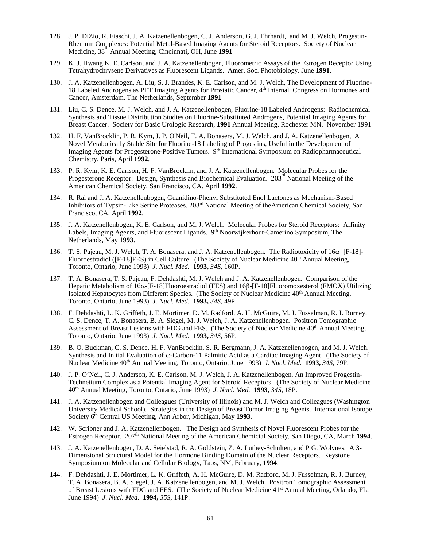- 128. J. P. DiZio, R. Fiaschi, J. A. Katzenellenbogen, C. J. Anderson, G. J. Ehrhardt, and M. J. Welch, Progestin-Rhenium Complexes: Potential Metal-Based Imaging Agents for Steroid Receptors. Society of Nuclear Medicine, 38<sup>th</sup> Annual Meeting, Cincinnati, OH, June **1991**
- 129. K. J. Hwang K. E. Carlson, and J. A. Katzenellenbogen, Fluorometric Assays of the Estrogen Receptor Using Tetrahydrochrysene Derivatives as Fluorescent Ligands. Amer. Soc. Photobiology. June **1991**.
- 130. J. A. Katzenellenbogen, A. Liu, S. J. Brandes, K. E. Carlson, and M. J. Welch, The Development of Fluorine-18 Labeled Androgens as PET Imaging Agents for Prostatic Cancer, 4th Internal. Congress on Hormones and Cancer, Amsterdam, The Netherlands, September **1991**
- 131. Liu, C. S. Dence, M. J. Welch, and J. A. Katzenellenbogen, Fluorine-18 Labeled Androgens: Radiochemical Synthesis and Tissue Distribution Studies on Fluorine-Substituted Androgens, Potential Imaging Agents for Breast Cancer. Society for Basic Urologic Research, **1991** Annual Meeting, Rochester MN, November 1991
- 132. H. F. VanBrocklin, P. R. Kym, J. P. O'Neil, T. A. Bonasera, M. J. Welch, and J. A. Katzenellenbogen, A Novel Metabolically Stable Site for Fluorine-18 Labeling of Progestins, Useful in the Development of Imaging Agents for Progesterone-Positive Tumors.  $9<sup>th</sup>$  International Symposium on Radiopharmaceutical Chemistry, Paris, April **1992**.
- 133. P. R. Kym, K. E. Carlson, H. F. VanBrocklin, and J. A. Katzenellenbogen. Molecular Probes for the Progesterone Receptor: Design, Synthesis and Biochemical Evaluation.  $203^{\circ}$  National Meeting of the American Chemical Society, San Francisco, CA. April **1992**.
- 134. R. Rai and J. A. Katzenellenbogen, Guanidino-Phenyl Substituted Enol Lactones as Mechanism-Based Inhibitors of Typsin-Like Serine Proteases. 203rd National Meeting of theAmerican Chemical Society, San Francisco, CA. April **1992**.
- 135. J. A. Katzenellenbogen, K. E. Carlson, and M. J. Welch. Molecular Probes for Steroid Receptors: Affinity Labels, Imaging Agents, and Fluorescent Ligands. 9<sup>th</sup> Noorwijkerhout-Camerino Symposium, The Netherlands, May **1993**.
- 136. T. S. Pajeau, M. J. Welch, T. A. Bonasera, and J. A. Katzenellenbogen. The Radiotoxicity of 16α−[F-18]- Fluoroestradiol ( $[F-18]FES$ ) in Cell Culture. (The Society of Nuclear Medicine  $40<sup>th</sup>$  Annual Meeting, Toronto, Ontario, June 1993) *J. Nucl. Med.* **1993,** *34S,* 160P.
- 137. T. A. Bonasera, T. S. Pajeau, F. Dehdashti, M. J. Welch and J. A. Katzenellenbogen. Comparison of the Hepatic Metabolism of 16α-[F-18]Fluoroestradiol (FES) and 16β-[F-18]Fluoromoxesterol (FMOX) Utilizing Isolated Hepatocytes from Different Species. (The Society of Nuclear Medicine 40th Annual Meeting, Toronto, Ontario, June 1993) *J. Nucl. Med.* **1993,** *34S,* 49P.
- 138. F. Dehdashti, L. K. Griffeth, J. E. Mortimer, D. M. Radford, A. H. McGuire, M. J. Fusselman, R. J. Burney, C. S. Dence, T. A. Bonasera, B. A. Siegel, M. J. Welch, J. A. Katzenellenbogen. Positron Tomographic Assessment of Breast Lesions with FDG and FES. (The Society of Nuclear Medicine 40<sup>th</sup> Annual Meeting, Toronto, Ontario, June 1993) *J. Nucl. Med.* **1993,** *34S,* 56P.
- 139. B. O. Buckman, C. S. Dence, H. F. VanBrocklin, S. R. Bergmann, J. A. Katzenellenbogen, and M. J. Welch. Synthesis and Initial Evaluation of ω-Carbon-11 Palmitic Acid as a Cardiac Imaging Agent. (The Society of Nuclear Medicine 40th Annual Meeting, Toronto, Ontario, June 1993) *J. Nucl. Med.* **1993,** *34S,* 79P.
- 140. J. P. O'Neil, C. J. Anderson, K. E. Carlson, M. J. Welch, J. A. Katzenellenbogen. An Improved Progestin-Technetium Complex as a Potential Imaging Agent for Steroid Receptors. (The Society of Nuclear Medicine 40th Annual Meeting, Toronto, Ontario, June 1993) *J. Nucl. Med.* **1993,** *34S,* 18P.
- 141. J. A. Katzenellenbogen and Colleagues (University of Illinois) and M. J. Welch and Colleagues (Washington University Medical School). Strategies in the Design of Breast Tumor Imaging Agents. International Isotope Society 6th Central US Meeting, Ann Arbor, Michigan, May **1993**.
- 142. W. Scribner and J. A. Katzenellenbogen. The Design and Synthesis of Novel Fluorescent Probes for the Estrogen Receptor. 207th National Meeting of the American Chemicial Society, San Diego, CA, March **1994**.
- 143. J. A. Katzenellenbogen, D. A. Seielstad, R. A. Goldstein, Z. A. Luthey-Schulten, and P G. Wolynes. A 3- Dimensional Structural Model for the Hormone Binding Domain of the Nuclear Receptors. Keystone Symposium on Molecular and Cellular Biology, Taos, NM, February, **1994**.
- 144. F. Dehdashti, J. E. Mortimer, L. K. Griffeth, A. H. McGuire, D. M. Radford, M. J. Fusselman, R. J. Burney, T. A. Bonasera, B. A. Siegel, J. A. Katzenellenbogen, and M. J. Welch. Positron Tomographic Assessment of Breast Lesions with FDG and FES. (The Society of Nuclear Medicine 41st Annual Meeting, Orlando, FL, June 1994) *J. Nucl. Med.* **1994,** *35S,* 141P.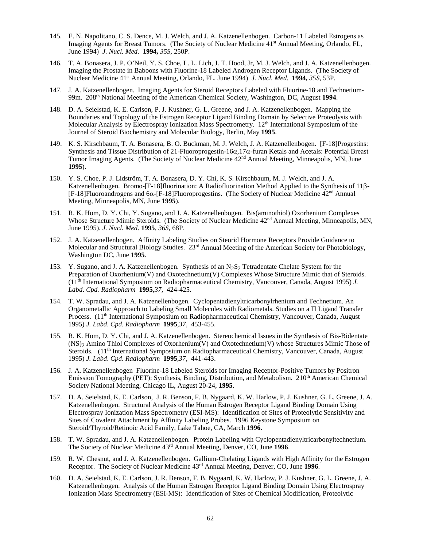- 145. E. N. Napolitano, C. S. Dence, M. J. Welch, and J. A. Katzenellenbogen. Carbon-11 Labeled Estrogens as Imaging Agents for Breast Tumors. (The Society of Nuclear Medicine 41<sup>st</sup> Annual Meeting, Orlando, FL, June 1994) *J. Nucl. Med.* **1994,** *35S,* 250P.
- 146. T. A. Bonasera, J. P. O'Neil, Y. S. Choe, L. L. Lich, J. T. Hood, Jr, M. J. Welch, and J. A. Katzenellenbogen. Imaging the Prostate in Baboons with Fluorine-18 Labeled Androgen Receptor Ligands. (The Society of Nuclear Medicine 41st Annual Meeting, Orlando, FL, June 1994) *J. Nucl. Med.* **1994,** *35S,* 53P.
- 147. J. A. Katzenellenbogen. Imaging Agents for Steroid Receptors Labeled with Fluorine-18 and Technetium-99m. 208th National Meeting of the American Chemical Society, Washington, DC, August **1994**.
- 148. D. A. Seielstad, K. E. Carlson, P. J. Kushner, G. L. Greene, and J. A. Katzenellenbogen. Mapping the Boundaries and Topology of the Estrogen Receptor Ligand Binding Domain by Selective Proteolysis with Molecular Analysis by Electrospray Ionization Mass Spectrometry.  $12<sup>th</sup>$  International Symposium of the Journal of Steroid Biochemistry and Molecular Biology, Berlin, May **1995**.
- 149. K. S. Kirschbaum, T. A. Bonasera, B. O. Buckman, M. J. Welch, J. A. Katzenellenbogen. [F-18]Progestins: Synthesis and Tissue Distribution of 21-Fluoroprogestin-16α,17α-furan Ketals and Acetals: Potential Breast Tumor Imaging Agents. (The Society of Nuclear Medicine 42nd Annual Meeting, Minneapolis, MN, June **1995**).
- 150. Y. S. Choe, P. J. Lidström, T. A. Bonasera, D. Y. Chi, K. S. Kirschbaum, M. J. Welch, and J. A. Katzenellenbogen. Bromo-[F-18]fluorination: A Radiofluorination Method Applied to the Synthesis of 11β- [F-18]Fluoroandrogens and 6α-[F-18]Fluoroprogestins. (The Society of Nuclear Medicine 42nd Annual Meeting, Minneapolis, MN, June **1995**).
- 151. R. K. Hom, D. Y. Chi, Y. Sugano, and J. A. Katzenellenbogen. Bis(aminothiol) Oxorhenium Complexes Whose Structure Mimic Steroids. (The Society of Nuclear Medicine 42<sup>nd</sup> Annual Meeting, Minneapolis, MN, June 1995). *J. Nucl. Med.* **1995**, *36S*, 68P.
- 152. J. A. Katzenellenbogen. Affinity Labeling Studies on Steorid Hormone Receptors Provide Guidance to Molecular and Structural Biology Studies. 23rd Annual Meeting of the American Society for Photobiology, Washington DC, June **1995**.
- 153. Y. Sugano, and J. A. Katzenellenbogen. Synthesis of an N<sub>2</sub>S<sub>2</sub> Tetradentate Chelate System for the Preparation of Oxorhenium(V) and Oxotechnetium(V) Complexes Whose Structure Mimic that of Steroids. (11th International Symposium on Radiopharmaceutical Chemistry, Vancouver, Canada, August 1995) *J. Labd*. *Cpd. Radiopharm* **1995**,*37,* 424-425.
- 154. T. W. Spradau, and J. A. Katzenellenbogen. Cyclopentadienyltricarbonylrhenium and Technetium. An Organometallic Approach to Labeling Small Molecules with Radiometals. Studies on a Π Ligand Transfer Process. (11<sup>th</sup> International Symposium on Radiopharmaceutical Chemistry, Vancouver, Canada, August 1995) *J. Labd*. *Cpd. Radiopharm* **1995**,*37,* 453-455.
- 155. R. K. Hom, D. Y. Chi, and J. A. Katzenellenbogen. Stereochemical Issues in the Synthesis of Bis-Bidentate (NS)2 Amino Thiol Complexes of Oxorhenium(V) and Oxotechnetium(V) whose Structures Mimic Those of Steroids. (11<sup>th</sup> International Symposium on Radiopharmaceutical Chemistry, Vancouver, Canada, August 1995) *J. Labd*. *Cpd. Radiopharm* **1995**,*37,* 441-443.
- 156. J. A. Katzenellenbogen Fluorine-18 Labeled Steroids for Imaging Receptor-Positive Tumors by Positron Emission Tomography (PET): Synthesis, Binding, Distribution, and Metabolism. 210<sup>th</sup> American Chemical Society National Meeting, Chicago IL, August 20-24, **1995**.
- 157. D. A. Seielstad, K. E. Carlson, J. R. Benson, F. B. Nygaard, K. W. Harlow, P. J. Kushner, G. L. Greene, J. A. Katzenellenbogen. Structural Analysis of the Human Estrogen Receptor Ligand Binding Domain Using Electrospray Ionization Mass Spectrometry (ESI-MS): Identification of Sites of Proteolytic Sensitivity and Sites of Covalent Attachment by Affinity Labeling Probes. 1996 Keystone Symposium on Steroid/Thyroid/Retinoic Acid Family, Lake Tahoe, CA, March **1996**.
- 158. T. W. Spradau, and J. A. Katzenellenbogen. Protein Labeling with Cyclopentadienyltricarbonyltechnetium. The Society of Nuclear Medicine 43rd Annual Meeting, Denver, CO, June **1996**.
- 159. R. W. Chesnut, and J. A. Katzenellenbogen. Gallium-Chelating Ligands with High Affinity for the Estrogen Receptor. The Society of Nuclear Medicine 43rd Annual Meeting, Denver, CO, June **1996**.
- 160. D. A. Seielstad, K. E. Carlson, J. R. Benson, F. B. Nygaard, K. W. Harlow, P. J. Kushner, G. L. Greene, J. A. Katzenellenbogen. Analysis of the Human Estrogen Receptor Ligand Binding Domain Using Electrospray Ionization Mass Spectrometry (ESI-MS): Identification of Sites of Chemical Modification, Proteolytic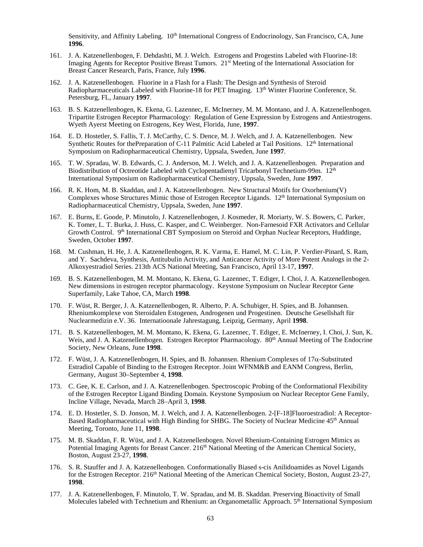Sensitivity, and Affinity Labeling. 10<sup>th</sup> International Congress of Endocrinology, San Francisco, CA, June **1996**.

- 161. J. A. Katzenellenbogen, F. Dehdashti, M. J. Welch. Estrogens and Progestins Labeled with Fluorine-18: Imaging Agents for Receptor Positive Breast Tumors. 21<sup>st</sup> Meeting of the International Association for Breast Cancer Research, Paris, France, July **1996**.
- 162. J. A. Katzenellenbogen. Fluorine in a Flash for a Flash: The Design and Synthesis of Steroid Radiopharmaceuticals Labeled with Fluorine-18 for PET Imaging. 13<sup>th</sup> Winter Fluorine Conference, St. Petersburg, FL, January **1997**.
- 163. B. S. Katzenellenbogen, K. Ekena, G. Lazennec, E. McInerney, M. M. Montano, and J. A. Katzenellenbogen. Tripartite Estrogen Receptor Pharmacology: Regulation of Gene Expression by Estrogens and Antiestrogens. Wyeth Ayerst Meeting on Estrogens, Key West, Florida, June, **1997**.
- 164. E. D. Hostetler, S. Fallis, T. J. McCarthy, C. S. Dence, M. J. Welch, and J. A. Katzenellenbogen. New Synthetic Routes for thePreparation of C-11 Palmitic Acid Labeled at Tail Positions. 12<sup>th</sup> International Symposium on Radiopharmaceutical Chemistry, Uppsala, Sweden, June **1997**.
- 165. T. W. Spradau, W. B. Edwards, C. J. Anderson, M. J. Welch, and J. A. Katzenellenbogen. Preparation and Biodistribution of Octreotide Labeled with Cyclopentadienyl Tricarbonyl Technetium-99m. 12<sup>th</sup> International Symposium on Radiopharmaceutical Chemistry, Uppsala, Sweden, June **1997**.
- 166. R. K. Hom, M. B. Skaddan, and J. A. Katzenellenbogen. New Structural Motifs for Oxorhenium(V) Complexes whose Structures Mimic those of Estrogen Receptor Ligands. 12<sup>th</sup> International Symposium on Radiopharmaceutical Chemistry, Uppsala, Sweden, June **1997**.
- 167. E. Burns, E. Goode, P. Minutolo, J. Katzenellenbogen, J. Kosmeder, R. Moriarty, W. S. Bowers, C. Parker, K. Tomer, L. T. Burka, J. Huss, C. Kasper, and C. Weinberger. Non-Farnesoid FXR Activators and Cellular Growth Control. 9<sup>th</sup> International CBT Symposium on Steroid and Orphan Nuclear Receptors, Huddinge, Sweden, October **1997**.
- 168. M. Cushman, H. He, J. A. Katzenellenbogen, R. K. Varma, E. Hamel, M. C. Lin, P. Verdier-Pinard, S. Ram, and Y. Sachdeva, Synthesis, Antitubulin Activity, and Anticancer Activity of More Potent Analogs in the 2- Alkoxyestradiol Series. 213th ACS National Meeting, San Francisco, April 13-17, **1997**.
- 169. B. S. Katzenellenbogen, M. M. Montano, K. Ekena, G. Lazennec, T. Ediger, I. Choi, J. A. Katzenellenbogen. New dimensions in estrogen receptor pharmacology. Keystone Symposium on Nuclear Receptor Gene Superfamily, Lake Tahoe, CA, March **1998**.
- 170. F. Wüst, R. Berger, J. A. Katzenellenbogen, R. Alberto, P. A. Schubiger, H. Spies, and B. Johannsen. Rheniumkomplexe von Steroidalen Estogenen, Androgenen und Progestinen. Deutsche Gesellshaft für Nuclearmedizin e.V. 36. Internatioonale Jahrestagung, Leipzig, Germany, April **1998**.
- 171. B. S. Katzenellenbogen, M. M. Montano, K. Ekena, G. Lazennec, T. Ediger, E. McInerney, I. Choi, J. Sun, K. Weis, and J. A. Katzenellenbogen. Estrogen Receptor Pharmacology. 80<sup>th</sup> Annual Meeting of The Endocrine Society, New Orleans, June **1998**.
- 172. F. Wüst, J. A. Katzenellenbogen, H. Spies, and B. Johannsen. Rhenium Complexes of  $17\alpha$ -Substituted Estradiol Capable of Binding to the Estrogen Receptor. Joint WFNM&B and EANM Congress, Berlin, Germany, August 30–September 4, **1998**.
- 173. C. Gee, K. E. Carlson, and J. A. Katzenellenbogen. Spectroscopic Probing of the Conformational Flexibility of the Estrogen Receptor Ligand Binding Domain. Keystone Symposium on Nuclear Receptor Gene Family, Incline Village, Nevada, March 28–April 3, **1998**.
- 174. E. D. Hostetler, S. D. Jonson, M. J. Welch, and J. A. Katzenellenbogen. 2-[F-18]Fluoroestradiol: A Receptor-Based Radiopharmaceutical with High Binding for SHBG. The Society of Nuclear Medicine 45<sup>th</sup> Annual Meeting, Toronto, June 11, **1998**.
- 175. M. B. Skaddan, F. R. Wüst, and J. A. Katzenellenbogen. Novel Rhenium-Containing Estrogen Mimics as Potential Imaging Agents for Breast Cancer. 216<sup>th</sup> National Meeting of the American Chemical Society, Boston, August 23-27, **1998**.
- 176. S. R. Stauffer and J. A. Katzenellenbogen. Conformationally Biased s-cis Anilidoamides as Novel Ligands for the Estrogen Receptor. 216<sup>th</sup> National Meeting of the American Chemical Society, Boston, August 23-27, **1998**.
- 177. J. A. Katzenellenbogen, F. Minutolo, T. W. Spradau, and M. B. Skaddan. Preserving Bioactivity of Small Molecules labeled with Technetium and Rhenium: an Organometallic Approach. 5<sup>th</sup> International Symposium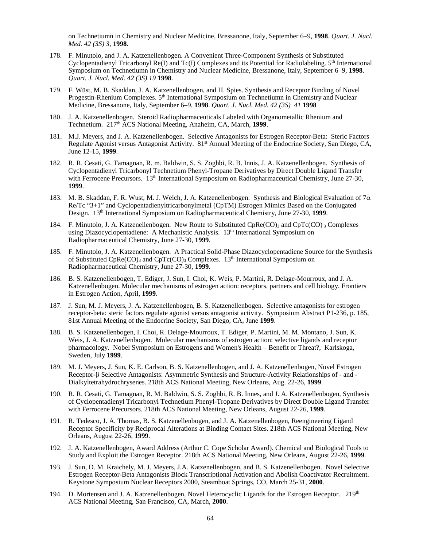on Technetiumn in Chemistry and Nuclear Medicine, Bressanone, Italy, September 6–9, **1998**. *Quart. J. Nucl. Med. 42 (3S) 3,* **1998**.

- 178. F. Minutolo, and J. A. Katzenellenbogen. A Convenient Three-Component Synthesis of Substituted Cyclopentadienyl Tricarbonyl Re(I) and Tc(I) Complexes and its Potential for Radiolabeling.  $5<sup>th</sup>$  International Symposium on Technetiumn in Chemistry and Nuclear Medicine, Bressanone, Italy, September 6–9, **1998**. *Quart. J. Nucl. Med. 42 (3S) 19* **1998**.
- 179. F. Wüst, M. B. Skaddan, J. A. Katzenellenbogen, and H. Spies. Synthesis and Receptor Binding of Novel Progestin-Rhenium Complexes.  $5<sup>th</sup>$  International Symposium on Technetiumn in Chemistry and Nuclear Medicine, Bressanone, Italy, September 6–9, **1998**. *Quart. J. Nucl. Med. 42 (3S) 41* **1998**
- 180. J. A. Katzenellenbogen. Steroid Radiopharmaceuticals Labeled with Organometallic Rhenium and Technetium. 217th ACS National Meeting, Anaheim, CA, March, **1999**.
- 181. M.J. Meyers, and J. A. Katzenellenbogen. Selective Antagonists for Estrogen Receptor-Beta: Steric Factors Regulate Agonist versus Antagonist Activity. 81st Annual Meeting of the Endocrine Society, San Diego, CA, June 12-15, **1999**.
- 182. R. R. Cesati, G. Tamagnan, R. m. Baldwin, S. S. Zoghbi, R. B. Innis, J. A. Katzenellenbogen. Synthesis of Cyclopentadienyl Tricarbonyl Technetium Phenyl-Tropane Derivatives by Direct Double Ligand Transfer with Ferrocene Precursors. 13<sup>th</sup> International Symposium on Radiopharmaceutical Chemistry, June 27-30, **1999**.
- 183. M. B. Skaddan, F. R. Wust, M. J. Welch, J. A. Katzenellenbogen. Synthesis and Biological Evaluation of  $7\alpha$ Re/Tc "3+1" and Cyclopentadienyltricarbonylmetal (CpTM) Estrogen Mimics Based on the Conjugated Design. 13th International Symposium on Radiopharmaceutical Chemistry, June 27-30, **1999**.
- 184. F. Minutolo, J. A. Katzenellenbogen. New Route to Substituted CpRe(CO)<sub>3</sub> and CpTc(CO) 3 Complexes using Diazocyclopentadiene: A Mechanistic Analysis. 13<sup>th</sup> International Symposium on Radiopharmaceutical Chemistry, June 27-30, **1999**.
- 185. F. Minutolo, J. A. Katzenellenbogen. A Practical Solid-Phase Diazocyclopentadiene Source for the Synthesis of Substituted CpRe(CO)<sub>3</sub> and CpTc(CO)<sub>3</sub> Complexes. 13<sup>th</sup> International Symposium on Radiopharmaceutical Chemistry, June 27-30, **1999**.
- 186. B. S. Katzenellenbogen, T. Ediger, J. Sun, I. Choi, K. Weis, P. Martini, R. Delage-Mourroux, and J. A. Katzenellenbogen. Molecular mechanisms of estrogen action: receptors, partners and cell biology. Frontiers in Estrogen Action, April, **1999**.
- 187. J. Sun, M. J. Meyers, J. A. Katzenellenbogen, B. S. Katzenellenbogen. Selective antagonists for estrogen receptor-beta: steric factors regulate agonist versus antagonist activity. Symposium Abstract P1-236, p. 185, 81st Annual Meeting of the Endocrine Society, San Diego, CA, June **1999**.
- 188. B. S. Katzenellenbogen, I. Choi, R. Delage-Mourroux, T. Ediger, P. Martini, M. M. Montano, J. Sun, K. Weis, J. A. Katzenellenbogen. Molecular mechanisms of estrogen action: selective ligands and receptor pharmacology. Nobel Symposium on Estrogens and Women's Health – Benefit or Threat?, Karlskoga, Sweden, July **1999**.
- 189. M. J. Meyers, J. Sun, K. E. Carlson, B. S. Katzenellenbogen, and J. A. Katzenellenbogen, Novel Estrogen Receptor-β Selective Antagonists: Asymmetric Synthesis and Structure-Activity Relationships of - and - Dialkyltetrahydrochrysenes. 218th ACS National Meeting, New Orleans, Aug. 22-26, **1999**.
- 190. R. R. Cesati, G. Tamagnan, R. M. Baldwin, S. S. Zoghbi, R. B. Innes, and J. A. Katzenellenbogen, Synthesis of Cyclopentadienyl Tricarbonyl Technetium Phenyl-Tropane Derivatives by Direct Double Ligand Transfer with Ferrocene Precursors. 218th ACS National Meeting, New Orleans, August 22-26, **1999**.
- 191. R. Tedesco, J. A. Thomas, B. S. Katzenellenbogen, and J. A. Katzenellenbogen, Reengineering Ligand Receptor Specificity by Reciprocal Alterations at Binding Contact Sites. 218th ACS National Meeting, New Orleans, August 22-26, **1999**.
- 192. J. A. Katzenellenbogen, Award Address (Arthur C. Cope Scholar Award). Chemical and Biological Tools to Study and Exploit the Estrogen Receptor. 218th ACS National Meeting, New Orleans, August 22-26, **1999**.
- 193. J. Sun, D. M. Kraichely, M. J. Meyers, J.A. Katzenellenbogen, and B. S. Katzenellenbogen. Novel Selective Estrogen Receptor-Beta Antagonists Block Transcriptional Activation and Abolish Coactivator Recruitment. Keystone Symposium Nuclear Receptors 2000, Steamboat Springs, CO, March 25-31, **2000**.
- 194. D. Mortensen and J. A. Katzenellenbogen, Novel Heterocyclic Ligands for the Estrogen Receptor. 219<sup>th</sup> ACS National Meeting, San Francisco, CA, March, **2000**.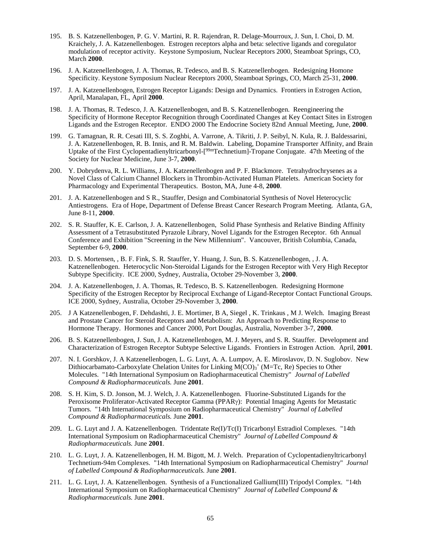- 195. B. S. Katzenellenbogen, P. G. V. Martini, R. R. Rajendran, R. Delage-Mourroux, J. Sun, I. Choi, D. M. Kraichely, J. A. Katzenellenbogen. Estrogen receptors alpha and beta: selective ligands and coregulator modulation of receptor activity. Keystone Symposium, Nuclear Receptors 2000, Steamboat Springs, CO, March **2000**.
- 196. J. A. Katzenellenbogen, J. A. Thomas, R. Tedesco, and B. S. Katzenellenbogen. Redesigning Homone Specificity. Keystone Symposium Nuclear Receptors 2000, Steamboat Springs, CO, March 25-31, **2000**.
- 197. J. A. Katzenellenbogen, Estrogen Receptor Ligands: Design and Dynamics. Frontiers in Estrogen Action, April, Manalapan, FL, April **2000**.
- 198. J. A. Thomas, R. Tedesco, J. A. Katzenellenbogen, and B. S. Katzenellenbogen. Reengineering the Specificity of Hormone Receptor Recognition through Coordinated Changes at Key Contact Sites in Estrogen Ligands and the Estrogen Receptor. ENDO 2000 The Endocrine Society 82nd Annual Meeting, June, **2000**.
- 199. G. Tamagnan, R. R. Cesati III, S. S. Zoghbi, A. Varrone, A. Tikriti, J. P. Seibyl, N. Kula, R. J. Baldessarini, J. A. Katzenellenbogen, R. B. Innis, and R. M. Baldwin. Labeling, Dopamine Transporter Affinity, and Brain Uptake of the First Cyclopentadienyltricarbonyl-[<sup>99m</sup>Technetium]-Tropane Conjugate. 47th Meeting of the Society for Nuclear Medicine, June 3-7, **2000**.
- 200. Y. Dobrydenva, R. L. Williams, J. A. Katzenellenbogen and P. F. Blackmore. Tetrahydrochrysenes as a Novel Class of Calcium Channel Blockers in Thrombin-Activated Human Platelets. American Society for Pharmacology and Experimental Therapeutics. Boston, MA, June 4-8, **2000**.
- 201. J. A. Katzenellenbogen and S R., Stauffer, Design and Combinatorial Synthesis of Novel Heterocyclic Antiestrogens. Era of Hope, Department of Defense Breast Cancer Research Program Meeting. Atlanta, GA, June 8-11, **2000**.
- 202. S. R. Stauffer, K. E. Carlson, J. A. Katzenellenbogen, Solid Phase Synthesis and Relative Binding Affinity Assessment of a Tetrasubstituted Pyrazole Library, Novel Ligands for the Estrogen Receptor. 6th Annual Conference and Exhibition "Screening in the New Millennium". Vancouver, British Columbia, Canada, September 6-9, **2000**.
- 203. D. S. Mortensen, , B. F. Fink, S. R. Stauffer, Y. Huang, J. Sun, B. S. Katzenellenbogen, , J. A. Katzenellenbogen. Heterocyclic Non-Steroidal Ligands for the Estrogen Receptor with Very High Receptor Subtype Specificity. ICE 2000, Sydney, Australia, October 29-November 3, **2000**.
- 204. J. A. Katzenellenbogen, J. A. Thomas, R. Tedesco, B. S. Katzenellenbogen. Redesigning Hormone Specificity of the Estrogen Receptor by Reciprocal Exchange of Ligand-Receptor Contact Functional Groups. ICE 2000, Sydney, Australia, October 29-November 3, **2000**.
- 205. J A Katzenellenbogen, F. Dehdashti, J. E. Mortimer, B A, Siegel , K. Trinkaus , M J. Welch. Imaging Breast and Prostate Cancer for Steroid Receptors and Metabolism: An Approach to Predicting Response to Hormone Therapy.Hormones and Cancer 2000, Port Douglas, Australia, November 3-7, **2000**.
- 206. B. S. Katzenellenbogen, J. Sun, J. A. Katzenellenbogen, M. J. Meyers, and S. R. Stauffer. Development and Characterization of Estrogen Receptor Subtype Selective Ligands. Frontiers in Estrogen Action. April, **2001**.
- 207. N. I. Gorshkov, J. A Katzenellenbogen, L. G. Luyt, A. A. Lumpov, A. E. Miroslavov, D. N. Suglobov. New Dithiocarbamato-Carboxylate Chelation Unites for Linking  $M(CO)_3$ <sup>+</sup> (M=Tc, Re) Species to Other Molecules. "14th International Symposium on Radiopharmaceutical Chemistry" *Journal of Labelled Compound & Radiopharmaceuticals.* June **2001**.
- 208. S. H. Kim, S. D. Jonson, M. J. Welch, J. A. Katzenellenbogen. Fluorine-Substituted Ligands for the Peroxisome Proliferator-Activated Receptor Gamma (PPARγ): Potential Imaging Agents for Metastatic Tumors. "14th International Symposium on Radiopharmaceutical Chemistry" *Journal of Labelled Compound & Radiopharmaceuticals.* June **2001**.
- 209. L. G. Luyt and J. A. Katzenellenbogen. Tridentate Re(I)/Tc(I) Tricarbonyl Estradiol Complexes. "14th International Symposium on Radiopharmaceutical Chemistry" *Journal of Labelled Compound & Radiopharmaceuticals.* June **2001**.
- 210. L. G. Luyt, J. A. Katzenellenbogen, H. M. Bigott, M. J. Welch. Preparation of Cyclopentadienyltricarbonyl Technetium-94m Complexes. "14th International Symposium on Radiopharmaceutical Chemistry" *Journal of Labelled Compound & Radiopharmaceuticals.* June **2001**.
- 211. L. G. Luyt, J. A. Katzenellenbogen. Synthesis of a Functionalized Gallium(III) Tripodyl Complex. "14th International Symposium on Radiopharmaceutical Chemistry" *Journal of Labelled Compound & Radiopharmaceuticals.* June **2001**.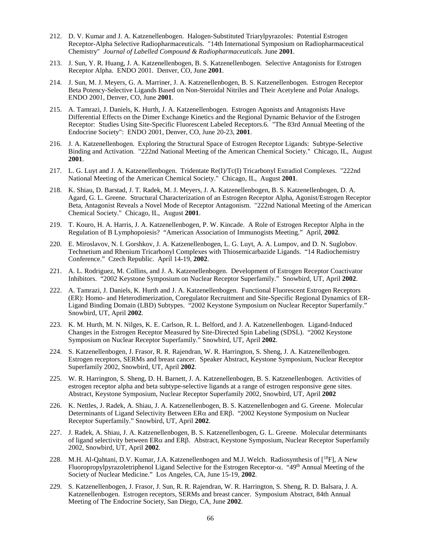- 212. D. V. Kumar and J. A. Katzenellenbogen. Halogen-Substituted Triarylpyrazoles: Potential Estrogen Receptor-Alpha Selective Radiopharmaceuticals. "14th International Symposium on Radiopharmaceutical Chemistry" *Journal of Labelled Compound & Radiopharmaceuticals.* June **2001**.
- 213. J. Sun, Y. R. Huang, J. A. Katzenellenbogen, B. S. Katzenellenbogen. Selective Antagonists for Estrogen Receptor Alpha. ENDO 2001. Denver, CO, June **2001**.
- 214. J. Sun, M. J. Meyers, G. A. Marriner, J. A. Katzenellenbogen, B. S. Katzenellenbogen. Estrogen Receptor Beta Potency-Selective Ligands Based on Non-Steroidal Nitriles and Their Acetylene and Polar Analogs. ENDO 2001, Denver, CO, June **2001**.
- 215. A. Tamrazi, J. Daniels, K. Hurth, J. A. Katzenellenbogen. Estrogen Agonists and Antagonists Have Differential Effects on the Dimer Exchange Kinetics and the Regional Dynamic Behavior of the Estrogen Receptor: Studies Using Site-Specific Fluorescent Labeled Receptors.6. "The 83rd Annual Meeting of the Endocrine Society": ENDO 2001, Denver, CO, June 20-23, **2001**.
- 216. J. A. Katzenellenbogen. Exploring the Structural Space of Estrogen Receptor Ligands: Subtype-Selective Binding and Activation. "222nd National Meeting of the American Chemical Society." Chicago, IL, August **2001**.
- 217. L. G. Luyt and J. A. Katzenellenbogen. Tridentate Re(I)/Tc(I) Tricarbonyl Estradiol Complexes. "222nd National Meeting of the American Chemical Society." Chicago, IL, August **2001**.
- 218. K. Shiau, D. Barstad, J. T. Radek, M. J. Meyers, J. A. Katzenellenbogen, B. S. Katzenellenbogen, D. A. Agard, G. L. Greene. Structural Characterization of an Estrogen Receptor Alpha, Agonist/Estrogen Receptor Beta, Antagonist Reveals a Novel Mode of Receptor Antagonism. "222nd National Meeting of the American Chemical Society." Chicago, IL, August **2001**.
- 219. T. Kouro, H. A. Harris, J. A. Katzenellenbogen, P. W. Kincade. A Role of Estrogen Receptor Alpha in the Regulation of B Lymphopoiesis? "American Association of Immunogists Meeting." April, **2002**.
- 220. E. Miroslavov, N. I. Gorshkov, J. A. Katzenellenbogen, L. G. Luyt, A. A. Lumpov, and D. N. Suglobov. Technetium and Rhenium Tricarbonyl Complexes with Thiosemicarbazide Ligands. "14 Radiochemistry Conference." Czech Republic. April 14-19, **2002**.
- 221. A. L. Rodriguez, M. Collins, and J. A. Katzenellenbogen. Development of Estrogen Receptor Coactivator Inhibitors. "2002 Keystone Symposium on Nuclear Receptor Superfamily." Snowbird, UT, April **2002**.
- 222. A. Tamrazi, J. Daniels, K. Hurth and J. A. Katzenellenbogen. Functional Fluorescent Estrogen Receptors (ER): Homo- and Heterodimerization, Coregulator Recruitment and Site-Specific Regional Dynamics of ER-Ligand Binding Domain (LBD) Subtypes. "2002 Keystone Symposium on Nuclear Receptor Superfamily." Snowbird, UT, April **2002**.
- 223. K. M. Hurth, M. N. Nilges, K. E. Carlson, R. L. Belford, and J. A. Katzenellenbogen. Ligand-Induced Changes in the Estrogen Receptor Measured by Site-Directed Spin Labeling (SDSL). "2002 Keystone Symposium on Nuclear Receptor Superfamily." Snowbird, UT, April **2002**.
- 224. S. Katzenellenbogen, J. Frasor, R. R. Rajendran, W. R. Harrington, S. Sheng, J. A. Katzenellenbogen. Estrogen receptors, SERMs and breast cancer. Speaker Abstract, Keystone Symposium, Nuclear Receptor Superfamily 2002, Snowbird, UT, April **2002**.
- 225. W. R. Harrington, S. Sheng, D. H. Barnett, J. A. Katzenellenbogen, B. S. Katzenellenbogen. Activities of estrogen receptor alpha and beta subtype-selective ligands at a range of estrogen responsive gene sites. Abstract, Keystone Symposium, Nuclear Receptor Superfamily 2002, Snowbird, UT, April **2002**
- 226. K. Nettles, J. Radek, A. Shiau, J. A. Katzenellenbogen, B. S. Katzenellenbogen and G. Greene. Molecular Determinants of Ligand Selectivity Between  $ER\alpha$  and  $ER\beta$ . "2002 Keystone Symposium on Nuclear Receptor Superfamily." Snowbird, UT, April **2002**.
- 227. J. Radek, A. Shiau, J. A. Katzenellenbogen, B. S. Katzenellenbogen, G. L. Greene. Molecular determinants of ligand selectivity between ERα and ERβ. Abstract, Keystone Symposium, Nuclear Receptor Superfamily 2002, Snowbird, UT, April **2002**.
- 228. M.H. Al-Qahtani, D.V. Kumar, J.A. Katzenellenbogen and M.J. Welch. Radiosynthesis of [18F], A New Fluoropropylpyrazoletriphenol Ligand Selective for the Estrogen Receptor-α. "49th Annual Meeting of the Society of Nuclear Medicine." Los Angeles, CA, June 15-19, **2002**.
- 229. S. Katzenellenbogen, J. Frasor, J. Sun, R. R. Rajendran, W. R. Harrington, S. Sheng, R. D. Balsara, J. A. Katzenellenbogen. Estrogen receptors, SERMs and breast cancer. Symposium Abstract, 84th Annual Meeting of The Endocrine Society, San Diego, CA, June **2002**.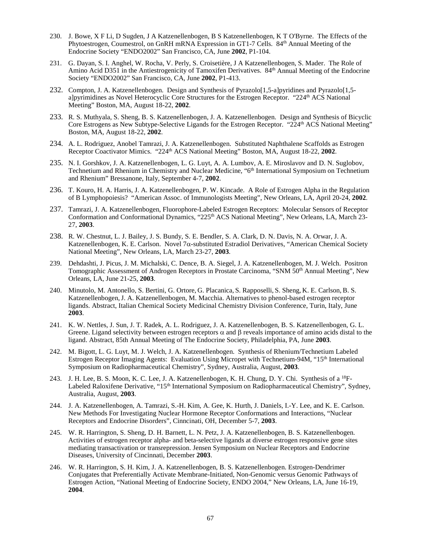- 230. J. Bowe, X F Li, D Sugden, J A Katzenellenbogen, B S Katzenellenbogen, K T O'Byrne. The Effects of the Phytoestrogen, Coumestrol, on GnRH mRNA Expression in GT1-7 Cells. 84<sup>th</sup> Annual Meeting of the Endocrine Society "ENDO2002" San Francisco, CA, June **2002**, P1-104.
- 231. G. Dayan, S. I. Anghel, W. Rocha, V. Perly, S. Croisetière, J A Katzenellenbogen, S. Mader. The Role of Amino Acid D351 in the Antiestrogenicity of Tamoxifen Derivatives. 84<sup>th</sup> Annual Meeting of the Endocrine Society "ENDO2002" San Francisco, CA, June **2002**, P1-413.
- 232. Compton, J. A. Katzenellenbogen. Design and Synthesis of Pyrazolo[1,5-a]pyridines and Pyrazolo[1,5 a]pyrimidines as Novel Heterocyclic Core Structures for the Estrogen Receptor. "224<sup>th</sup> ACS National Meeting" Boston, MA, August 18-22, **2002**.
- 233. R. S. Muthyala, S. Sheng, B. S. Katzenellenbogen, J. A. Katzenellenbogen. Design and Synthesis of Bicyclic Core Estrogens as New Subtype-Selective Ligands for the Estrogen Receptor. "224<sup>th</sup> ACS National Meeting" Boston, MA, August 18-22, **2002**.
- 234. A. L. Rodriguez, Anobel Tamrazi, J. A. Katzenellenbogen. Substituted Naphthalene Scaffolds as Estrogen Receptor Coactivator Mimics. "224th ACS National Meeting" Boston, MA, August 18-22, **2002**.
- 235. N. I. Gorshkov, J. A. Katzenellenbogen, L. G. Luyt, A. A. Lumbov, A. E. Miroslavov and D. N. Suglobov, Technetium and Rhenium in Chemistry and Nuclear Medicine, "6<sup>th</sup> International Symposium on Technetium and Rhenium" Bressanone, Italy, September 4-7, **2002**.
- 236. T. Kouro, H. A. Harris, J. A. Katzenellenbogen, P. W. Kincade. A Role of Estrogen Alpha in the Regulation of B Lymphopoiesis? "American Assoc. of Immunologists Meeting", New Orleans, LA, April 20-24, **2002**.
- 237. Tamrazi, J. A. Katzenellenbogen, Fluorophore-Labeled Estrogen Receptors: Molecular Sensors of Receptor Conformation and Conformational Dynamics, "225<sup>th</sup> ACS National Meeting", New Orleans, LA, March 23-27, **2003**.
- 238. R. W. Chestnut, L. J. Bailey, J. S. Bundy, S. E. Bendler, S. A. Clark, D. N. Davis, N. A. Orwar, J. A. Katzenellenbogen, K. E. Carlson. Novel 7 $\alpha$ -substituted Estradiol Derivatives, "American Chemical Society National Meeting", New Orleans, LA, March 23-27, **2003**.
- 239. Dehdashti, J. Picus, J. M. Michalski, C. Dence, B. A. Siegel, J. A. Katzenellenbogen, M. J. Welch. Positron Tomographic Assessment of Androgen Receptors in Prostate Carcinoma, "SNM 50<sup>th</sup> Annual Meeting", New Orleans, LA, June 21-25, **2003**.
- 240. Minutolo, M. Antonello, S. Bertini, G. Ortore, G. Placanica, S. Rapposelli, S. Sheng, K. E. Carlson, B. S. Katzenellenbogen, J. A. Katzenellenbogen, M. Macchia. Alternatives to phenol-based estrogen receptor ligands. Abstract, Italian Chemical Society Medicinal Chemistry Division Conference, Turin, Italy, June **2003**.
- 241. K. W. Nettles, J. Sun, J. T. Radek, A. L. Rodriguez, J. A. Katzenellenbogen, B. S. Katzenellenbogen, G. L. Greene. Ligand selectivity between estrogen receptors  $\alpha$  and  $\beta$  reveals importance of amino acids distal to the ligand. Abstract, 85th Annual Meeting of The Endocrine Society, Philadelphia, PA, June **2003**.
- 242. M. Bigott, L. G. Luyt, M. J. Welch, J. A. Katzenellenbogen. Synthesis of Rhenium/Technetium Labeled Estrogen Receptor Imaging Agents: Evaluation Using Micropet with Technetium-94M, "15th International Symposium on Radiopharmaceutical Chemistry", Sydney, Australia, August, **2003**.
- 243. J. H. Lee, B. S. Moon, K. C. Lee, J. A. Katzenellenbogen, K. H. Chung, D. Y. Chi. Synthesis of a <sup>18</sup>F-Labeled Raloxifene Derivative, "15<sup>th</sup> International Symposium on Radiopharmaceutical Chemistry", Sydney, Australia, August, **2003**.
- 244. J. A. Katzenellenbogen, A. Tamrazi, S.-H. Kim, A. Gee, K. Hurth, J. Daniels, I.-Y. Lee, and K. E. Carlson. New Methods For Investigating Nuclear Hormone Receptor Conformations and Interactions, "Nuclear Receptors and Endocrine Disorders", Cinncinati, OH, December 5-7, **2003**.
- 245. W. R. Harrington, S. Sheng, D. H. Barnett, L. N. Petz, J. A. Katzenellenbogen, B. S. Katzenellenbogen. Activities of estrogen receptor alpha- and beta-selective ligands at diverse estrogen responsive gene sites mediating transactivation or transrepression. Jensen Symposium on Nuclear Receptors and Endocrine Diseases, University of Cincinnati, December **2003**.
- 246. W. R. Harrington, S. H. Kim, J. A. Katzenellenbogen, B. S. Katzenellenbogen. Estrogen-Dendrimer Conjugates that Preferentially Activate Membrane-Initiated, Non-Genomic versus Genomic Pathways of Estrogen Action, "National Meeting of Endocrine Society, ENDO 2004," New Orleans, LA, June 16-19, **2004**.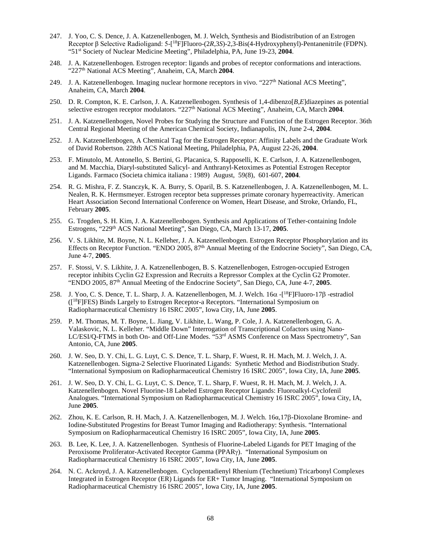- 247. J. Yoo, C. S. Dence, J. A. Katzenellenbogen, M. J. Welch, Synthesis and Biodistribution of an Estrogen Receptor β Selective Radioligand: 5-[<sup>18</sup>F]Fluoro-(2*R*,3*S*)-2,3-Bis(4-Hydroxyphenyl)-Pentanenitrile (FDPN). "51st Society of Nuclear Medicine Meeting", Philadelphia, PA, June 19-23, **2004**.
- 248. J. A. Katzenellenbogen. Estrogen receptor: ligands and probes of receptor conformations and interactions. "227<sup>th</sup> National ACS Meeting", Anaheim, CA, March 2004.
- 249. J. A. Katzenellenbogen. Imaging nuclear hormone receptors in vivo. "227<sup>th</sup> National ACS Meeting", Anaheim, CA, March **2004**.
- 250. D. R. Compton, K. E. Carlson, J. A. Katzenellenbogen. Synthesis of 1,4-dibenzo[*B,E*]diazepines as potential selective estrogen receptor modulators. "227<sup>th</sup> National ACS Meeting", Anaheim, CA, March **2004**.
- 251. J. A. Katzenellenbogen, Novel Probes for Studying the Structure and Function of the Estrogen Receptor. 36th Central Regional Meeting of the American Chemical Society, Indianapolis, IN, June 2-4, **2004**.
- 252. J. A. Katzenellenbogen, A Chemical Tag for the Estrogen Receptor: Affinity Labels and the Graduate Work of David Robertson. 228th ACS National Meeting, Philadelphia, PA, August 22-26, **2004**.
- 253. F. Minutolo, M. Antonello, S. Bertini, G. Placanica, S. Rapposelli, K. E. Carlson, J. A. Katzenellenbogen, and M. Macchia, Diaryl-substituted Salicyl- and Anthranyl-Ketoximes as Potential Estrogen Receptor Ligands. Farmaco (Societa chimica italiana : 1989) August, 59(8), 601-607, **2004**.
- 254. R. G. Mishra, F. Z. Stanczyk, K. A. Burry, S. Oparil, B. S. Katzenellenbogen, J. A. Katzenellenbogen, M. L. Nealen, R. K. Hermsmeyer. Estrogen receptor beta suppresses primate coronary hyperreactivity. American Heart Association Second International Conference on Women, Heart Disease, and Stroke, Orlando, FL, February **2005**.
- 255. G. Trogden, S. H. Kim, J. A. Katzenellenbogen. Synthesis and Applications of Tether-containing Indole Estrogens, "229th ACS National Meeting", San Diego, CA, March 13-17, **2005**.
- 256. V. S. Likhite, M. Boyne, N. L. Kelleher, J. A. Katzenellenbogen. Estrogen Receptor Phosphorylation and its Effects on Receptor Function. "ENDO 2005, 87<sup>th</sup> Annual Meeting of the Endocrine Society", San Diego, CA, June 4-7, **2005**.
- 257. F. Stossi, V. S. Likhite, J. A. Katzenellenbogen, B. S. Katzenellenbogen, Estrogen-occupied Estrogen receptor inhibits Cyclin G2 Expression and Recruits a Repressor Complex at the Cyclin G2 Promoter. "ENDO 2005, 87th Annual Meeting of the Endocrine Society", San Diego, CA, June 4-7, **2005**.
- 258. J. Yoo, C. S. Dence, T. L. Sharp, J. A. Katzenellenbogen, M. J. Welch. 16α -[<sup>18</sup>F]Fluoro-17β -estradiol ([18F]FES) Binds Largely to Estrogen Receptor-a Receptors. "International Symposium on Radiopharmaceutical Chemistry 16 ISRC 2005", Iowa City, IA, June **2005**.
- 259. P. M. Thomas, M. T. Boyne, L. Jiang, V. Likhite, L. Wang, P. Cole, J. A. Katzenellenbogen, G. A. Valaskovic, N. L. Kelleher. "Middle Down" Interrogation of Transcriptional Cofactors using Nano-LC/ESI/Q-FTMS in both On- and Off-Line Modes. "53<sup>rd</sup> ASMS Conference on Mass Spectrometry", San Antonio, CA, June **2005**.
- 260. J. W. Seo, D. Y. Chi, L. G. Luyt, C. S. Dence, T. L. Sharp, F. Wuest, R. H. Mach, M. J. Welch, J. A. Katzenellenbogen. Sigma-2 Selective Fluorinated Ligands: Synthetic Method and Biodistribution Study. "International Symposium on Radiopharmaceutical Chemistry 16 ISRC 2005", Iowa City, IA, June **2005**.
- 261. J. W. Seo, D. Y. Chi, L. G. Luyt, C. S. Dence, T. L. Sharp, F. Wuest, R. H. Mach, M. J. Welch, J. A. Katzenellenbogen. Novel Fluorine-18 Labeled Estrogen Receptor Ligands: Fluoroalkyl-Cyclofenil Analogues. "International Symposium on Radiopharmaceutical Chemistry 16 ISRC 2005", Iowa City, IA, June **2005**.
- 262. Zhou, K. E. Carlson, R. H. Mach, J. A. Katzenellenbogen, M. J. Welch. 16α,17β-Dioxolane Bromine- and Iodine-Substituted Progestins for Breast Tumor Imaging and Radiotherapy: Synthesis. "International Symposium on Radiopharmaceutical Chemistry 16 ISRC 2005", Iowa City, IA, June **2005**.
- 263. B. Lee, K. Lee, J. A. Katzenellenbogen. Synthesis of Fluorine-Labeled Ligands for PET Imaging of the Peroxisome Proliferator-Activated Receptor Gamma (PPARγ). "International Symposium on Radiopharmaceutical Chemistry 16 ISRC 2005", Iowa City, IA, June **2005**.
- 264. N. C. Ackroyd, J. A. Katzenellenbogen. Cyclopentadienyl Rhenium (Technetium) Tricarbonyl Complexes Integrated in Estrogen Receptor (ER) Ligands for ER+ Tumor Imaging. "International Symposium on Radiopharmaceutical Chemistry 16 ISRC 2005", Iowa City, IA, June **2005**.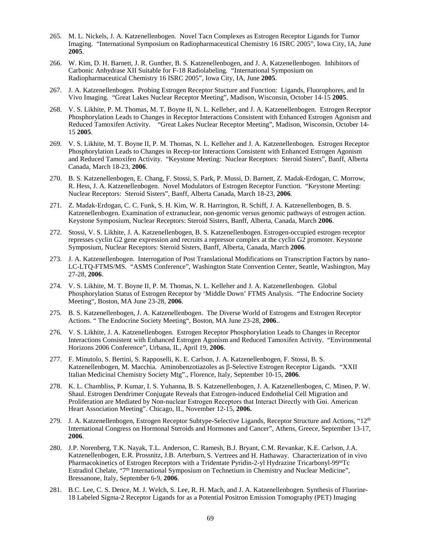- 265. M. L. Nickels, J. A. Katzenellenbogen. Novel Tacn Complexes as Estrogen Receptor Ligands for Tumor Imaging. "International Symposium on Radiopharmaceutical Chemistry 16 ISRC 2005", Iowa City, IA, June **2005**.
- 266. W. Kim, D. H. Barnett, J. R. Gunther, B. S. Katzenellenbogen, and J. A. Katzenellenbogen. Inhibitors of Carbonic Anhydrase XII Suitable for F-18 Radiolabeling. "International Symposium on Radiopharmaceutical Chemistry 16 ISRC 2005", Iowa City, IA, June **2005**.
- 267. J. A. Katzenellenbogen. Probing Estrogen Receptor Stucture and Function: Ligands, Fluorophores, and In Vivo Imaging. "Great Lakes Nuclear Receptor Meeting", Madison, Wisconsin, October 14-15 **2005**.
- 268. V. S. Likhite, P. M. Thomas, M. T. Boyne II, N. L. Kelleher, and J. A. Katzenellenbogen. Estrogen Receptor Phosphorylation Leads to Changes in Receptor Interactions Consistent with Enhanced Estrogen Agonism and Reduced Tamoxifen Activity. "Great Lakes Nuclear Receptor Meeting", Madison, Wisconsin, October 14- 15 **2005**.
- 269. V. S. Likhite, M. T. Boyne II, P. M. Thomas, N. L. Kelleher and J. A. Katzenellenbogen. Estrogen Receptor Phosphorylation Leads to Changes in Recep-tor Interactions Consistent with Enhanced Estrogen Agonism and Reduced Tamoxifen Activity. "Keystone Meeting: Nuclear Receptors: Steroid Sisters", Banff, Alberta Canada, March 18-23, **2006**.
- 270. B. S. Katzenellenbogen, E. Chang, F. Stossi, S. Park, P. Mussi, D. Barnett, Z. Madak-Erdogan, C. Morrow, R. Hess, J. A. Katzenellenbogen. Novel Modulators of Estrogen Receptor Function. "Keystone Meeting: Nuclear Receptors: Steroid Sisters", Banff, Alberta Canada, March 18-23, **2006**.
- 271. Z. Madak-Erdogan, C. C. Funk, S. H. Kim, W. R. Harrington, R. Schiff, J. A. Katzenellenbogen, B. S. Katzenellenbogen. Examination of extranuclear, non-genomic versus genomic pathways of estrogen action. Keystone Symposium, Nuclear Receptors: Steroid Sisters, Banff, Alberta, Canada, March **2006**.
- 272. Stossi, V. S. Likhite, J. A. Katzenellenbogen, B. S. Katzenellenbogen. Estrogen-occupied estrogen receptor represses cyclin G2 gene expression and recruits a repressor complex at the cyclin G2 promoter. Keystone Symposium, Nuclear Receptors: Steroid Sisters, Banff, Alberta, Canada, March **2006**.
- 273. J. A. Katzenellenbogen. Interrogation of Post Translational Modifications on Transcription Factors by nano-LC-LTQ-FTMS/MS. "ASMS Conference", Washington State Convention Center, Seattle, Washington, May 27-28, **2006**.
- 274. V. S. Likhite, M. T. Boyne II, P. M. Thomas, N. L. Kelleher and J. A. Katzenellenbogen. Global Phosphorylation Status of Estrogen Receptor by 'Middle Down' FTMS Analysis. "The Endocrine Society Meeting", Boston, MA June 23-28, **2006**.
- 275. B. S. Katzenellenbogen, J. A. Katzenellenbogen. The Diverse World of Estrogens and Estrogen Receptor Actions. " The Endocrine Society Meeting", Boston, MA June 23-28, **2006**..
- 276. V. S. Likhite, J. A. Katzenellenbogen. Estrogen Receptor Phosphorylation Leads to Changes in Receptor Interactions Consistent with Enhanced Estrogen Agonism and Reduced Tamoxifen Activity. "Environmental Horizons 2006 Conference", Urbana, IL, April 19, **2006**.
- 277. F. Minutolo, S. Bertini, S. Rapposelli, K. E. Carlson, J. A. Katzenellenbogen, F. Stossi, B. S. Katzenellenbogen, M. Macchia. Aminobenzotiazoles as β-Selective Estrogen Receptor Ligands. "XXII Italian Medicinal Chemistry Society Mtg"., Florence, Italy, September 10-15, **2006**.
- 278. K. L. Chambliss, P. Kumar, I. S. Yuhanna, B. S. Katzenellenbogen, J. A. Katzenellenbogen, C. Mineo, P. W. Shaul. Estrogen Dendrimer Conjugate Reveals that Estrogen-induced Endothelial Cell Migration and Proliferation are Mediated by Non-nuclear Estrogen Receptors that Interact Directly with Gαi. American Heart Association Meeting". Chicago, IL, November 12-15, **2006.**
- 279. J. A. Katzenellenbogen, Estrogen Receptor Subtype-Selective Ligands, Receptor Structure and Actions, "12<sup>th</sup> International Congress on Hormonal Steroids and Hormones and Cancer", Athens, Greece, September 13-17, **2006**.
- 280. J.P. Norenberg, T.K. Nayak, T.L. Anderson, C. Ramesh, B.J. Bryant, C.M. Revankar, K.E. Carlson, J.A. Katzenellenbogen, E.R. Prossnitz, J.B. Arterburn, S. Vertrees and H. Hathaway. Characterization of in vivo Pharmacokinetics of Estrogen Receptors with a Tridentate Pyridin-2-yl Hydrazine Tricarbonyl-99mTc Estradiol Chelate, "7<sup>th</sup> International Symposium on Technetium in Chemistry and Nuclear Medicine", Bressanone, Italy, September 6-9, **2006**.
- 281. B.C. Lee, C. S. Dence, M. J. Welch, S. Lee, R. H. Mach, and J. A. Katzenellenbogen. Synthesis of Fluorine-18 Labeled Sigma-2 Receptor Ligands for as a Potential Positron Emission Tomography (PET) Imaging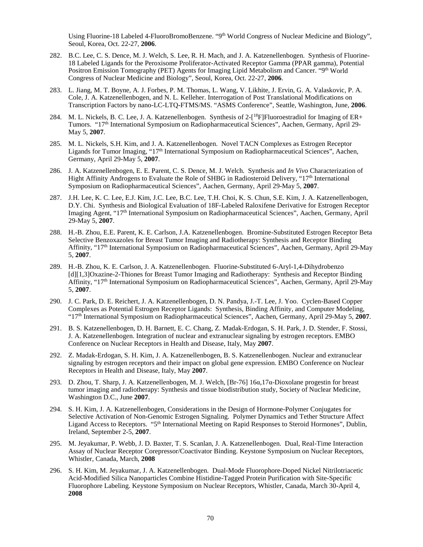Using Fluorine-18 Labeled 4-FluoroBromoBenzene. "9<sup>th</sup> World Congress of Nuclear Medicine and Biology", Seoul, Korea, Oct. 22-27, **2006**.

- 282. B.C. Lee, C. S. Dence, M. J. Welch, S. Lee, R. H. Mach, and J. A. Katzenellenbogen. Synthesis of Fluorine-18 Labeled Ligands for the Peroxisome Proliferator-Activated Receptor Gamma (PPAR gamma), Potential Positron Emission Tomography (PET) Agents for Imaging Lipid Metabolism and Cancer. "9<sup>th</sup> World Congress of Nuclear Medicine and Biology", Seoul, Korea, Oct. 22-27, **2006**.
- 283. L. Jiang, M. T. Boyne, A. J. Forbes, P. M. Thomas, L. Wang, V. Likhite, J. Ervin, G. A. Valaskovic, P. A. Cole, J. A. Katzenellenbogen, and N. L. Kelleher. Interrogation of Post Translational Modifications on Transcription Factors by nano-LC-LTQ-FTMS/MS. "ASMS Conference", Seattle, Washington, June, **2006**.
- 284. M. L. Nickels, B. C. Lee, J. A. Katzenellenbogen. Synthesis of 2-[<sup>18</sup>F]Fluoroestradiol for Imaging of ER+ Tumors. "17th International Symposium on Radiopharmaceutical Sciences", Aachen, Germany, April 29- May 5, **2007**.
- 285. M. L. Nickels, S.H. Kim, and J. A. Katzenellenbogen. Novel TACN Complexes as Estrogen Receptor Ligands for Tumor Imaging, "17<sup>th</sup> International Symposium on Radiopharmaceutical Sciences", Aachen, Germany, April 29-May 5, **2007**.
- 286. J. A. Katzenellenbogen, E. E. Parent, C. S. Dence, M. J. Welch. Synthesis and *In Vivo* Characterization of Hight Affinity Androgens to Evaluate the Role of SHBG in Radiosteroid Delivery, "17th International Symposium on Radiopharmaceutical Sciences", Aachen, Germany, April 29-May 5, **2007**.
- 287. J.H. Lee, K. C. Lee, E.J. Kim, J.C. Lee, B.C. Lee, T.H. Choi, K. S. Chun, S.E. Kim, J. A. Katzenellenbogen, D.Y. Chi. Synthesis and Biological Evaluation of 18F-Labeled Raloxifene Derivative for Estrogen Receptor Imaging Agent, "17th International Symposium on Radiopharmaceutical Sciences", Aachen, Germany, April 29-May 5, **2007**.
- 288. H.-B. Zhou, E.E. Parent, K. E. Carlson, J.A. Katzenellenbogen. Bromine-Substituted Estrogen Receptor Beta Selective Benzoxazoles for Breast Tumor Imaging and Radiotherapy: Synthesis and Receptor Binding Affinity, "17th International Symposium on Radiopharmaceutical Sciences", Aachen, Germany, April 29-May 5, **2007**.
- 289. H.-B. Zhou, K. E. Carlson, J. A. Katzenellenbogen. Fluorine-Substituted 6-Aryl-1,4-Dihydrobenzo [d][1,3]Oxazine-2-Thiones for Breast Tumor Imaging and Radiotherapy: Synthesis and Receptor Binding Affinity, "17th International Symposium on Radiopharmaceutical Sciences", Aachen, Germany, April 29-May 5, **2007**.
- 290. J. C. Park, D. E. Reichert, J. A. Katzenellenbogen, D. N. Pandya, J.-T. Lee, J. Yoo. Cyclen-Based Copper Complexes as Potential Estrogen Receptor Ligands: Synthesis, Binding Affinity, and Computer Modeling, "17th International Symposium on Radiopharmaceutical Sciences", Aachen, Germany, April 29-May 5, **2007**.
- 291. B. S. Katzenellenbogen, D. H. Barnett, E. C. Chang, Z. Madak-Erdogan, S. H. Park, J. D. Stender, F. Stossi, J. A. Katzenellenbogen. Integration of nuclear and extranuclear signaling by estrogen receptors. EMBO Conference on Nuclear Receptors in Health and Disease, Italy, May **2007**.
- 292. Z. Madak-Erdogan, S. H. Kim, J. A. Katzenellenbogen, B. S. Katzenellenbogen. Nuclear and extranuclear signaling by estrogen receptors and their impact on global gene expression. EMBO Conference on Nuclear Receptors in Health and Disease, Italy, May **2007**.
- 293. D. Zhou, T. Sharp, J. A. Katzenellenbogen, M. J. Welch, [Br-76] 16α,17α-Dioxolane progestin for breast tumor imaging and radiotherapy: Synthesis and tissue biodistribution study, Society of Nuclear Medicine, Washington D.C., June **2007**.
- 294. S. H. Kim, J. A. Katzenellenbogen, Considerations in the Design of Hormone-Polymer Conjugates for Selective Activation of Non-Genomic Estrogen Signaling. Polymer Dynamics and Tether Structure Affect Ligand Access to Receptors. "5th International Meeting on Rapid Responses to Steroid Hormones", Dublin, Ireland, September 2-5, **2007**.
- 295. M. Jeyakumar, P. Webb, J. D. Baxter, T. S. Scanlan, J. A. Katzenellenbogen. Dual, Real-Time Interaction Assay of Nuclear Receptor Corepressor/Coactivator Binding. Keystone Symposium on Nuclear Receptors, Whistler, Canada, March, **2008**
- 296. S. H. Kim, M. Jeyakumar, J. A. Katzenellenbogen. Dual-Mode Fluorophore-Doped Nickel Nitrilotriacetic Acid-Modified Silica Nanoparticles Combine Histidine-Tagged Protein Purification with Site-Specific Fluorophore Labeling. Keystone Symposium on Nuclear Receptors, Whistler, Canada, March 30-April 4, **2008**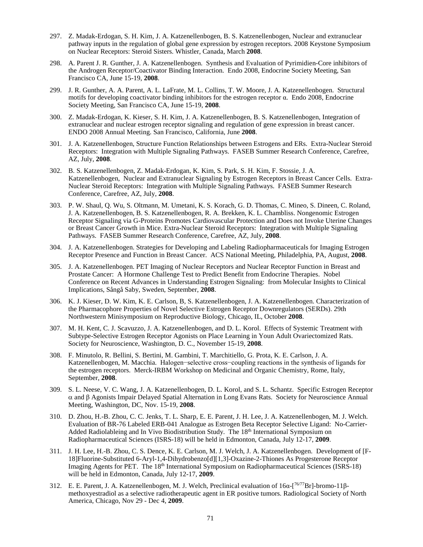- 297. Z. Madak-Erdogan, S. H. Kim, J. A. Katzenellenbogen, B. S. Katzenellenbogen, Nuclear and extranuclear pathway inputs in the regulation of global gene expression by estrogen receptors. 2008 Keystone Symposium on Nuclear Receptors: Steroid Sisters. Whistler, Canada, March **2008**.
- 298. A. Parent J. R. Gunther, J. A. Katzenellenbogen. Synthesis and Evaluation of Pyrimidien-Core inhibitors of the Androgen Receptor/Coactivator Binding Interaction. Endo 2008, Endocrine Society Meeting, San Francisco CA, June 15-19, **2008**.
- 299. J. R. Gunther, A. A. Parent, A. L. LaFrate, M. L. Collins, T. W. Moore, J. A. Katzenellenbogen. Structural motifs for developing coactivator binding inhibitors for the estrogen receptor α. Endo 2008, Endocrine Society Meeting, San Francisco CA, June 15-19, **2008**.
- 300. Z. Madak-Erdogan, K. Kieser, S. H. Kim, J. A. Katzenellenbogen, B. S. Katzenellenbogen, Integration of extranuclear and nuclear estrogen receptor signaling and regulation of gene expression in breast cancer. ENDO 2008 Annual Meeting. San Francisco, California, June **2008**.
- 301. J. A. Katzenellenbogen, Structure Function Relationships between Estrogens and ERs. Extra-Nuclear Steroid Receptors: Integration with Multiple Signaling Pathways. FASEB Summer Research Conference, Carefree, AZ, July, **2008**.
- 302. B. S. Katzenellenbogen, Z. Madak-Erdogan, K. Kim, S. Park, S. H. Kim, F. Stossie, J. A. Katzenellenbogen, Nuclear and Extranuclear Signaling by Estrogen Receptors in Breast Cancer Cells. Extra-Nuclear Steroid Receptors: Integration with Multiple Signaling Pathways. FASEB Summer Research Conference, Carefree, AZ, July, **2008**.
- 303. P. W. Shaul, Q. Wu, S. Oltmann, M. Umetani, K. S. Korach, G. D. Thomas, C. Mineo, S. Dineen, C. Roland, J. A. Katzenellenbogen, B. S. Katzenellenbogen, R. A. Brekken, K. L. Chambliss. Nongenomic Estrogen Receptor Signaling via G-Proteins Promotes Cardiovascular Protection and Does not Invoke Uterine Changes or Breast Cancer Growth in Mice. Extra-Nuclear Steroid Receptors: Integration with Multiple Signaling Pathways. FASEB Summer Research Conference, Carefree, AZ, July, **2008**.
- 304. J. A. Katzenellenbogen. Strategies for Developing and Labeling Radiopharmaceuticals for Imaging Estrogen Receptor Presence and Function in Breast Cancer. ACS National Meeting, Philadelphia, PA, August, **2008**.
- 305. J. A. Katzenellenbogen. PET Imaging of Nuclear Receptors and Nuclear Receptor Function in Breast and Prostate Cancer: A Hormone Challenge Test to Predict Benefit from Endocrine Therapies. Nobel Conference on Recent Advances in Understanding Estrogen Signaling: from Molecular Insights to Clinical Implications, Sångå Saby, Sweden, September, **2008**.
- 306. K. J. Kieser, D. W. Kim, K. E. Carlson, B, S. Katzenellenbogen, J. A. Katzenellenbogen. Characterization of the Pharmacophore Properties of Novel Selective Estrogen Receptor Downregulators (SERDs). 29th Northwestern Minisymposium on Reproductive Biology, Chicago, IL, October **2008**.
- 307. M. H. Kent, C. J. Scavuzzo, J. A. Katzenellenbogen, and D. L. Korol. Effects of Systemic Treatment with Subtype-Selective Estrogen Receptor Agonists on Place Learning in Youn Adult Ovariectomized Rats. Society for Neuroscience, Washington, D. C., November 15-19, **2008**.
- 308. F. Minutolo, R. Bellini, S. Bertini, M. Gambini, T. Marchitiello, G. Prota, K. E. Carlson, J. A. Katzenellenbogen, M. Macchia. Halogen−selective cross−coupling reactions in the synthesis of ligands for the estrogen receptors. Merck-IRBM Workshop on Medicinal and Organic Chemistry, Rome, Italy, September, **2008**.
- 309. S. L. Neese, V. C. Wang, J. A. Katzenellenbogen, D. L. Korol, and S. L. Schantz. Specific Estrogen Receptor α and β Agonists Impair Delayed Spatial Alternation in Long Evans Rats. Society for Neuroscience Annual Meeting, Washington, DC, Nov. 15-19, **2008**.
- 310. D. Zhou, H.-B. Zhou, C. C. Jenks, T. L. Sharp, E. E. Parent, J. H. Lee, J. A. Katzenellenbogen, M. J. Welch. Evaluation of BR-76 Labeled ERB-041 Analogue as Estrogen Beta Receptor Selective Ligand: No-Carrier-Added Radiolableing and In Vivo Biodistribution Study. The 18th International Symposium on Radiopharmaceutical Sciences (ISRS-18) will be held in Edmonton, Canada, July 12-17, **2009**.
- 311. J. H. Lee, H.-B. Zhou, C. S. Dence, K. E. Carlson, M. J. Welch, J. A. Katzenellenbogen. Development of [F-18]Fluorine-Substituted 6-Aryl-1,4-Dihydrobenzo[d][1,3]-Oxazine-2-Thiones As Progesterone Receptor Imaging Agents for PET. The 18<sup>th</sup> International Symposium on Radiopharmaceutical Sciences (ISRS-18) will be held in Edmonton, Canada, July 12-17, **2009**.
- 312. E. E. Parent, J. A. Katzenellenbogen, M. J. Welch*,* Preclinical evaluation of 16α-[ 76/77Br]-bromo-11βmethoxyestradiol as a selective radiotherapeutic agent in ER positive tumors. Radiological Society of North America, Chicago, Nov 29 - Dec 4, **2009**.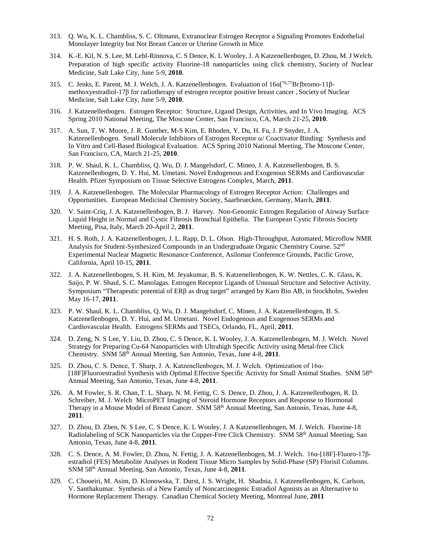- 313. Q. Wu, K. L. Chambliss, S. C. Oltmann, Extranuclear Estrogen Receptor a Signaling Promotes Endothelial Monolayer Integrity but Not Breast Cancer or Uterine Growth in Mice
- 314. K.-E. Kil, N. S. Lee, M. Lebl-Rinnova, C. S Dence, K. L Wooley, J. A Katzenellenbogen, D. Zhou, M. J Welch. Preparation of high specific activity Fluorine-18 nanoparticles using click chemistry, Society of Nuclear Medicine, Salt Lake City, June 5-9, **2010**.
- 315. C. Jenks, E. Parent, M. J. Welch, J. A. Katzenellenbogen. Evaluation of 16α[ 76,77Br]bromo-11βmethoxyestradiol-17β for radiotherapy of estrogen receptor positive breast cancer , Society of Nuclear Medicine, Salt Lake City, June 5-9, **2010**.
- 316. J. Katzenellenbogen. Estrogen Receptor: Structure, Ligand Design, Activities, and In Vivo Imaging. ACS Spring 2010 National Meeting, The Moscone Center, San Francisco, CA, March 21-25, **2010**.
- 317. A. Sun, T. W. Moore, J. R. Gunther, M-S Kim, E. Rhoden, Y. Du, H. Fu, J. P Snyder, J. A. Katzenellenbogen. Small Molecule Inhibitors of Estrogen Receptor α/ Coactivator Binding: Synthesis and In Vitro and Cell-Based Biological Evaluation. ACS Spring 2010 National Meeting, The Moscone Center, San Francisco, CA, March 21-25, **2010**.
- 318. P. W. Shaul, K. L. Chambliss, Q. Wu, D. J. Mangelsdorf, C. Mineo, J. A. Katzenellenbogen, B. S. Katzenellenbogen, D. Y. Hui, M. Umetani. Novel Endogenous and Exogenous SERMs and Cardiovascular Health. Pfizer Symposium on Tissue Selective Estrogens Complex, March, **2011**.
- 319. J. A. Katzenellenbogen. The Molecular Pharmacology of Estrogen Receptor Action: Challenges and Opportunities. European Medicinal Chemistry Society, Saarbruecken, Germany, March, **2011**.
- 320. V. Saint-Criq, J. A. Katzenellenbogen, B. J. Harvey. Non-Genomic Estrogen Regulation of Airway Surface Liquid Height in Normal and Cystic Fibrosis Bronchial Epithelia. The European Cystic Fibrosis Society Meeting, Pisa, Italy, March 20-April 2, **2011**.
- 321. H. S. Roth, J. A. Katzenellenbogen, J. L. Rapp, D. L. Olson. High-Throughput, Automated, Microflow NMR Analysis for Student-Synthesized Compounds in an Undergraduate Organic Chemistry Course. 52nd Experimental Nuclear Magnetic Resonance Conference, Asilomar Conference Grounds, Pacific Grove, California, April 10-15, **2011**.
- 322. J. A. Katzenellenbogen, S. H. Kim, M. Jeyakumar, B. S. Katzenellenbogen, K. W. Nettles, C. K. Glass, K. Saijo, P. W. Shaul, S. C. Manolagas. Estrogen Receptor Ligands of Unusual Structure and Selective Activity. Symposium "Therapeutic potential of ERβ as drug target" arranged by Karo Bio AB, in Stockholm, Sweden May 16-17, **2011**.
- 323. P. W. Shaul, K. L. Chambliss, Q. Wu, D. J. Mangelsdorf, C. Mineo, J. A. Katzenellenbogen, B. S. Katzenellenbogen, D. Y. Hui, and M. Umetani. Novel Endogenous and Exogenous SERMs and Cardiovascular Health. Estrogens SERMs and TSECs, Orlando, FL, April, **2011**.
- 324. D. Zeng, N. S Lee, Y. Liu, D. Zhou, C. S Dence, K. L Wooley, J. A. Katzenellenbogen, M. J. Welch. Novel Strategy for Preparing Cu-64 Nanoparticles with Ultrahigh Specific Activity using Metal-free Click Chemistry. SNM 58th Annual Meeting, San Antonio, Texas, June 4-8, **2011**.
- 325. D. Zhou, C. S. Dence, T. Sharp, J. A. Katzenellenbogen, M. J. Welch. Optimization of 16α- [18F]Fluoroestradiol Synthesis with Optimal Effective Specific Activity for Small Animal Studies. SNM 58<sup>th</sup> Annual Meeting, San Antonio, Texas, June 4-8, **2011**.
- 326. A. M Fowler, S. R. Chan, T. L. Sharp, N. M. Fettig, C. S. Dence, D. Zhou, J. A. Katzenellenbogen, R. D. Schreiber, M. J. Welch. MicroPET Imaging of Steroid Hormone Receptors and Response to Hormonal Therapy in a Mouse Model of Breast Cancer. SNM 58<sup>th</sup> Annual Meeting, San Antonio, Texas, June 4-8, **2011**.
- 327. D. Zhou, D. Zhen, N. S Lee, C. S Dence, K. L Wooley, J. A Katzenellenbogen, M. J. Welch. Fluorine-18 Radiolabeling of SCK Nanoparticles via the Copper-Free Click Chemistry. SNM 58<sup>th</sup> Annual Meeting, San Antonio, Texas, June 4-8, **2011**.
- 328. C. S. Dence, A. M. Fowler, D. Zhou, N. Fettig, J. A. Katzenellenbogen, M. J. Welch. 16α-[18F]-Fluoro-17βestradiol (FES) Metabolite Analyses in Rodent Tissue Micro Samples by Solid-Phase (SP) Florisil Columns. SNM 58th Annual Meeting, San Antonio, Texas, June 4-8, **2011**.
- 329. C. Choueiri, M. Asim, D. Klonowska, T. Durst, J. S. Wright, H. Shadnia, J. Katzenellenbogen, K. Carlson, V. Santhakumar. Synthesis of a New Family of Noncarcinogenic Estradiol Agonists as an Alternative to Hormone Replacement Therapy. Canadian Chemical Society Meeting, Montreal June, **2011**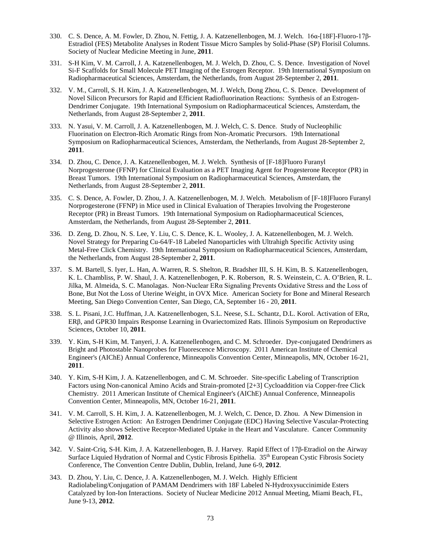- 330. C. S. Dence, A. M. Fowler, D. Zhou, N. Fettig, J. A. Katzenellenbogen, M. J. Welch. 16α-[18F]-Fluoro-17β-Estradiol (FES) Metabolite Analyses in Rodent Tissue Micro Samples by Solid-Phase (SP) Florisil Columns. Society of Nuclear Medicine Meeting in June, **2011**.
- 331. S-H Kim, V. M. Carroll, J. A. Katzenellenbogen, M. J. Welch, D. Zhou, C. S. Dence. Investigation of Novel Si-F Scaffolds for Small Molecule PET Imaging of the Estrogen Receptor. 19th International Symposium on Radiopharmaceutical Sciences, Amsterdam, the Netherlands, from August 28-September 2, **2011**.
- 332. V. M., Carroll, S. H. Kim, J. A. Katzenellenbogen, M. J. Welch, Dong Zhou, C. S. Dence. Development of Novel Silicon Precursors for Rapid and Efficient Radiofluorination Reactions: Synthesis of an Estrogen-Dendrimer Conjugate. 19th International Symposium on Radiopharmaceutical Sciences, Amsterdam, the Netherlands, from August 28-September 2, **2011**.
- 333. N. Yasui, V. M. Carroll, J. A. Katzenellenbogen, M. J. Welch, C. S. Dence. Study of Nucleophilic Fluorination on Electron-Rich Aromatic Rings from Non-Aromatic Precursors. 19th International Symposium on Radiopharmaceutical Sciences, Amsterdam, the Netherlands, from August 28-September 2, **2011**.
- 334. D. Zhou, C. Dence, J. A. Katzenellenbogen, M. J. Welch. Synthesis of [F-18]Fluoro Furanyl Norprogesterone (FFNP) for Clinical Evaluation as a PET Imaging Agent for Progesterone Receptor (PR) in Breast Tumors. 19th International Symposium on Radiopharmaceutical Sciences, Amsterdam, the Netherlands, from August 28-September 2, **2011**.
- 335. C. S. Dence, A. Fowler, D. Zhou, J. A. Katzenellenbogen, M. J. Welch. Metabolism of [F-18]Fluoro Furanyl Norprogesterone (FFNP) in Mice used in Clinical Evaluation of Therapies Involving the Progesterone Receptor (PR) in Breast Tumors. 19th International Symposium on Radiopharmaceutical Sciences, Amsterdam, the Netherlands, from August 28-September 2, **2011**.
- 336. D. Zeng, D. Zhou, N. S. Lee, Y. Liu, C. S. Dence, K. L. Wooley, J. A. Katzenellenbogen, M. J. Welch. Novel Strategy for Preparing Cu-64/F-18 Labeled Nanoparticles with Ultrahigh Specific Activity using Metal-Free Click Chemistry. 19th International Symposium on Radiopharmaceutical Sciences, Amsterdam, the Netherlands, from August 28-September 2, **2011**.
- 337. S. M. Bartell, S. Iyer, L. Han, A. Warren, R. S. Shelton, R. Bradsher III, S. H. Kim, B. S. Katzenellenbogen, K. L. Chambliss, P. W. Shaul, J. A. Katzenellenbogen, P. K. Roberson, R. S. Weinstein, C. A. O'Brien, R. L. Jilka, M. Almeida, S. C. Manolagas. Non-Nuclear ERα Signaling Prevents Oxidative Stress and the Loss of Bone, But Not the Loss of Uterine Weight, in OVX Mice. American Society for Bone and Mineral Research Meeting, San Diego Convention Center, San Diego, CA, September 16 - 20, **2011**.
- 338. S. L. Pisani, J.C. Huffman, J.A. Katzenellenbogen, S.L. Neese, S.L. Schantz, D.L. Korol. Activation of ERα, ERβ, and GPR30 Impairs Response Learning in Ovariectomized Rats. Illinois Symposium on Reproductive Sciences, October 10, **2011**.
- 339. Y. Kim, S-H Kim, M. Tanyeri, J. A. Katzenellenbogen, and C. M. Schroeder. Dye-conjugated Dendrimers as Bright and Photostable Nanoprobes for Fluorescence Microscopy. 2011 American Institute of Chemical Engineer's (AIChE) Annual Conference, Minneapolis Convention Center, Minneapolis, MN, October 16-21, **2011**.
- 340. Y. Kim, S-H Kim, J. A. Katzenellenbogen, and C. M. Schroeder. Site-specific Labeling of Transcription Factors using Non-canonical Amino Acids and Strain-promoted [2+3] Cycloaddition via Copper-free Click Chemistry. 2011 American Institute of Chemical Engineer's (AIChE) Annual Conference, Minneapolis Convention Center, Minneapolis, MN, October 16-21, **2011**.
- 341. V. M. Carroll, S. H. Kim, J. A. Katzenellenbogen, M. J. Welch, C. Dence, D. Zhou. A New Dimension in Selective Estrogen Action: An Estrogen Dendrimer Conjugate (EDC) Having Selective Vascular-Protecting Activity also shows Selective Receptor-Mediated Uptake in the Heart and Vasculature. Cancer Community @ Illinois, April, **2012**.
- 342. V. Saint-Criq, S-H. Kim, J. A. Katzenellenbogen, B. J. Harvey. Rapid Effect of 17β-Etradiol on the Airway Surface Liquied Hydration of Normal and Cystic Fibrosis Epithelia. 35th European Cystic Fibrosis Society Conference, The Convention Centre Dublin, Dublin, Ireland, June 6-9, **2012**.
- 343. D. Zhou, Y. Liu, C. Dence, J. A. Katzenellenbogen, M. J. Welch. Highly Efficient Radiolabeling/Conjugation of PAMAM Dendrimers with 18F Labeled N-Hydroxysuccinimide Esters Catalyzed by Ion-Ion Interactions. Society of Nuclear Medicine 2012 Annual Meeting, Miami Beach, FL, June 9-13, **2012**.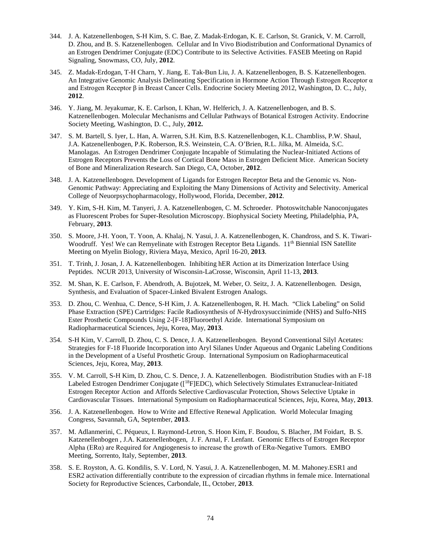- 344. J. A. Katzenellenbogen, S-H Kim, S. C. Bae, Z. Madak-Erdogan, K. E. Carlson, St. Granick, V. M. Carroll, D. Zhou, and B. S. Katzenellenbogen. Cellular and In Vivo Biodistribution and Conformational Dynamics of an Estrogen Dendrimer Conjugate (EDC) Contribute to its Selective Activities. FASEB Meeting on Rapid Signaling, Snowmass, CO, July, **2012**.
- 345. Z. Madak-Erdogan, T-H Charn, Y. Jiang, E. Tak-Bun Liu, J. A. Katzenellenbogen, B. S. Katzenellenbogen. An Integrative Genomic Analysis Delineating Specification in Hormone Action Through Estrogen Receptor α and Estrogen Receptor β in Breast Cancer Cells. Endocrine Society Meeting 2012, Washington, D. C., July, **2012**.
- 346. Y. Jiang, M. Jeyakumar, K. E. Carlson, I. Khan, W. Helferich, J. A. Katzenellenbogen, and B. S. Katzenellenbogen. Molecular Mechanisms and Cellular Pathways of Botanical Estrogen Activity. Endocrine Society Meeting, Washington, D. C., July, **2012.**
- 347. S. M. Bartell, S. Iyer, L. Han, A. Warren, S.H. Kim, B.S. Katzenellenbogen, K.L. Chambliss, P.W. Shaul, J.A. Katzenellenbogen, P.K. Roberson, R.S. Weinstein, C.A. O'Brien, R.L. Jilka, M. Almeida, S.C. Manolagas. An Estrogen Dendrimer Conjugate Incapable of Stimulating the Nuclear-Initiated Actions of Estrogen Receptors Prevents the Loss of Cortical Bone Mass in Estrogen Deficient Mice. American Society of Bone and Mineralization Research. San Diego, CA, October, **2012**.
- 348. J. A. Katzenellenbogen. Development of Ligands for Estrogen Receptor Beta and the Genomic vs. Non-Genomic Pathway: Appreciating and Exploiting the Many Dimensions of Activity and Selectivity. Americal College of Neuorpsychopharmacology, Hollywood, Florida, December, **2012**.
- 349. Y. Kim, S-H. Kim, M. Tanyeri, J. A. Katzenellenbogen, C. M. Schroeder. Photoswitchable Nanoconjugates as Fluorescent Probes for Super-Resolution Microscopy. Biophysical Society Meeting, Philadelphia, PA, February, **2013**.
- 350. S. Moore, J-H. Yoon, T. Yoon, A. Khalaj, N. Yasui, J. A. Katzenellenbogen, K. Chandross, and S. K. Tiwari-Woodruff. Yes! We can Remyelinate with Estrogen Receptor Beta Ligands. 11<sup>th</sup> Biennial ISN Satellite Meeting on Myelin Biology, Riviera Maya, Mexico, April 16-20, **2013**.
- 351. T. Trinh, J. Josan, J. A. Katzenellenbogen. Inhibiting hER Action at its Dimerization Interface Using Peptides. NCUR 2013, University of Wisconsin-LaCrosse, Wisconsin, April 11-13, **2013**.
- 352. M. Shan, K. E. Carlson, F. Abendroth, A. Bujotzek, M. Weber, O. Seitz, J. A. Katzenellenbogen. Design, Synthesis, and Evaluation of Spacer-Linked Bivalent Estrogen Analogs.
- 353. D. Zhou, C. Wenhua, C. Dence, S-H Kim, J. A. Katzenellenbogen, R. H. Mach. "Click Labeling" on Solid Phase Extraction (SPE) Cartridges: Facile Radiosynthesis of *N*-Hydroxysuccinimide (NHS) and Sulfo-NHS Ester Prosthetic Compounds Using 2-[F-18]Fluoroethyl Azide. International Symposium on Radiopharmaceutical Sciences, Jeju, Korea, May, **2013**.
- 354. S-H Kim, V. Carroll, D. Zhou, C. S. Dence, J. A. Katzenellenbogen. Beyond Conventional Silyl Acetates: Strategies for F-18 Fluoride Incorporation into Aryl Silanes Under Aqueous and Organic Labeling Conditions in the Development of a Useful Prosthetic Group. International Symposium on Radiopharmaceutical Sciences, Jeju, Korea, May, **2013**.
- 355. V. M. Carroll, S-H Kim, D. Zhou, C. S. Dence, J. A. Katzenellenbogen. Biodistribution Studies with an F-18 Labeled Estrogen Dendrimer Conjugate ([18F]EDC), which Selectively Stimulates Extranuclear-Initiated Estrogen Receptor Action and Affords Selective Cardiovascular Protection, Shows Selective Uptake in Cardiovascular Tissues. International Symposium on Radiopharmaceutical Sciences, Jeju, Korea, May, **2013**.
- 356. J. A. Katzenellenbogen. How to Write and Effective Renewal Application. World Molecular Imaging Congress, Savannah, GA, September, **2013**.
- 357. M. Adlanmerini, C. Péqueux, I. Raymond-Letron, S. Hoon Kim, F. Boudou, S. Blacher, JM Foidart, B. S. Katzenellenbogen , J.A. Katzenellenbogen, J. F. Arnal, F. Lenfant. Genomic Effects of Estrogen Receptor Alpha (ERα) are Required for Angiogenesis to increase the growth of ERα-Negative Tumors. EMBO Meeting, Sorrento, Italy, September, **2013**.
- 358. S. E. Royston, A. G. Kondilis, S. V. Lord, N. Yasui, J. A. Katzenellenbogen, M. M. Mahoney.ESR1 and ESR2 activation differentially contribute to the expression of circadian rhythms in female mice. International Society for Reproductive Sciences, Carbondale, IL, October, **2013**.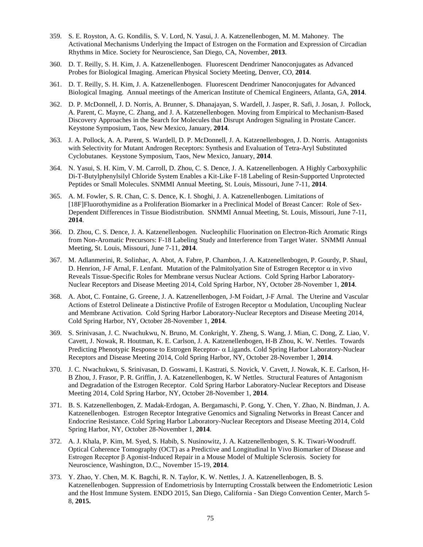- 359. S. E. Royston, A. G. Kondilis, S. V. Lord, N. Yasui, J. A. Katzenellenbogen, M. M. Mahoney. The Activational Mechanisms Underlying the Impact of Estrogen on the Formation and Expression of Circadian Rhythms in Mice. Society for Neuroscience, San Diego, CA, November, **2013**.
- 360. D. T. Reilly, S. H. Kim, J. A. Katzenellenbogen. Fluorescent Dendrimer Nanoconjugates as Advanced Probes for Biological Imaging. American Physical Society Meeting, Denver, CO, **2014**.
- 361. D. T. Reilly, S. H. Kim, J. A. Katzenellenbogen. Fluorescent Dendrimer Nanoconjugates for Advanced Biological Imaging. Annual meetings of the American Institute of Chemical Engineers, Atlanta, GA, **2014**.
- 362. D. P. McDonnell, J. D. Norris, A. Brunner, S. Dhanajayan, S. Wardell, J. Jasper, R. Safi, J. Josan, J. Pollock, A. Parent, C. Mayne, C. Zhang, and J. A. Katzenellenbogen. Moving from Empirical to Mechanism-Based Discovery Approaches in the Search for Molecules that Disrupt Androgen Signaling in Prostate Cancer. Keystone Symposium, Taos, New Mexico, January, **2014**.
- 363. J. A. Pollock, A. A. Parent, S. Wardell, D. P. McDonnell, J. A. Katzenellenbogen, J. D. Norris. Antagonists with Selectivity for Mutant Androgen Receptors: Synthesis and Evaluation of Tetra-Aryl Substituted Cyclobutanes. Keystone Symposium, Taos, New Mexico, January, **2014**.
- 364. N. Yasui, S. H. Kim, V. M. Carroll, D. Zhou, C. S. Dence, J. A. Katzenellenbogen. A Highly Carboxyphilic Di-T-Butylphenylsilyl Chloride System Enables a Kit-Like F-18 Labeling of Resin-Supported Unprotected Peptides or Small Molecules. SNMMI Annual Meeting, St. Louis, Missouri, June 7-11, **2014**.
- 365. A. M. Fowler, S. R. Chan, C. S. Dence, K. I. Shoghi, J. A. Katzenellenbogen. Limitations of [18F]Fluorothymidine as a Proliferation Biomarker in a Preclinical Model of Breast Cancer: Role of Sex-Dependent Differences in Tissue Biodistribution. SNMMI Annual Meeting, St. Louis, Missouri, June 7-11, **2014**.
- 366. D. Zhou, C. S. Dence, J. A. Katzenellenbogen. Nucleophilic Fluorination on Electron-Rich Aromatic Rings from Non-Aromatic Precursors: F-18 Labeling Study and Interference from Target Water. SNMMI Annual Meeting, St. Louis, Missouri, June 7-11, **2014**.
- 367. M. Adlanmerini, R. Solinhac, A. Abot, A. Fabre, P. Chambon, J. A. Katzenellenbogen, P. Gourdy, P. Shaul, D. Henrion, J-F Arnal, F. Lenfant. Mutation of the Palmitolyation Site of Estrogen Receptor  $\alpha$  in vivo Reveals Tissue-Specific Roles for Membrane versus Nuclear Actions. Cold Spring Harbor Laboratory-Nuclear Receptors and Disease Meeting 2014, Cold Spring Harbor, NY, October 28-November 1, **2014**.
- 368. A. Abot, C. Fontaine, G. Greene, J. A. Katzenellenbogen, J-M Foidart, J-F Arnal. The Uterine and Vascular Actions of Estetrol Delineate a Distinctive Profile of Estrogen Receptor  $\alpha$  Modulation, Uncoupling Nuclear and Membrane Activation. Cold Spring Harbor Laboratory-Nuclear Receptors and Disease Meeting 2014, Cold Spring Harbor, NY, October 28-November 1, **2014**.
- 369. S. Srinivasan, J. C. Nwachukwu, N. Bruno, M. Conkright, Y. Zheng, S. Wang, J. Mian, C. Dong, Z. Liao, V. Cavett, J. Nowak, R. Houtman, K. E. Carlson, J. A. Katzenellenbogen, H-B Zhou, K. W. Nettles. Towards Predicting Phenotypic Response to Estrogen Receptor- α Ligands. Cold Spring Harbor Laboratory-Nuclear Receptors and Disease Meeting 2014, Cold Spring Harbor, NY, October 28-November 1, **2014**.
- 370. J. C. Nwachukwu, S. Srinivasan, D. Goswami, I. Kastrati, S. Novick, V. Cavett, J. Nowak, K. E. Carlson, H-B Zhou, J. Frasor, P. R. Griffin, J. A. Katzenellenbogen, K. W Nettles. Structural Features of Antagonism and Degradation of the Estrogen Receptor. Cold Spring Harbor Laboratory-Nuclear Receptors and Disease Meeting 2014, Cold Spring Harbor, NY, October 28-November 1, **2014**.
- 371. B. S. Katzenellenbogen, Z. Madak-Erdogan, A. Bergamaschi, P. Gong, Y. Chen, Y. Zhao, N. Bindman, J. A. Katzenellenbogen. Estrogen Receptor Integrative Genomics and Signaling Networks in Breast Cancer and Endocrine Resistance. Cold Spring Harbor Laboratory-Nuclear Receptors and Disease Meeting 2014, Cold Spring Harbor, NY, October 28-November 1, **2014**.
- 372. A. J. Khala, P. Kim, M. Syed, S. Habib, S. Nusinowitz, J. A. Katzenellenbogen, S. K. Tiwari-Woodruff. Optical Coherence Tomography (OCT) as a Predictive and Longitudinal In Vivo Biomarker of Disease and Estrogen Receptor β Agonist-Induced Repair in a Mouse Model of Multiple Sclerosis. Society for Neuroscience, Washington, D.C., November 15-19, **2014**.
- 373. Y. Zhao, Y. Chen, M. K. Bagchi, R. N. Taylor, K. W. Nettles, J. A. Katzenellenbogen, B. S. Katzenellenbogen. Suppression of Endometriosis by Interrupting Crosstalk between the Endometriotic Lesion and the Host Immune System. ENDO 2015, San Diego, California - San Diego Convention Center, March 5- 8, **2015.**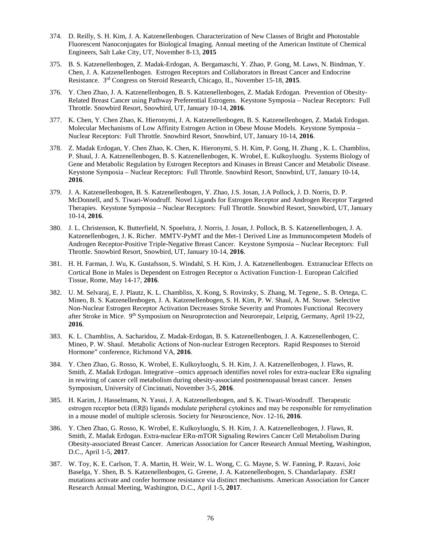- 374. D. Reilly, S. H. Kim, J. A. Katzenellenbogen. Characterization of New Classes of Bright and Photostable Fluorescent Nanoconjugates for Biological Imaging. Annual meeting of the American Institute of Chemical Engineers, Salt Lake City, UT, November 8-13, **2015**
- 375. B. S. Katzenellenbogen, Z. Madak-Erdogan, A. Bergamaschi, Y. Zhao, P. Gong, M. Laws, N. Bindman, Y. Chen, J. A. Katzenellenbogen. Estrogen Receptors and Collaborators in Breast Cancer and Endocrine Resistance. 3rd Congress on Steroid Research, Chicago, IL, November 15-18, **2015**.
- 376. Y. Chen Zhao, J. A. Katzenellenbogen, B. S. Katzenellenbogen, Z. Madak Erdogan. Prevention of Obesity-Related Breast Cancer using Pathway Preferential Estrogens. Keystone Symposia – Nuclear Receptors: Full Throttle. Snowbird Resort, Snowbird, UT, January 10-14, **2016**.
- 377. K. Chen, Y. Chen Zhao, K. Hieronymi, J. A. Katzenellenbogen, B. S. Katzenellenbogen, Z. Madak Erdogan. Molecular Mechanisms of Low Affinity Estrogen Action in Obese Mouse Models. Keystone Symposia – Nuclear Receptors: Full Throttle. Snowbird Resort, Snowbird, UT, January 10-14, **2016**.
- 378. Z. Madak Erdogan, Y. Chen Zhao, K. Chen, K. Hieronymi, S. H. Kim, P. Gong, H. Zhang , K. L. Chambliss, P. Shaul, J. A. Katzenellenbogen, B. S. Katzenellenbogen, K. Wrobel, E. Kulkoyluoglu. Systems Biology of Gene and Metabolic Regulation by Estrogen Receptors and Kinases in Breast Cancer and Metabolic Disease. Keystone Symposia – Nuclear Receptors: Full Throttle. Snowbird Resort, Snowbird, UT, January 10-14, **2016**.
- 379. J. A. Katzenellenbogen, B. S. Katzenellenbogen, Y. Zhao, J.S. Josan, J.A Pollock, J. D. Norris, D. P. McDonnell, and S. Tiwari-Woodruff. Novel Ligands for Estrogen Receptor and Androgen Receptor Targeted Therapies. Keystone Symposia – Nuclear Receptors: Full Throttle. Snowbird Resort, Snowbird, UT, January 10-14, **2016**.
- 380. J. L. Christenson, K. Butterfield, N. Spoelstra, J. Norris, J. Josan, J. Pollock, B. S. Katzenellenbogen, J. A. Katzenellenbogen, J. K. Richer. MMTV-PyMT and the Met-1 Derived Line as Immunocompetent Models of Androgen Receptor-Positive Triple-Negative Breast Cancer. Keystone Symposia – Nuclear Receptors: Full Throttle. Snowbird Resort, Snowbird, UT, January 10-14, **2016**.
- 381. H. H. Farman, J. Wu, K. Gustafsson, S. Windahl, S. H. Kim, J. A. Katzenellenbogen. Extranuclear Effects on Cortical Bone in Males is Dependent on Estrogen Receptor α Activation Function-1. European Calcified Tissue, Rome, May 14-17, **2016**.
- 382. U. M. Selvaraj, E. J. Plautz, K. L. Chambliss, X. Kong, S. Rovinsky, S. Zhang, M. Tegene,. S. B. Ortega, C. Mineo, B. S. Katzenellenbogen, J. A. Katzenellenbogen, S. H. Kim, P. W. Shaul, A. M. Stowe. Selective Non-Nuclear Estrogen Receptor Activation Decreases Stroke Severity and Promotes Functional Recovery after Stroke in Mice. 9<sup>th</sup> Symposium on Neuroprotection and Neurorepair, Leipzig, Germany, April 19-22, **2016**.
- 383. K. L. Chambliss, A. Sacharidou, Z. Madak-Erdogan, B. S. Katzenellenbogen, J. A. Katzenellenbogen, C. Mineo, P. W. Shaul. Metabolic Actions of Non-nuclear Estrogen Receptors. Rapid Responses to Steroid Hormone" conference, Richmond VA, **2016**.
- 384. Y. Chen Zhao, G. Rosso, K. Wrobel, E. Kulkoyluoglu, S. H. Kim, J. A. Katzenellenbogen, J. Flaws, R. Smith, Z. Madak Erdogan. Integrative –omics approach identifies novel roles for extra-nuclear  $ER\alpha$  signaling in rewiring of cancer cell metabolism during obesity-associated postmenopausal breast cancer. Jensen Symposium, University of Cincinnati, November 3-5, **2016**.
- 385. H. Karim, J. Hasselmann, N. Yasui, J. A. Katzenellenbogen, and S. K. Tiwari-Woodruff. Therapeutic estrogen receptor beta (ERβ) ligands modulate peripheral cytokines and may be responsible for remyelination in a mouse model of multiple sclerosis. Society for Neuroscience, Nov. 12-16, **2016**.
- 386. Y. Chen Zhao, G. Rosso, K. Wrobel, E. Kulkoyluoglu, S. H. Kim, J. A. Katzenellenbogen, J. Flaws, R. Smith, Z. Madak Erdogan. Extra-nuclear ERα-mTOR Signaling Rewires Cancer Cell Metabolism During Obesity-associated Breast Cancer. American Association for Cancer Research Annual Meeting, Washington, D.C., April 1-5, **2017**.
- 387. W. Toy, K. E. Carlson, T. A. Martin, H. Weir, W. L. Wong, C. G. Mayne, S. W. Fanning, P. Razavi, Jośe Baselga, Y. Shen, B. S. Katzenellenbogen, G. Greene, J. A. Katzenellenbogen, S. Chandarlapaty. *ESR1*  mutations activate and confer hormone resistance via distinct mechanisms. American Association for Cancer Research Annual Meeting, Washington, D.C., April 1-5, **2017**.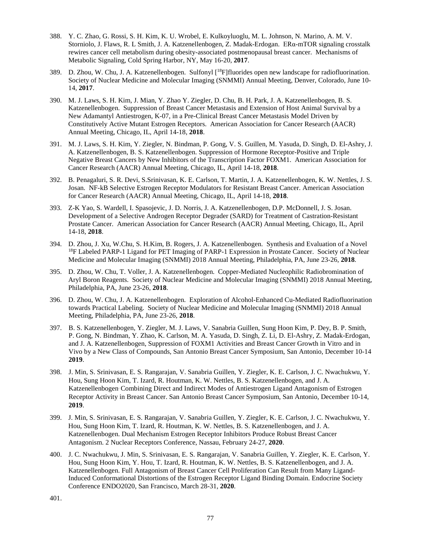- 388. Y. C. Zhao, G. Rossi, S. H. Kim, K. U. Wrobel, E. Kulkoyluoglu, M. L. Johnson, N. Marino, A. M. V. Storniolo, J. Flaws, R. L Smith, J. A. Katzenellenbogen, Z. Madak-Erdogan. ERα-mTOR signaling crosstalk rewires cancer cell metabolism during obesity-associated postmenopausal breast cancer. Mechanisms of Metabolic Signaling, Cold Spring Harbor, NY, May 16-20, **2017**.
- 389. D. Zhou, W. Chu, J. A. Katzenellenbogen. Sulfonyl [18F]fluorides open new landscape for radiofluorination. Society of Nuclear Medicine and Molecular Imaging (SNMMI) Annual Meeting, Denver, Colorado, June 10- 14, **2017**.
- 390. M. J. Laws, S. H. Kim, J. Mian, Y. Zhao Y. Ziegler, D. Chu, B. H. Park, J. A. Katzenellenbogen, B. S. Katzenellenbogen. Suppression of Breast Cancer Metastasis and Extension of Host Animal Survival by a New Adamantyl Antiestrogen, K-07, in a Pre-Clinical Breast Cancer Metastasis Model Driven by Constitutively Active Mutant Estrogen Receptors. American Association for Cancer Research (AACR) Annual Meeting, Chicago, IL, April 14-18, **2018**.
- 391. M. J. Laws, S. H. Kim, Y. Ziegler, N. Bindman, P. Gong, V. S. Guillen, M. Yasuda, D. Singh, D. El-Ashry, J. A. Katzenellenbogen, B. S. Katzenellenbogen. Suppression of Hormone Receptor-Positive and Triple Negative Breast Cancers by New Inhibitors of the Transcription Factor FOXM1. American Association for Cancer Research (AACR) Annual Meeting, Chicago, IL, April 14-18, **2018**.
- 392. B. Penagaluri, S. R. Devi, S.Srinivasan, K. E. Carlson, T. Martin, J. A. Katzenellenbogen, K. W. Nettles, J. S. Josan. NF-kB Selective Estrogen Receptor Modulators for Resistant Breast Cancer. American Association for Cancer Research (AACR) Annual Meeting, Chicago, IL, April 14-18, **2018**.
- 393. Z-K Yao, S. Wardell, I. Spasojevic, J. D. Norris, J. A. Katzenellenbogen, D.P. McDonnell, J. S. Josan. Development of a Selective Androgen Receptor Degrader (SARD) for Treatment of Castration-Resistant Prostate Cancer. American Association for Cancer Research (AACR) Annual Meeting, Chicago, IL, April 14-18, **2018**.
- 394. D. Zhou, J. Xu, W.Chu, S. H.Kim, B. Rogers, J. A. Katzenellenbogen. Synthesis and Evaluation of a Novel<br><sup>18</sup>F Labeled PARP-1 Ligand for PET Imaging of PARP-1 Expression in Prostate Cancer. Society of Nuclear Medicine and Molecular Imaging (SNMMI) 2018 Annual Meeting, Philadelphia, PA, June 23-26, **2018**.
- 395. D. Zhou, W. Chu, T. Voller, J. A. Katzenellenbogen. Copper-Mediated Nucleophilic Radiobromination of Aryl Boron Reagents. Society of Nuclear Medicine and Molecular Imaging (SNMMI) 2018 Annual Meeting, Philadelphia, PA, June 23-26, **2018**.
- 396. D. Zhou, W. Chu, J. A. Katzenellenbogen. Exploration of Alcohol-Enhanced Cu-Mediated Radiofluorination towards Practical Labeling. Society of Nuclear Medicine and Molecular Imaging (SNMMI) 2018 Annual Meeting, Philadelphia, PA, June 23-26, **2018**.
- 397. B. S. Katzenellenbogen, Y. Ziegler, M. J. Laws, V. Sanabria Guillen, Sung Hoon Kim, P. Dey, B. P. Smith, P. Gong, N. Bindman, Y. Zhao, K. Carlson, M. A. Yasuda, D. Singh, Z. Li, D. El-Ashry, Z. Madak-Erdogan, and J. A. Katzenellenbogen, Suppression of FOXM1 Activities and Breast Cancer Growth in Vitro and in Vivo by a New Class of Compounds, San Antonio Breast Cancer Symposium, San Antonio, December 10-14 **2019**.
- 398. J. Min, S. Srinivasan, E. S. Rangarajan, V. Sanabria Guillen, Y. Ziegler, K. E. Carlson, J. C. Nwachukwu, Y. Hou, Sung Hoon Kim, T. Izard, R. Houtman, K. W. Nettles, B. S. Katzenellenbogen, and J. A. Katzenellenbogen. Combining Direct and Indirect Modes of Antiestrogen Ligand Antagonism of Estrogen Receptor Activity in Breast Cancer. San Antonio Breast Cancer Symposium, San Antonio, December 10-14, **2019**.
- 399. J. Min, S. Srinivasan, E. S. Rangarajan, V. Sanabria Guillen, Y. Ziegler, K. E. Carlson, J. C. Nwachukwu, Y. Hou, Sung Hoon Kim, T. Izard, R. Houtman, K. W. Nettles, B. S. Katzenellenbogen, and J. A. Katzenellenbogen. Dual Mechanism Estrogen Receptor Inhibitors Produce Robust Breast Cancer Antagonism. 2 Nuclear Receptors Conference, Nassau, February 24-27, **2020**.
- 400. J. C. Nwachukwu, J. Min, S. Srinivasan, E. S. Rangarajan, V. Sanabria Guillen, Y. Ziegler, K. E. Carlson, Y. Hou, Sung Hoon Kim, Y. Hou, T. Izard, R. Houtman, K. W. Nettles, B. S. Katzenellenbogen, and J. A. Katzenellenbogen. Full Antagonism of Breast Cancer Cell Proliferation Can Result from Many Ligand-Induced Conformational Distortions of the Estrogen Receptor Ligand Binding Domain. Endocrine Society Conference ENDO2020, San Francisco, March 28-31, **2020**.

401.